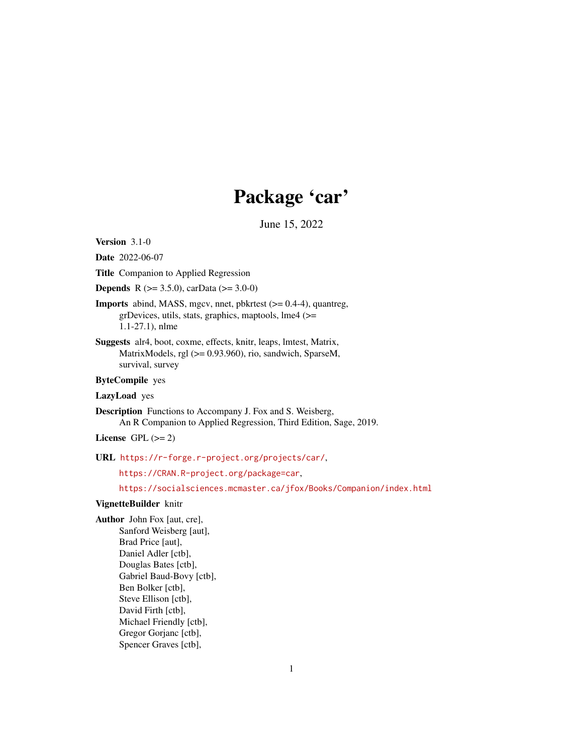# Package 'car'

June 15, 2022

<span id="page-0-0"></span>Version 3.1-0

Date 2022-06-07

Title Companion to Applied Regression

**Depends** R ( $>= 3.5.0$ ), carData ( $>= 3.0-0$ )

Imports abind, MASS, mgcv, nnet, pbkrtest (>= 0.4-4), quantreg, grDevices, utils, stats, graphics, maptools, lme4 (>= 1.1-27.1), nlme

Suggests alr4, boot, coxme, effects, knitr, leaps, lmtest, Matrix, MatrixModels, rgl (>= 0.93.960), rio, sandwich, SparseM, survival, survey

ByteCompile yes

LazyLoad yes

Description Functions to Accompany J. Fox and S. Weisberg, An R Companion to Applied Regression, Third Edition, Sage, 2019.

License GPL  $(>= 2)$ 

URL <https://r-forge.r-project.org/projects/car/>,

<https://CRAN.R-project.org/package=car>,

<https://socialsciences.mcmaster.ca/jfox/Books/Companion/index.html>

# VignetteBuilder knitr

Author John Fox [aut, cre], Sanford Weisberg [aut], Brad Price [aut], Daniel Adler [ctb], Douglas Bates [ctb], Gabriel Baud-Bovy [ctb], Ben Bolker [ctb], Steve Ellison [ctb], David Firth [ctb], Michael Friendly [ctb], Gregor Gorjanc [ctb], Spencer Graves [ctb],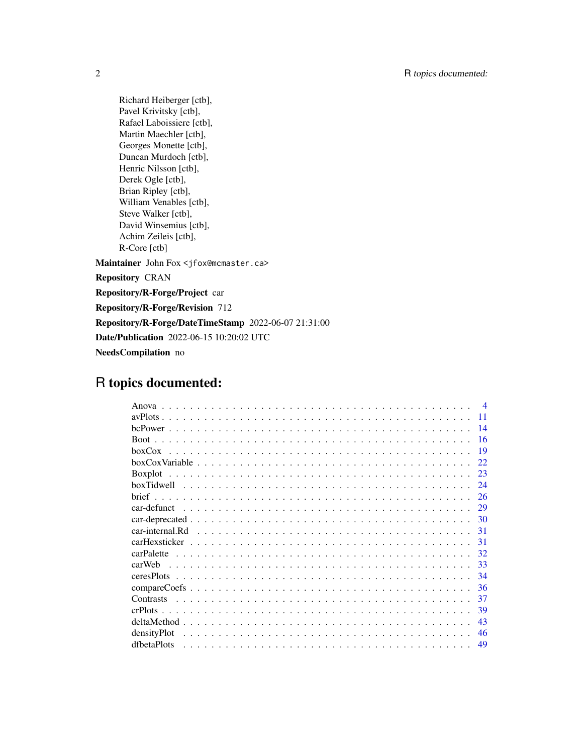Richard Heiberger [ctb], Pavel Krivitsky [ctb], Rafael Laboissiere [ctb], Martin Maechler [ctb], Georges Monette [ctb], Duncan Murdoch [ctb], Henric Nilsson [ctb], Derek Ogle [ctb], Brian Ripley [ctb], William Venables [ctb], Steve Walker [ctb], David Winsemius [ctb], Achim Zeileis [ctb], R-Core [ctb] Maintainer John Fox <jfox@mcmaster.ca> Repository CRAN Repository/R-Forge/Project car Repository/R-Forge/Revision 712 Repository/R-Forge/DateTimeStamp 2022-06-07 21:31:00 Date/Publication 2022-06-15 10:20:02 UTC NeedsCompilation no

# R topics documented:

| $\boldsymbol{\varDelta}$ |
|--------------------------|
| 11                       |
| 14                       |
| 16                       |
| 19                       |
| 22.                      |
|                          |
| 24                       |
| 26                       |
| 29                       |
|                          |
| 31                       |
| 31                       |
| 32                       |
| carWeb<br>33             |
| 34                       |
| 36                       |
| 37                       |
| 39                       |
| 43                       |
| densityPlot<br>46        |
| dfbetaPlots<br>49        |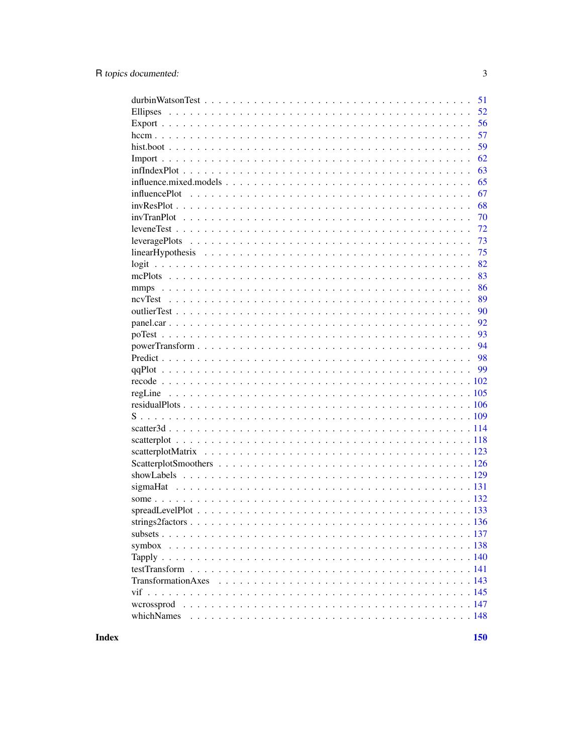| 51                                                                                                                          |
|-----------------------------------------------------------------------------------------------------------------------------|
| 52                                                                                                                          |
| 56                                                                                                                          |
| 57                                                                                                                          |
| 59                                                                                                                          |
| 62                                                                                                                          |
| 63                                                                                                                          |
| 65                                                                                                                          |
| 67<br>influencePlot $\dots \dots \dots \dots \dots \dots \dots \dots \dots \dots \dots \dots \dots \dots \dots \dots \dots$ |
| 68                                                                                                                          |
| 70                                                                                                                          |
| 72                                                                                                                          |
| 73                                                                                                                          |
| 75                                                                                                                          |
| 82                                                                                                                          |
| 83                                                                                                                          |
| 86                                                                                                                          |
| 89                                                                                                                          |
| 90                                                                                                                          |
| 92                                                                                                                          |
| 93                                                                                                                          |
| 94                                                                                                                          |
|                                                                                                                             |
|                                                                                                                             |
|                                                                                                                             |
|                                                                                                                             |
|                                                                                                                             |
|                                                                                                                             |
|                                                                                                                             |
|                                                                                                                             |
|                                                                                                                             |
|                                                                                                                             |
|                                                                                                                             |
|                                                                                                                             |
|                                                                                                                             |
|                                                                                                                             |
|                                                                                                                             |
|                                                                                                                             |
|                                                                                                                             |
|                                                                                                                             |
|                                                                                                                             |
|                                                                                                                             |
|                                                                                                                             |
|                                                                                                                             |
| whichNames                                                                                                                  |
|                                                                                                                             |

**Index**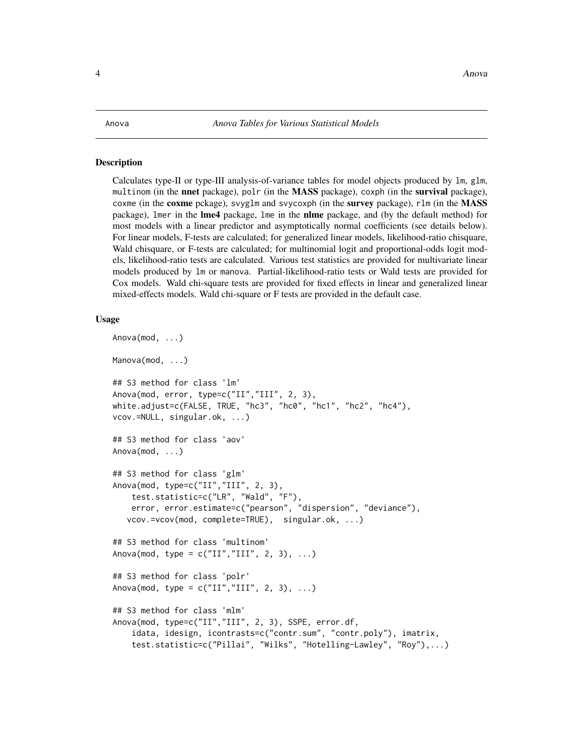# <span id="page-3-0"></span>Description

Calculates type-II or type-III analysis-of-variance tables for model objects produced by lm, glm, multinom (in the **nnet** package), polr (in the **MASS** package), coxph (in the **survival** package), coxme (in the coxme pckage), svyglm and svycoxph (in the survey package), rlm (in the MASS package), lmer in the **lme4** package, lme in the **nlme** package, and (by the default method) for most models with a linear predictor and asymptotically normal coefficients (see details below). For linear models, F-tests are calculated; for generalized linear models, likelihood-ratio chisquare, Wald chisquare, or F-tests are calculated; for multinomial logit and proportional-odds logit models, likelihood-ratio tests are calculated. Various test statistics are provided for multivariate linear models produced by lm or manova. Partial-likelihood-ratio tests or Wald tests are provided for Cox models. Wald chi-square tests are provided for fixed effects in linear and generalized linear mixed-effects models. Wald chi-square or F tests are provided in the default case.

```
Anova(mod, ...)
Manova(mod, ...)
## S3 method for class 'lm'
Anova(mod, error, type=c("II","III", 2, 3),
white.adjust=c(FALSE, TRUE, "hc3", "hc0", "hc1", "hc2", "hc4"),
vcov.=NULL, singular.ok, ...)
## S3 method for class 'aov'
Anova(mod, ...)
## S3 method for class 'glm'
Anova(mod, type=c("II","III", 2, 3),
    test.statistic=c("LR", "Wald", "F"),
    error, error.estimate=c("pearson", "dispersion", "deviance"),
   vcov.=vcov(mod, complete=TRUE), singular.ok, ...)
## S3 method for class 'multinom'
Anova(mod, type = c("II", "III", 2, 3), ...)
## S3 method for class 'polr'
Anova(mod, type = c("II", "III", 2, 3), ...)
## S3 method for class 'mlm'
Anova(mod, type=c("II","III", 2, 3), SSPE, error.df,
    idata, idesign, icontrasts=c("contr.sum", "contr.poly"), imatrix,
    test.statistic=c("Pillai", "Wilks", "Hotelling-Lawley", "Roy"),...)
```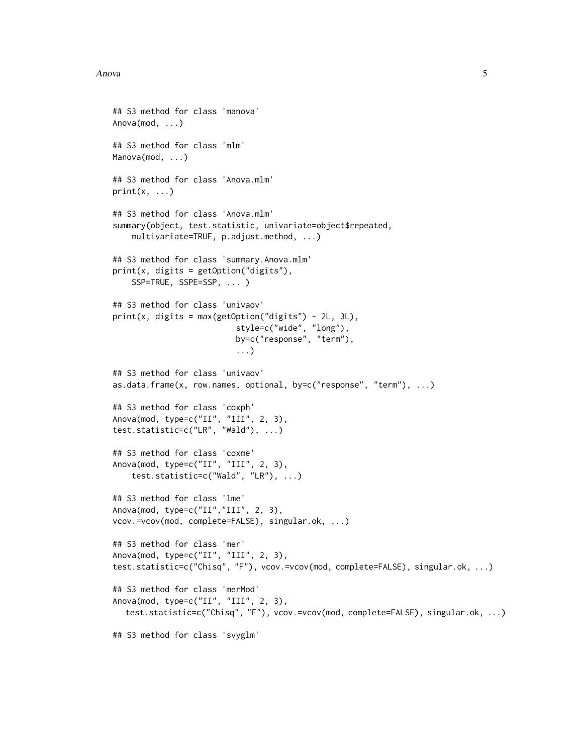#### Anova 5

```
## S3 method for class 'manova'
Anova(mod, ...)
## S3 method for class 'mlm'
Manova(mod, ...)
## S3 method for class 'Anova.mlm'
print(x, \ldots)## S3 method for class 'Anova.mlm'
summary(object, test.statistic, univariate=object$repeated,
    multivariate=TRUE, p.adjust.method, ...)
## S3 method for class 'summary.Anova.mlm'
print(x, digits = getOption("digits"),
    SSP=TRUE, SSPE=SSP, ... )
## S3 method for class 'univaov'
print(x, digits = max(getOption("digits") - 2L, 3L),style=c("wide", "long"),
                          by=c("response", "term"),
                          ...)
## S3 method for class 'univaov'
as.data.frame(x, row.names, optional, by=c("response", "term"), ...)
## S3 method for class 'coxph'
Anova(mod, type=c("II", "III", 2, 3),
test.statistic=c("LR", "Wald"), ...)
## S3 method for class 'coxme'
Anova(mod, type=c("II", "III", 2, 3),
    test.statistic=c("Wald", "LR"), ...)
## S3 method for class 'lme'
Anova(mod, type=c("II","III", 2, 3),
vcov.=vcov(mod, complete=FALSE), singular.ok, ...)
## S3 method for class 'mer'
Anova(mod, type=c("II", "III", 2, 3),
test.statistic=c("Chisq", "F"), vcov.=vcov(mod, complete=FALSE), singular.ok, ...)
## S3 method for class 'merMod'
Anova(mod, type=c("II", "III", 2, 3),
  test.statistic=c("Chisq", "F"), vcov.=vcov(mod, complete=FALSE), singular.ok, ...)
## S3 method for class 'svyglm'
```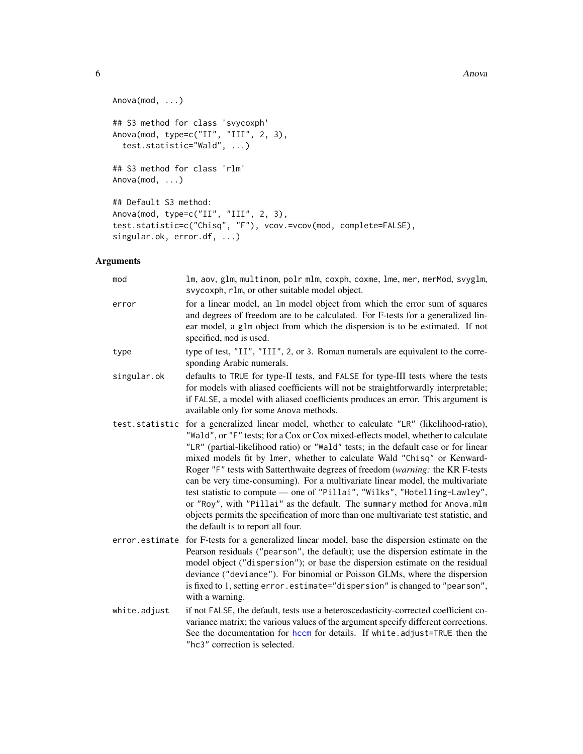```
Anova(mod, ...)
## S3 method for class 'svycoxph'
Anova(mod, type=c("II", "III", 2, 3),
 test.statistic="Wald", ...)
## S3 method for class 'rlm'
Anova(mod, ...)
## Default S3 method:
Anova(mod, type=c("II", "III", 2, 3),
test.statistic=c("Chisq", "F"), vcov.=vcov(mod, complete=FALSE),
singular.ok, error.df, ...)
```
# Arguments

| mod            | lm, aov, glm, multinom, polr mlm, coxph, coxme, lme, mer, merMod, svyglm,<br>svycoxph, rlm, or other suitable model object.                                                                                                                                                                                                                                                                                                                                                                                                                                                                                                                                                                                                                                                                  |
|----------------|----------------------------------------------------------------------------------------------------------------------------------------------------------------------------------------------------------------------------------------------------------------------------------------------------------------------------------------------------------------------------------------------------------------------------------------------------------------------------------------------------------------------------------------------------------------------------------------------------------------------------------------------------------------------------------------------------------------------------------------------------------------------------------------------|
| error          | for a linear model, an 1m model object from which the error sum of squares<br>and degrees of freedom are to be calculated. For F-tests for a generalized lin-<br>ear model, a glm object from which the dispersion is to be estimated. If not<br>specified, mod is used.                                                                                                                                                                                                                                                                                                                                                                                                                                                                                                                     |
| type           | type of test, "II", "III", 2, or 3. Roman numerals are equivalent to the corre-<br>sponding Arabic numerals.                                                                                                                                                                                                                                                                                                                                                                                                                                                                                                                                                                                                                                                                                 |
| singular.ok    | defaults to TRUE for type-II tests, and FALSE for type-III tests where the tests<br>for models with aliased coefficients will not be straightforwardly interpretable;<br>if FALSE, a model with aliased coefficients produces an error. This argument is<br>available only for some Anova methods.                                                                                                                                                                                                                                                                                                                                                                                                                                                                                           |
| test.statistic | for a generalized linear model, whether to calculate "LR" (likelihood-ratio),<br>"Wald", or "F" tests; for a Cox or Cox mixed-effects model, whether to calculate<br>"LR" (partial-likelihood ratio) or "Wald" tests; in the default case or for linear<br>mixed models fit by 1mer, whether to calculate Wald "Chisq" or Kenward-<br>Roger "F" tests with Satterthwaite degrees of freedom (warning: the KR F-tests<br>can be very time-consuming). For a multivariate linear model, the multivariate<br>test statistic to compute - one of "Pillai", "Wilks", "Hotelling-Lawley",<br>or "Roy", with "Pillai" as the default. The summary method for Anova.mlm<br>objects permits the specification of more than one multivariate test statistic, and<br>the default is to report all four. |
| error.estimate | for F-tests for a generalized linear model, base the dispersion estimate on the<br>Pearson residuals ("pearson", the default); use the dispersion estimate in the<br>model object ("dispersion"); or base the dispersion estimate on the residual<br>deviance ("deviance"). For binomial or Poisson GLMs, where the dispersion<br>is fixed to 1, setting error. estimate="dispersion" is changed to "pearson",<br>with a warning.                                                                                                                                                                                                                                                                                                                                                            |
| white.adjust   | if not FALSE, the default, tests use a heteroscedasticity-corrected coefficient co-<br>variance matrix; the various values of the argument specify different corrections.<br>See the documentation for hccm for details. If white adjust=TRUE then the<br>"hc3" correction is selected.                                                                                                                                                                                                                                                                                                                                                                                                                                                                                                      |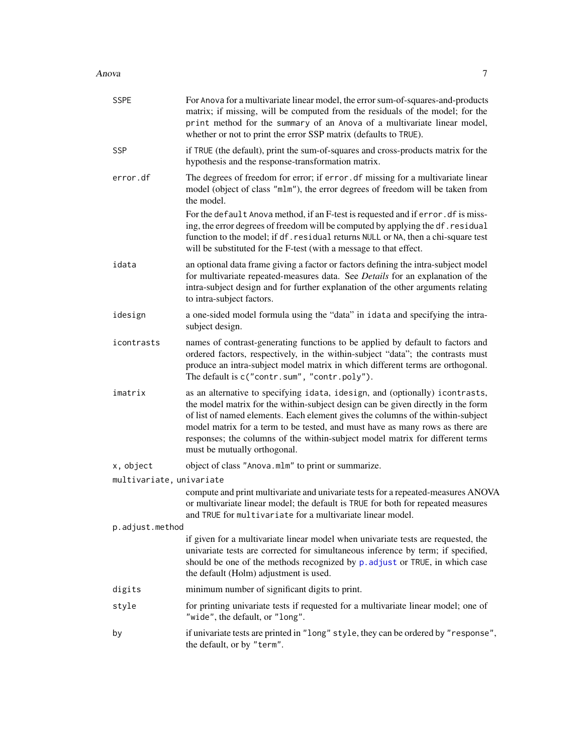#### Anova 7

| <b>SSPE</b>              | For Anova for a multivariate linear model, the error sum-of-squares-and-products<br>matrix; if missing, will be computed from the residuals of the model; for the<br>print method for the summary of an Anova of a multivariate linear model,<br>whether or not to print the error SSP matrix (defaults to TRUE).                                                                                                                                     |
|--------------------------|-------------------------------------------------------------------------------------------------------------------------------------------------------------------------------------------------------------------------------------------------------------------------------------------------------------------------------------------------------------------------------------------------------------------------------------------------------|
| <b>SSP</b>               | if TRUE (the default), print the sum-of-squares and cross-products matrix for the<br>hypothesis and the response-transformation matrix.                                                                                                                                                                                                                                                                                                               |
| error.df                 | The degrees of freedom for error; if error . df missing for a multivariate linear<br>model (object of class "mlm"), the error degrees of freedom will be taken from<br>the model.                                                                                                                                                                                                                                                                     |
|                          | For the default Anova method, if an F-test is requested and if error. df is miss-<br>ing, the error degrees of freedom will be computed by applying the df. residual<br>function to the model; if df. residual returns NULL or NA, then a chi-square test<br>will be substituted for the F-test (with a message to that effect.                                                                                                                       |
| idata                    | an optional data frame giving a factor or factors defining the intra-subject model<br>for multivariate repeated-measures data. See Details for an explanation of the<br>intra-subject design and for further explanation of the other arguments relating<br>to intra-subject factors.                                                                                                                                                                 |
| idesign                  | a one-sided model formula using the "data" in idata and specifying the intra-<br>subject design.                                                                                                                                                                                                                                                                                                                                                      |
| icontrasts               | names of contrast-generating functions to be applied by default to factors and<br>ordered factors, respectively, in the within-subject "data"; the contrasts must<br>produce an intra-subject model matrix in which different terms are orthogonal.<br>The default is c("contr.sum", "contr.poly").                                                                                                                                                   |
| imatrix                  | as an alternative to specifying idata, idesign, and (optionally) icontrasts,<br>the model matrix for the within-subject design can be given directly in the form<br>of list of named elements. Each element gives the columns of the within-subject<br>model matrix for a term to be tested, and must have as many rows as there are<br>responses; the columns of the within-subject model matrix for different terms<br>must be mutually orthogonal. |
| x, object                | object of class "Anova.mlm" to print or summarize.                                                                                                                                                                                                                                                                                                                                                                                                    |
| multivariate, univariate |                                                                                                                                                                                                                                                                                                                                                                                                                                                       |
|                          | compute and print multivariate and univariate tests for a repeated-measures ANOVA<br>or multivariate linear model; the default is TRUE for both for repeated measures<br>and TRUE for multivariate for a multivariate linear model.                                                                                                                                                                                                                   |
| p.adjust.method          |                                                                                                                                                                                                                                                                                                                                                                                                                                                       |
|                          | if given for a multivariate linear model when univariate tests are requested, the<br>univariate tests are corrected for simultaneous inference by term; if specified,<br>should be one of the methods recognized by p. adjust or TRUE, in which case<br>the default (Holm) adjustment is used.                                                                                                                                                        |
| digits                   | minimum number of significant digits to print.                                                                                                                                                                                                                                                                                                                                                                                                        |
| style                    | for printing univariate tests if requested for a multivariate linear model; one of<br>"wide", the default, or "long".                                                                                                                                                                                                                                                                                                                                 |
| by                       | if univariate tests are printed in "long" style, they can be ordered by "response",<br>the default, or by "term".                                                                                                                                                                                                                                                                                                                                     |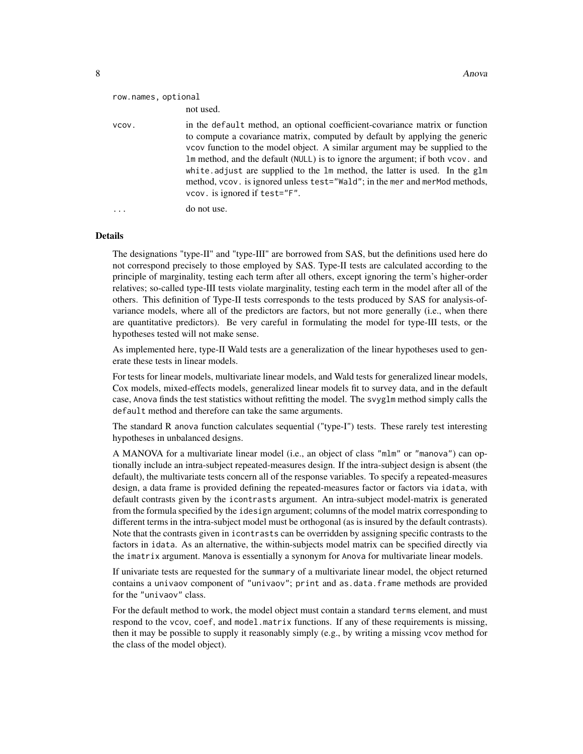| row.names, optional | not used.                                                                                                                                                                                                                                                                                                                                                                                                                                                                                                                   |
|---------------------|-----------------------------------------------------------------------------------------------------------------------------------------------------------------------------------------------------------------------------------------------------------------------------------------------------------------------------------------------------------------------------------------------------------------------------------------------------------------------------------------------------------------------------|
| VCOV.               | in the default method, an optional coefficient-covariance matrix or function<br>to compute a covariance matrix, computed by default by applying the generic<br>vcov function to the model object. A similar argument may be supplied to the<br>Im method, and the default (NULL) is to ignore the argument; if both vcov. and<br>white adjust are supplied to the 1m method, the latter is used. In the glm<br>method, vcov. is ignored unless test="Wald"; in the mer and merMod methods,<br>vcov. is ignored if test="F". |
|                     | do not use.                                                                                                                                                                                                                                                                                                                                                                                                                                                                                                                 |

#### Details

The designations "type-II" and "type-III" are borrowed from SAS, but the definitions used here do not correspond precisely to those employed by SAS. Type-II tests are calculated according to the principle of marginality, testing each term after all others, except ignoring the term's higher-order relatives; so-called type-III tests violate marginality, testing each term in the model after all of the others. This definition of Type-II tests corresponds to the tests produced by SAS for analysis-ofvariance models, where all of the predictors are factors, but not more generally (i.e., when there are quantitative predictors). Be very careful in formulating the model for type-III tests, or the hypotheses tested will not make sense.

As implemented here, type-II Wald tests are a generalization of the linear hypotheses used to generate these tests in linear models.

For tests for linear models, multivariate linear models, and Wald tests for generalized linear models, Cox models, mixed-effects models, generalized linear models fit to survey data, and in the default case, Anova finds the test statistics without refitting the model. The svyglm method simply calls the default method and therefore can take the same arguments.

The standard R anova function calculates sequential ("type-I") tests. These rarely test interesting hypotheses in unbalanced designs.

A MANOVA for a multivariate linear model (i.e., an object of class "mlm" or "manova") can optionally include an intra-subject repeated-measures design. If the intra-subject design is absent (the default), the multivariate tests concern all of the response variables. To specify a repeated-measures design, a data frame is provided defining the repeated-measures factor or factors via idata, with default contrasts given by the icontrasts argument. An intra-subject model-matrix is generated from the formula specified by the idesign argument; columns of the model matrix corresponding to different terms in the intra-subject model must be orthogonal (as is insured by the default contrasts). Note that the contrasts given in icontrasts can be overridden by assigning specific contrasts to the factors in idata. As an alternative, the within-subjects model matrix can be specified directly via the imatrix argument. Manova is essentially a synonym for Anova for multivariate linear models.

If univariate tests are requested for the summary of a multivariate linear model, the object returned contains a univaov component of "univaov"; print and as.data.frame methods are provided for the "univaov" class.

For the default method to work, the model object must contain a standard terms element, and must respond to the vcov, coef, and model.matrix functions. If any of these requirements is missing, then it may be possible to supply it reasonably simply (e.g., by writing a missing vcov method for the class of the model object).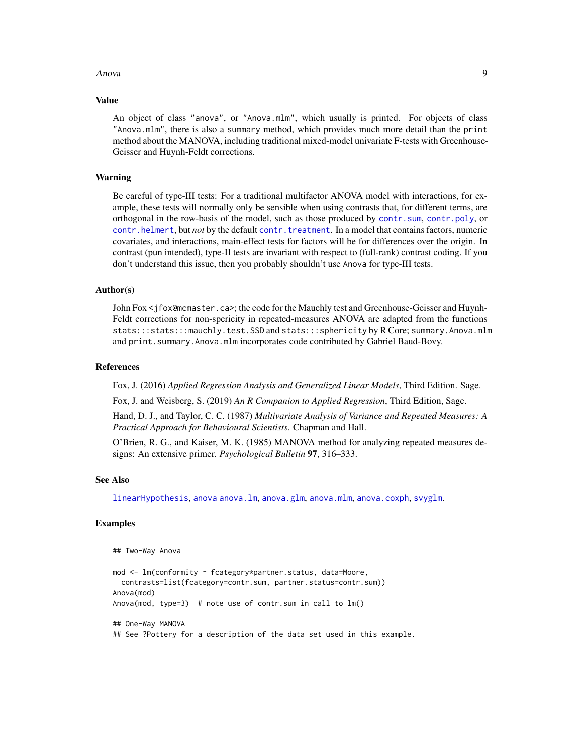#### Anova 9

#### Value

An object of class "anova", or "Anova.mlm", which usually is printed. For objects of class "Anova.mlm", there is also a summary method, which provides much more detail than the print method about the MANOVA, including traditional mixed-model univariate F-tests with Greenhouse-Geisser and Huynh-Feldt corrections.

# Warning

Be careful of type-III tests: For a traditional multifactor ANOVA model with interactions, for example, these tests will normally only be sensible when using contrasts that, for different terms, are orthogonal in the row-basis of the model, such as those produced by [contr.sum](#page-0-0), [contr.poly](#page-0-0), or [contr.helmert](#page-0-0), but *not* by the default [contr.treatment](#page-0-0). In a model that contains factors, numeric covariates, and interactions, main-effect tests for factors will be for differences over the origin. In contrast (pun intended), type-II tests are invariant with respect to (full-rank) contrast coding. If you don't understand this issue, then you probably shouldn't use Anova for type-III tests.

# Author(s)

John Fox <jfox@mcmaster.ca>; the code for the Mauchly test and Greenhouse-Geisser and Huynh-Feldt corrections for non-spericity in repeated-measures ANOVA are adapted from the functions stats:::stats:::mauchly.test.SSD and stats:::sphericity by R Core; summary.Anova.mlm and print. summary. Anova.mlm incorporates code contributed by Gabriel Baud-Bovy.

# References

Fox, J. (2016) *Applied Regression Analysis and Generalized Linear Models*, Third Edition. Sage.

Fox, J. and Weisberg, S. (2019) *An R Companion to Applied Regression*, Third Edition, Sage.

Hand, D. J., and Taylor, C. C. (1987) *Multivariate Analysis of Variance and Repeated Measures: A Practical Approach for Behavioural Scientists.* Chapman and Hall.

O'Brien, R. G., and Kaiser, M. K. (1985) MANOVA method for analyzing repeated measures designs: An extensive primer. *Psychological Bulletin* 97, 316–333.

#### See Also

[linearHypothesis](#page-74-1), [anova](#page-0-0) [anova.lm](#page-0-0), [anova.glm](#page-0-0), [anova.mlm](#page-0-0), [anova.coxph](#page-0-0), [svyglm](#page-0-0).

# Examples

```
## Two-Way Anova
```

```
mod <- lm(conformity ~ fcategory*partner.status, data=Moore,
 contrasts=list(fcategory=contr.sum, partner.status=contr.sum))
Anova(mod)
Anova(mod, type=3) # note use of contr.sum in call to lm()
## One-Way MANOVA
## See ?Pottery for a description of the data set used in this example.
```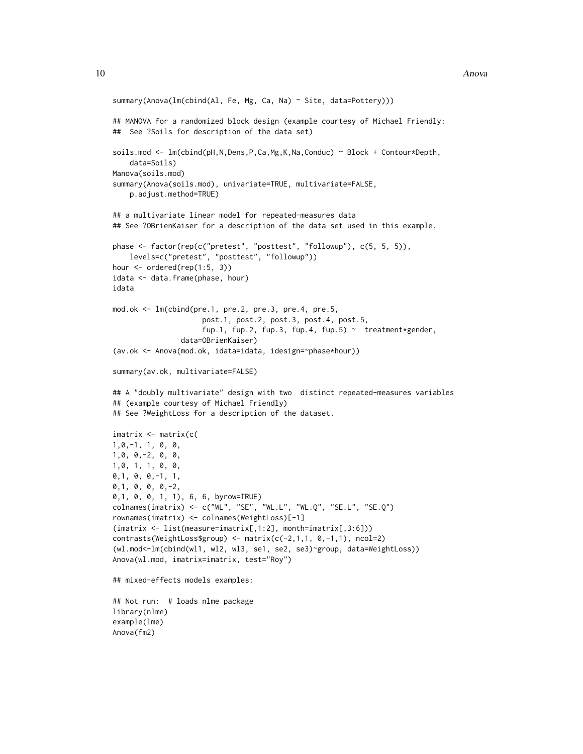```
summary(Anova(lm(cbind(Al, Fe, Mg, Ca, Na) ~ Site, data=Pottery)))
## MANOVA for a randomized block design (example courtesy of Michael Friendly:
## See ?Soils for description of the data set)
soils.mod <- lm(cbind(pH,N,Dens,P,Ca,Mg,K,Na,Conduc) ~ Block + Contour*Depth,
    data=Soils)
Manova(soils.mod)
summary(Anova(soils.mod), univariate=TRUE, multivariate=FALSE,
    p.adjust.method=TRUE)
## a multivariate linear model for repeated-measures data
## See ?OBrienKaiser for a description of the data set used in this example.
phase <- factor(rep(c("pretest", "posttest", "followup"), c(5, 5, 5)),
    levels=c("pretest", "posttest", "followup"))
hour <- ordered(rep(1:5, 3))
idata <- data.frame(phase, hour)
idata
mod.ok <- lm(cbind(pre.1, pre.2, pre.3, pre.4, pre.5,
                     post.1, post.2, post.3, post.4, post.5,
                     fup.1, fup.2, fup.3, fup.4, fup.5) \sim treatment*gender,
                data=OBrienKaiser)
(av.ok <- Anova(mod.ok, idata=idata, idesign=~phase*hour))
summary(av.ok, multivariate=FALSE)
## A "doubly multivariate" design with two distinct repeated-measures variables
## (example courtesy of Michael Friendly)
## See ?WeightLoss for a description of the dataset.
imatrix <- matrix(c(
1,0,-1, 1, 0, 0,
1,0, 0,-2, 0, 0,
1,0, 1, 1, 0, 0,
0,1, 0, 0,-1, 1,
0,1, 0, 0, 0,-2,
0,1, 0, 0, 1, 1), 6, 6, byrow=TRUE)
colnames(imatrix) <- c("WL", "SE", "WL.L", "WL.Q", "SE.L", "SE.Q")
rownames(imatrix) <- colnames(WeightLoss)[-1]
(imatrix <- list(measure=imatrix[,1:2], month=imatrix[,3:6]))
contrasts(WeightLoss$group) <- matrix(c(-2,1,1, 0,-1,1), ncol=2)
(wl.mod<-lm(cbind(wl1, wl2, wl3, se1, se2, se3)~group, data=WeightLoss))
Anova(wl.mod, imatrix=imatrix, test="Roy")
## mixed-effects models examples:
## Not run: # loads nlme package
library(nlme)
example(lme)
Anova(fm2)
```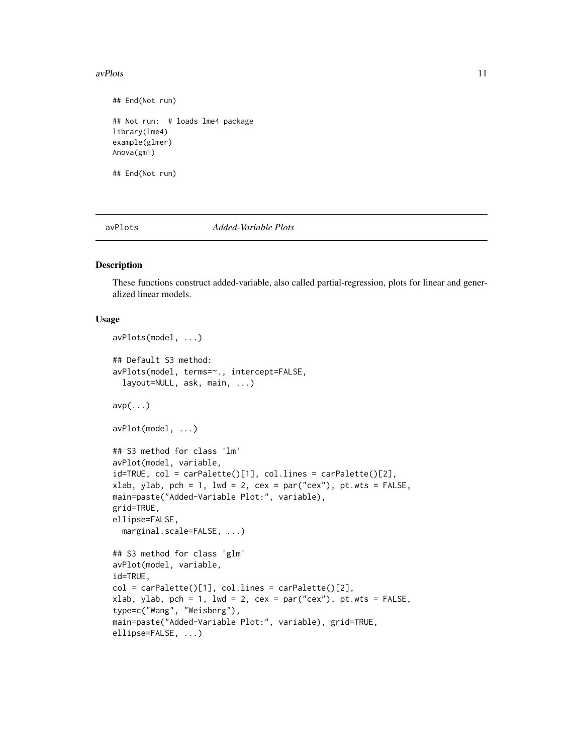#### <span id="page-10-0"></span>avPlots 2008 and 2008 and 2008 and 2008 and 2008 and 2008 and 2008 and 2008 and 2008 and 2008 and 2008 and 200

## End(Not run) ## Not run: # loads lme4 package library(lme4) example(glmer) Anova(gm1) ## End(Not run)

<span id="page-10-2"></span>avPlots *Added-Variable Plots*

# <span id="page-10-1"></span>Description

These functions construct added-variable, also called partial-regression, plots for linear and generalized linear models.

```
avPlots(model, ...)
## Default S3 method:
avPlots(model, terms=~., intercept=FALSE,
  layout=NULL, ask, main, ...)
\mathsf{avp}(\ldots)avPlot(model, ...)
## S3 method for class 'lm'
avPlot(model, variable,
id=TRUE, col = carPalette()[1], col.lines = carPalette()[2],
xlab, ylab, pch = 1, lwd = 2, cex = par("cex"), pt.wts = FALSE,
main=paste("Added-Variable Plot:", variable),
grid=TRUE,
ellipse=FALSE,
 marginal.scale=FALSE, ...)
## S3 method for class 'glm'
avPlot(model, variable,
id=TRUE,
col = carPalette()[1], col.lines = carPalette()[2],xlab, ylab, pch = 1, lwd = 2, cex = par("cex"), pt.wts = FALSE,
type=c("Wang", "Weisberg"),
main=paste("Added-Variable Plot:", variable), grid=TRUE,
ellipse=FALSE, ...)
```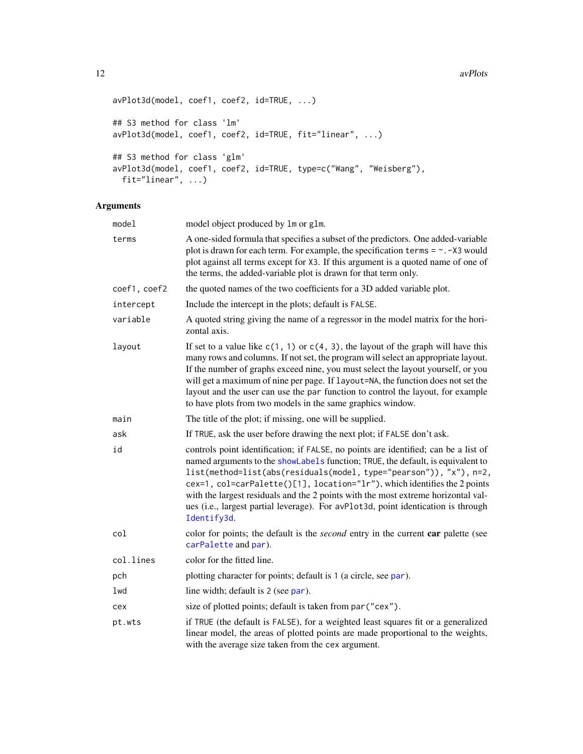```
avPlot3d(model, coef1, coef2, id=TRUE, ...)
## S3 method for class 'lm'
avPlot3d(model, coef1, coef2, id=TRUE, fit="linear", ...)
## S3 method for class 'glm'
avPlot3d(model, coef1, coef2, id=TRUE, type=c("Wang", "Weisberg"),
  fit="linear", ...)
```
# Arguments

| model        | model object produced by 1m or g1m.                                                                                                                                                                                                                                                                                                                                                                                                                                                                                |
|--------------|--------------------------------------------------------------------------------------------------------------------------------------------------------------------------------------------------------------------------------------------------------------------------------------------------------------------------------------------------------------------------------------------------------------------------------------------------------------------------------------------------------------------|
| terms        | A one-sided formula that specifies a subset of the predictors. One added-variable<br>plot is drawn for each term. For example, the specification terms $= \sim -x$ would<br>plot against all terms except for X3. If this argument is a quoted name of one of<br>the terms, the added-variable plot is drawn for that term only.                                                                                                                                                                                   |
| coef1, coef2 | the quoted names of the two coefficients for a 3D added variable plot.                                                                                                                                                                                                                                                                                                                                                                                                                                             |
| intercept    | Include the intercept in the plots; default is FALSE.                                                                                                                                                                                                                                                                                                                                                                                                                                                              |
| variable     | A quoted string giving the name of a regressor in the model matrix for the hori-<br>zontal axis.                                                                                                                                                                                                                                                                                                                                                                                                                   |
| layout       | If set to a value like $c(1, 1)$ or $c(4, 3)$ , the layout of the graph will have this<br>many rows and columns. If not set, the program will select an appropriate layout.<br>If the number of graphs exceed nine, you must select the layout yourself, or you<br>will get a maximum of nine per page. If layout=NA, the function does not set the<br>layout and the user can use the par function to control the layout, for example<br>to have plots from two models in the same graphics window.               |
| main         | The title of the plot; if missing, one will be supplied.                                                                                                                                                                                                                                                                                                                                                                                                                                                           |
| ask          | If TRUE, ask the user before drawing the next plot; if FALSE don't ask.                                                                                                                                                                                                                                                                                                                                                                                                                                            |
| id           | controls point identification; if FALSE, no points are identified; can be a list of<br>named arguments to the showLabels function; TRUE, the default, is equivalent to<br>list(method=list(abs(residuals(model, type="pearson")), "x"), n=2,<br>cex=1, col=carPalette()[1], location="lr"), which identifies the 2 points<br>with the largest residuals and the 2 points with the most extreme horizontal val-<br>ues (i.e., largest partial leverage). For avPlot3d, point identication is through<br>Identify3d. |
| col          | color for points; the default is the <i>second</i> entry in the current <b>car</b> palette (see<br>carPalette and par).                                                                                                                                                                                                                                                                                                                                                                                            |
| col.lines    | color for the fitted line.                                                                                                                                                                                                                                                                                                                                                                                                                                                                                         |
| pch          | plotting character for points; default is 1 (a circle, see par).                                                                                                                                                                                                                                                                                                                                                                                                                                                   |
| lwd          | line width; default is 2 (see par).                                                                                                                                                                                                                                                                                                                                                                                                                                                                                |
| cex          | size of plotted points; default is taken from par ("cex").                                                                                                                                                                                                                                                                                                                                                                                                                                                         |
| pt.wts       | if TRUE (the default is FALSE), for a weighted least squares fit or a generalized<br>linear model, the areas of plotted points are made proportional to the weights,<br>with the average size taken from the cex argument.                                                                                                                                                                                                                                                                                         |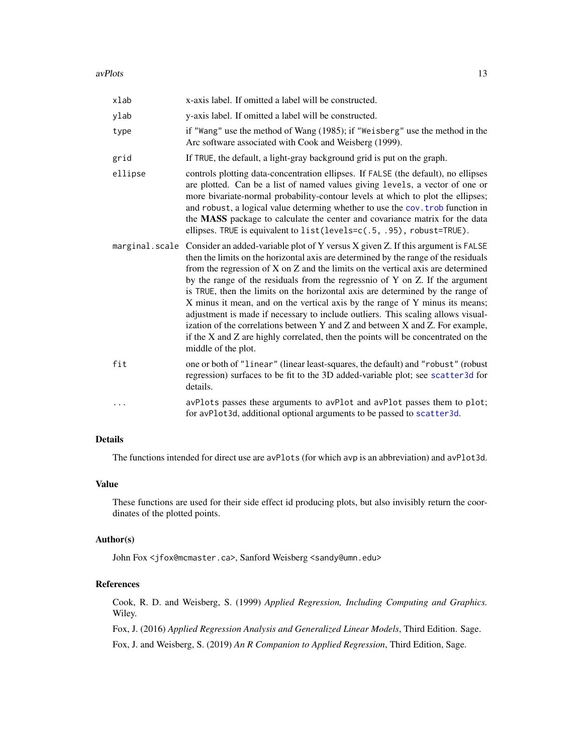#### avPlots 2008 and 2008 and 2008 and 2008 and 2008 and 2008 and 2008 and 2008 and 2008 and 2008 and 2008 and 200

| xlab    | x-axis label. If omitted a label will be constructed.                                                                                                                                                                                                                                                                                                                                                                                                                                                                                                                                                                                                                                                                                                                                                         |
|---------|---------------------------------------------------------------------------------------------------------------------------------------------------------------------------------------------------------------------------------------------------------------------------------------------------------------------------------------------------------------------------------------------------------------------------------------------------------------------------------------------------------------------------------------------------------------------------------------------------------------------------------------------------------------------------------------------------------------------------------------------------------------------------------------------------------------|
| ylab    | y-axis label. If omitted a label will be constructed.                                                                                                                                                                                                                                                                                                                                                                                                                                                                                                                                                                                                                                                                                                                                                         |
| type    | if "Wang" use the method of Wang (1985); if "Weisberg" use the method in the<br>Arc software associated with Cook and Weisberg (1999).                                                                                                                                                                                                                                                                                                                                                                                                                                                                                                                                                                                                                                                                        |
| grid    | If TRUE, the default, a light-gray background grid is put on the graph.                                                                                                                                                                                                                                                                                                                                                                                                                                                                                                                                                                                                                                                                                                                                       |
| ellipse | controls plotting data-concentration ellipses. If FALSE (the default), no ellipses<br>are plotted. Can be a list of named values giving levels, a vector of one or<br>more bivariate-normal probability-contour levels at which to plot the ellipses;<br>and robust, a logical value determing whether to use the cov. trob function in<br>the MASS package to calculate the center and covariance matrix for the data<br>ellipses. TRUE is equivalent to list(levels=c(.5, .95), robust=TRUE).                                                                                                                                                                                                                                                                                                               |
|         | marginal. scale Consider an added-variable plot of Y versus X given Z. If this argument is FALSE<br>then the limits on the horizontal axis are determined by the range of the residuals<br>from the regression of X on Z and the limits on the vertical axis are determined<br>by the range of the residuals from the regressio of Y on Z. If the argument<br>is TRUE, then the limits on the horizontal axis are determined by the range of<br>X minus it mean, and on the vertical axis by the range of Y minus its means;<br>adjustment is made if necessary to include outliers. This scaling allows visual-<br>ization of the correlations between Y and Z and between X and Z. For example,<br>if the X and Z are highly correlated, then the points will be concentrated on the<br>middle of the plot. |
| fit     | one or both of "linear" (linear least-squares, the default) and "robust" (robust<br>regression) surfaces to be fit to the 3D added-variable plot; see scatter3d for<br>details.                                                                                                                                                                                                                                                                                                                                                                                                                                                                                                                                                                                                                               |
|         | avPlots passes these arguments to avPlot and avPlot passes them to plot;<br>for avPlot3d, additional optional arguments to be passed to scatter3d.                                                                                                                                                                                                                                                                                                                                                                                                                                                                                                                                                                                                                                                            |

# Details

The functions intended for direct use are avPlots (for which avp is an abbreviation) and avPlot3d.

# Value

These functions are used for their side effect id producing plots, but also invisibly return the coordinates of the plotted points.

# Author(s)

John Fox <jfox@mcmaster.ca>, Sanford Weisberg <sandy@umn.edu>

# References

Cook, R. D. and Weisberg, S. (1999) *Applied Regression, Including Computing and Graphics.* Wiley.

Fox, J. (2016) *Applied Regression Analysis and Generalized Linear Models*, Third Edition. Sage.

Fox, J. and Weisberg, S. (2019) *An R Companion to Applied Regression*, Third Edition, Sage.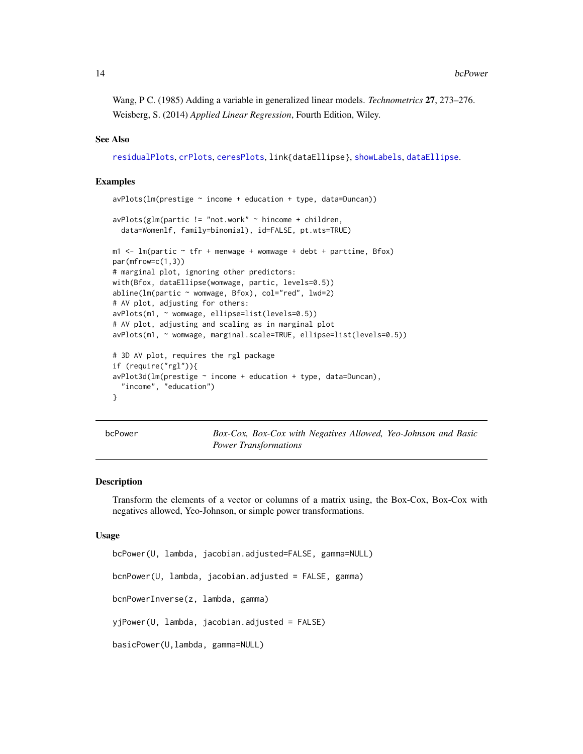<span id="page-13-0"></span>Wang, P C. (1985) Adding a variable in generalized linear models. *Technometrics* 27, 273–276. Weisberg, S. (2014) *Applied Linear Regression*, Fourth Edition, Wiley.

# See Also

[residualPlots](#page-105-1), [crPlots](#page-38-1), [ceresPlots](#page-33-1), link{dataEllipse}, [showLabels](#page-128-1), [dataEllipse](#page-51-1).

# Examples

```
avPlots(Im(prestige ~ income + education + type, data=Duncan))avPlots(glm(partic != "not.work" ~ hincome + children,
 data=Womenlf, family=binomial), id=FALSE, pt.wts=TRUE)
m1 < -1m(partic - tfr + mennage + womwage + debt + parttime, Bfox)par(mfrow=c(1,3))
# marginal plot, ignoring other predictors:
with(Bfox, dataEllipse(womwage, partic, levels=0.5))
abline(lm(partic ~ womwage, Bfox), col="red", lwd=2)# AV plot, adjusting for others:
avPlots(m1, ~ womwage, ellipse=list(levels=0.5))
# AV plot, adjusting and scaling as in marginal plot
avPlots(m1, ~ womwage, marginal.scale=TRUE, ellipse=list(levels=0.5))
# 3D AV plot, requires the rgl package
if (require("rgl")){
avPlot3d(lm(prestige ~ income + education + type, data= Duncan),"income", "education")
}
```
<span id="page-13-2"></span>bcPower *Box-Cox, Box-Cox with Negatives Allowed, Yeo-Johnson and Basic Power Transformations*

#### <span id="page-13-1"></span>Description

Transform the elements of a vector or columns of a matrix using, the Box-Cox, Box-Cox with negatives allowed, Yeo-Johnson, or simple power transformations.

#### Usage

bcPower(U, lambda, jacobian.adjusted=FALSE, gamma=NULL) bcnPower(U, lambda, jacobian.adjusted = FALSE, gamma) bcnPowerInverse(z, lambda, gamma) yjPower(U, lambda, jacobian.adjusted = FALSE) basicPower(U,lambda, gamma=NULL)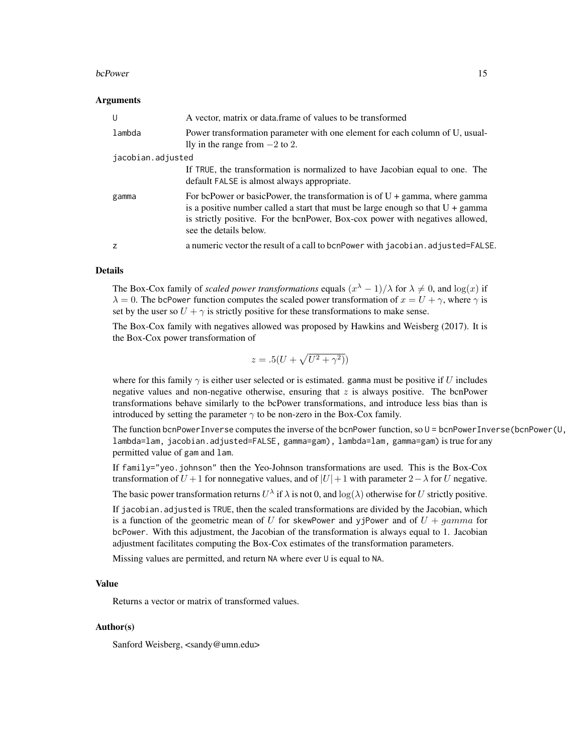#### bcPower 15

# Arguments

| U                 | A vector, matrix or data.frame of values to be transformed                                                                                                                                                                                                                                   |
|-------------------|----------------------------------------------------------------------------------------------------------------------------------------------------------------------------------------------------------------------------------------------------------------------------------------------|
| lambda            | Power transformation parameter with one element for each column of U, usual-<br>lly in the range from $-2$ to 2.                                                                                                                                                                             |
| jacobian.adjusted |                                                                                                                                                                                                                                                                                              |
|                   | If TRUE, the transformation is normalized to have Jacobian equal to one. The<br>default FALSE is almost always appropriate.                                                                                                                                                                  |
| gamma             | For be Power or basic Power, the transformation is of $U + \gamma$ gamma, where gamma<br>is a positive number called a start that must be large enough so that $U + \gamma$ gamma<br>is strictly positive. For the bonPower, Box-cox power with negatives allowed,<br>see the details below. |
| z                 | a numeric vector the result of a call to bonPower with jacobian. adjusted=FALSE.                                                                                                                                                                                                             |
|                   |                                                                                                                                                                                                                                                                                              |

# Details

The Box-Cox family of *scaled power transformations* equals  $(x^{\lambda} - 1)/\lambda$  for  $\lambda \neq 0$ , and  $\log(x)$  if  $\lambda = 0$ . The bcPower function computes the scaled power transformation of  $x = U + \gamma$ , where  $\gamma$  is set by the user so  $U + \gamma$  is strictly positive for these transformations to make sense.

The Box-Cox family with negatives allowed was proposed by Hawkins and Weisberg (2017). It is the Box-Cox power transformation of

$$
z = .5(U + \sqrt{U^2 + \gamma^2})
$$

where for this family  $\gamma$  is either user selected or is estimated. gamma must be positive if U includes negative values and non-negative otherwise, ensuring that  $z$  is always positive. The bcnPower transformations behave similarly to the bcPower transformations, and introduce less bias than is introduced by setting the parameter  $\gamma$  to be non-zero in the Box-Cox family.

The function bcnPowerInverse computes the inverse of the bcnPower function, so U = bcnPowerInverse(bcnPower(U, lambda=lam, jacobian.adjusted=FALSE, gamma=gam), lambda=lam, gamma=gam) is true for any permitted value of gam and lam.

If  $f$ amily="yeo.johnson" then the Yeo-Johnson transformations are used. This is the Box-Cox transformation of  $U + 1$  for nonnegative values, and of  $|U| + 1$  with parameter  $2 - \lambda$  for U negative.

The basic power transformation returns  $U^{\lambda}$  if  $\lambda$  is not 0, and  $\log(\lambda)$  otherwise for U strictly positive.

If jacobian.adjusted is TRUE, then the scaled transformations are divided by the Jacobian, which is a function of the geometric mean of U for skewPower and yjPower and of  $U + gamma$  for bcPower. With this adjustment, the Jacobian of the transformation is always equal to 1. Jacobian adjustment facilitates computing the Box-Cox estimates of the transformation parameters.

Missing values are permitted, and return NA where ever U is equal to NA.

# Value

Returns a vector or matrix of transformed values.

### Author(s)

Sanford Weisberg, <sandy@umn.edu>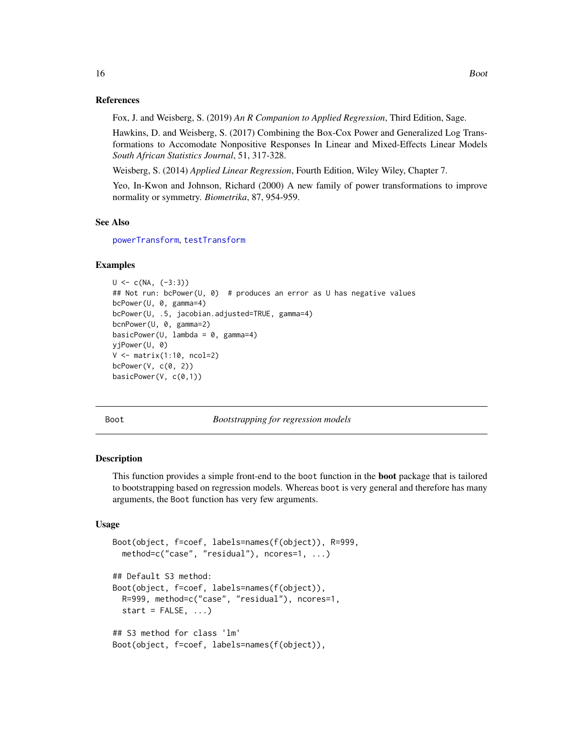#### <span id="page-15-0"></span>References

Fox, J. and Weisberg, S. (2019) *An R Companion to Applied Regression*, Third Edition, Sage.

Hawkins, D. and Weisberg, S. (2017) Combining the Box-Cox Power and Generalized Log Transformations to Accomodate Nonpositive Responses In Linear and Mixed-Effects Linear Models *South African Statistics Journal*, 51, 317-328.

Weisberg, S. (2014) *Applied Linear Regression*, Fourth Edition, Wiley Wiley, Chapter 7.

Yeo, In-Kwon and Johnson, Richard (2000) A new family of power transformations to improve normality or symmetry. *Biometrika*, 87, 954-959.

#### See Also

[powerTransform](#page-93-1), [testTransform](#page-140-1)

#### Examples

```
U \leftarrow c(NA, (-3:3))## Not run: bcPower(U, 0) # produces an error as U has negative values
bcPower(U, 0, gamma=4)
bcPower(U, .5, jacobian.adjusted=TRUE, gamma=4)
bcnPower(U, 0, gamma=2)
basicPower(U, lambda = 0, gamma=4)yjPower(U, 0)
V <- matrix(1:10, ncol=2)
bcPower(V, c(0, 2))
basicPower(V, c(0,1))
```
<span id="page-15-1"></span>

Boot *Bootstrapping for regression models*

# Description

This function provides a simple front-end to the boot function in the **boot** package that is tailored to bootstrapping based on regression models. Whereas boot is very general and therefore has many arguments, the Boot function has very few arguments.

```
Boot(object, f=coef, labels=names(f(object)), R=999,
 method=c("case", "residual"), ncores=1, ...)
## Default S3 method:
Boot(object, f=coef, labels=names(f(object)),
 R=999, method=c("case", "residual"), ncores=1,
  start = FALSE, ...## S3 method for class 'lm'
Boot(object, f=coef, labels=names(f(object)),
```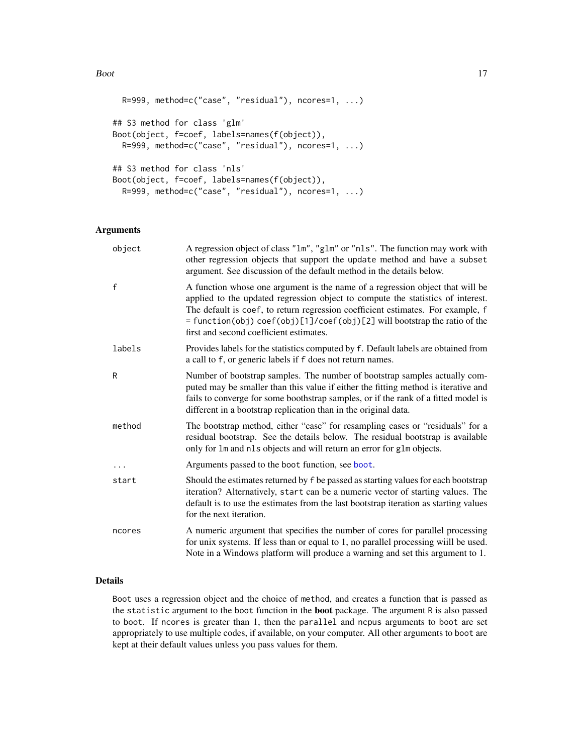```
R=999, method=c("case", "residual"), ncores=1, ...)
## S3 method for class 'glm'
Boot(object, f=coef, labels=names(f(object)),
 R=999, method=c("case", "residual"), ncores=1, ...)
## S3 method for class 'nls'
Boot(object, f=coef, labels=names(f(object)),
 R=999, method=c("case", "residual"), ncores=1, ...)
```
# Arguments

| object   | A regression object of class "1m", "g1m" or "n1s". The function may work with<br>other regression objects that support the update method and have a subset<br>argument. See discussion of the default method in the details below.                                                                                                                                          |
|----------|-----------------------------------------------------------------------------------------------------------------------------------------------------------------------------------------------------------------------------------------------------------------------------------------------------------------------------------------------------------------------------|
| f        | A function whose one argument is the name of a regression object that will be<br>applied to the updated regression object to compute the statistics of interest.<br>The default is coef, to return regression coefficient estimates. For example, f<br>= function(obj) coef(obj)[1]/coef(obj)[2] will bootstrap the ratio of the<br>first and second coefficient estimates. |
| labels   | Provides labels for the statistics computed by f. Default labels are obtained from<br>a call to f, or generic labels if f does not return names.                                                                                                                                                                                                                            |
| R        | Number of bootstrap samples. The number of bootstrap samples actually com-<br>puted may be smaller than this value if either the fitting method is iterative and<br>fails to converge for some boothstrap samples, or if the rank of a fitted model is<br>different in a bootstrap replication than in the original data.                                                   |
| method   | The bootstrap method, either "case" for resampling cases or "residuals" for a<br>residual bootstrap. See the details below. The residual bootstrap is available<br>only for 1m and n1s objects and will return an error for g1m objects.                                                                                                                                    |
| $\cdots$ | Arguments passed to the boot function, see boot.                                                                                                                                                                                                                                                                                                                            |
| start    | Should the estimates returned by f be passed as starting values for each bootstrap<br>iteration? Alternatively, start can be a numeric vector of starting values. The<br>default is to use the estimates from the last bootstrap iteration as starting values<br>for the next iteration.                                                                                    |
| ncores   | A numeric argument that specifies the number of cores for parallel processing<br>for unix systems. If less than or equal to 1, no parallel processing will be used.<br>Note in a Windows platform will produce a warning and set this argument to 1.                                                                                                                        |

# Details

Boot uses a regression object and the choice of method, and creates a function that is passed as the statistic argument to the boot function in the boot package. The argument R is also passed to boot. If ncores is greater than 1, then the parallel and ncpus arguments to boot are set appropriately to use multiple codes, if available, on your computer. All other arguments to boot are kept at their default values unless you pass values for them.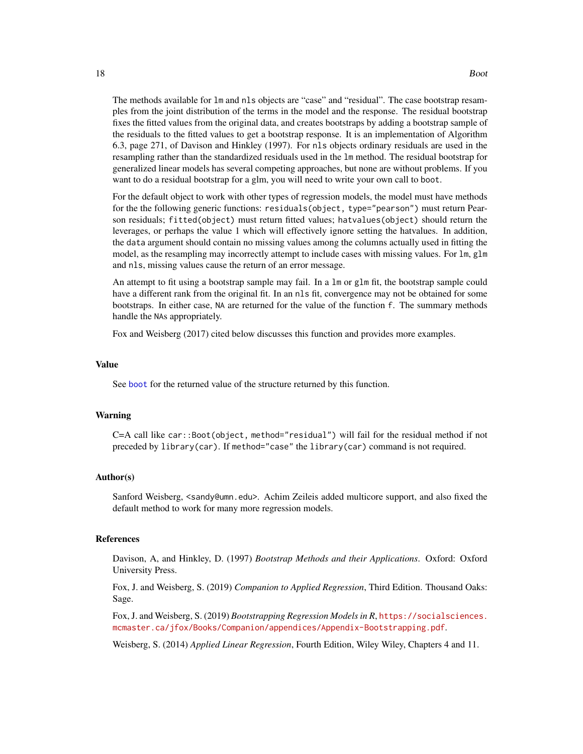The methods available for lm and nls objects are "case" and "residual". The case bootstrap resamples from the joint distribution of the terms in the model and the response. The residual bootstrap fixes the fitted values from the original data, and creates bootstraps by adding a bootstrap sample of the residuals to the fitted values to get a bootstrap response. It is an implementation of Algorithm 6.3, page 271, of Davison and Hinkley (1997). For nls objects ordinary residuals are used in the resampling rather than the standardized residuals used in the lm method. The residual bootstrap for generalized linear models has several competing approaches, but none are without problems. If you want to do a residual bootstrap for a glm, you will need to write your own call to boot.

For the default object to work with other types of regression models, the model must have methods for the the following generic functions: residuals(object, type="pearson") must return Pearson residuals; fitted(object) must return fitted values; hatvalues(object) should return the leverages, or perhaps the value 1 which will effectively ignore setting the hatvalues. In addition, the data argument should contain no missing values among the columns actually used in fitting the model, as the resampling may incorrectly attempt to include cases with missing values. For lm, glm and nls, missing values cause the return of an error message.

An attempt to fit using a bootstrap sample may fail. In a lm or glm fit, the bootstrap sample could have a different rank from the original fit. In an nls fit, convergence may not be obtained for some bootstraps. In either case, NA are returned for the value of the function f. The summary methods handle the NAs appropriately.

Fox and Weisberg (2017) cited below discusses this function and provides more examples.

#### Value

See [boot](#page-0-0) for the returned value of the structure returned by this function.

## Warning

C=A call like car::Boot(object, method="residual") will fail for the residual method if not preceded by library(car). If method="case" the library(car) command is not required.

#### Author(s)

Sanford Weisberg, <sandy@umn.edu>. Achim Zeileis added multicore support, and also fixed the default method to work for many more regression models.

# References

Davison, A, and Hinkley, D. (1997) *Bootstrap Methods and their Applications*. Oxford: Oxford University Press.

Fox, J. and Weisberg, S. (2019) *Companion to Applied Regression*, Third Edition. Thousand Oaks: Sage.

Fox, J. and Weisberg, S. (2019) *Bootstrapping Regression Models in R*, [https://socialsciences.](https://socialsciences.mcmaster.ca/jfox/Books/Companion/appendices/Appendix-Bootstrapping.pdf) [mcmaster.ca/jfox/Books/Companion/appendices/Appendix-Bootstrapping.pdf](https://socialsciences.mcmaster.ca/jfox/Books/Companion/appendices/Appendix-Bootstrapping.pdf).

Weisberg, S. (2014) *Applied Linear Regression*, Fourth Edition, Wiley Wiley, Chapters 4 and 11.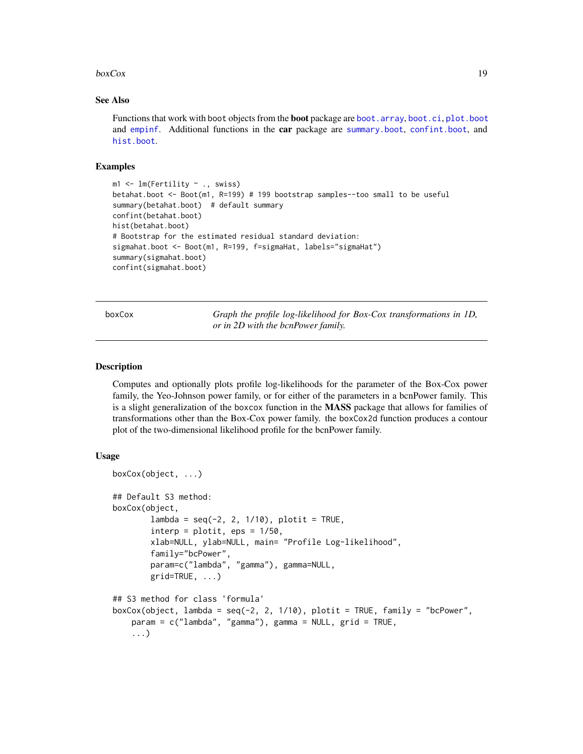#### <span id="page-18-0"></span> $boxCox$  19

# See Also

Functions that work with boot objects from the **boot** package are [boot.array](#page-0-0), [boot.ci](#page-0-0), [plot.boot](#page-0-0) and [empinf](#page-0-0). Additional functions in the car package are [summary.boot](#page-58-1), [confint.boot](#page-58-1), and [hist.boot](#page-58-2).

# Examples

```
m1 <- lm(Fertility \sim ., swiss)
betahat.boot <- Boot(m1, R=199) # 199 bootstrap samples--too small to be useful
summary(betahat.boot) # default summary
confint(betahat.boot)
hist(betahat.boot)
# Bootstrap for the estimated residual standard deviation:
sigmahat.boot <- Boot(m1, R=199, f=sigmaHat, labels="sigmaHat")
summary(sigmahat.boot)
confint(sigmahat.boot)
```
boxCox *Graph the profile log-likelihood for Box-Cox transformations in 1D, or in 2D with the bcnPower family.*

# Description

Computes and optionally plots profile log-likelihoods for the parameter of the Box-Cox power family, the Yeo-Johnson power family, or for either of the parameters in a bcnPower family. This is a slight generalization of the boxcox function in the MASS package that allows for families of transformations other than the Box-Cox power family. the boxCox2d function produces a contour plot of the two-dimensional likelihood profile for the bcnPower family.

```
boxCox(object, ...)
## Default S3 method:
boxCox(object,
        lambda = seq(-2, 2, 1/10), plotit = TRUE,
        interp = plotit, eps = 1/50,
        xlab=NULL, ylab=NULL, main= "Profile Log-likelihood",
        family="bcPower",
        param=c("lambda", "gamma"), gamma=NULL,
        grid=TRUE, ...)
## S3 method for class 'formula'
boxCox(object, lambda = seq(-2, 2, 1/10), plotit = TRUE, family = "bcPower",
    param = c("lambda", "gamma"), gamma = NULL, grid = TRUE,
    ...)
```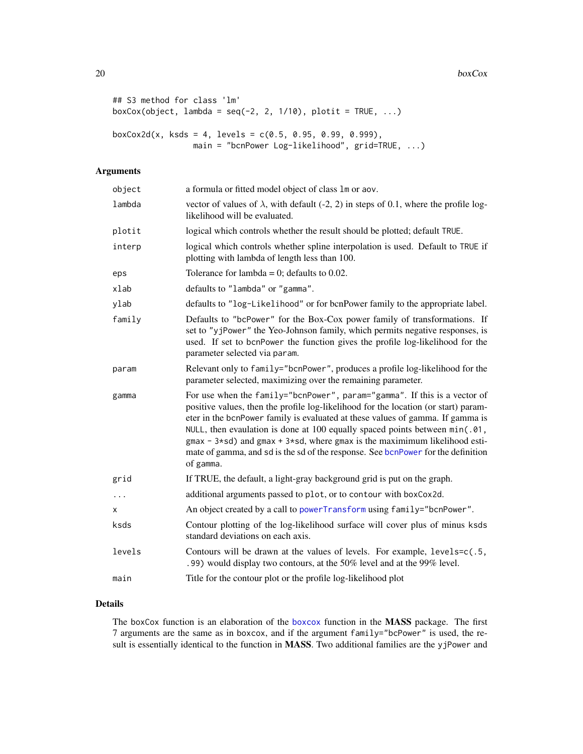$20$  boxCox

```
## S3 method for class 'lm'
boxCox(object, lambda = seq(-2, 2, 1/10), plotit = TRUE, ...)
boxCox2d(x, ksds = 4, levels = c(0.5, 0.95, 0.99, 0.999),
                 main = "bcnPower Log-likelihood", grid=TRUE, ...)
```
# Arguments

| object   | a formula or fitted model object of class 1m or aov.                                                                                                                                                                                                                                                                                                                                                                                                                                                                      |
|----------|---------------------------------------------------------------------------------------------------------------------------------------------------------------------------------------------------------------------------------------------------------------------------------------------------------------------------------------------------------------------------------------------------------------------------------------------------------------------------------------------------------------------------|
| lambda   | vector of values of $\lambda$ , with default (-2, 2) in steps of 0.1, where the profile log-<br>likelihood will be evaluated.                                                                                                                                                                                                                                                                                                                                                                                             |
| plotit   | logical which controls whether the result should be plotted; default TRUE.                                                                                                                                                                                                                                                                                                                                                                                                                                                |
| interp   | logical which controls whether spline interpolation is used. Default to TRUE if<br>plotting with lambda of length less than 100.                                                                                                                                                                                                                                                                                                                                                                                          |
| eps      | Tolerance for lambda = 0; defaults to 0.02.                                                                                                                                                                                                                                                                                                                                                                                                                                                                               |
| xlab     | defaults to "lambda" or "gamma".                                                                                                                                                                                                                                                                                                                                                                                                                                                                                          |
| ylab     | defaults to "log-Likelihood" or for bcnPower family to the appropriate label.                                                                                                                                                                                                                                                                                                                                                                                                                                             |
| family   | Defaults to "bcPower" for the Box-Cox power family of transformations. If<br>set to "yjPower" the Yeo-Johnson family, which permits negative responses, is<br>used. If set to bcnPower the function gives the profile log-likelihood for the<br>parameter selected via param.                                                                                                                                                                                                                                             |
| param    | Relevant only to family="bcnPower", produces a profile log-likelihood for the<br>parameter selected, maximizing over the remaining parameter.                                                                                                                                                                                                                                                                                                                                                                             |
| gamma    | For use when the family="bcnPower", param="gamma". If this is a vector of<br>positive values, then the profile log-likelihood for the location (or start) param-<br>eter in the bcnPower family is evaluated at these values of gamma. If gamma is<br>NULL, then evaulation is done at 100 equally spaced points between min(.01,<br>$g$ max - 3*sd) and $g$ max + 3*sd, where $g$ max is the maximimum likelihood esti-<br>mate of gamma, and sd is the sd of the response. See bonPower for the definition<br>of gamma. |
| grid     | If TRUE, the default, a light-gray background grid is put on the graph.                                                                                                                                                                                                                                                                                                                                                                                                                                                   |
| $\cdots$ | additional arguments passed to plot, or to contour with boxCox2d.                                                                                                                                                                                                                                                                                                                                                                                                                                                         |
| x        | An object created by a call to powerTransform using family="bcnPower".                                                                                                                                                                                                                                                                                                                                                                                                                                                    |
| ksds     | Contour plotting of the log-likelihood surface will cover plus of minus ksds<br>standard deviations on each axis.                                                                                                                                                                                                                                                                                                                                                                                                         |
| levels   | Contours will be drawn at the values of levels. For example, levels=c(.5,<br>.99) would display two contours, at the 50% level and at the 99% level.                                                                                                                                                                                                                                                                                                                                                                      |
| main     | Title for the contour plot or the profile log-likelihood plot                                                                                                                                                                                                                                                                                                                                                                                                                                                             |

# Details

The boxCox function is an elaboration of the [boxcox](#page-0-0) function in the MASS package. The first 7 arguments are the same as in boxcox, and if the argument family="bcPower" is used, the result is essentially identical to the function in MASS. Two additional families are the yjPower and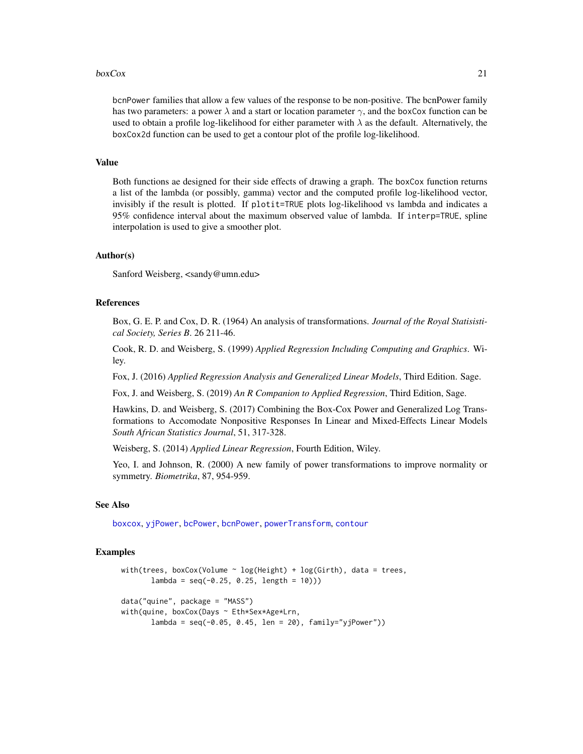#### $boxCox$  21

bcnPower families that allow a few values of the response to be non-positive. The bcnPower family has two parameters: a power  $\lambda$  and a start or location parameter  $\gamma$ , and the boxCox function can be used to obtain a profile log-likelihood for either parameter with  $\lambda$  as the default. Alternatively, the boxCox2d function can be used to get a contour plot of the profile log-likelihood.

# Value

Both functions ae designed for their side effects of drawing a graph. The boxCox function returns a list of the lambda (or possibly, gamma) vector and the computed profile log-likelihood vector, invisibly if the result is plotted. If plotit=TRUE plots log-likelihood vs lambda and indicates a 95% confidence interval about the maximum observed value of lambda. If interp=TRUE, spline interpolation is used to give a smoother plot.

# Author(s)

Sanford Weisberg, <sandy@umn.edu>

# References

Box, G. E. P. and Cox, D. R. (1964) An analysis of transformations. *Journal of the Royal Statisistical Society, Series B*. 26 211-46.

Cook, R. D. and Weisberg, S. (1999) *Applied Regression Including Computing and Graphics*. Wiley.

Fox, J. (2016) *Applied Regression Analysis and Generalized Linear Models*, Third Edition. Sage.

Fox, J. and Weisberg, S. (2019) *An R Companion to Applied Regression*, Third Edition, Sage.

Hawkins, D. and Weisberg, S. (2017) Combining the Box-Cox Power and Generalized Log Transformations to Accomodate Nonpositive Responses In Linear and Mixed-Effects Linear Models *South African Statistics Journal*, 51, 317-328.

Weisberg, S. (2014) *Applied Linear Regression*, Fourth Edition, Wiley.

Yeo, I. and Johnson, R. (2000) A new family of power transformations to improve normality or symmetry. *Biometrika*, 87, 954-959.

#### See Also

[boxcox](#page-0-0), [yjPower](#page-13-1), [bcPower](#page-13-2), [bcnPower](#page-13-1), [powerTransform](#page-93-1), [contour](#page-0-0)

# Examples

```
with(trees, boxCox(Volume \sim log(Height) + log(Girth), data = trees,
       lambda = seq(-0.25, 0.25, length = 10))data("quine", package = "MASS")
with(quine, boxCox(Days ~ Eth*Sex*Age*Lrn,
       lambda = seq(-0.05, 0.45, len = 20), family='yjPower')
```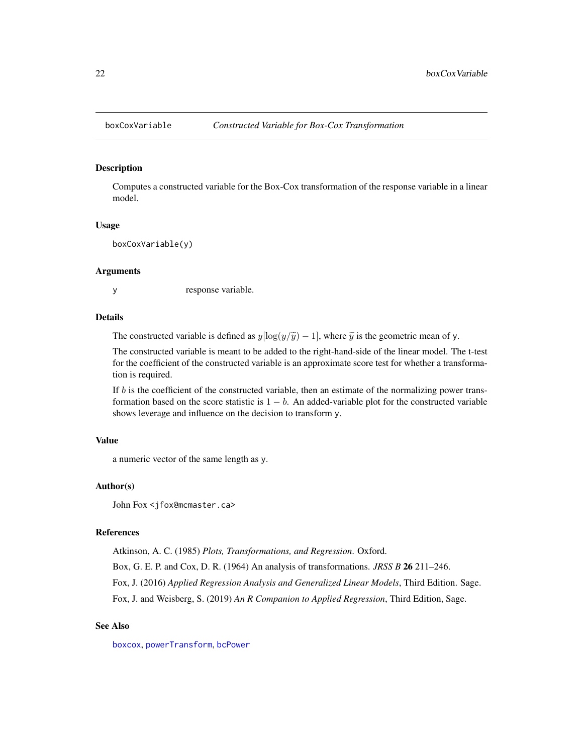<span id="page-21-1"></span><span id="page-21-0"></span>

# **Description**

Computes a constructed variable for the Box-Cox transformation of the response variable in a linear model.

#### Usage

boxCoxVariable(y)

#### Arguments

y response variable.

# Details

The constructed variable is defined as  $y[\log(y/\tilde{y}) - 1]$ , where  $\tilde{y}$  is the geometric mean of y.

The constructed variable is meant to be added to the right-hand-side of the linear model. The t-test for the coefficient of the constructed variable is an approximate score test for whether a transformation is required.

If  $b$  is the coefficient of the constructed variable, then an estimate of the normalizing power transformation based on the score statistic is  $1 - b$ . An added-variable plot for the constructed variable shows leverage and influence on the decision to transform y.

# Value

a numeric vector of the same length as y.

# Author(s)

John Fox <jfox@mcmaster.ca>

### References

Atkinson, A. C. (1985) *Plots, Transformations, and Regression*. Oxford.

Box, G. E. P. and Cox, D. R. (1964) An analysis of transformations. *JRSS B* 26 211–246.

Fox, J. (2016) *Applied Regression Analysis and Generalized Linear Models*, Third Edition. Sage.

Fox, J. and Weisberg, S. (2019) *An R Companion to Applied Regression*, Third Edition, Sage.

# See Also

[boxcox](#page-0-0), [powerTransform](#page-93-1), [bcPower](#page-13-2)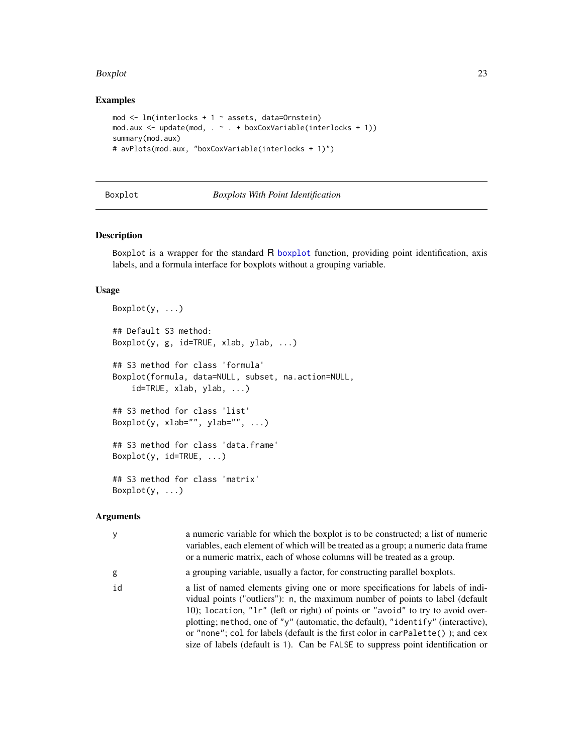#### <span id="page-22-0"></span>Boxplot 23

# Examples

```
mod \leq lm(interlocks + 1 \sim assets, data=Ornstein)
mod.aux <- update(mod, . ~ . + boxCoxVariable(interlocks + 1))
summary(mod.aux)
# avPlots(mod.aux, "boxCoxVariable(interlocks + 1)")
```
# Boxplot *Boxplots With Point Identification*

# Description

Boxplot is a wrapper for the standard R [boxplot](#page-0-0) function, providing point identification, axis labels, and a formula interface for boxplots without a grouping variable.

# Usage

```
Boxplot(y, \ldots)## Default S3 method:
Boxplot(y, g, id=TRUE, xlab, ylab, ...)
## S3 method for class 'formula'
Boxplot(formula, data=NULL, subset, na.action=NULL,
    id=TRUE, xlab, ylab, ...)
## S3 method for class 'list'
Boxplot(y, xlab="", ylab="", ...)
## S3 method for class 'data.frame'
Boxplot(y, id = TRUE, ...)## S3 method for class 'matrix'
Boxplot(y, ...)
```
# Arguments

| y  | a numeric variable for which the boxplot is to be constructed; a list of numeric<br>variables, each element of which will be treated as a group; a numeric data frame<br>or a numeric matrix, each of whose columns will be treated as a group.                                                                                                                                                                                                                                                                |
|----|----------------------------------------------------------------------------------------------------------------------------------------------------------------------------------------------------------------------------------------------------------------------------------------------------------------------------------------------------------------------------------------------------------------------------------------------------------------------------------------------------------------|
| g  | a grouping variable, usually a factor, for constructing parallel boxplots.                                                                                                                                                                                                                                                                                                                                                                                                                                     |
| id | a list of named elements giving one or more specifications for labels of indi-<br>vidual points ("outliers"): n, the maximum number of points to label (default<br>10); location, "lr" (left or right) of points or "avoid" to try to avoid over-<br>plotting; method, one of "y" (automatic, the default), "identify" (interactive),<br>or "none"; col for labels (default is the first color in $carPalette()$ ); and cex<br>size of labels (default is 1). Can be FALSE to suppress point identification or |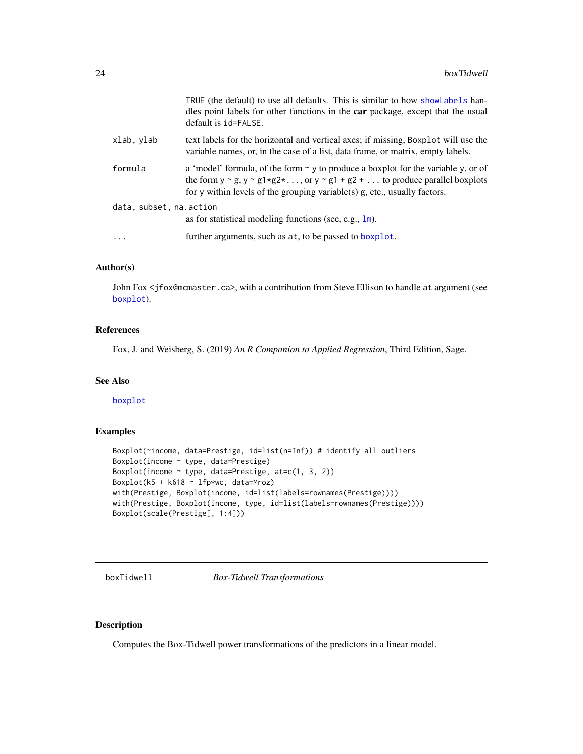<span id="page-23-0"></span>

|                                                                                       | TRUE (the default) to use all defaults. This is similar to how show Labels han-<br>dles point labels for other functions in the car package, except that the usual<br>default is id=FALSE.                                                                                                    |
|---------------------------------------------------------------------------------------|-----------------------------------------------------------------------------------------------------------------------------------------------------------------------------------------------------------------------------------------------------------------------------------------------|
| xlab, ylab                                                                            | text labels for the horizontal and vertical axes; if missing, Boxplot will use the<br>variable names, or, in the case of a list, data frame, or matrix, empty labels.                                                                                                                         |
| formula                                                                               | a 'model' formula, of the form $\sim$ y to produce a boxplot for the variable y, or of<br>the form $y \sim g$ , $y \sim g1 \star g2 \star \ldots$ , or $y \sim g1 + g2 + \ldots$ to produce parallel boxplots<br>for y within levels of the grouping variable(s) $g$ , etc., usually factors. |
| data, subset, na. action<br>as for statistical modeling functions (see, e.g., $1m$ ). |                                                                                                                                                                                                                                                                                               |
| .                                                                                     | further arguments, such as at, to be passed to boxplot.                                                                                                                                                                                                                                       |

# Author(s)

John Fox <jfox@mcmaster.ca>, with a contribution from Steve Ellison to handle at argument (see [boxplot](#page-0-0)).

# References

Fox, J. and Weisberg, S. (2019) *An R Companion to Applied Regression*, Third Edition, Sage.

# See Also

[boxplot](#page-0-0)

#### Examples

```
Boxplot(~income, data=Prestige, id=list(n=Inf)) # identify all outliers
Boxplot(income ~ type, data=Prestige)
Boxplot(income \sim type, data=Prestige, at=c(1, 3, 2))
Boxplot(k5 + k618 \sim lfp*wc, data=Mroz)
with(Prestige, Boxplot(income, id=list(labels=rownames(Prestige))))
with(Prestige, Boxplot(income, type, id=list(labels=rownames(Prestige))))
Boxplot(scale(Prestige[, 1:4]))
```
<span id="page-23-1"></span>boxTidwell *Box-Tidwell Transformations*

# Description

Computes the Box-Tidwell power transformations of the predictors in a linear model.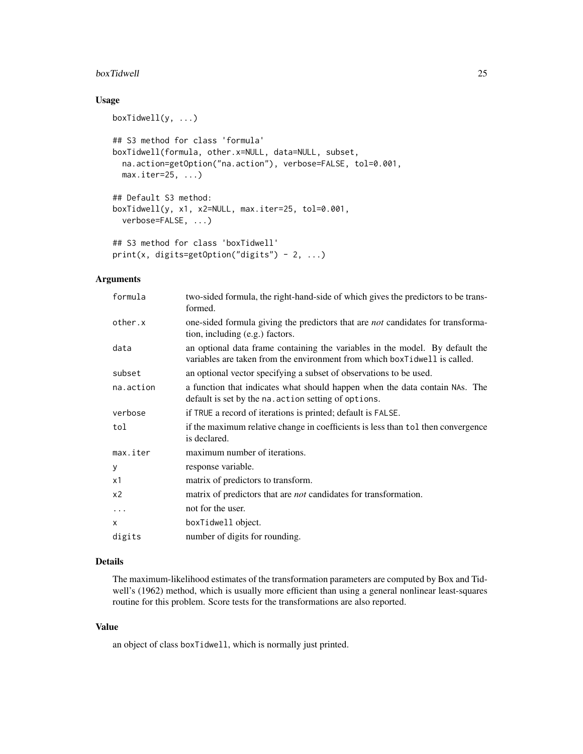#### boxTidwell 25

# Usage

```
boxTidwell(y, ...)## S3 method for class 'formula'
boxTidwell(formula, other.x=NULL, data=NULL, subset,
 na.action=getOption("na.action"), verbose=FALSE, tol=0.001,
 max.iter=25, ...)## Default S3 method:
boxTidwell(y, x1, x2=NULL, max.iter=25, tol=0.001,
  verbose=FALSE, ...)
## S3 method for class 'boxTidwell'
print(x, digits=getOption("digits") - 2, ...)
```
# Arguments

| formula   | two-sided formula, the right-hand-side of which gives the predictors to be trans-<br>formed.                                                              |
|-----------|-----------------------------------------------------------------------------------------------------------------------------------------------------------|
| other.x   | one-sided formula giving the predictors that are <i>not</i> candidates for transforma-<br>tion, including (e.g.) factors.                                 |
| data      | an optional data frame containing the variables in the model. By default the<br>variables are taken from the environment from which boxTidwell is called. |
| subset    | an optional vector specifying a subset of observations to be used.                                                                                        |
| na.action | a function that indicates what should happen when the data contain NAs. The<br>default is set by the na. action setting of options.                       |
| verbose   | if TRUE a record of iterations is printed; default is FALSE.                                                                                              |
| tol       | if the maximum relative change in coefficients is less than tol then convergence<br>is declared.                                                          |
| max.iter  | maximum number of iterations.                                                                                                                             |
| У         | response variable.                                                                                                                                        |
| х1        | matrix of predictors to transform.                                                                                                                        |
| x2        | matrix of predictors that are <i>not</i> candidates for transformation.                                                                                   |
| $\ddots$  | not for the user.                                                                                                                                         |
| x         | boxTidwell object.                                                                                                                                        |
| digits    | number of digits for rounding.                                                                                                                            |
|           |                                                                                                                                                           |

# Details

The maximum-likelihood estimates of the transformation parameters are computed by Box and Tidwell's (1962) method, which is usually more efficient than using a general nonlinear least-squares routine for this problem. Score tests for the transformations are also reported.

# Value

an object of class boxTidwell, which is normally just printed.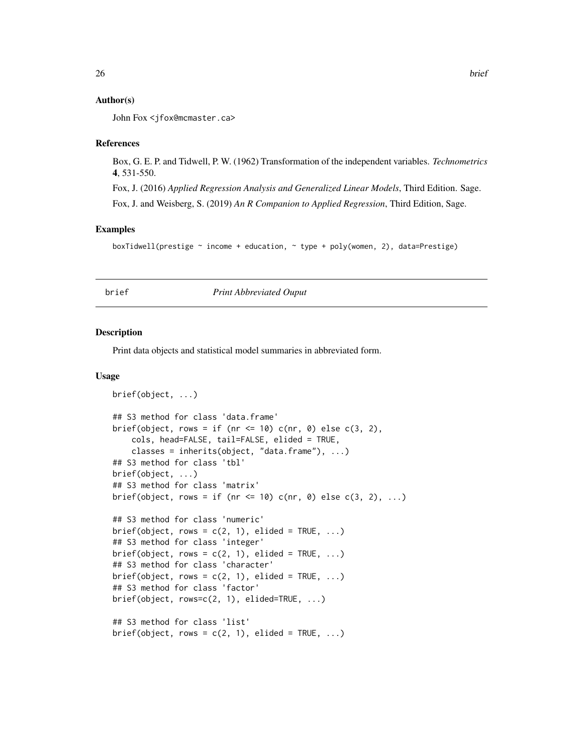# <span id="page-25-0"></span>Author(s)

John Fox <jfox@mcmaster.ca>

#### References

Box, G. E. P. and Tidwell, P. W. (1962) Transformation of the independent variables. *Technometrics* 4, 531-550.

Fox, J. (2016) *Applied Regression Analysis and Generalized Linear Models*, Third Edition. Sage. Fox, J. and Weisberg, S. (2019) *An R Companion to Applied Regression*, Third Edition, Sage.

# Examples

boxTidwell(prestige ~ income + education, ~ type + poly(women, 2), data=Prestige)

# brief *Print Abbreviated Ouput*

### Description

Print data objects and statistical model summaries in abbreviated form.

```
brief(object, ...)
## S3 method for class 'data.frame'
brief(object, rows = if (nr <= 10) c(nr, 0) else c(3, 2),
    cols, head=FALSE, tail=FALSE, elided = TRUE,
    classes = inherits(object, "data.frame"), ...)
## S3 method for class 'tbl'
brief(object, ...)
## S3 method for class 'matrix'
brief(object, rows = if (nr <= 10) c(nr, 0) else c(3, 2), ...)
## S3 method for class 'numeric'
brief(object, rows = c(2, 1), elided = TRUE, ...)
## S3 method for class 'integer'
brief(object, rows = c(2, 1), elided = TRUE, ...)
## S3 method for class 'character'
brief(object, rows = c(2, 1), elided = TRUE, ...)
## S3 method for class 'factor'
brief(object, rows=c(2, 1), elided=TRUE, ...)
## S3 method for class 'list'
brief(object, rows = c(2, 1), elided = TRUE, ...)
```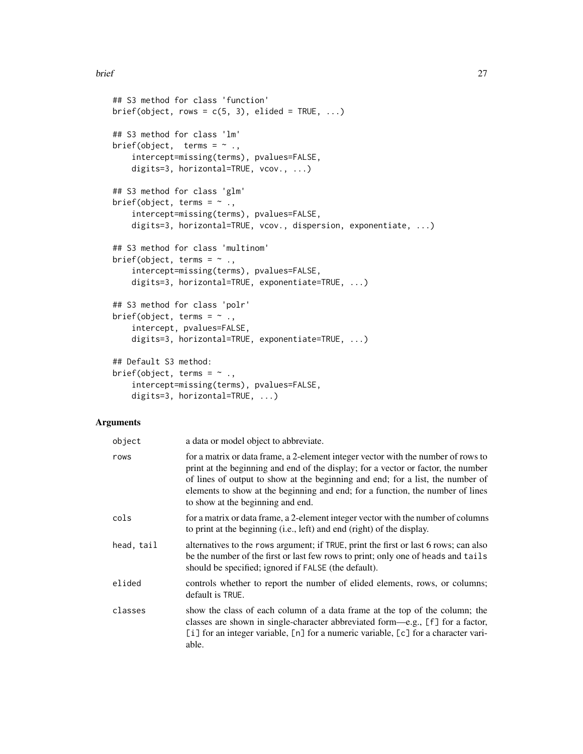```
## S3 method for class 'function'
brief(object, rows = c(5, 3), elided = TRUE, ...)
## S3 method for class 'lm'
brief(object, terms = \sim .,
    intercept=missing(terms), pvalues=FALSE,
    digits=3, horizontal=TRUE, vcov., ...)
## S3 method for class 'glm'
brief(object, terms = \sim .,
    intercept=missing(terms), pvalues=FALSE,
    digits=3, horizontal=TRUE, vcov., dispersion, exponentiate, ...)
## S3 method for class 'multinom'
brief(object, terms = \sim .,
    intercept=missing(terms), pvalues=FALSE,
    digits=3, horizontal=TRUE, exponentiate=TRUE, ...)
## S3 method for class 'polr'
brief(object, terms = \sim .,
    intercept, pvalues=FALSE,
    digits=3, horizontal=TRUE, exponentiate=TRUE, ...)
## Default S3 method:
brief(object, terms = \sim .,
    intercept=missing(terms), pvalues=FALSE,
    digits=3, horizontal=TRUE, ...)
```
# Arguments

| object     | a data or model object to abbreviate.                                                                                                                                                                                                                                                                                                                                           |
|------------|---------------------------------------------------------------------------------------------------------------------------------------------------------------------------------------------------------------------------------------------------------------------------------------------------------------------------------------------------------------------------------|
| rows       | for a matrix or data frame, a 2-element integer vector with the number of rows to<br>print at the beginning and end of the display; for a vector or factor, the number<br>of lines of output to show at the beginning and end; for a list, the number of<br>elements to show at the beginning and end; for a function, the number of lines<br>to show at the beginning and end. |
| cols       | for a matrix or data frame, a 2-element integer vector with the number of columns<br>to print at the beginning (i.e., left) and end (right) of the display.                                                                                                                                                                                                                     |
| head, tail | alternatives to the rows argument; if TRUE, print the first or last 6 rows; can also<br>be the number of the first or last few rows to print; only one of heads and tails<br>should be specified; ignored if FALSE (the default).                                                                                                                                               |
| elided     | controls whether to report the number of elided elements, rows, or columns;<br>default is TRUE.                                                                                                                                                                                                                                                                                 |
| classes    | show the class of each column of a data frame at the top of the column; the<br>classes are shown in single-character abbreviated form—e.g., [f] for a factor,<br>[i] for an integer variable, [n] for a numeric variable, [c] for a character vari-<br>able.                                                                                                                    |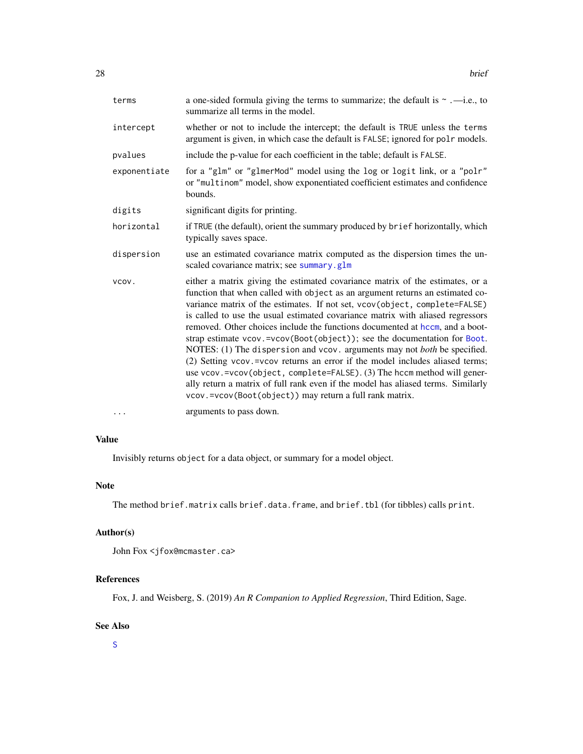| terms        | a one-sided formula giving the terms to summarize; the default is $\sim$ .—i.e., to<br>summarize all terms in the model.                                                                                                                                                                                                                                                                                                                                                                                                                                                                                                                                                                                                                                                                                                                                                           |
|--------------|------------------------------------------------------------------------------------------------------------------------------------------------------------------------------------------------------------------------------------------------------------------------------------------------------------------------------------------------------------------------------------------------------------------------------------------------------------------------------------------------------------------------------------------------------------------------------------------------------------------------------------------------------------------------------------------------------------------------------------------------------------------------------------------------------------------------------------------------------------------------------------|
| intercept    | whether or not to include the intercept; the default is TRUE unless the terms<br>argument is given, in which case the default is FALSE; ignored for polr models.                                                                                                                                                                                                                                                                                                                                                                                                                                                                                                                                                                                                                                                                                                                   |
| pvalues      | include the p-value for each coefficient in the table; default is FALSE.                                                                                                                                                                                                                                                                                                                                                                                                                                                                                                                                                                                                                                                                                                                                                                                                           |
| exponentiate | for a "glm" or "glmerMod" model using the log or logit link, or a "polr"<br>or "multinom" model, show exponentiated coefficient estimates and confidence<br>bounds.                                                                                                                                                                                                                                                                                                                                                                                                                                                                                                                                                                                                                                                                                                                |
| digits       | significant digits for printing.                                                                                                                                                                                                                                                                                                                                                                                                                                                                                                                                                                                                                                                                                                                                                                                                                                                   |
| horizontal   | if TRUE (the default), orient the summary produced by brief horizontally, which<br>typically saves space.                                                                                                                                                                                                                                                                                                                                                                                                                                                                                                                                                                                                                                                                                                                                                                          |
| dispersion   | use an estimated covariance matrix computed as the dispersion times the un-<br>scaled covariance matrix; see summary.glm                                                                                                                                                                                                                                                                                                                                                                                                                                                                                                                                                                                                                                                                                                                                                           |
| VCOV.        | either a matrix giving the estimated covariance matrix of the estimates, or a<br>function that when called with object as an argument returns an estimated co-<br>variance matrix of the estimates. If not set, vcov(object, complete=FALSE)<br>is called to use the usual estimated covariance matrix with aliased regressors<br>removed. Other choices include the functions documented at hccm, and a boot-<br>strap estimate vcov.=vcov(Boot(object)); see the documentation for Boot.<br>NOTES: (1) The dispersion and vcov. arguments may not both be specified.<br>(2) Setting vcov. = vcov returns an error if the model includes aliased terms;<br>use vcov.=vcov(object, complete=FALSE). (3) The hccm method will gener-<br>ally return a matrix of full rank even if the model has aliased terms. Similarly<br>vcov.=vcov(Boot(object)) may return a full rank matrix. |
| $\cdots$     | arguments to pass down.                                                                                                                                                                                                                                                                                                                                                                                                                                                                                                                                                                                                                                                                                                                                                                                                                                                            |

# Value

Invisibly returns object for a data object, or summary for a model object.

# Note

The method brief.matrix calls brief.data.frame, and brief.tbl (for tibbles) calls print.

# Author(s)

```
John Fox <jfox@mcmaster.ca>
```
# References

Fox, J. and Weisberg, S. (2019) *An R Companion to Applied Regression*, Third Edition, Sage.

# See Also

[S](#page-108-1)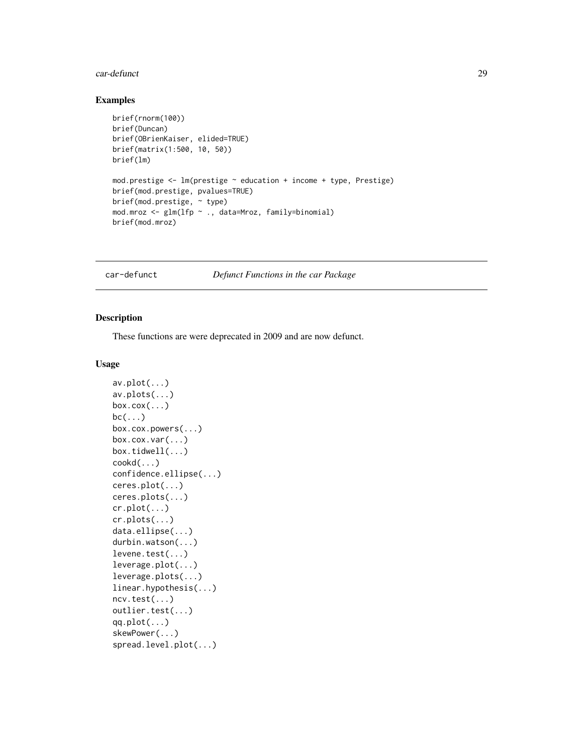#### <span id="page-28-0"></span>car-defunct 29

# Examples

```
brief(rnorm(100))
brief(Duncan)
brief(OBrienKaiser, elided=TRUE)
brief(matrix(1:500, 10, 50))
brief(lm)
mod.prestige <- lm(prestige ~ education + income + type, Prestige)
brief(mod.prestige, pvalues=TRUE)
brief(mod.prestige, ~ type)
mod.mroz <- glm(lfp ~ ., data=Mroz, family=binomial)
brief(mod.mroz)
```
car-defunct *Defunct Functions in the car Package*

#### Description

These functions are were deprecated in 2009 and are now defunct.

```
av.plot(...)
av.plots(...)
box.cox(...)
bc(\ldots)box.cox.powers(...)
box.cox.var(...)
box.tidwell(...)
cookd(...)
confidence.ellipse(...)
ceres.plot(...)
ceres.plots(...)
cr.plot(...)
cr.plots(...)
data.ellipse(...)
durbin.watson(...)
levene.test(...)
leverage.plot(...)
leverage.plots(...)
linear.hypothesis(...)
ncv.test(...)
outlier.test(...)
qq.plot(...)
skewPower(...)
spread.level.plot(...)
```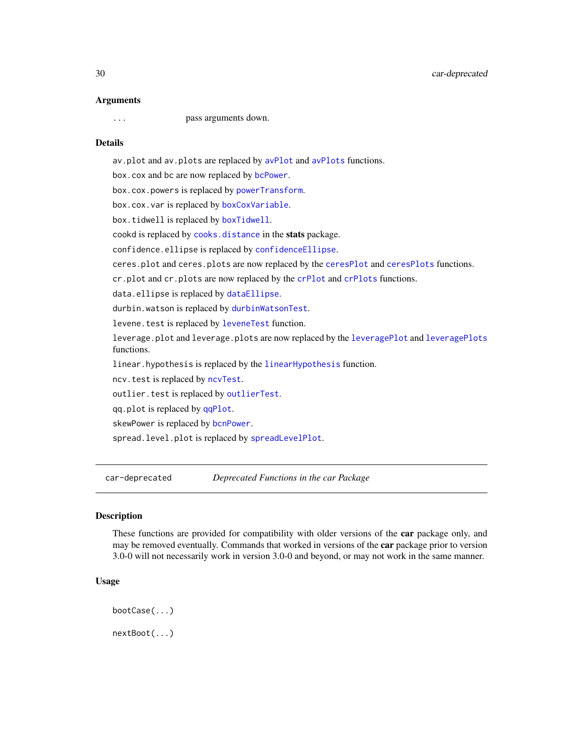#### <span id="page-29-0"></span>Arguments

... pass arguments down.

# Details

av.plot and av.plots are replaced by [avPlot](#page-10-1) and [avPlots](#page-10-2) functions. box.cox and bc are now replaced by [bcPower](#page-13-2). box.cox.powers is replaced by [powerTransform](#page-93-1). box.cox.var is replaced by [boxCoxVariable](#page-21-1). box.tidwell is replaced by [boxTidwell](#page-23-1). cookd is replaced by [cooks.distance](#page-0-0) in the stats package. confidence.ellipse is replaced by [confidenceEllipse](#page-51-1). ceres.plot and ceres.plots are now replaced by the [ceresPlot](#page-33-2) and [ceresPlots](#page-33-1) functions. cr.plot and cr.plots are now replaced by the [crPlot](#page-38-2) and [crPlots](#page-38-1) functions. data.ellipse is replaced by [dataEllipse](#page-51-1). durbin.watson is replaced by [durbinWatsonTest](#page-50-1). levene.test is replaced by [leveneTest](#page-71-1) function. leverage.plot and leverage.plots are now replaced by the [leveragePlot](#page-72-1) and [leveragePlots](#page-72-2) functions. linear.hypothesis is replaced by the [linearHypothesis](#page-74-1) function. ncv.test is replaced by [ncvTest](#page-88-1). outlier.test is replaced by [outlierTest](#page-89-1). qq.plot is replaced by [qqPlot](#page-98-1). skewPower is replaced by [bcnPower](#page-13-1). spread.level.plot is replaced by [spreadLevelPlot](#page-132-1).

car-deprecated *Deprecated Functions in the car Package*

# **Description**

These functions are provided for compatibility with older versions of the car package only, and may be removed eventually. Commands that worked in versions of the **car** package prior to version 3.0-0 will not necessarily work in version 3.0-0 and beyond, or may not work in the same manner.

```
bootCase(...)
nextBoot(...)
```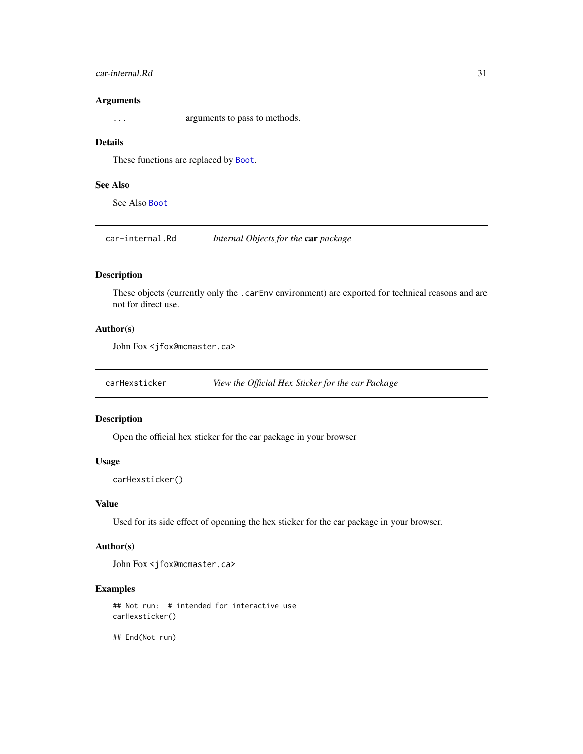# <span id="page-30-0"></span>car-internal.Rd 31

# Arguments

... arguments to pass to methods.

# Details

These functions are replaced by [Boot](#page-15-1).

# See Also

See Also [Boot](#page-15-1)

car-internal.Rd *Internal Objects for the* car *package*

# Description

These objects (currently only the .carEnv environment) are exported for technical reasons and are not for direct use.

# Author(s)

John Fox <jfox@mcmaster.ca>

carHexsticker *View the Official Hex Sticker for the car Package*

# Description

Open the official hex sticker for the car package in your browser

### Usage

carHexsticker()

# Value

Used for its side effect of openning the hex sticker for the car package in your browser.

# Author(s)

John Fox <jfox@mcmaster.ca>

# Examples

## Not run: # intended for interactive use carHexsticker()

## End(Not run)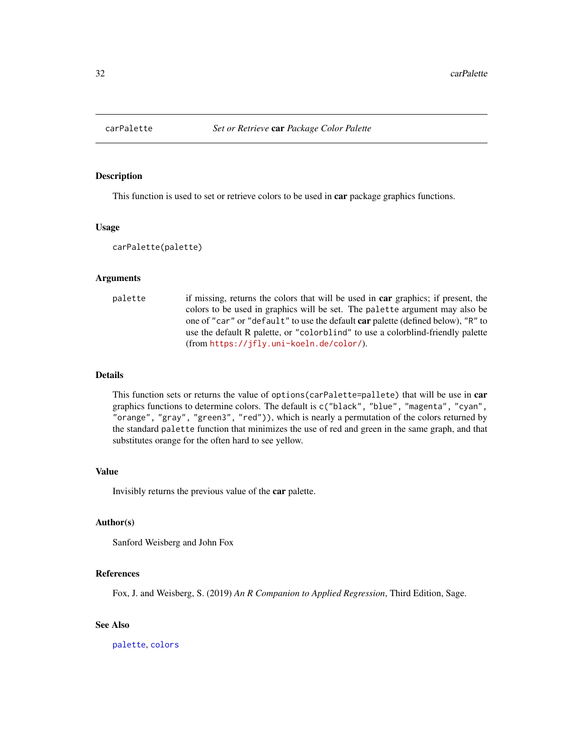<span id="page-31-1"></span><span id="page-31-0"></span>

#### Description

This function is used to set or retrieve colors to be used in **car** package graphics functions.

#### Usage

```
carPalette(palette)
```
# Arguments

```
palette if missing, returns the colors that will be used in car graphics; if present, the
                  colors to be used in graphics will be set. The palette argument may also be
                  one of "car" or "default" to use the default car palette (defined below), "R" to
                  use the default R palette, or "colorblind" to use a colorblind-friendly palette
                  (from https://jfly.uni-koeln.de/color/).
```
#### Details

This function sets or returns the value of options (carPalette=pallete) that will be use in car graphics functions to determine colors. The default is c("black", "blue", "magenta", "cyan", "orange", "gray", "green3", "red")), which is nearly a permutation of the colors returned by the standard palette function that minimizes the use of red and green in the same graph, and that substitutes orange for the often hard to see yellow.

# Value

Invisibly returns the previous value of the car palette.

# Author(s)

Sanford Weisberg and John Fox

# References

Fox, J. and Weisberg, S. (2019) *An R Companion to Applied Regression*, Third Edition, Sage.

# See Also

[palette](#page-0-0), [colors](#page-0-0)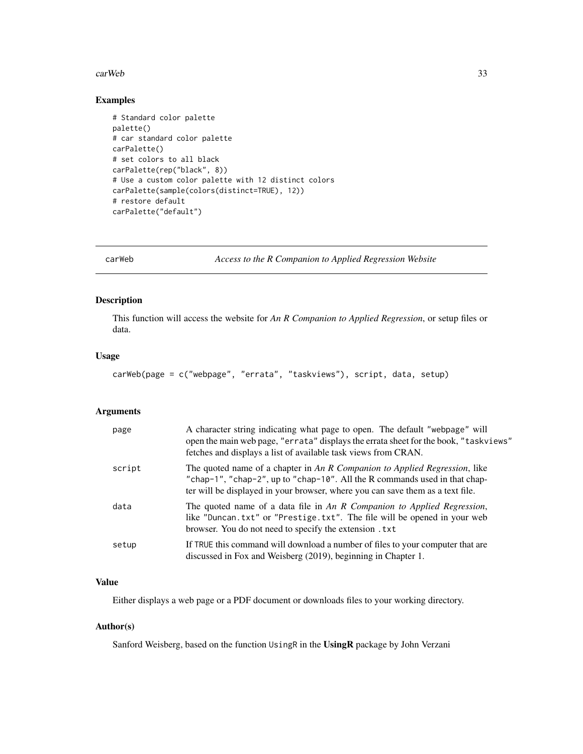#### <span id="page-32-0"></span>carWeb 33

# Examples

```
# Standard color palette
palette()
# car standard color palette
carPalette()
# set colors to all black
carPalette(rep("black", 8))
# Use a custom color palette with 12 distinct colors
carPalette(sample(colors(distinct=TRUE), 12))
# restore default
carPalette("default")
```
carWeb *Access to the R Companion to Applied Regression Website*

# Description

This function will access the website for *An R Companion to Applied Regression*, or setup files or data.

#### Usage

```
carWeb(page = c("webpage", "errata", "taskviews"), script, data, setup)
```
#### Arguments

| page   | A character string indicating what page to open. The default "webpage" will<br>open the main web page, "errata" displays the errata sheet for the book, "taskviews"<br>fetches and displays a list of available task views from CRAN.      |
|--------|--------------------------------------------------------------------------------------------------------------------------------------------------------------------------------------------------------------------------------------------|
| script | The quoted name of a chapter in An R Companion to Applied Regression, like<br>"chap-1", "chap-2", up to "chap-10". All the R commands used in that chap-<br>ter will be displayed in your browser, where you can save them as a text file. |
| data   | The quoted name of a data file in An R Companion to Applied Regression,<br>like "Duncan.txt" or "Prestige.txt". The file will be opened in your web<br>browser. You do not need to specify the extension . txt.                            |
| setup  | If TRUE this command will download a number of files to your computer that are<br>discussed in Fox and Weisberg (2019), beginning in Chapter 1.                                                                                            |

# Value

Either displays a web page or a PDF document or downloads files to your working directory.

# Author(s)

Sanford Weisberg, based on the function UsingR in the UsingR package by John Verzani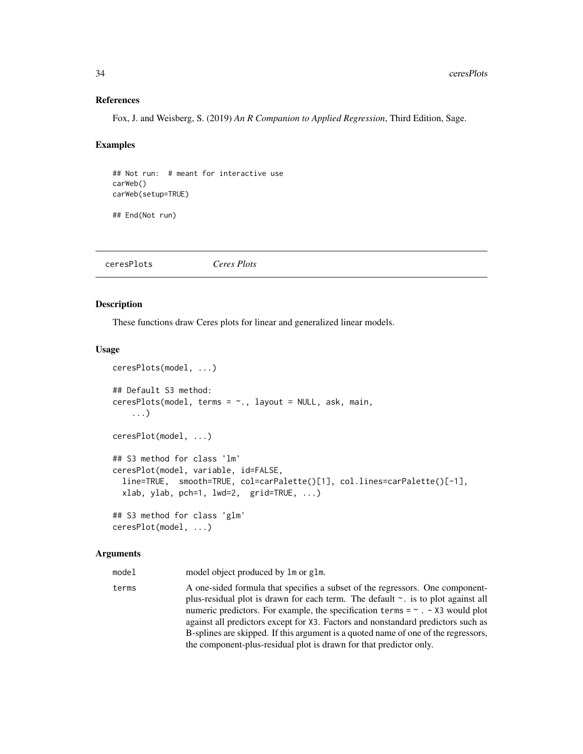#### References

Fox, J. and Weisberg, S. (2019) *An R Companion to Applied Regression*, Third Edition, Sage.

#### Examples

## Not run: # meant for interactive use carWeb() carWeb(setup=TRUE)

## End(Not run)

<span id="page-33-1"></span>ceresPlots *Ceres Plots*

# <span id="page-33-2"></span>Description

These functions draw Ceres plots for linear and generalized linear models.

#### Usage

```
ceresPlots(model, ...)
## Default S3 method:
ceresPlots(model, terms = ~., layout = NULL, ask, main,
    ...)
ceresPlot(model, ...)
## S3 method for class 'lm'
ceresPlot(model, variable, id=FALSE,
  line=TRUE, smooth=TRUE, col=carPalette()[1], col.lines=carPalette()[-1],
  xlab, ylab, pch=1, lwd=2, grid=TRUE, ...)
## S3 method for class 'glm'
ceresPlot(model, ...)
```
#### Arguments

model model object produced by lm or glm.

terms A one-sided formula that specifies a subset of the regressors. One componentplus-residual plot is drawn for each term. The default ~. is to plot against all numeric predictors. For example, the specification terms  $= \sim . - X3$  would plot against all predictors except for X3. Factors and nonstandard predictors such as B-splines are skipped. If this argument is a quoted name of one of the regressors, the component-plus-residual plot is drawn for that predictor only.

<span id="page-33-0"></span>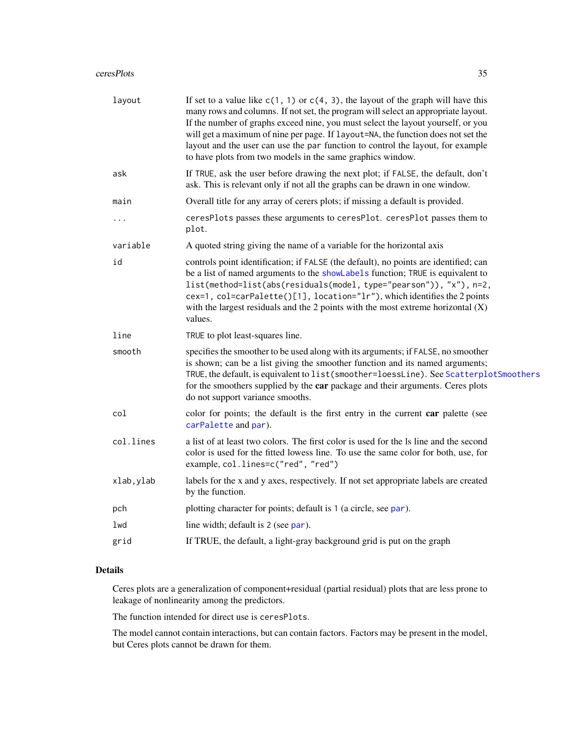#### ceresPlots 35

| layout     | If set to a value like $c(1, 1)$ or $c(4, 3)$ , the layout of the graph will have this<br>many rows and columns. If not set, the program will select an appropriate layout.<br>If the number of graphs exceed nine, you must select the layout yourself, or you<br>will get a maximum of nine per page. If layout=NA, the function does not set the<br>layout and the user can use the par function to control the layout, for example<br>to have plots from two models in the same graphics window. |
|------------|------------------------------------------------------------------------------------------------------------------------------------------------------------------------------------------------------------------------------------------------------------------------------------------------------------------------------------------------------------------------------------------------------------------------------------------------------------------------------------------------------|
| ask        | If TRUE, ask the user before drawing the next plot; if FALSE, the default, don't<br>ask. This is relevant only if not all the graphs can be drawn in one window.                                                                                                                                                                                                                                                                                                                                     |
| main       | Overall title for any array of cerers plots; if missing a default is provided.                                                                                                                                                                                                                                                                                                                                                                                                                       |
| .          | ceresPlots passes these arguments to ceresPlot. ceresPlot passes them to<br>plot.                                                                                                                                                                                                                                                                                                                                                                                                                    |
| variable   | A quoted string giving the name of a variable for the horizontal axis                                                                                                                                                                                                                                                                                                                                                                                                                                |
| id         | controls point identification; if FALSE (the default), no points are identified; can<br>be a list of named arguments to the showLabels function; TRUE is equivalent to<br>list(method=list(abs(residuals(model, type="pearson")), "x"), n=2,<br>cex=1, col=carPalette()[1], location="lr"), which identifies the 2 points<br>with the largest residuals and the 2 points with the most extreme horizontal $(X)$<br>values.                                                                           |
| line       | TRUE to plot least-squares line.                                                                                                                                                                                                                                                                                                                                                                                                                                                                     |
| smooth     | specifies the smoother to be used along with its arguments; if FALSE, no smoother<br>is shown; can be a list giving the smoother function and its named arguments;<br>TRUE, the default, is equivalent to list(smoother=loessLine). See ScatterplotSmoothers<br>for the smoothers supplied by the car package and their arguments. Ceres plots<br>do not support variance smooths.                                                                                                                   |
| col        | color for points; the default is the first entry in the current car palette (see<br>carPalette and par).                                                                                                                                                                                                                                                                                                                                                                                             |
| col.lines  | a list of at least two colors. The first color is used for the ls line and the second<br>color is used for the fitted lowess line. To use the same color for both, use, for<br>example, col.lines=c("red", "red")                                                                                                                                                                                                                                                                                    |
| xlab, ylab | labels for the x and y axes, respectively. If not set appropriate labels are created<br>by the function.                                                                                                                                                                                                                                                                                                                                                                                             |
| pch        | plotting character for points; default is 1 (a circle, see par).                                                                                                                                                                                                                                                                                                                                                                                                                                     |
| lwd        | line width; default is 2 (see par).                                                                                                                                                                                                                                                                                                                                                                                                                                                                  |
| grid       | If TRUE, the default, a light-gray background grid is put on the graph                                                                                                                                                                                                                                                                                                                                                                                                                               |
|            |                                                                                                                                                                                                                                                                                                                                                                                                                                                                                                      |

# Details

Ceres plots are a generalization of component+residual (partial residual) plots that are less prone to leakage of nonlinearity among the predictors.

The function intended for direct use is ceresPlots.

The model cannot contain interactions, but can contain factors. Factors may be present in the model, but Ceres plots cannot be drawn for them.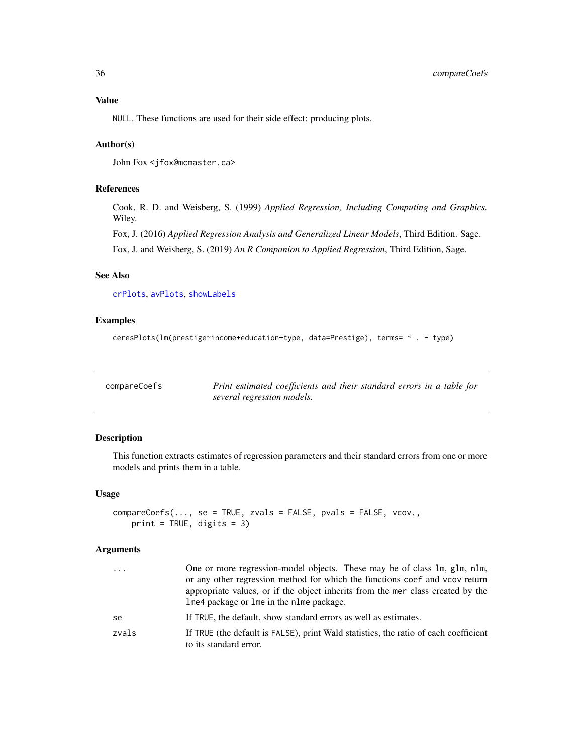# <span id="page-35-0"></span>Value

NULL. These functions are used for their side effect: producing plots.

# Author(s)

John Fox <jfox@mcmaster.ca>

# References

Cook, R. D. and Weisberg, S. (1999) *Applied Regression, Including Computing and Graphics.* Wiley.

Fox, J. (2016) *Applied Regression Analysis and Generalized Linear Models*, Third Edition. Sage.

Fox, J. and Weisberg, S. (2019) *An R Companion to Applied Regression*, Third Edition, Sage.

# See Also

[crPlots](#page-38-1), [avPlots](#page-10-2), [showLabels](#page-128-1)

# Examples

```
ceresPlots(lm(prestige~income+education+type, data=Prestige), terms= ~ . - type)
```

| compareCoefs | Print estimated coefficients and their standard errors in a table for |
|--------------|-----------------------------------------------------------------------|
|              | several regression models.                                            |

# Description

This function extracts estimates of regression parameters and their standard errors from one or more models and prints them in a table.

#### Usage

```
compareCoefs(..., se = TRUE, zvals = FALSE, pvals = FALSE, vcov.,
   print = TRUE, digits = 3)
```
# Arguments

| If TRUE, the default, show standard errors as well as estimates.<br>to its standard error. | .  | One or more regression-model objects. These may be of class 1m, g1m, n1m,<br>or any other regression method for which the functions coef and vcov return<br>appropriate values, or if the object inherits from the mer class created by the<br>lme4 package or lme in the nlme package. |
|--------------------------------------------------------------------------------------------|----|-----------------------------------------------------------------------------------------------------------------------------------------------------------------------------------------------------------------------------------------------------------------------------------------|
| zvals                                                                                      | se |                                                                                                                                                                                                                                                                                         |
|                                                                                            |    | If TRUE (the default is FALSE), print Wald statistics, the ratio of each coefficient                                                                                                                                                                                                    |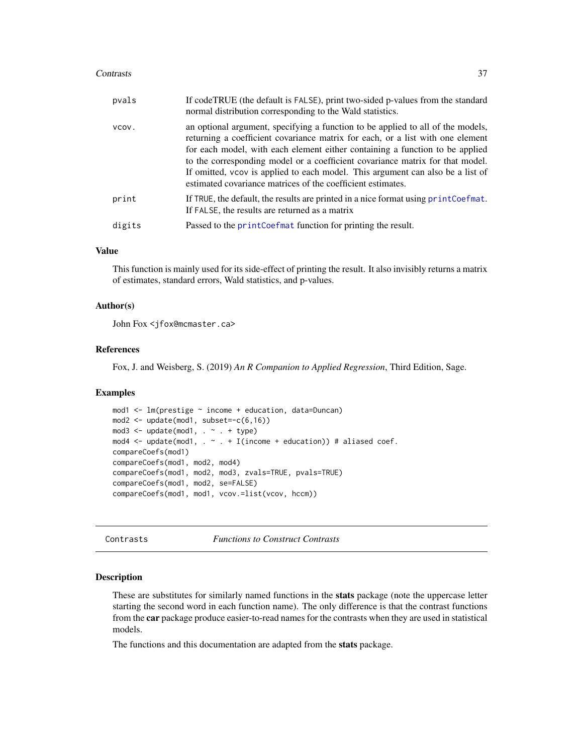#### Contrasts 37

| pvals  | If codeTRUE (the default is FALSE), print two-sided p-values from the standard<br>normal distribution corresponding to the Wald statistics.                                                                                                                                                                                                                                                                                                                                         |
|--------|-------------------------------------------------------------------------------------------------------------------------------------------------------------------------------------------------------------------------------------------------------------------------------------------------------------------------------------------------------------------------------------------------------------------------------------------------------------------------------------|
| VCOV.  | an optional argument, specifying a function to be applied to all of the models,<br>returning a coefficient covariance matrix for each, or a list with one element<br>for each model, with each element either containing a function to be applied<br>to the corresponding model or a coefficient covariance matrix for that model.<br>If omitted, vcov is applied to each model. This argument can also be a list of<br>estimated covariance matrices of the coefficient estimates. |
| print  | If TRUE, the default, the results are printed in a nice format using printCoefmat.<br>If FALSE, the results are returned as a matrix                                                                                                                                                                                                                                                                                                                                                |
| digits | Passed to the printCoefmat function for printing the result.                                                                                                                                                                                                                                                                                                                                                                                                                        |

# Value

This function is mainly used for its side-effect of printing the result. It also invisibly returns a matrix of estimates, standard errors, Wald statistics, and p-values.

#### Author(s)

John Fox <jfox@mcmaster.ca>

### References

Fox, J. and Weisberg, S. (2019) *An R Companion to Applied Regression*, Third Edition, Sage.

# Examples

```
mod1 \leq 1m(prestige \sim income + education, data=Duncan)
mod2 \le - update(mod1, subset=-c(6,16))
mod3 \leq update(mod1, . \sim . + type)
mod4 <- update(mod1, \cdot \sim \cdot + I(income + education)) # aliased coef.
compareCoefs(mod1)
compareCoefs(mod1, mod2, mod4)
compareCoefs(mod1, mod2, mod3, zvals=TRUE, pvals=TRUE)
compareCoefs(mod1, mod2, se=FALSE)
compareCoefs(mod1, mod1, vcov.=list(vcov, hccm))
```
Contrasts *Functions to Construct Contrasts*

#### Description

These are substitutes for similarly named functions in the stats package (note the uppercase letter starting the second word in each function name). The only difference is that the contrast functions from the car package produce easier-to-read names for the contrasts when they are used in statistical models.

The functions and this documentation are adapted from the stats package.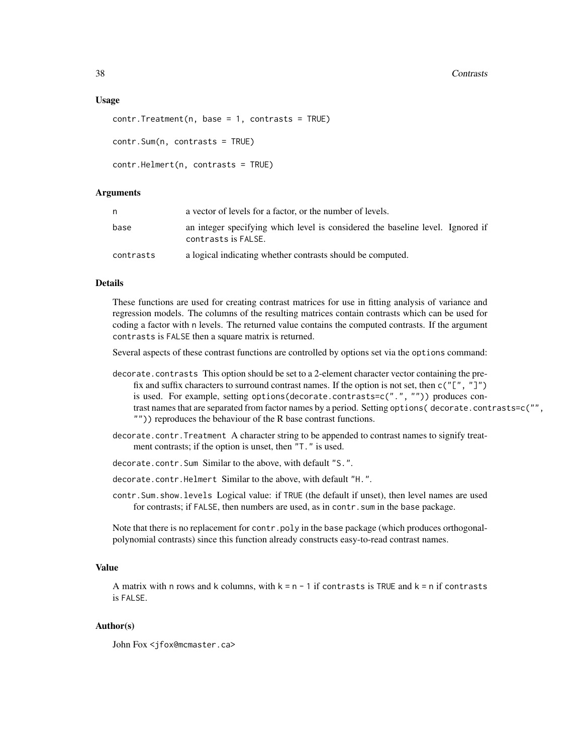#### 38 Contrasts

### Usage

```
contr.Treatment(n, base = 1, contrast = TRUE)contr.Sum(n, contrasts = TRUE)
contr.Helmert(n, contrasts = TRUE)
```
# Arguments

| n         | a vector of levels for a factor, or the number of levels.                                             |
|-----------|-------------------------------------------------------------------------------------------------------|
| base      | an integer specifying which level is considered the baseline level. Ignored if<br>contrasts is FALSE. |
| contrasts | a logical indicating whether contrasts should be computed.                                            |

#### Details

These functions are used for creating contrast matrices for use in fitting analysis of variance and regression models. The columns of the resulting matrices contain contrasts which can be used for coding a factor with n levels. The returned value contains the computed contrasts. If the argument contrasts is FALSE then a square matrix is returned.

Several aspects of these contrast functions are controlled by options set via the options command:

- decorate. contrasts This option should be set to a 2-element character vector containing the prefix and suffix characters to surround contrast names. If the option is not set, then  $c("["", "]]")$ is used. For example, setting options(decorate.contrasts=c(".", "")) produces contrast names that are separated from factor names by a period. Setting options( decorate.contrasts=c("", "")) reproduces the behaviour of the R base contrast functions.
- decorate.contr.Treatment A character string to be appended to contrast names to signify treatment contrasts; if the option is unset, then "T." is used.
- decorate.contr.Sum Similar to the above, with default "S.".
- decorate.contr.Helmert Similar to the above, with default "H.".
- contr.Sum.show.levels Logical value: if TRUE (the default if unset), then level names are used for contrasts; if FALSE, then numbers are used, as in contr. sum in the base package.

Note that there is no replacement for contr.poly in the base package (which produces orthogonalpolynomial contrasts) since this function already constructs easy-to-read contrast names.

### Value

A matrix with n rows and k columns, with  $k = n - 1$  if contrasts is TRUE and  $k = n$  if contrasts is FALSE.

# Author(s)

John Fox <jfox@mcmaster.ca>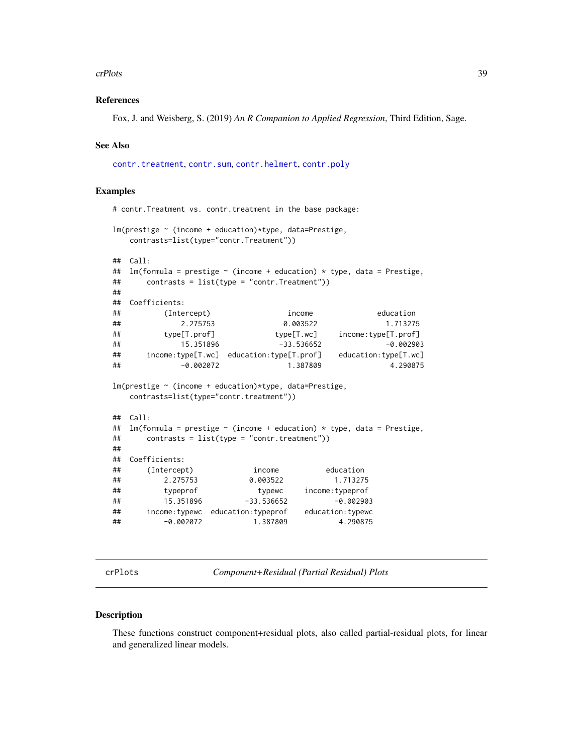#### crPlots 39

# References

Fox, J. and Weisberg, S. (2019) *An R Companion to Applied Regression*, Third Edition, Sage.

### See Also

[contr.treatment](#page-0-0), [contr.sum](#page-0-0), [contr.helmert](#page-0-0), [contr.poly](#page-0-0)

# Examples

```
# contr.Treatment vs. contr.treatment in the base package:
lm(prestige ~ (income + education)*type, data=Prestige,
  contrasts=list(type="contr.Treatment"))
## Call:
## lm(formula = prestige ~ (income + education) * type, data = Prestige,
## contrasts = list(type = "contr.Treatment"))
##
## Coefficients:
## (Intercept) income education
## 2.275753 0.003522 1.713275
## type[T.prof] type[T.wc] income:type[T.prof]
## 15.351896 -33.536652 -0.002903
## income:type[T.wc] education:type[T.prof] education:type[T.wc]
## -0.002072 1.387809 4.290875
lm(prestige ~ (income + education)*type, data=Prestige,
  contrasts=list(type="contr.treatment"))
## Call:
## lm(formula = prestige ~ (income + education) * type, data = Prestige,
## contrasts = list(type = "contr.treatment"))
##
## Coefficients:
## (Intercept) income education
## 2.275753 0.003522 1.713275
## typeprof typewc income:typeprof
## 15.351896 -33.536652 -0.002903
## income:typewc education:typeprof education:typewc
## -0.002072 1.387809 4.290875
```
crPlots *Component+Residual (Partial Residual) Plots*

#### Description

These functions construct component+residual plots, also called partial-residual plots, for linear and generalized linear models.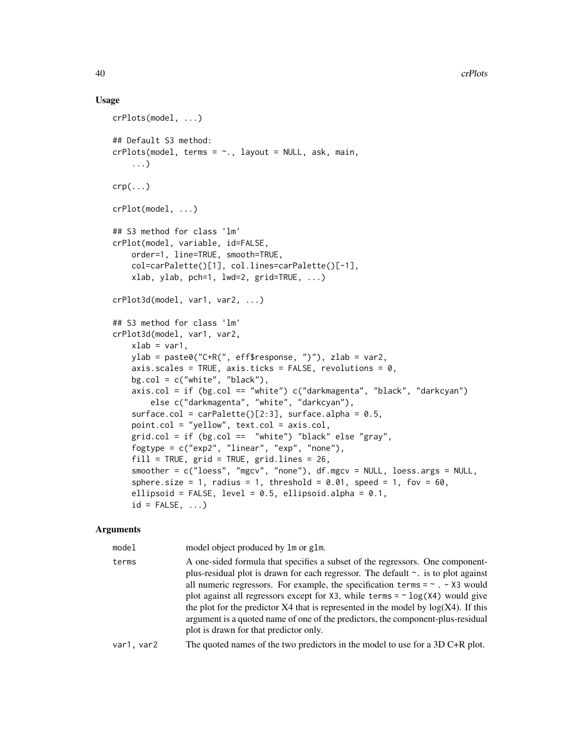## Usage

```
crPlots(model, ...)
## Default S3 method:
crPlots(model, terms = ~. , layout = NULL, ask, main,...)
crp(\ldots)crPlot(model, ...)
## S3 method for class 'lm'
crPlot(model, variable, id=FALSE,
    order=1, line=TRUE, smooth=TRUE,
    col=carPalette()[1], col.lines=carPalette()[-1],
    xlab, ylab, pch=1, lwd=2, grid=TRUE, ...)
crPlot3d(model, var1, var2, ...)
## S3 method for class 'lm'
crPlot3d(model, var1, var2,
    xlab = var1,
    ylab = paste0("C+R(", eff$response, ")"), zlab = var2,
    axis.scales = TRUE, axis.ticks = FALSE, revolutions = 0,
   bg.col = c("white", "black"),
    axis.col = if (bg.col == "white") c("darkmagenta", "black", "darkcyan")
        else c("darkmagenta", "white", "darkcyan"),
    surface.col = carPalette([2:3], surface.alpha = 0.5,
    point.col = "yellow", text.col = axis.col,
    grid.col = if (bg.col == "white") "black" else "gray",
    fogtype = c("exp2", "linear", "exp", "none"),
    fill = TRUE, grid = TRUE, grid.lines = 26,
    smoother = c("loess", "mgcv", "none"), df.mgcv = NULL, loess.args = NULL,
    sphere.size = 1, radius = 1, threshold = 0.01, speed = 1, fov = 60,
    ellipsoid = FALSE, level = 0.5, ellipsoid.alpha = 0.1,
    id = FALSE, \ldots)
```

| model      | model object produced by 1m or g1m.                                                                                                                                                                                                                                                                                                                                                                                                                                                                                                                                                 |
|------------|-------------------------------------------------------------------------------------------------------------------------------------------------------------------------------------------------------------------------------------------------------------------------------------------------------------------------------------------------------------------------------------------------------------------------------------------------------------------------------------------------------------------------------------------------------------------------------------|
| terms      | A one-sided formula that specifies a subset of the regressors. One component-<br>plus-residual plot is drawn for each regressor. The default $\sim$ . is to plot against<br>all numeric regressors. For example, the specification terms = $\sim$ . - X3 would<br>plot against all regressors except for $X3$ , while terms = $\sim$ log( $X4$ ) would give<br>the plot for the predictor $X4$ that is represented in the model by $log(X4)$ . If this<br>argument is a quoted name of one of the predictors, the component-plus-residual<br>plot is drawn for that predictor only. |
| var1, var2 | The quoted names of the two predictors in the model to use for a $3D$ C+R plot.                                                                                                                                                                                                                                                                                                                                                                                                                                                                                                     |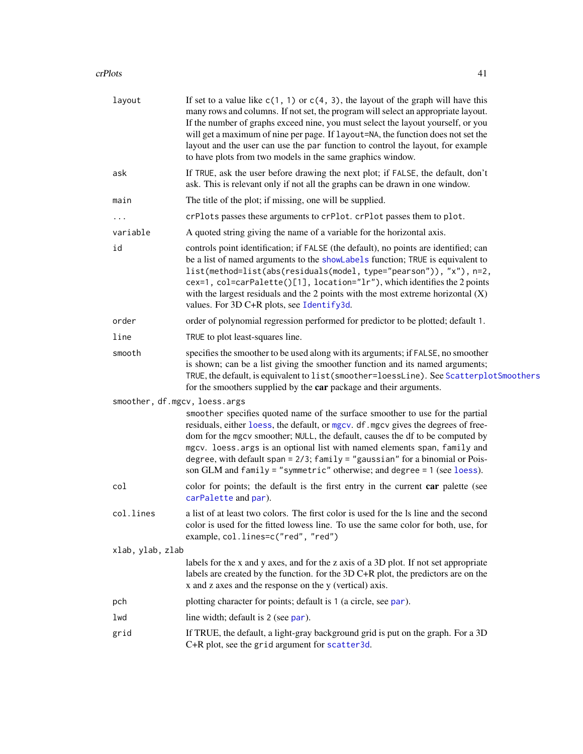## crPlots 41

| layout           | If set to a value like $c(1, 1)$ or $c(4, 3)$ , the layout of the graph will have this<br>many rows and columns. If not set, the program will select an appropriate layout.<br>If the number of graphs exceed nine, you must select the layout yourself, or you<br>will get a maximum of nine per page. If layout=NA, the function does not set the<br>layout and the user can use the par function to control the layout, for example<br>to have plots from two models in the same graphics window. |
|------------------|------------------------------------------------------------------------------------------------------------------------------------------------------------------------------------------------------------------------------------------------------------------------------------------------------------------------------------------------------------------------------------------------------------------------------------------------------------------------------------------------------|
| ask              | If TRUE, ask the user before drawing the next plot; if FALSE, the default, don't<br>ask. This is relevant only if not all the graphs can be drawn in one window.                                                                                                                                                                                                                                                                                                                                     |
| main             | The title of the plot; if missing, one will be supplied.                                                                                                                                                                                                                                                                                                                                                                                                                                             |
| $\cdots$         | crPlots passes these arguments to crPlot. crPlot passes them to plot.                                                                                                                                                                                                                                                                                                                                                                                                                                |
| variable         | A quoted string giving the name of a variable for the horizontal axis.                                                                                                                                                                                                                                                                                                                                                                                                                               |
| id               | controls point identification; if FALSE (the default), no points are identified; can<br>be a list of named arguments to the showLabels function; TRUE is equivalent to<br>list(method=list(abs(residuals(model, type="pearson")), "x"), n=2,<br>cex=1, col=carPalette()[1], location="lr"), which identifies the 2 points<br>with the largest residuals and the 2 points with the most extreme horizontal $(X)$<br>values. For 3D C+R plots, see Identify3d.                                         |
| order            | order of polynomial regression performed for predictor to be plotted; default 1.                                                                                                                                                                                                                                                                                                                                                                                                                     |
| line             | TRUE to plot least-squares line.                                                                                                                                                                                                                                                                                                                                                                                                                                                                     |
| smooth           | specifies the smoother to be used along with its arguments; if FALSE, no smoother<br>is shown; can be a list giving the smoother function and its named arguments;<br>TRUE, the default, is equivalent to list (smoother=loessLine). See ScatterplotSmoothers<br>for the smoothers supplied by the car package and their arguments.                                                                                                                                                                  |
|                  | smoother, df.mgcv, loess.args                                                                                                                                                                                                                                                                                                                                                                                                                                                                        |
|                  | smoother specifies quoted name of the surface smoother to use for the partial<br>residuals, either loess, the default, or mgcv. df. mgcv gives the degrees of free-<br>dom for the mgcv smoother; NULL, the default, causes the df to be computed by<br>mgcv. loess. args is an optional list with named elements span, family and<br>degree, with default span = $2/3$ ; family = "gaussian" for a binomial or Pois-<br>son GLM and family = "symmetric" otherwise; and degree = 1 (see loess).     |
| col              | color for points; the default is the first entry in the current car palette (see<br>carPalette and par).                                                                                                                                                                                                                                                                                                                                                                                             |
| col.lines        | a list of at least two colors. The first color is used for the ls line and the second<br>color is used for the fitted lowess line. To use the same color for both, use, for<br>example, col.lines=c("red", "red")                                                                                                                                                                                                                                                                                    |
| xlab, ylab, zlab |                                                                                                                                                                                                                                                                                                                                                                                                                                                                                                      |
|                  | labels for the x and y axes, and for the z axis of a 3D plot. If not set appropriate<br>labels are created by the function. for the 3D C+R plot, the predictors are on the<br>x and z axes and the response on the y (vertical) axis.                                                                                                                                                                                                                                                                |
| pch              | plotting character for points; default is 1 (a circle, see par).                                                                                                                                                                                                                                                                                                                                                                                                                                     |
| lwd              | line width; default is 2 (see par).                                                                                                                                                                                                                                                                                                                                                                                                                                                                  |
| grid             | If TRUE, the default, a light-gray background grid is put on the graph. For a 3D<br>C+R plot, see the grid argument for scatter3d.                                                                                                                                                                                                                                                                                                                                                                   |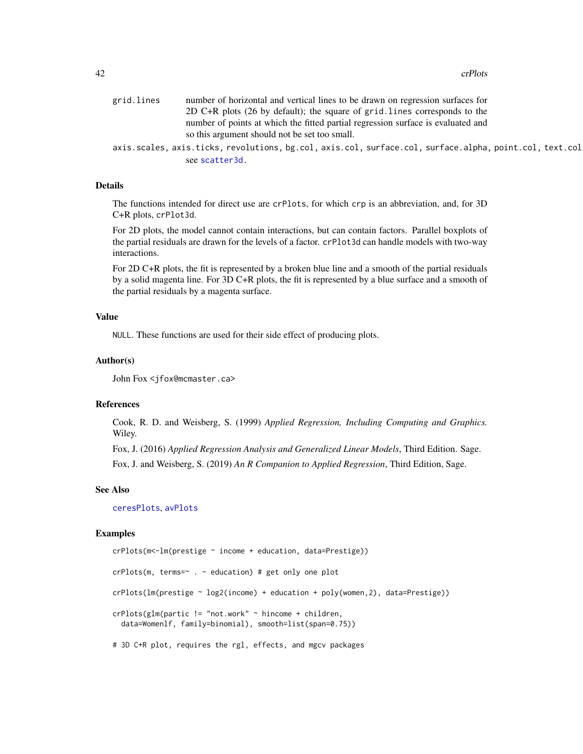#### 42 crPlots

| grid.lines | number of horizontal and vertical lines to be drawn on regression surfaces for                          |
|------------|---------------------------------------------------------------------------------------------------------|
|            | 2D C+R plots (26 by default); the square of grid. lines corresponds to the                              |
|            | number of points at which the fitted partial regression surface is evaluated and                        |
|            | so this argument should not be set too small.                                                           |
|            | axis.scales, axis.ticks, revolutions, bg.col, axis.col, surface.col, surface.alpha, point.col, text.col |
|            | see scatter3d.                                                                                          |

# Details

The functions intended for direct use are crPlots, for which crp is an abbreviation, and, for 3D C+R plots, crPlot3d.

For 2D plots, the model cannot contain interactions, but can contain factors. Parallel boxplots of the partial residuals are drawn for the levels of a factor. crPlot3d can handle models with two-way interactions.

For 2D C+R plots, the fit is represented by a broken blue line and a smooth of the partial residuals by a solid magenta line. For 3D C+R plots, the fit is represented by a blue surface and a smooth of the partial residuals by a magenta surface.

### Value

NULL. These functions are used for their side effect of producing plots.

# Author(s)

John Fox <jfox@mcmaster.ca>

### References

Cook, R. D. and Weisberg, S. (1999) *Applied Regression, Including Computing and Graphics.* Wiley.

Fox, J. (2016) *Applied Regression Analysis and Generalized Linear Models*, Third Edition. Sage.

Fox, J. and Weisberg, S. (2019) *An R Companion to Applied Regression*, Third Edition, Sage.

#### See Also

[ceresPlots](#page-33-0), [avPlots](#page-10-0)

#### Examples

```
crPlots(m<-lm(prestige ~ income + education, data=Prestige))
crPlots(m, terms=~ . - education) # get only one plot
crPlots(lm(prestige ~ log2(income) + education + poly(women,2), data=Prestige))
crPlots(glm(partic != "not.work" ~ hincome + children,
 data=Womenlf, family=binomial), smooth=list(span=0.75))
# 3D C+R plot, requires the rgl, effects, and mgcv packages
```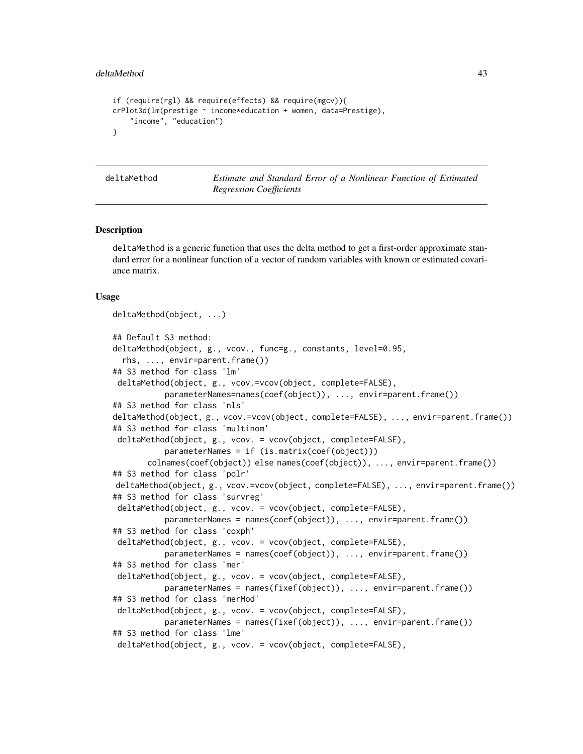```
if (require(rgl) && require(effects) && require(mgcv)){
crPlot3d(lm(prestige ~ income*education + women, data=Prestige),
    "income", "education")
}
```
deltaMethod *Estimate and Standard Error of a Nonlinear Function of Estimated Regression Coefficients*

# Description

deltaMethod is a generic function that uses the delta method to get a first-order approximate standard error for a nonlinear function of a vector of random variables with known or estimated covariance matrix.

```
deltaMethod(object, ...)
## Default S3 method:
deltaMethod(object, g., vcov., func=g., constants, level=0.95,
  rhs, ..., envir=parent.frame())
## S3 method for class 'lm'
deltaMethod(object, g., vcov.=vcov(object, complete=FALSE),
           parameterNames=names(coef(object)), ..., envir=parent.frame())
## S3 method for class 'nls'
deltaMethod(object, g., vcov.=vcov(object, complete=FALSE), ..., envir=parent.frame())
## S3 method for class 'multinom'
deltaMethod(object, g., vcov. = vcov(object, complete=FALSE),
           parameterNames = if (is.matrix(coef(object)))
       colnames(coef(object)) else names(coef(object)), ..., envir=parent.frame())
## S3 method for class 'polr'
deltaMethod(object, g., vcov.=vcov(object, complete=FALSE), ..., envir=parent.frame())
## S3 method for class 'survreg'
deltaMethod(object, g., vcov. = vcov(object, complete=FALSE),
           parameterNames = names(coef(object)), ..., envir=parent.frame())
## S3 method for class 'coxph'
deltaMethod(object, g., vcov. = vcov(object, complete=FALSE),
           parameterNames = names(coef(object)), ..., envir=parent.frame())
## S3 method for class 'mer'
deltaMethod(object, g., vcov. = vcov(object, complete=FALSE),
           parameterNames = names(fixef(object)), ..., envir=parent.frame())
## S3 method for class 'merMod'
deltaMethod(object, g., vcov. = vcov(object, complete=FALSE),
           parameterNames = names(fixef(object)), ..., envir=parent.frame())
## S3 method for class 'lme'
deltaMethod(object, g., vcov. = vcov(object, complete=FALSE),
```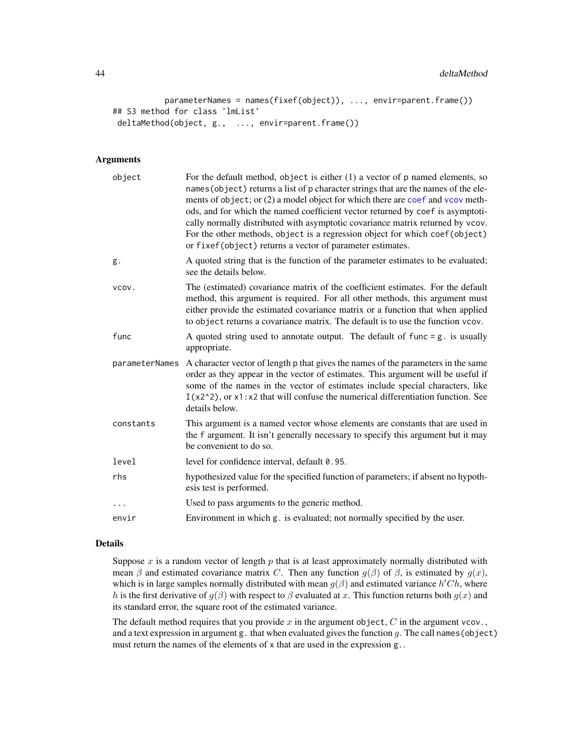```
parameterNames = names(fixef(object)), ..., envir=parent.frame())
## S3 method for class 'lmList'
deltaMethod(object, g., ..., envir=parent.frame())
```
# Arguments

| object         | For the default method, object is either $(1)$ a vector of $p$ named elements, so<br>names (object) returns a list of p character strings that are the names of the ele-<br>ments of object; or (2) a model object for which there are coef and vcov meth-<br>ods, and for which the named coefficient vector returned by coef is asymptoti-<br>cally normally distributed with asymptotic covariance matrix returned by vcov.<br>For the other methods, object is a regression object for which coef (object)<br>or fixef(object) returns a vector of parameter estimates. |
|----------------|-----------------------------------------------------------------------------------------------------------------------------------------------------------------------------------------------------------------------------------------------------------------------------------------------------------------------------------------------------------------------------------------------------------------------------------------------------------------------------------------------------------------------------------------------------------------------------|
| g.             | A quoted string that is the function of the parameter estimates to be evaluated;<br>see the details below.                                                                                                                                                                                                                                                                                                                                                                                                                                                                  |
| VCOV.          | The (estimated) covariance matrix of the coefficient estimates. For the default<br>method, this argument is required. For all other methods, this argument must<br>either provide the estimated covariance matrix or a function that when applied<br>to object returns a covariance matrix. The default is to use the function vcov.                                                                                                                                                                                                                                        |
| func           | A quoted string used to annotate output. The default of func $= g$ , is usually<br>appropriate.                                                                                                                                                                                                                                                                                                                                                                                                                                                                             |
| parameterNames | A character vector of length p that gives the names of the parameters in the same<br>order as they appear in the vector of estimates. This argument will be useful if<br>some of the names in the vector of estimates include special characters, like<br>$I(x2^2)$ , or x1:x2 that will confuse the numerical differentiation function. See<br>details below.                                                                                                                                                                                                              |
| constants      | This argument is a named vector whose elements are constants that are used in<br>the f argument. It isn't generally necessary to specify this argument but it may<br>be convenient to do so.                                                                                                                                                                                                                                                                                                                                                                                |
| level          | level for confidence interval, default 0.95.                                                                                                                                                                                                                                                                                                                                                                                                                                                                                                                                |
| rhs            | hypothesized value for the specified function of parameters; if absent no hypoth-<br>esis test is performed.                                                                                                                                                                                                                                                                                                                                                                                                                                                                |
|                | Used to pass arguments to the generic method.                                                                                                                                                                                                                                                                                                                                                                                                                                                                                                                               |
| envir          | Environment in which g. is evaluated; not normally specified by the user.                                                                                                                                                                                                                                                                                                                                                                                                                                                                                                   |

### Details

Suppose  $x$  is a random vector of length  $p$  that is at least approximately normally distributed with mean  $\beta$  and estimated covariance matrix C. Then any function  $g(\beta)$  of  $\beta$ , is estimated by  $g(x)$ , which is in large samples normally distributed with mean  $g(\beta)$  and estimated variance  $h'Ch$ , where h is the first derivative of  $g(\beta)$  with respect to  $\beta$  evaluated at x. This function returns both  $g(x)$  and its standard error, the square root of the estimated variance.

The default method requires that you provide  $x$  in the argument object,  $C$  in the argument vcov., and a text expression in argument g. that when evaluated gives the function  $g$ . The call names (object) must return the names of the elements of x that are used in the expression g..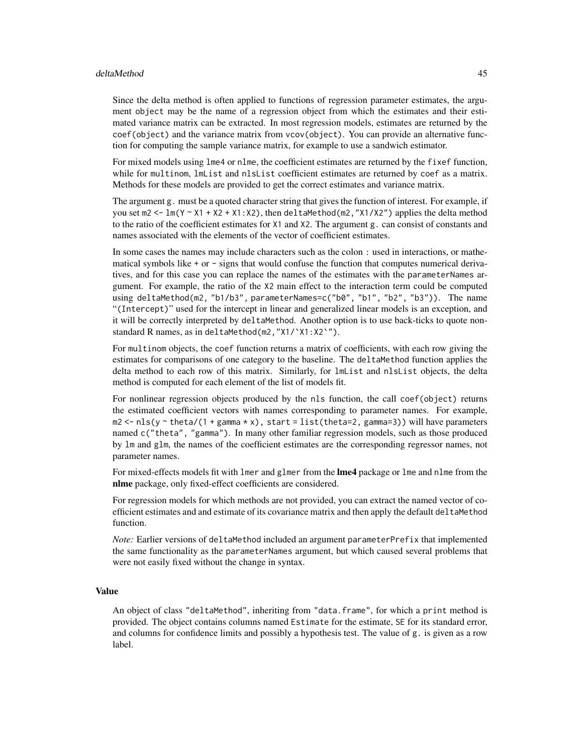#### deltaMethod 45

Since the delta method is often applied to functions of regression parameter estimates, the argument object may be the name of a regression object from which the estimates and their estimated variance matrix can be extracted. In most regression models, estimates are returned by the coef(object) and the variance matrix from vcov(object). You can provide an alternative function for computing the sample variance matrix, for example to use a sandwich estimator.

For mixed models using lme4 or nlme, the coefficient estimates are returned by the fixef function, while for multinom, lmList and nlsList coefficient estimates are returned by coef as a matrix. Methods for these models are provided to get the correct estimates and variance matrix.

The argument g. must be a quoted character string that gives the function of interest. For example, if you set  $m_2 < -\text{lm}(Y \sim X1 + X2 + X1:X2)$ , then deltaMethod(m2, "X1/X2") applies the delta method to the ratio of the coefficient estimates for X1 and X2. The argument g. can consist of constants and names associated with the elements of the vector of coefficient estimates.

In some cases the names may include characters such as the colon : used in interactions, or mathematical symbols like  $+$  or  $-$  signs that would confuse the function that computes numerical derivatives, and for this case you can replace the names of the estimates with the parameterNames argument. For example, the ratio of the X2 main effect to the interaction term could be computed using deltaMethod(m2, "b1/b3", parameterNames=c("b0", "b1", "b2", "b3")). The name "(Intercept)" used for the intercept in linear and generalized linear models is an exception, and it will be correctly interpreted by deltaMethod. Another option is to use back-ticks to quote nonstandard R names, as in deltaMethod(m2,"X1/`X1:X2`").

For multinom objects, the coef function returns a matrix of coefficients, with each row giving the estimates for comparisons of one category to the baseline. The deltaMethod function applies the delta method to each row of this matrix. Similarly, for lmList and nlsList objects, the delta method is computed for each element of the list of models fit.

For nonlinear regression objects produced by the nls function, the call coef(object) returns the estimated coefficient vectors with names corresponding to parameter names. For example, m2 <- nls(y ~ theta/(1 + gamma \* x), start = list(theta=2, gamma=3)) will have parameters named c("theta", "gamma"). In many other familiar regression models, such as those produced by lm and glm, the names of the coefficient estimates are the corresponding regressor names, not parameter names.

For mixed-effects models fit with lmer and glmer from the **lme4** package or lme and nlme from the nlme package, only fixed-effect coefficients are considered.

For regression models for which methods are not provided, you can extract the named vector of coefficient estimates and and estimate of its covariance matrix and then apply the default deltaMethod function.

*Note:* Earlier versions of deltaMethod included an argument parameterPrefix that implemented the same functionality as the parameterNames argument, but which caused several problems that were not easily fixed without the change in syntax.

# Value

An object of class "deltaMethod", inheriting from "data.frame", for which a print method is provided. The object contains columns named Estimate for the estimate, SE for its standard error, and columns for confidence limits and possibly a hypothesis test. The value of g. is given as a row label.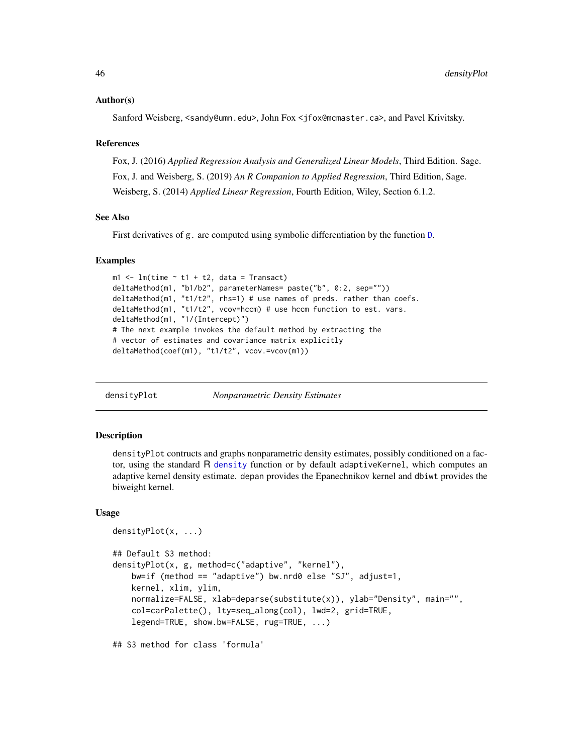#### Author(s)

Sanford Weisberg, <sandy@umn.edu>, John Fox <jfox@mcmaster.ca>, and Pavel Krivitsky.

### References

Fox, J. (2016) *Applied Regression Analysis and Generalized Linear Models*, Third Edition. Sage. Fox, J. and Weisberg, S. (2019) *An R Companion to Applied Regression*, Third Edition, Sage. Weisberg, S. (2014) *Applied Linear Regression*, Fourth Edition, Wiley, Section 6.1.2.

### See Also

First derivatives of g. are computed using symbolic differentiation by the function [D](#page-0-0).

#### Examples

```
m1 < -1m(time \sim t1 + t2, data = Transact)
deltaMethod(m1, "b1/b2", parameterNames= paste("b", 0:2, sep=""))
deltaMethod(m1, "t1/t2", rhs=1) # use names of preds. rather than coefs.
deltaMethod(m1, "t1/t2", vcov=hccm) # use hccm function to est. vars.
deltaMethod(m1, "1/(Intercept)")
# The next example invokes the default method by extracting the
# vector of estimates and covariance matrix explicitly
deltaMethod(coef(m1), "t1/t2", vcov.=vcov(m1))
```
densityPlot *Nonparametric Density Estimates*

### Description

densityPlot contructs and graphs nonparametric density estimates, possibly conditioned on a factor, using the standard R [density](#page-0-0) function or by default adaptiveKernel, which computes an adaptive kernel density estimate. depan provides the Epanechnikov kernel and dbiwt provides the biweight kernel.

#### Usage

```
densityPlot(x, ...)
## Default S3 method:
densityPlot(x, g, method=c("adaptive", "kernel"),
   bw=if (method == "adaptive") bw.nrd0 else "SJ", adjust=1,
   kernel, xlim, ylim,
   normalize=FALSE, xlab=deparse(substitute(x)), ylab="Density", main="",
    col=carPalette(), lty=seq_along(col), lwd=2, grid=TRUE,
    legend=TRUE, show.bw=FALSE, rug=TRUE, ...)
```
## S3 method for class 'formula'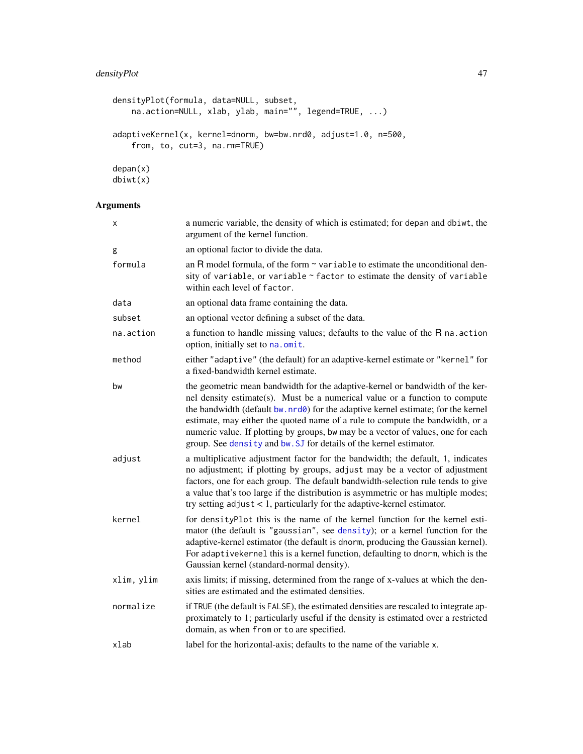```
densityPlot(formula, data=NULL, subset,
   na.action=NULL, xlab, ylab, main="", legend=TRUE, ...)
adaptiveKernel(x, kernel=dnorm, bw=bw.nrd0, adjust=1.0, n=500,
   from, to, cut=3, na.rm=TRUE)
depan(x)
```
dbiwt(x)

| Χ          | a numeric variable, the density of which is estimated; for depan and dbiwt, the<br>argument of the kernel function.                                                                                                                                                                                                                                                                                                                                                                          |
|------------|----------------------------------------------------------------------------------------------------------------------------------------------------------------------------------------------------------------------------------------------------------------------------------------------------------------------------------------------------------------------------------------------------------------------------------------------------------------------------------------------|
| g          | an optional factor to divide the data.                                                                                                                                                                                                                                                                                                                                                                                                                                                       |
| formula    | an R model formula, of the form $\sim$ variable to estimate the unconditional den-<br>sity of variable, or variable $\sim$ factor to estimate the density of variable<br>within each level of factor.                                                                                                                                                                                                                                                                                        |
| data       | an optional data frame containing the data.                                                                                                                                                                                                                                                                                                                                                                                                                                                  |
| subset     | an optional vector defining a subset of the data.                                                                                                                                                                                                                                                                                                                                                                                                                                            |
| na.action  | a function to handle missing values; defaults to the value of the R na. action<br>option, initially set to na. omit.                                                                                                                                                                                                                                                                                                                                                                         |
| method     | either "adaptive" (the default) for an adaptive-kernel estimate or "kernel" for<br>a fixed-bandwidth kernel estimate.                                                                                                                                                                                                                                                                                                                                                                        |
| bw         | the geometric mean bandwidth for the adaptive-kernel or bandwidth of the ker-<br>nel density estimate(s). Must be a numerical value or a function to compute<br>the bandwidth (default bw. nrd0) for the adaptive kernel estimate; for the kernel<br>estimate, may either the quoted name of a rule to compute the bandwidth, or a<br>numeric value. If plotting by groups, bw may be a vector of values, one for each<br>group. See density and bw. SJ for details of the kernel estimator. |
| adjust     | a multiplicative adjustment factor for the bandwidth; the default, 1, indicates<br>no adjustment; if plotting by groups, adjust may be a vector of adjustment<br>factors, one for each group. The default bandwidth-selection rule tends to give<br>a value that's too large if the distribution is asymmetric or has multiple modes;<br>try setting $adjust < 1$ , particularly for the adaptive-kernel estimator.                                                                          |
| kernel     | for densityPlot this is the name of the kernel function for the kernel esti-<br>mator (the default is "gaussian", see density); or a kernel function for the<br>adaptive-kernel estimator (the default is dnorm, producing the Gaussian kernel).<br>For adaptivekernel this is a kernel function, defaulting to dnorm, which is the<br>Gaussian kernel (standard-normal density).                                                                                                            |
| xlim, ylim | axis limits; if missing, determined from the range of x-values at which the den-<br>sities are estimated and the estimated densities.                                                                                                                                                                                                                                                                                                                                                        |
| normalize  | if TRUE (the default is FALSE), the estimated densities are rescaled to integrate ap-<br>proximately to 1; particularly useful if the density is estimated over a restricted<br>domain, as when from or to are specified.                                                                                                                                                                                                                                                                    |
| xlab       | label for the horizontal-axis; defaults to the name of the variable x.                                                                                                                                                                                                                                                                                                                                                                                                                       |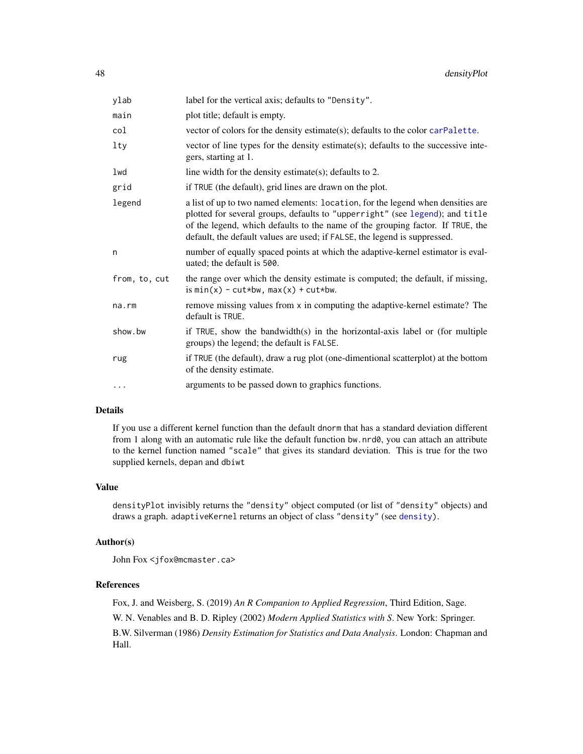| ylab          | label for the vertical axis; defaults to "Density".                                                                                                                                                                                                                                                                            |
|---------------|--------------------------------------------------------------------------------------------------------------------------------------------------------------------------------------------------------------------------------------------------------------------------------------------------------------------------------|
| main          | plot title; default is empty.                                                                                                                                                                                                                                                                                                  |
| col           | vector of colors for the density estimate(s); defaults to the color carPalette.                                                                                                                                                                                                                                                |
| lty           | vector of line types for the density estimate(s); defaults to the successive inte-<br>gers, starting at 1.                                                                                                                                                                                                                     |
| lwd           | line width for the density estimate(s); defaults to 2.                                                                                                                                                                                                                                                                         |
| grid          | if TRUE (the default), grid lines are drawn on the plot.                                                                                                                                                                                                                                                                       |
| legend        | a list of up to two named elements: location, for the legend when densities are<br>plotted for several groups, defaults to "upperright" (see legend); and title<br>of the legend, which defaults to the name of the grouping factor. If TRUE, the<br>default, the default values are used; if FALSE, the legend is suppressed. |
| n             | number of equally spaced points at which the adaptive-kernel estimator is eval-<br>uated; the default is 500.                                                                                                                                                                                                                  |
| from, to, cut | the range over which the density estimate is computed; the default, if missing,<br>is $min(x) - cut*bw, max(x) + cut*bw.$                                                                                                                                                                                                      |
| na.rm         | remove missing values from x in computing the adaptive-kernel estimate? The<br>default is TRUE.                                                                                                                                                                                                                                |
| show.bw       | if TRUE, show the bandwidth(s) in the horizontal-axis label or (for multiple<br>groups) the legend; the default is FALSE.                                                                                                                                                                                                      |
| rug           | if TRUE (the default), draw a rug plot (one-dimentional scatterplot) at the bottom<br>of the density estimate.                                                                                                                                                                                                                 |
| $\cdots$      | arguments to be passed down to graphics functions.                                                                                                                                                                                                                                                                             |

# Details

If you use a different kernel function than the default dnorm that has a standard deviation different from 1 along with an automatic rule like the default function bw.nrd0, you can attach an attribute to the kernel function named "scale" that gives its standard deviation. This is true for the two supplied kernels, depan and dbiwt

# Value

densityPlot invisibly returns the "density" object computed (or list of "density" objects) and draws a graph. adaptiveKernel returns an object of class "density" (see [density\)](#page-0-0).

### Author(s)

John Fox <jfox@mcmaster.ca>

# References

Fox, J. and Weisberg, S. (2019) *An R Companion to Applied Regression*, Third Edition, Sage. W. N. Venables and B. D. Ripley (2002) *Modern Applied Statistics with S*. New York: Springer. B.W. Silverman (1986) *Density Estimation for Statistics and Data Analysis*. London: Chapman and Hall.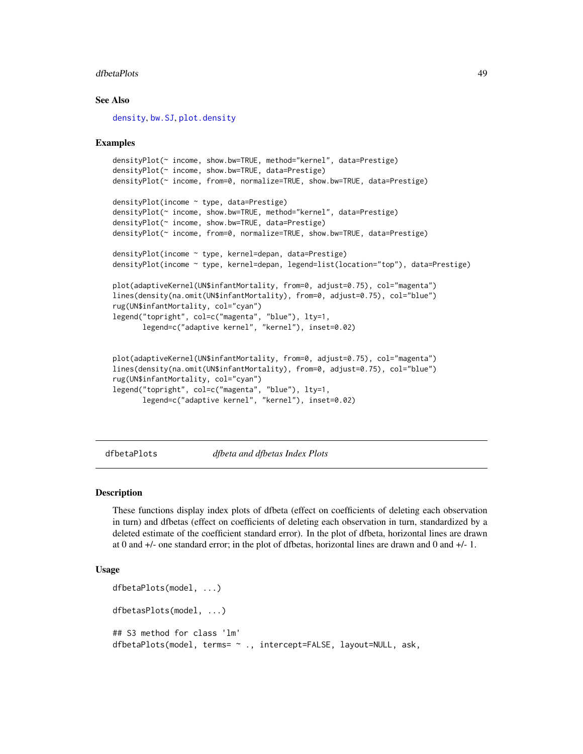#### dfbetaPlots 49

### See Also

[density](#page-0-0), [bw.SJ](#page-0-0), [plot.density](#page-0-0)

### Examples

```
densityPlot(~ income, show.bw=TRUE, method="kernel", data=Prestige)
densityPlot(~ income, show.bw=TRUE, data=Prestige)
densityPlot(~ income, from=0, normalize=TRUE, show.bw=TRUE, data=Prestige)
densityPlot(income ~ type, data=Prestige)
densityPlot(~ income, show.bw=TRUE, method="kernel", data=Prestige)
densityPlot(~ income, show.bw=TRUE, data=Prestige)
densityPlot(~ income, from=0, normalize=TRUE, show.bw=TRUE, data=Prestige)
densityPlot(income ~ type, kernel=depan, data=Prestige)
densityPlot(income ~ type, kernel=depan, legend=list(location="top"), data=Prestige)
plot(adaptiveKernel(UN$infantMortality, from=0, adjust=0.75), col="magenta")
lines(density(na.omit(UN$infantMortality), from=0, adjust=0.75), col="blue")
rug(UN$infantMortality, col="cyan")
legend("topright", col=c("magenta", "blue"), lty=1,
      legend=c("adaptive kernel", "kernel"), inset=0.02)
plot(adaptiveKernel(UN$infantMortality, from=0, adjust=0.75), col="magenta")
lines(density(na.omit(UN$infantMortality), from=0, adjust=0.75), col="blue")
```

```
rug(UN$infantMortality, col="cyan")
```

```
legend("topright", col=c("magenta", "blue"), lty=1,
      legend=c("adaptive kernel", "kernel"), inset=0.02)
```
dfbetaPlots *dfbeta and dfbetas Index Plots*

### Description

These functions display index plots of dfbeta (effect on coefficients of deleting each observation in turn) and dfbetas (effect on coefficients of deleting each observation in turn, standardized by a deleted estimate of the coefficient standard error). In the plot of dfbeta, horizontal lines are drawn at 0 and +/- one standard error; in the plot of dfbetas, horizontal lines are drawn and 0 and +/- 1.

```
dfbetaPlots(model, ...)
dfbetasPlots(model, ...)
## S3 method for class 'lm'
dfbetaPlots(model, terms= ~ ., intercept=FALSE, layout=NULL, ask,
```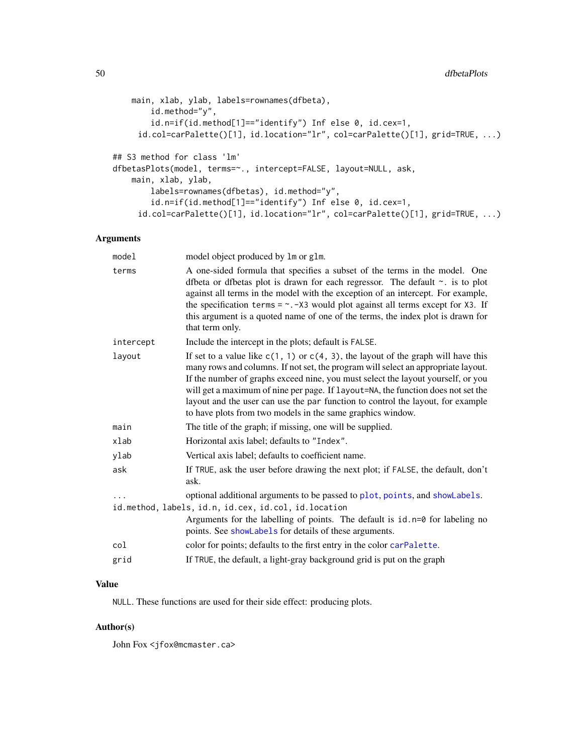```
main, xlab, ylab, labels=rownames(dfbeta),
        id.method="y",
        id.n=if(id.method[1]=="identify") Inf else 0, id.cex=1,
     id.col=carPalette()[1], id.location="lr", col=carPalette()[1], grid=TRUE, ...)
## S3 method for class 'lm'
dfbetasPlots(model, terms=~., intercept=FALSE, layout=NULL, ask,
   main, xlab, ylab,
        labels=rownames(dfbetas), id.method="y",
        id.n=if(id.method[1]=="identify") Inf else 0, id.cex=1,
     id.col=carPalette()[1], id.location="lr", col=carPalette()[1], grid=TRUE, ...)
```
# Arguments

| model     | model object produced by 1m or g1m.                                                                                                                                                                                                                                                                                                                                                                                                                                                                  |
|-----------|------------------------------------------------------------------------------------------------------------------------------------------------------------------------------------------------------------------------------------------------------------------------------------------------------------------------------------------------------------------------------------------------------------------------------------------------------------------------------------------------------|
| terms     | A one-sided formula that specifies a subset of the terms in the model. One<br>dfbeta or dfbetas plot is drawn for each regressor. The default ~. is to plot<br>against all terms in the model with the exception of an intercept. For example,<br>the specification terms = $\sim$ . -X3 would plot against all terms except for X3. If<br>this argument is a quoted name of one of the terms, the index plot is drawn for<br>that term only.                                                        |
| intercept | Include the intercept in the plots; default is FALSE.                                                                                                                                                                                                                                                                                                                                                                                                                                                |
| layout    | If set to a value like $c(1, 1)$ or $c(4, 3)$ , the layout of the graph will have this<br>many rows and columns. If not set, the program will select an appropriate layout.<br>If the number of graphs exceed nine, you must select the layout yourself, or you<br>will get a maximum of nine per page. If layout=NA, the function does not set the<br>layout and the user can use the par function to control the layout, for example<br>to have plots from two models in the same graphics window. |
| main      | The title of the graph; if missing, one will be supplied.                                                                                                                                                                                                                                                                                                                                                                                                                                            |
| xlab      | Horizontal axis label; defaults to "Index".                                                                                                                                                                                                                                                                                                                                                                                                                                                          |
| ylab      | Vertical axis label; defaults to coefficient name.                                                                                                                                                                                                                                                                                                                                                                                                                                                   |
| ask       | If TRUE, ask the user before drawing the next plot; if FALSE, the default, don't<br>ask.                                                                                                                                                                                                                                                                                                                                                                                                             |
|           | optional additional arguments to be passed to plot, points, and showLabels.                                                                                                                                                                                                                                                                                                                                                                                                                          |
|           | id.method, labels, id.n, id.cex, id.col, id.location                                                                                                                                                                                                                                                                                                                                                                                                                                                 |
|           | Arguments for the labelling of points. The default is $id.n=0$ for labeling no<br>points. See showLabels for details of these arguments.                                                                                                                                                                                                                                                                                                                                                             |
| col       | color for points; defaults to the first entry in the color carPalette.                                                                                                                                                                                                                                                                                                                                                                                                                               |
| grid      | If TRUE, the default, a light-gray background grid is put on the graph                                                                                                                                                                                                                                                                                                                                                                                                                               |

# Value

NULL. These functions are used for their side effect: producing plots.

# Author(s)

John Fox <jfox@mcmaster.ca>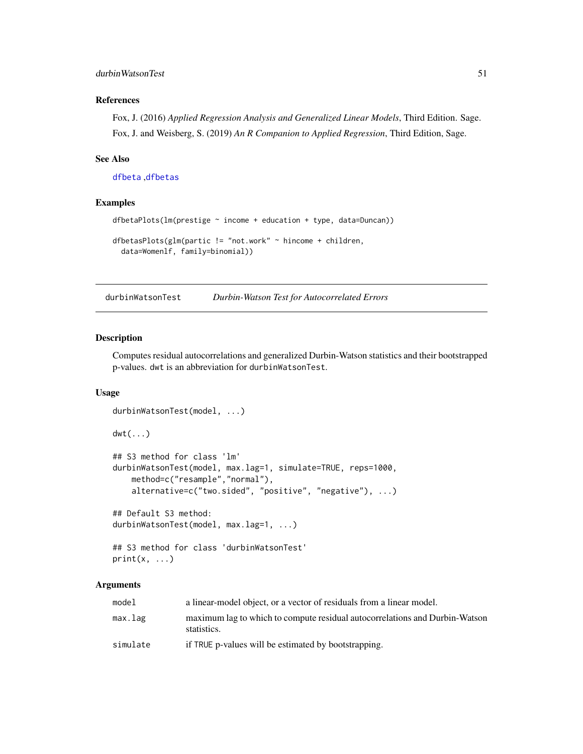# durbinWatsonTest 51

# References

Fox, J. (2016) *Applied Regression Analysis and Generalized Linear Models*, Third Edition. Sage. Fox, J. and Weisberg, S. (2019) *An R Companion to Applied Regression*, Third Edition, Sage.

# See Also

[dfbeta](#page-0-0) ,[dfbetas](#page-0-0)

# Examples

```
dfbetaPlots(lm(prestige ~ income + education + type, data=Duncan))
dfbetasPlots(glm(partic != "not.work" ~ hincome + children,
 data=Womenlf, family=binomial))
```
durbinWatsonTest *Durbin-Watson Test for Autocorrelated Errors*

# Description

Computes residual autocorrelations and generalized Durbin-Watson statistics and their bootstrapped p-values. dwt is an abbreviation for durbinWatsonTest.

### Usage

```
durbinWatsonTest(model, ...)
dwt(...)
## S3 method for class 'lm'
durbinWatsonTest(model, max.lag=1, simulate=TRUE, reps=1000,
    method=c("resample","normal"),
    alternative=c("two.sided", "positive", "negative"), ...)
## Default S3 method:
durbinWatsonTest(model, max.lag=1, ...)
## S3 method for class 'durbinWatsonTest'
print(x, \ldots)
```

| model    | a linear-model object, or a vector of residuals from a linear model.                       |
|----------|--------------------------------------------------------------------------------------------|
| max.lag  | maximum lag to which to compute residual autocorrelations and Durbin-Watson<br>statistics. |
| simulate | if TRUE p-values will be estimated by bootstrapping.                                       |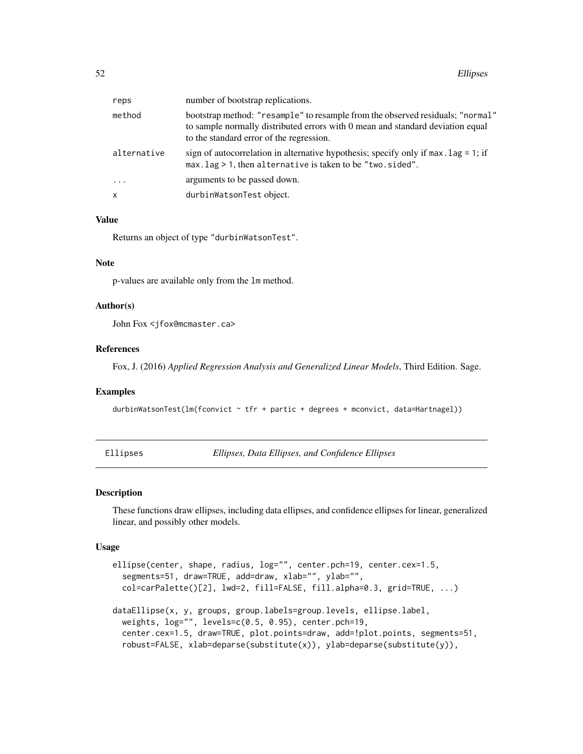| reps        | number of bootstrap replications.                                                                                                                                                                            |
|-------------|--------------------------------------------------------------------------------------------------------------------------------------------------------------------------------------------------------------|
| method      | bootstrap method: "resample" to resample from the observed residuals; "normal"<br>to sample normally distributed errors with 0 mean and standard deviation equal<br>to the standard error of the regression. |
| alternative | sign of autocorrelation in alternative hypothesis; specify only if $max$ . lag = 1; if<br>$max.$ lag $> 1$ , then alternative is taken to be "two. sided".                                                   |
| $\cdots$    | arguments to be passed down.                                                                                                                                                                                 |
| x           | durbinWatsonTest object.                                                                                                                                                                                     |
|             |                                                                                                                                                                                                              |

# Value

Returns an object of type "durbinWatsonTest".

#### Note

p-values are available only from the lm method.

#### Author(s)

John Fox <jfox@mcmaster.ca>

#### References

Fox, J. (2016) *Applied Regression Analysis and Generalized Linear Models*, Third Edition. Sage.

# Examples

durbinWatsonTest(lm(fconvict ~ tfr + partic + degrees + mconvict, data=Hartnagel))

Ellipses *Ellipses, Data Ellipses, and Confidence Ellipses*

### Description

These functions draw ellipses, including data ellipses, and confidence ellipses for linear, generalized linear, and possibly other models.

```
ellipse(center, shape, radius, log="", center.pch=19, center.cex=1.5,
  segments=51, draw=TRUE, add=draw, xlab="", ylab="",
  col=carPalette()[2], lwd=2, fill=FALSE, fill.alpha=0.3, grid=TRUE, ...)
dataEllipse(x, y, groups, group.labels=group.levels, ellipse.label,
 weights, log="", levels=c(0.5, 0.95), center.pch=19,
 center.cex=1.5, draw=TRUE, plot.points=draw, add=!plot.points, segments=51,
  robust=FALSE, xlab=deparse(substitute(x)), ylab=deparse(substitute(y)),
```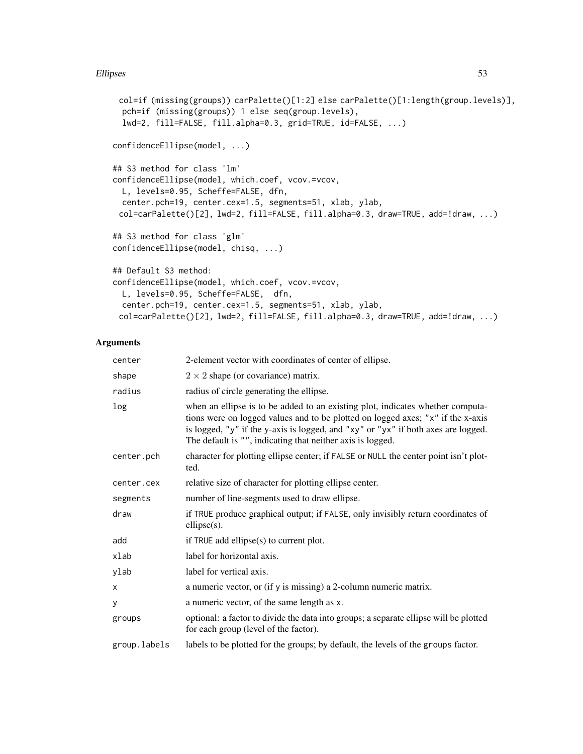# Ellipses 53

```
col=if (missing(groups)) carPalette()[1:2] else carPalette()[1:length(group.levels)],
 pch=if (missing(groups)) 1 else seq(group.levels),
 lwd=2, fill=FALSE, fill.alpha=0.3, grid=TRUE, id=FALSE, ...)
confidenceEllipse(model, ...)
## S3 method for class 'lm'
confidenceEllipse(model, which.coef, vcov.=vcov,
 L, levels=0.95, Scheffe=FALSE, dfn,
 center.pch=19, center.cex=1.5, segments=51, xlab, ylab,
 col=carPalette()[2], lwd=2, fill=FALSE, fill.alpha=0.3, draw=TRUE, add=!draw, ...)
## S3 method for class 'glm'
confidenceEllipse(model, chisq, ...)
## Default S3 method:
confidenceEllipse(model, which.coef, vcov.=vcov,
 L, levels=0.95, Scheffe=FALSE, dfn,
 center.pch=19, center.cex=1.5, segments=51, xlab, ylab,
 col=carPalette()[2], lwd=2, fill=FALSE, fill.alpha=0.3, draw=TRUE, add=!draw, ...)
```

| center       | 2-element vector with coordinates of center of ellipse.                                                                                                                                                                                                                                                              |
|--------------|----------------------------------------------------------------------------------------------------------------------------------------------------------------------------------------------------------------------------------------------------------------------------------------------------------------------|
| shape        | $2 \times 2$ shape (or covariance) matrix.                                                                                                                                                                                                                                                                           |
| radius       | radius of circle generating the ellipse.                                                                                                                                                                                                                                                                             |
| log          | when an ellipse is to be added to an existing plot, indicates whether computa-<br>tions were on logged values and to be plotted on logged axes; "x" if the x-axis<br>is logged, "y" if the y-axis is logged, and "xy" or "yx" if both axes are logged.<br>The default is "", indicating that neither axis is logged. |
| center.pch   | character for plotting ellipse center; if FALSE or NULL the center point isn't plot-<br>ted.                                                                                                                                                                                                                         |
| center.cex   | relative size of character for plotting ellipse center.                                                                                                                                                                                                                                                              |
| segments     | number of line-segments used to draw ellipse.                                                                                                                                                                                                                                                                        |
| draw         | if TRUE produce graphical output; if FALSE, only invisibly return coordinates of<br>$ellipse(s)$ .                                                                                                                                                                                                                   |
| add          | if TRUE add ellipse(s) to current plot.                                                                                                                                                                                                                                                                              |
| xlab         | label for horizontal axis.                                                                                                                                                                                                                                                                                           |
| ylab         | label for vertical axis.                                                                                                                                                                                                                                                                                             |
| x            | a numeric vector, or (if y is missing) a 2-column numeric matrix.                                                                                                                                                                                                                                                    |
| y            | a numeric vector, of the same length as x.                                                                                                                                                                                                                                                                           |
| groups       | optional: a factor to divide the data into groups; a separate ellipse will be plotted<br>for each group (level of the factor).                                                                                                                                                                                       |
| group.labels | labels to be plotted for the groups; by default, the levels of the groups factor.                                                                                                                                                                                                                                    |
|              |                                                                                                                                                                                                                                                                                                                      |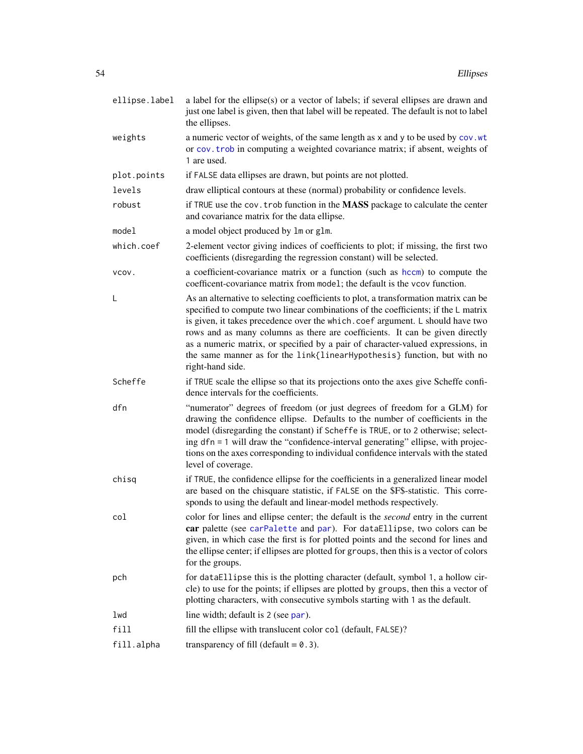| ellipse.label | a label for the ellipse(s) or a vector of labels; if several ellipses are drawn and<br>just one label is given, then that label will be repeated. The default is not to label<br>the ellipses.                                                                                                                                                                                                                                                                                                                              |
|---------------|-----------------------------------------------------------------------------------------------------------------------------------------------------------------------------------------------------------------------------------------------------------------------------------------------------------------------------------------------------------------------------------------------------------------------------------------------------------------------------------------------------------------------------|
| weights       | a numeric vector of weights, of the same length as x and y to be used by cov. wt<br>or cov. trob in computing a weighted covariance matrix; if absent, weights of<br>1 are used.                                                                                                                                                                                                                                                                                                                                            |
| plot.points   | if FALSE data ellipses are drawn, but points are not plotted.                                                                                                                                                                                                                                                                                                                                                                                                                                                               |
| levels        | draw elliptical contours at these (normal) probability or confidence levels.                                                                                                                                                                                                                                                                                                                                                                                                                                                |
| robust        | if TRUE use the cov. trob function in the <b>MASS</b> package to calculate the center<br>and covariance matrix for the data ellipse.                                                                                                                                                                                                                                                                                                                                                                                        |
| model         | a model object produced by 1m or g1m.                                                                                                                                                                                                                                                                                                                                                                                                                                                                                       |
| which.coef    | 2-element vector giving indices of coefficients to plot; if missing, the first two<br>coefficients (disregarding the regression constant) will be selected.                                                                                                                                                                                                                                                                                                                                                                 |
| VCOV.         | a coefficient-covariance matrix or a function (such as hccm) to compute the<br>coefficent-covariance matrix from model; the default is the vcov function.                                                                                                                                                                                                                                                                                                                                                                   |
| L             | As an alternative to selecting coefficients to plot, a transformation matrix can be<br>specified to compute two linear combinations of the coefficients; if the L matrix<br>is given, it takes precedence over the which.coef argument. L should have two<br>rows and as many columns as there are coefficients. It can be given directly<br>as a numeric matrix, or specified by a pair of character-valued expressions, in<br>the same manner as for the link{linearHypothesis} function, but with no<br>right-hand side. |
| Scheffe       | if TRUE scale the ellipse so that its projections onto the axes give Scheffe confi-<br>dence intervals for the coefficients.                                                                                                                                                                                                                                                                                                                                                                                                |
| dfn           | "numerator" degrees of freedom (or just degrees of freedom for a GLM) for<br>drawing the confidence ellipse. Defaults to the number of coefficients in the<br>model (disregarding the constant) if Scheffe is TRUE, or to 2 otherwise; select-<br>ing dfn = 1 will draw the "confidence-interval generating" ellipse, with projec-<br>tions on the axes corresponding to individual confidence intervals with the stated<br>level of coverage.                                                                              |
| chisq         | if TRUE, the confidence ellipse for the coefficients in a generalized linear model<br>are based on the chisquare statistic, if FALSE on the \$F\$-statistic. This corre-<br>sponds to using the default and linear-model methods respectively.                                                                                                                                                                                                                                                                              |
| col           | color for lines and ellipse center; the default is the second entry in the current<br>car palette (see carPalette and par). For dataEllipse, two colors can be<br>given, in which case the first is for plotted points and the second for lines and<br>the ellipse center; if ellipses are plotted for groups, then this is a vector of colors<br>for the groups.                                                                                                                                                           |
| pch           | for dataEllipse this is the plotting character (default, symbol 1, a hollow cir-<br>cle) to use for the points; if ellipses are plotted by groups, then this a vector of<br>plotting characters, with consecutive symbols starting with 1 as the default.                                                                                                                                                                                                                                                                   |
| lwd           | line width; default is 2 (see par).                                                                                                                                                                                                                                                                                                                                                                                                                                                                                         |
| fill          | fill the ellipse with translucent color col (default, FALSE)?                                                                                                                                                                                                                                                                                                                                                                                                                                                               |
| fill.alpha    | transparency of fill (default $= 0.3$ ).                                                                                                                                                                                                                                                                                                                                                                                                                                                                                    |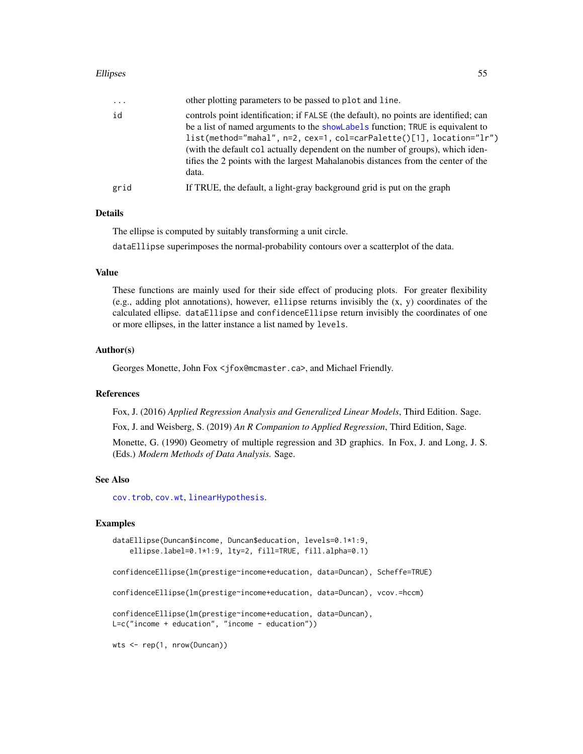### Ellipses 55

| $\cdots$ | other plotting parameters to be passed to plot and line.                                                                                                                                                                                                                                                                                                                                                                         |
|----------|----------------------------------------------------------------------------------------------------------------------------------------------------------------------------------------------------------------------------------------------------------------------------------------------------------------------------------------------------------------------------------------------------------------------------------|
| id       | controls point identification; if FALSE (the default), no points are identified; can<br>be a list of named arguments to the showlabels function; TRUE is equivalent to<br>$list(method="mahal", n=2, cex=1, col=carPalette()[1], location="lr")$<br>(with the default col actually dependent on the number of groups), which iden-<br>tifies the 2 points with the largest Mahalanobis distances from the center of the<br>data. |
| grid     | If TRUE, the default, a light-gray background grid is put on the graph                                                                                                                                                                                                                                                                                                                                                           |
|          |                                                                                                                                                                                                                                                                                                                                                                                                                                  |

# Details

The ellipse is computed by suitably transforming a unit circle.

dataEllipse superimposes the normal-probability contours over a scatterplot of the data.

# Value

These functions are mainly used for their side effect of producing plots. For greater flexibility (e.g., adding plot annotations), however, ellipse returns invisibly the (x, y) coordinates of the calculated ellipse. dataEllipse and confidenceEllipse return invisibly the coordinates of one or more ellipses, in the latter instance a list named by levels.

# Author(s)

Georges Monette, John Fox <jfox@mcmaster.ca>, and Michael Friendly.

## References

Fox, J. (2016) *Applied Regression Analysis and Generalized Linear Models*, Third Edition. Sage.

Fox, J. and Weisberg, S. (2019) *An R Companion to Applied Regression*, Third Edition, Sage.

Monette, G. (1990) Geometry of multiple regression and 3D graphics. In Fox, J. and Long, J. S. (Eds.) *Modern Methods of Data Analysis.* Sage.

#### See Also

[cov.trob](#page-0-0), [cov.wt](#page-0-0), [linearHypothesis](#page-74-0).

# Examples

```
dataEllipse(Duncan$income, Duncan$education, levels=0.1*1:9,
    ellipse.label=0.1*1:9, lty=2, fill=TRUE, fill.alpha=0.1)
confidenceEllipse(lm(prestige~income+education, data=Duncan), Scheffe=TRUE)
confidenceEllipse(lm(prestige~income+education, data=Duncan), vcov.=hccm)
confidenceEllipse(lm(prestige~income+education, data=Duncan),
L=c("income + education", "income - education"))
wts <- rep(1, nrow(Duncan))
```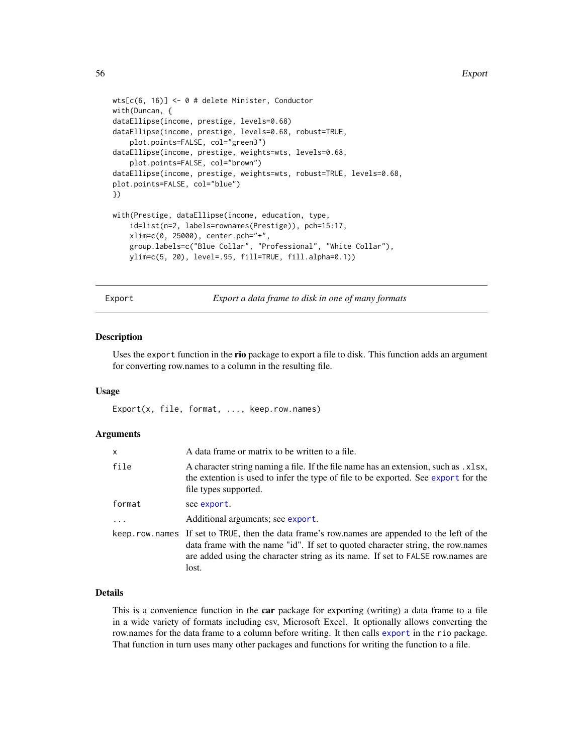```
wts[c(6, 16)] <- 0 # delete Minister, Conductor
with(Duncan, {
dataEllipse(income, prestige, levels=0.68)
dataEllipse(income, prestige, levels=0.68, robust=TRUE,
    plot.points=FALSE, col="green3")
dataEllipse(income, prestige, weights=wts, levels=0.68,
    plot.points=FALSE, col="brown")
dataEllipse(income, prestige, weights=wts, robust=TRUE, levels=0.68,
plot.points=FALSE, col="blue")
})
with(Prestige, dataEllipse(income, education, type,
    id=list(n=2, labels=rownames(Prestige)), pch=15:17,
    xlim=c(0, 25000), center.pch="+",
    group.labels=c("Blue Collar", "Professional", "White Collar"),
    ylim=c(5, 20), level=.95, fill=TRUE, fill.alpha=0.1))
```
<span id="page-55-0"></span>Export *Export a data frame to disk in one of many formats*

#### **Description**

Uses the export function in the rio package to export a file to disk. This function adds an argument for converting row.names to a column in the resulting file.

### Usage

Export(x, file, format, ..., keep.row.names)

### Arguments

| x        | A data frame or matrix to be written to a file.                                                                                                                                                                                                                                |
|----------|--------------------------------------------------------------------------------------------------------------------------------------------------------------------------------------------------------------------------------------------------------------------------------|
| file     | A character string naming a file. If the file name has an extension, such as . x1sx,<br>the extention is used to infer the type of file to be exported. See export for the<br>file types supported.                                                                            |
| format   | see export.                                                                                                                                                                                                                                                                    |
| $\ddots$ | Additional arguments; see export.                                                                                                                                                                                                                                              |
|          | keep. row names If set to TRUE, then the data frame's row names are appended to the left of the<br>data frame with the name "id". If set to quoted character string, the row.names<br>are added using the character string as its name. If set to FALSE row.names are<br>lost. |

# Details

This is a convenience function in the **car** package for exporting (writing) a data frame to a file in a wide variety of formats including csv, Microsoft Excel. It optionally allows converting the row.names for the data frame to a column before writing. It then calls [export](#page-0-0) in the rio package. That function in turn uses many other packages and functions for writing the function to a file.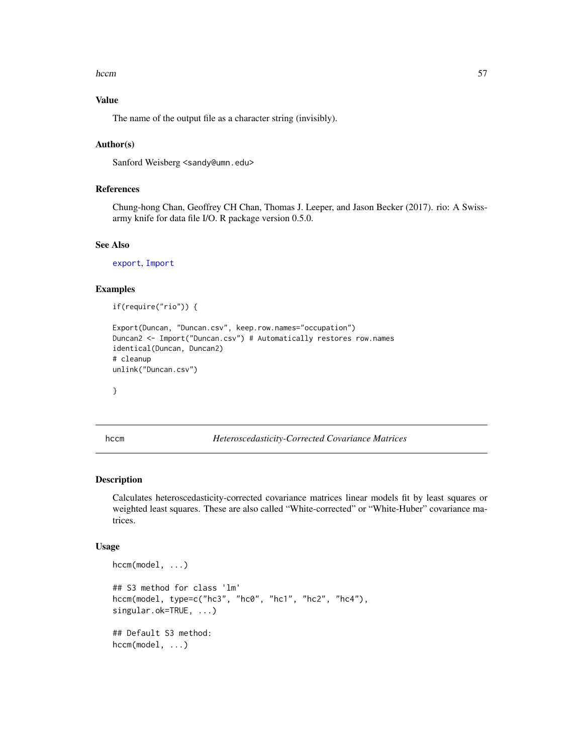#### hccm 57

# Value

The name of the output file as a character string (invisibly).

# Author(s)

Sanford Weisberg <sandy@umn.edu>

# References

Chung-hong Chan, Geoffrey CH Chan, Thomas J. Leeper, and Jason Becker (2017). rio: A Swissarmy knife for data file I/O. R package version 0.5.0.

# See Also

[export](#page-0-0), [Import](#page-61-0)

# Examples

if(require("rio")) {

```
Export(Duncan, "Duncan.csv", keep.row.names="occupation")
Duncan2 <- Import("Duncan.csv") # Automatically restores row.names
identical(Duncan, Duncan2)
# cleanup
unlink("Duncan.csv")
```
}

<span id="page-56-0"></span>

hccm *Heteroscedasticity-Corrected Covariance Matrices*

# Description

Calculates heteroscedasticity-corrected covariance matrices linear models fit by least squares or weighted least squares. These are also called "White-corrected" or "White-Huber" covariance matrices.

```
hccm(model, ...)
## S3 method for class 'lm'
hccm(model, type=c("hc3", "hc0", "hc1", "hc2", "hc4"),
singular.ok=TRUE, ...)
## Default S3 method:
hccm(model, ...)
```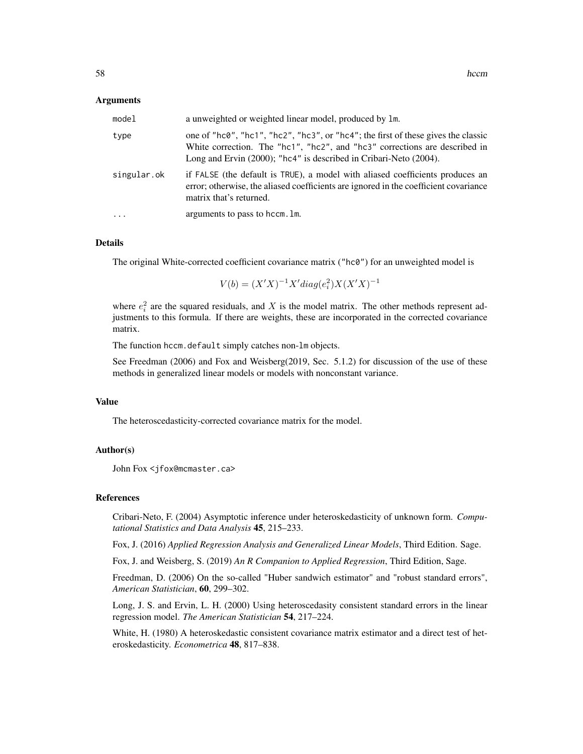#### Arguments

| model       | a unweighted or weighted linear model, produced by 1m.                                                                                                                                                                               |
|-------------|--------------------------------------------------------------------------------------------------------------------------------------------------------------------------------------------------------------------------------------|
| type        | one of "hc0", "hc1", "hc2", "hc3", or "hc4"; the first of these gives the classic<br>White correction. The "hc1", "hc2", and "hc3" corrections are described in<br>Long and Ervin (2000); "hc4" is described in Cribari-Neto (2004). |
| singular.ok | if FALSE (the default is TRUE), a model with aliased coefficients produces an<br>error; otherwise, the aliased coefficients are ignored in the coefficient covariance<br>matrix that's returned.                                     |
| $\cdot$     | arguments to pass to hccm. Im.                                                                                                                                                                                                       |

#### Details

The original White-corrected coefficient covariance matrix ("hc0") for an unweighted model is

 $V(b) = (X'X)^{-1}X'diag(e_i^2)X(X'X)^{-1}$ 

where  $e_i^2$  are the squared residuals, and X is the model matrix. The other methods represent adjustments to this formula. If there are weights, these are incorporated in the corrected covariance matrix.

The function hccm.default simply catches non-lm objects.

See Freedman (2006) and Fox and Weisberg(2019, Sec. 5.1.2) for discussion of the use of these methods in generalized linear models or models with nonconstant variance.

#### Value

The heteroscedasticity-corrected covariance matrix for the model.

### Author(s)

John Fox <jfox@mcmaster.ca>

#### References

Cribari-Neto, F. (2004) Asymptotic inference under heteroskedasticity of unknown form. *Computational Statistics and Data Analysis* 45, 215–233.

Fox, J. (2016) *Applied Regression Analysis and Generalized Linear Models*, Third Edition. Sage.

Fox, J. and Weisberg, S. (2019) *An R Companion to Applied Regression*, Third Edition, Sage.

Freedman, D. (2006) On the so-called "Huber sandwich estimator" and "robust standard errors", *American Statistician*, 60, 299–302.

Long, J. S. and Ervin, L. H. (2000) Using heteroscedasity consistent standard errors in the linear regression model. *The American Statistician* 54, 217–224.

White, H. (1980) A heteroskedastic consistent covariance matrix estimator and a direct test of heteroskedasticity. *Econometrica* 48, 817–838.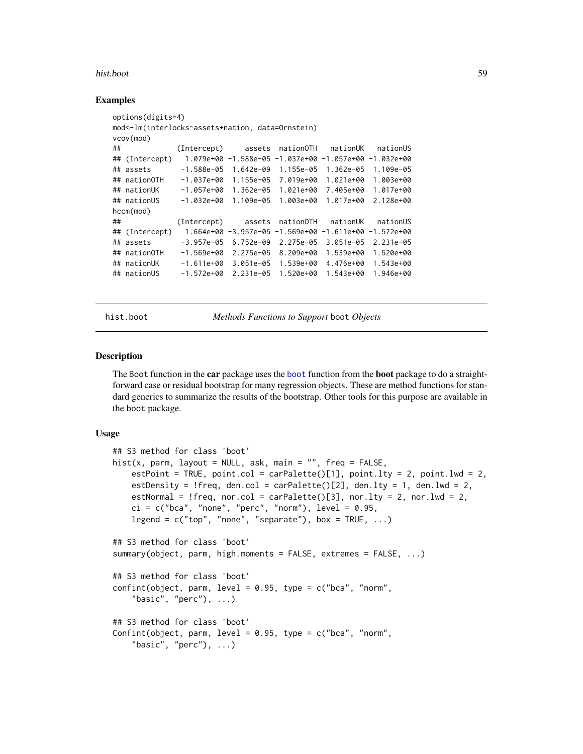#### hist.boot 59

### Examples

```
options(digits=4)
mod<-lm(interlocks~assets+nation, data=Ornstein)
vcov(mod)
## (Intercept) assets nationOTH nationUK nationUS
## (Intercept) 1.079e+00 -1.588e-05 -1.037e+00 -1.057e+00 -1.032e+00
## assets -1.588e-05 1.642e-09 1.155e-05 1.362e-05 1.109e-05
## nationOTH -1.037e+00 1.155e-05 7.019e+00 1.021e+00 1.003e+00
## nationUK -1.057e+00 1.362e-05 1.021e+00 7.405e+00 1.017e+00
## nationUS -1.032e+00 1.109e-05 1.003e+00 1.017e+00 2.128e+00
hccm(mod)
## (Intercept) assets nationOTH nationUK nationUS
## (Intercept) 1.664e+00 -3.957e-05 -1.569e+00 -1.611e+00 -1.572e+00
## assets -3.957e-05 6.752e-09 2.275e-05 3.051e-05 2.231e-05
## nationOTH -1.569e+00 2.275e-05 8.209e+00 1.539e+00 1.520e+00
## nationUK -1.611e+00 3.051e-05 1.539e+00 4.476e+00 1.543e+00
## nationUS -1.572e+00 2.231e-05 1.520e+00 1.543e+00 1.946e+00
```
hist.boot *Methods Functions to Support* boot *Objects*

### Description

The Boot function in the **car** package uses the [boot](#page-0-0) function from the **boot** package to do a straightforward case or residual bootstrap for many regression objects. These are method functions for standard generics to summarize the results of the bootstrap. Other tools for this purpose are available in the boot package.

```
## S3 method for class 'boot'
hist(x, parm, layout = NULL, ask, main = "", freq = FALSE,
   estPoint = TRUE, point.col = carPalette()[1], point.lty = 2, point.lwd = 2,
   estDensity = !freq, den.col = carPalette()[2], den.lty = 1, den.lwd = 2,
   estNormal = !freq, nor.col = carPalette([3], nor.lty = 2, nor.lwd = 2,
   ci = c("bca", "none", "perc", "norm"), level = 0.95,legend = c("top", "none", "separate"), box = TRUE, ...)## S3 method for class 'boot'
summary(object, parm, high.moments = FALSE, extremes = FALSE, ...)
## S3 method for class 'boot'
confint(object, parm, level = 0.95, type = c("bca", "norm","basic", "perc"), \ldots)
## S3 method for class 'boot'
Confint(object, parm, level = 0.95, type = c("bca", "norm","basic", "perc"), \ldots)
```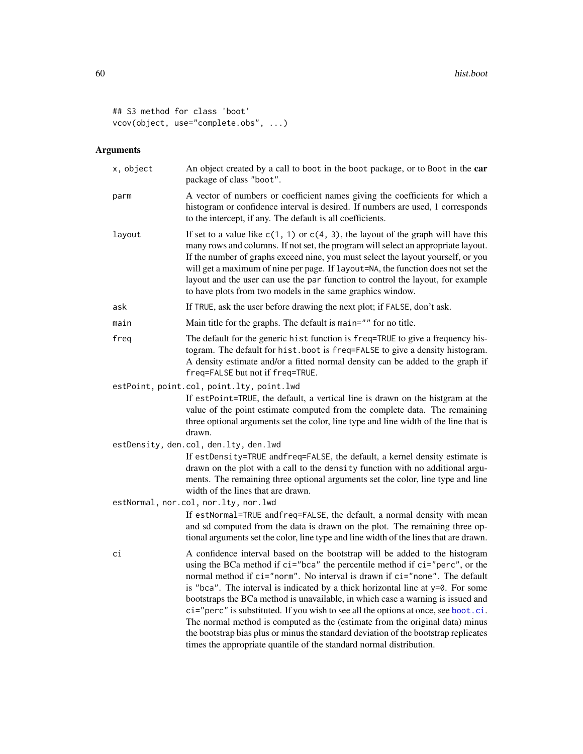```
## S3 method for class 'boot'
vcov(object, use="complete.obs", ...)
```

| x, object | An object created by a call to boot in the boot package, or to Boot in the car<br>package of class "boot".                                                                                                                                                                                                                                                                                                                                                                                                                                                                                                                                                                                                                                         |
|-----------|----------------------------------------------------------------------------------------------------------------------------------------------------------------------------------------------------------------------------------------------------------------------------------------------------------------------------------------------------------------------------------------------------------------------------------------------------------------------------------------------------------------------------------------------------------------------------------------------------------------------------------------------------------------------------------------------------------------------------------------------------|
| parm      | A vector of numbers or coefficient names giving the coefficients for which a<br>histogram or confidence interval is desired. If numbers are used, 1 corresponds<br>to the intercept, if any. The default is all coefficients.                                                                                                                                                                                                                                                                                                                                                                                                                                                                                                                      |
| layout    | If set to a value like $c(1, 1)$ or $c(4, 3)$ , the layout of the graph will have this<br>many rows and columns. If not set, the program will select an appropriate layout.<br>If the number of graphs exceed nine, you must select the layout yourself, or you<br>will get a maximum of nine per page. If layout=NA, the function does not set the<br>layout and the user can use the par function to control the layout, for example<br>to have plots from two models in the same graphics window.                                                                                                                                                                                                                                               |
| ask       | If TRUE, ask the user before drawing the next plot; if FALSE, don't ask.                                                                                                                                                                                                                                                                                                                                                                                                                                                                                                                                                                                                                                                                           |
| main      | Main title for the graphs. The default is main="" for no title.                                                                                                                                                                                                                                                                                                                                                                                                                                                                                                                                                                                                                                                                                    |
| freq      | The default for the generic hist function is freq=TRUE to give a frequency his-<br>togram. The default for hist.boot is freq=FALSE to give a density histogram.<br>A density estimate and/or a fitted normal density can be added to the graph if<br>freq=FALSE but not if freq=TRUE.                                                                                                                                                                                                                                                                                                                                                                                                                                                              |
|           | estPoint, point.col, point.lty, point.lwd                                                                                                                                                                                                                                                                                                                                                                                                                                                                                                                                                                                                                                                                                                          |
|           | If estPoint=TRUE, the default, a vertical line is drawn on the histgram at the<br>value of the point estimate computed from the complete data. The remaining<br>three optional arguments set the color, line type and line width of the line that is<br>drawn.                                                                                                                                                                                                                                                                                                                                                                                                                                                                                     |
|           | estDensity, den.col, den.lty, den.lwd                                                                                                                                                                                                                                                                                                                                                                                                                                                                                                                                                                                                                                                                                                              |
|           | If estDensity=TRUE andfreq=FALSE, the default, a kernel density estimate is<br>drawn on the plot with a call to the density function with no additional argu-<br>ments. The remaining three optional arguments set the color, line type and line<br>width of the lines that are drawn.                                                                                                                                                                                                                                                                                                                                                                                                                                                             |
|           | estNormal, nor.col, nor.lty, nor.lwd                                                                                                                                                                                                                                                                                                                                                                                                                                                                                                                                                                                                                                                                                                               |
|           | If estNormal=TRUE andfreq=FALSE, the default, a normal density with mean<br>and sd computed from the data is drawn on the plot. The remaining three op-<br>tional arguments set the color, line type and line width of the lines that are drawn.                                                                                                                                                                                                                                                                                                                                                                                                                                                                                                   |
| сi        | A confidence interval based on the bootstrap will be added to the histogram<br>using the BCa method if ci="bca" the percentile method if ci="perc", or the<br>normal method if ci="norm". No interval is drawn if ci="none". The default<br>is "bca". The interval is indicated by a thick horizontal line at y=0. For some<br>bootstraps the BCa method is unavailable, in which case a warning is issued and<br>ci="perc" is substituted. If you wish to see all the options at once, see boot.ci.<br>The normal method is computed as the (estimate from the original data) minus<br>the bootstrap bias plus or minus the standard deviation of the bootstrap replicates<br>times the appropriate quantile of the standard normal distribution. |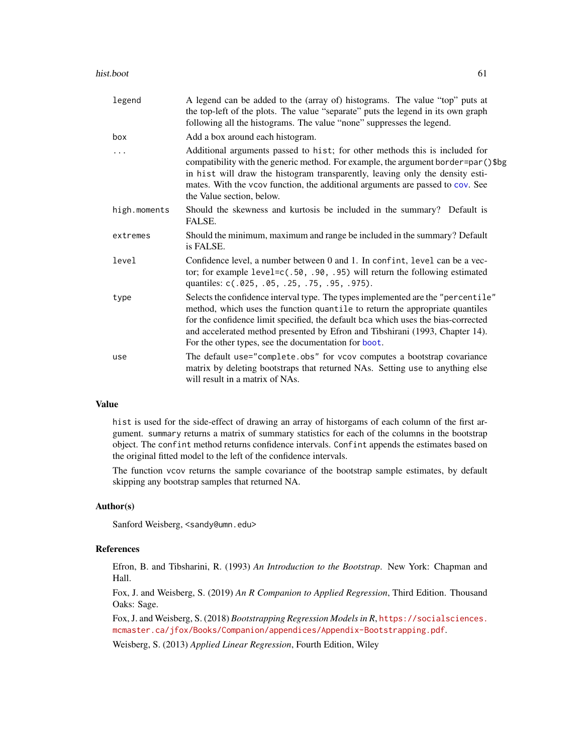| legend       | A legend can be added to the (array of) histograms. The value "top" puts at<br>the top-left of the plots. The value "separate" puts the legend in its own graph<br>following all the histograms. The value "none" suppresses the legend.                                                                                                                                                      |
|--------------|-----------------------------------------------------------------------------------------------------------------------------------------------------------------------------------------------------------------------------------------------------------------------------------------------------------------------------------------------------------------------------------------------|
| box          | Add a box around each histogram.                                                                                                                                                                                                                                                                                                                                                              |
| .            | Additional arguments passed to hist; for other methods this is included for<br>compatibility with the generic method. For example, the argument border=par()\$bg<br>in hist will draw the histogram transparently, leaving only the density esti-<br>mates. With the vcov function, the additional arguments are passed to cov. See<br>the Value section, below.                              |
| high.moments | Should the skewness and kurtosis be included in the summary? Default is<br>FALSE.                                                                                                                                                                                                                                                                                                             |
| extremes     | Should the minimum, maximum and range be included in the summary? Default<br>is FALSE.                                                                                                                                                                                                                                                                                                        |
| level        | Confidence level, a number between 0 and 1. In confint, level can be a vec-<br>tor; for example $level=c(.50, .90, .95)$ will return the following estimated<br>quantiles: c(.025, .05, .25, .75, .95, .975).                                                                                                                                                                                 |
| type         | Selects the confidence interval type. The types implemented are the "percentile"<br>method, which uses the function quantile to return the appropriate quantiles<br>for the confidence limit specified, the default bca which uses the bias-corrected<br>and accelerated method presented by Efron and Tibshirani (1993, Chapter 14).<br>For the other types, see the documentation for boot. |
| use          | The default use="complete.obs" for vcov computes a bootstrap covariance<br>matrix by deleting bootstraps that returned NAs. Setting use to anything else<br>will result in a matrix of NAs.                                                                                                                                                                                                   |

# Value

hist is used for the side-effect of drawing an array of historgams of each column of the first argument. summary returns a matrix of summary statistics for each of the columns in the bootstrap object. The confint method returns confidence intervals. Confint appends the estimates based on the original fitted model to the left of the confidence intervals.

The function vcov returns the sample covariance of the bootstrap sample estimates, by default skipping any bootstrap samples that returned NA.

# Author(s)

Sanford Weisberg, <sandy@umn.edu>

# References

Efron, B. and Tibsharini, R. (1993) *An Introduction to the Bootstrap*. New York: Chapman and Hall.

Fox, J. and Weisberg, S. (2019) *An R Companion to Applied Regression*, Third Edition. Thousand Oaks: Sage.

Fox, J. and Weisberg, S. (2018) *Bootstrapping Regression Models in R*, [https://socialsciences.](https://socialsciences.mcmaster.ca/jfox/Books/Companion/appendices/Appendix-Bootstrapping.pdf) [mcmaster.ca/jfox/Books/Companion/appendices/Appendix-Bootstrapping.pdf](https://socialsciences.mcmaster.ca/jfox/Books/Companion/appendices/Appendix-Bootstrapping.pdf).

Weisberg, S. (2013) *Applied Linear Regression*, Fourth Edition, Wiley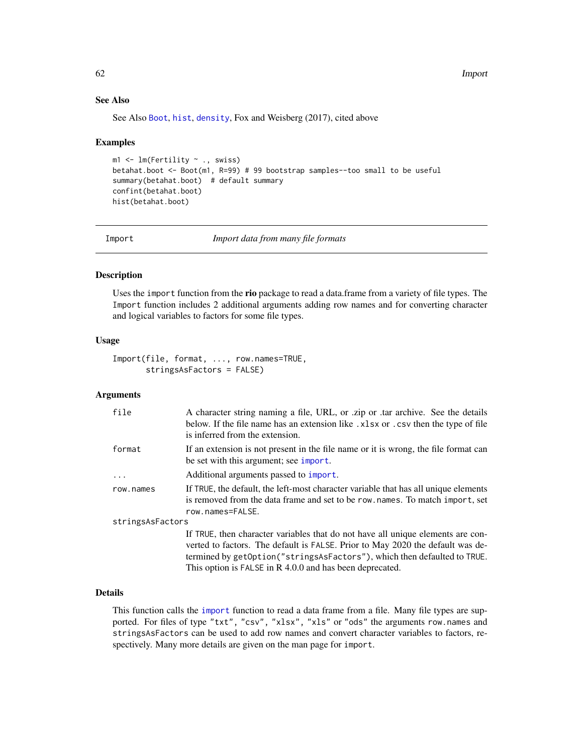# See Also

See Also [Boot](#page-15-0), [hist](#page-0-0), [density](#page-0-0), Fox and Weisberg (2017), cited above

### Examples

```
m1 \leq Im(Fertility \sim ., swiss)betahat.boot <- Boot(m1, R=99) # 99 bootstrap samples--too small to be useful
summary(betahat.boot) # default summary
confint(betahat.boot)
hist(betahat.boot)
```
<span id="page-61-0"></span>

Import *Import data from many file formats*

# Description

Uses the import function from the rio package to read a data.frame from a variety of file types. The Import function includes 2 additional arguments adding row names and for converting character and logical variables to factors for some file types.

# Usage

```
Import(file, format, ..., row.names=TRUE,
       stringsAsFactors = FALSE)
```
## Arguments

| file             | A character string naming a file, URL, or .zip or .tar archive. See the details<br>below. If the file name has an extension like .xlsx or .csv then the type of file<br>is inferred from the extension.                                                                                                   |
|------------------|-----------------------------------------------------------------------------------------------------------------------------------------------------------------------------------------------------------------------------------------------------------------------------------------------------------|
| format           | If an extension is not present in the file name or it is wrong, the file format can<br>be set with this argument; see import.                                                                                                                                                                             |
| $\ddots$         | Additional arguments passed to import.                                                                                                                                                                                                                                                                    |
| row.names        | If TRUE, the default, the left-most character variable that has all unique elements<br>is removed from the data frame and set to be row. names. To match import, set<br>row.names=FALSE.                                                                                                                  |
| stringsAsFactors |                                                                                                                                                                                                                                                                                                           |
|                  | If TRUE, then character variables that do not have all unique elements are con-<br>verted to factors. The default is FALSE. Prior to May 2020 the default was de-<br>termined by getOption("stringsAsFactors"), which then defaulted to TRUE.<br>This option is FALSE in R 4.0.0 and has been deprecated. |

# Details

This function calls the [import](#page-0-0) function to read a data frame from a file. Many file types are supported. For files of type "txt", "csv", "xlsx", "xls" or "ods" the arguments row.names and stringsAsFactors can be used to add row names and convert character variables to factors, respectively. Many more details are given on the man page for import.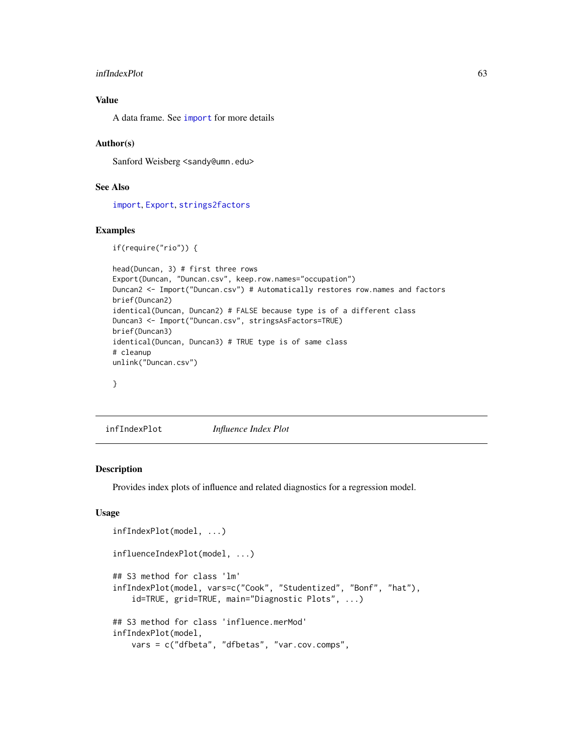#### infIndexPlot 63

# Value

A data frame. See [import](#page-0-0) for more details

# Author(s)

Sanford Weisberg <sandy@umn.edu>

# See Also

[import](#page-0-0), [Export](#page-55-0), [strings2factors](#page-135-0)

## Examples

```
if(require("rio")) {
```

```
head(Duncan, 3) # first three rows
Export(Duncan, "Duncan.csv", keep.row.names="occupation")
Duncan2 <- Import("Duncan.csv") # Automatically restores row.names and factors
brief(Duncan2)
identical(Duncan, Duncan2) # FALSE because type is of a different class
Duncan3 <- Import("Duncan.csv", stringsAsFactors=TRUE)
brief(Duncan3)
identical(Duncan, Duncan3) # TRUE type is of same class
# cleanup
unlink("Duncan.csv")
```
}

<span id="page-62-0"></span>infIndexPlot *Influence Index Plot*

# Description

Provides index plots of influence and related diagnostics for a regression model.

```
infIndexPlot(model, ...)
influenceIndexPlot(model, ...)
## S3 method for class 'lm'
infIndexPlot(model, vars=c("Cook", "Studentized", "Bonf", "hat"),
    id=TRUE, grid=TRUE, main="Diagnostic Plots", ...)
## S3 method for class 'influence.merMod'
infIndexPlot(model,
   vars = c("dfbeta", "dfbetas", "var.cov.comps",
```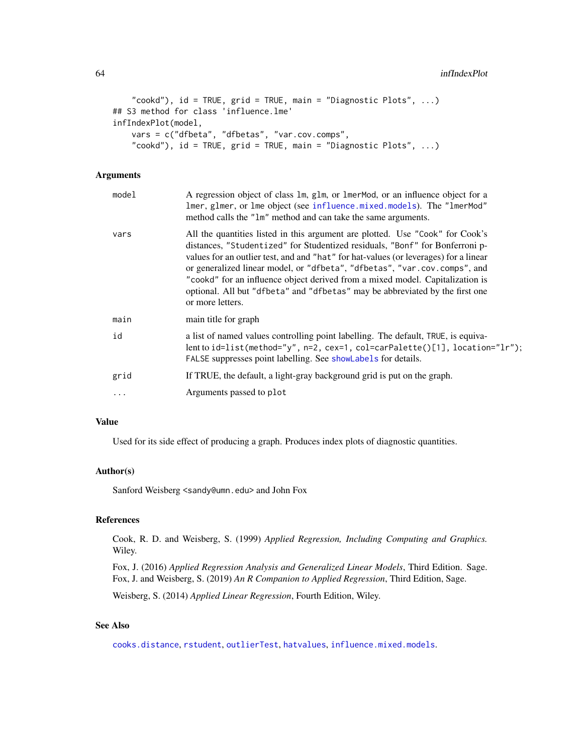#### 64 infIndexPlot

```
"cookd"), id = TRUE, grid = TRUE, main = "Diagnostic Plots", ...)
## S3 method for class 'influence.lme'
infIndexPlot(model,
    vars = c("dfbeta", "dfbetas", "var.cov.comps",
    "cookd"), id = TRUE, grid = TRUE, main = "Diagnostic Plots", \ldots)
```
# Arguments

| model    | A regression object of class 1m, g1m, or 1merMod, or an influence object for a<br>lmer, glmer, or lme object (see influence.mixed.models). The "lmerMod"<br>method calls the "1m" method and can take the same arguments.                                                                                                                                                                                                                                                                                               |
|----------|-------------------------------------------------------------------------------------------------------------------------------------------------------------------------------------------------------------------------------------------------------------------------------------------------------------------------------------------------------------------------------------------------------------------------------------------------------------------------------------------------------------------------|
| vars     | All the quantities listed in this argument are plotted. Use "Cook" for Cook's<br>distances, "Studentized" for Studentized residuals, "Bonf" for Bonferroni p-<br>values for an outlier test, and and "hat" for hat-values (or leverages) for a linear<br>or generalized linear model, or "dfbeta", "dfbetas", "var.cov.comps", and<br>"cookd" for an influence object derived from a mixed model. Capitalization is<br>optional. All but "dfbeta" and "dfbetas" may be abbreviated by the first one<br>or more letters. |
| main     | main title for graph                                                                                                                                                                                                                                                                                                                                                                                                                                                                                                    |
| id       | a list of named values controlling point labelling. The default, TRUE, is equiva-<br>lent to id=list(method="y", n=2, cex=1, col=carPalette()[1], location="lr");<br>FALSE suppresses point labelling. See showLabels for details.                                                                                                                                                                                                                                                                                      |
| grid     | If TRUE, the default, a light-gray background grid is put on the graph.                                                                                                                                                                                                                                                                                                                                                                                                                                                 |
| $\ddots$ | Arguments passed to plot                                                                                                                                                                                                                                                                                                                                                                                                                                                                                                |
|          |                                                                                                                                                                                                                                                                                                                                                                                                                                                                                                                         |

### Value

Used for its side effect of producing a graph. Produces index plots of diagnostic quantities.

# Author(s)

Sanford Weisberg <sandy@umn.edu> and John Fox

### References

Cook, R. D. and Weisberg, S. (1999) *Applied Regression, Including Computing and Graphics.* Wiley.

Fox, J. (2016) *Applied Regression Analysis and Generalized Linear Models*, Third Edition. Sage. Fox, J. and Weisberg, S. (2019) *An R Companion to Applied Regression*, Third Edition, Sage.

Weisberg, S. (2014) *Applied Linear Regression*, Fourth Edition, Wiley.

# See Also

[cooks.distance](#page-0-0), [rstudent](#page-0-0), [outlierTest](#page-89-0), [hatvalues](#page-0-0), [influence.mixed.models](#page-64-0).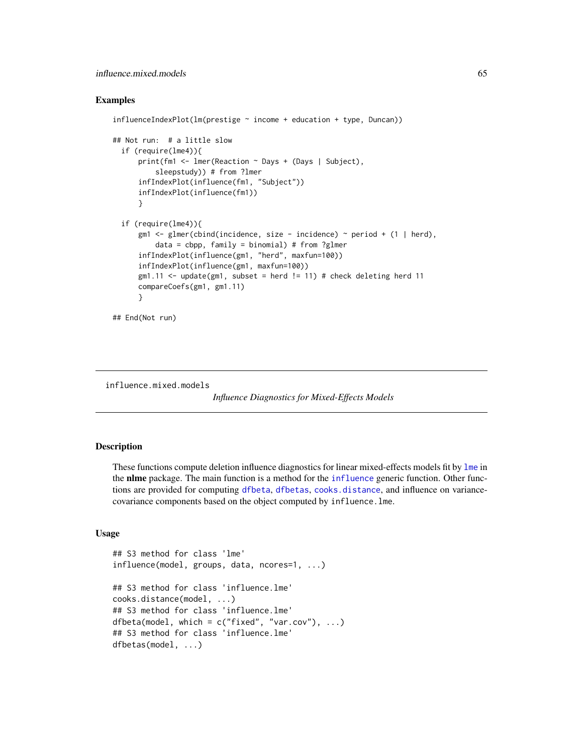## Examples

```
influenceIndexPlot(In(prestige ~ income + education + type, Duncan))## Not run: # a little slow
 if (require(lme4)){
     print(fm1 <- lmer(Reaction ~ Days + (Days | Subject),
          sleepstudy)) # from ?lmer
     infIndexPlot(influence(fm1, "Subject"))
     infIndexPlot(influence(fm1))
     }
 if (require(lme4)){
     gm1 <- glmer(cbind(incidence, size - incidence) ~ period + (1 | herd),
          data = cbpp, family = binomial) # from ?glmer
      infIndexPlot(influence(gm1, "herd", maxfun=100))
      infIndexPlot(influence(gm1, maxfun=100))
      gm1.11 <- update(gm1, subset = herd != 11) # check deleting herd 11
      compareCoefs(gm1, gm1.11)
      }
## End(Not run)
```
<span id="page-64-0"></span>influence.mixed.models

```
Influence Diagnostics for Mixed-Effects Models
```
### **Description**

These functions compute deletion influence diagnostics for linear mixed-effects models fit by [lme](#page-0-0) in the nlme package. The main function is a method for the [influence](#page-0-0) generic function. Other functions are provided for computing [dfbeta](#page-0-0), [dfbetas](#page-0-0), [cooks.distance](#page-0-0), and influence on variancecovariance components based on the object computed by influence.lme.

```
## S3 method for class 'lme'
influence(model, groups, data, ncores=1, ...)
## S3 method for class 'influence.lme'
cooks.distance(model, ...)
## S3 method for class 'influence.lme'
dfbeta(model, which = c("fixed", "var.cov"), ...)
## S3 method for class 'influence.lme'
dfbetas(model, ...)
```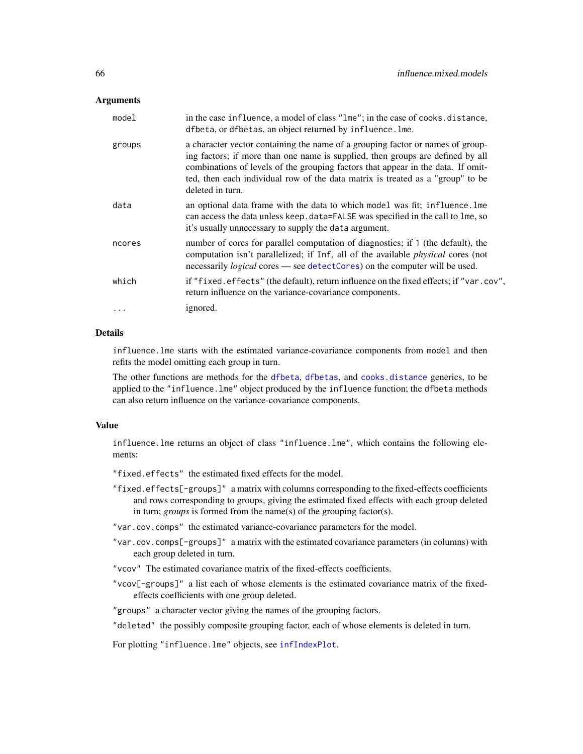# **Arguments**

| model  | in the case influence, a model of class "lme"; in the case of cooks.distance,<br>dfbeta, or dfbetas, an object returned by influence. Ime.                                                                                                                                                                                                                 |
|--------|------------------------------------------------------------------------------------------------------------------------------------------------------------------------------------------------------------------------------------------------------------------------------------------------------------------------------------------------------------|
| groups | a character vector containing the name of a grouping factor or names of group-<br>ing factors; if more than one name is supplied, then groups are defined by all<br>combinations of levels of the grouping factors that appear in the data. If omit-<br>ted, then each individual row of the data matrix is treated as a "group" to be<br>deleted in turn. |
| data   | an optional data frame with the data to which model was fit; influence. lme<br>can access the data unless keep. data=FALSE was specified in the call to lme, so<br>it's usually unnecessary to supply the data argument.                                                                                                                                   |
| ncores | number of cores for parallel computation of diagnostics; if 1 (the default), the<br>computation isn't parallelized; if Inf, all of the available <i>physical</i> cores (not<br>necessarily <i>logical</i> cores — see detectCores) on the computer will be used.                                                                                           |
| which  | if "fixed.effects" (the default), return influence on the fixed effects; if "var.cov",<br>return influence on the variance-covariance components.                                                                                                                                                                                                          |
| .      | ignored.                                                                                                                                                                                                                                                                                                                                                   |

# Details

influence.lme starts with the estimated variance-covariance components from model and then refits the model omitting each group in turn.

The other functions are methods for the [dfbeta](#page-0-0), [dfbetas](#page-0-0), and [cooks.distance](#page-0-0) generics, to be applied to the "influence.lme" object produced by the influence function; the dfbeta methods can also return influence on the variance-covariance components.

# Value

influence.lme returns an object of class "influence.lme", which contains the following elements:

"fixed.effects" the estimated fixed effects for the model.

"fixed.effects[-groups]" a matrix with columns corresponding to the fixed-effects coefficients and rows corresponding to groups, giving the estimated fixed effects with each group deleted in turn; *groups* is formed from the name(s) of the grouping factor(s).

"var.cov.comps" the estimated variance-covariance parameters for the model.

- "var.cov.comps[-groups]" a matrix with the estimated covariance parameters (in columns) with each group deleted in turn.
- "vcov" The estimated covariance matrix of the fixed-effects coefficients.
- "vcov[-groups]" a list each of whose elements is the estimated covariance matrix of the fixedeffects coefficients with one group deleted.
- "groups" a character vector giving the names of the grouping factors.
- "deleted" the possibly composite grouping factor, each of whose elements is deleted in turn.

For plotting "influence.lme" objects, see [infIndexPlot](#page-62-0).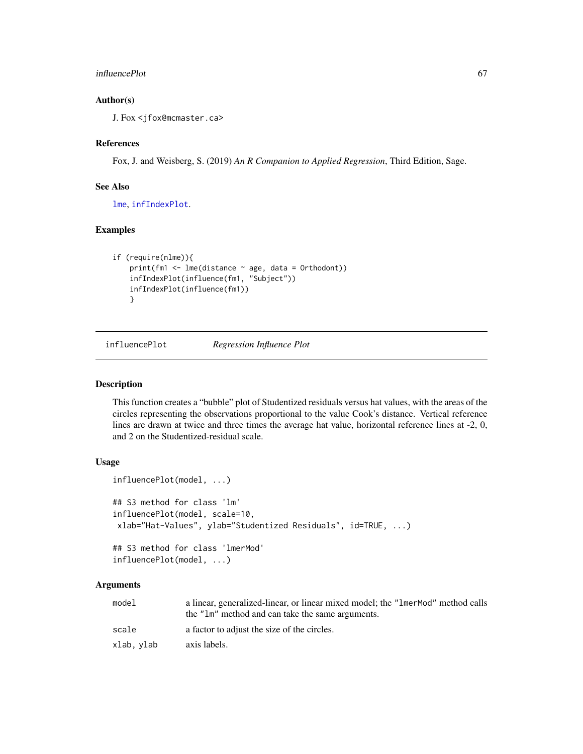#### influencePlot 67

# Author(s)

J. Fox <jfox@mcmaster.ca>

### References

Fox, J. and Weisberg, S. (2019) *An R Companion to Applied Regression*, Third Edition, Sage.

### See Also

[lme](#page-0-0), [infIndexPlot](#page-62-0).

# Examples

```
if (require(nlme)){
    print(fm1 \leftarrow \text{Im}(distance \sim age, data = Orthodont))infIndexPlot(influence(fm1, "Subject"))
    infIndexPlot(influence(fm1))
    }
```
influencePlot *Regression Influence Plot*

#### Description

This function creates a "bubble" plot of Studentized residuals versus hat values, with the areas of the circles representing the observations proportional to the value Cook's distance. Vertical reference lines are drawn at twice and three times the average hat value, horizontal reference lines at -2, 0, and 2 on the Studentized-residual scale.

### Usage

```
influencePlot(model, ...)
## S3 method for class 'lm'
influencePlot(model, scale=10,
xlab="Hat-Values", ylab="Studentized Residuals", id=TRUE, ...)
## S3 method for class 'lmerMod'
```
influencePlot(model, ...)

| model     | a linear, generalized-linear, or linear mixed model; the "1 mer Mod" method calls |
|-----------|-----------------------------------------------------------------------------------|
|           | the "lm" method and can take the same arguments.                                  |
| scale     | a factor to adjust the size of the circles.                                       |
| xlab.vlab | axis labels.                                                                      |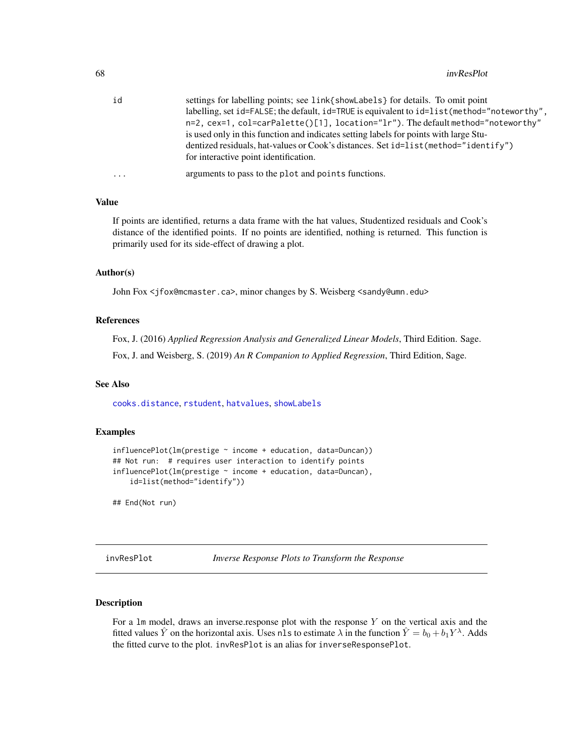| id        | settings for labelling points; see link{showLabels} for details. To omit point               |
|-----------|----------------------------------------------------------------------------------------------|
|           | labelling, set id=FALSE; the default, id=TRUE is equivalent to id=list (method="noteworthy", |
|           | n=2, cex=1, col=carPalette()[1], location="lr"). The default method="noteworthy"             |
|           | is used only in this function and indicates setting labels for points with large Stu-        |
|           | dentized residuals, hat-values or Cook's distances. Set id=list (method="identify")          |
|           | for interactive point identification.                                                        |
| $\ddotsc$ | arguments to pass to the plot and points functions.                                          |
|           |                                                                                              |

# Value

If points are identified, returns a data frame with the hat values, Studentized residuals and Cook's distance of the identified points. If no points are identified, nothing is returned. This function is primarily used for its side-effect of drawing a plot.

# Author(s)

John Fox <jfox@mcmaster.ca>, minor changes by S. Weisberg <sandy@umn.edu>

# References

Fox, J. (2016) *Applied Regression Analysis and Generalized Linear Models*, Third Edition. Sage.

Fox, J. and Weisberg, S. (2019) *An R Companion to Applied Regression*, Third Edition, Sage.

#### See Also

[cooks.distance](#page-0-0), [rstudent](#page-0-0), [hatvalues](#page-0-0), [showLabels](#page-128-0)

# Examples

```
influencePlot(lm(prestige ~ income + education, data=Duncan))
## Not run: # requires user interaction to identify points
influencePlot(lm(prestige ~ income + education, data=Duncan),
    id=list(method="identify"))
```
## End(Not run)

invResPlot *Inverse Response Plots to Transform the Response*

#### <span id="page-67-0"></span>Description

For a  $lm$  model, draws an inverse.response plot with the response  $Y$  on the vertical axis and the fitted values  $\hat{Y}$  on the horizontal axis. Uses nls to estimate  $\lambda$  in the function  $\hat{Y} = b_0 + b_1 Y^{\lambda}$ . Adds the fitted curve to the plot. invResPlot is an alias for inverseResponsePlot.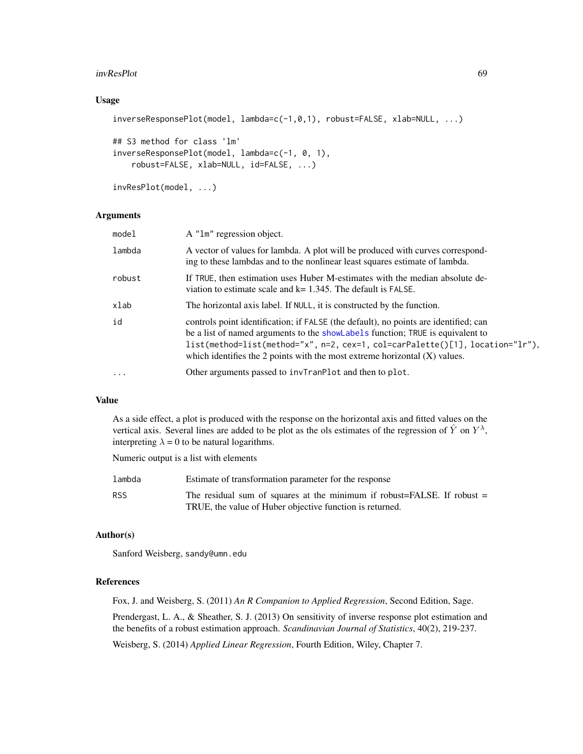#### invResPlot 69

# Usage

```
inverseResponsePlot(model, lambda=c(-1,0,1), robust=FALSE, xlab=NULL, ...)
## S3 method for class 'lm'
inverseResponsePlot(model, lambda=c(-1, 0, 1),
   robust=FALSE, xlab=NULL, id=FALSE, ...)
```
invResPlot(model, ...)

# Arguments

| model    | A "1m" regression object.                                                                                                                                                                                                                                                                                                               |
|----------|-----------------------------------------------------------------------------------------------------------------------------------------------------------------------------------------------------------------------------------------------------------------------------------------------------------------------------------------|
| lambda   | A vector of values for lambda. A plot will be produced with curves correspond-<br>ing to these lambdas and to the nonlinear least squares estimate of lambda.                                                                                                                                                                           |
| robust   | If TRUE, then estimation uses Huber M-estimates with the median absolute de-<br>viation to estimate scale and $k = 1.345$ . The default is FALSE.                                                                                                                                                                                       |
| xlab     | The horizontal axis label. If NULL, it is constructed by the function.                                                                                                                                                                                                                                                                  |
| id       | controls point identification; if FALSE (the default), no points are identified; can<br>be a list of named arguments to the showLabels function; TRUE is equivalent to<br>list(method=list(method="x", n=2, cex=1, col=carPalette()[1], location="lr"),<br>which identifies the 2 points with the most extreme horizontal $(X)$ values. |
| $\ddots$ | Other arguments passed to invTranPlot and then to plot.                                                                                                                                                                                                                                                                                 |

# Value

As a side effect, a plot is produced with the response on the horizontal axis and fitted values on the vertical axis. Several lines are added to be plot as the ols estimates of the regression of  $\hat{Y}$  on  $Y^{\lambda}$ , interpreting  $\lambda = 0$  to be natural logarithms.

Numeric output is a list with elements

| lambda | Estimate of transformation parameter for the response                                                                                 |
|--------|---------------------------------------------------------------------------------------------------------------------------------------|
| RSS    | The residual sum of squares at the minimum if robust=FALSE. If robust $=$<br>TRUE, the value of Huber objective function is returned. |

## Author(s)

Sanford Weisberg, sandy@umn.edu

# References

Fox, J. and Weisberg, S. (2011) *An R Companion to Applied Regression*, Second Edition, Sage.

Prendergast, L. A., & Sheather, S. J. (2013) On sensitivity of inverse response plot estimation and the benefits of a robust estimation approach. *Scandinavian Journal of Statistics*, 40(2), 219-237.

Weisberg, S. (2014) *Applied Linear Regression*, Fourth Edition, Wiley, Chapter 7.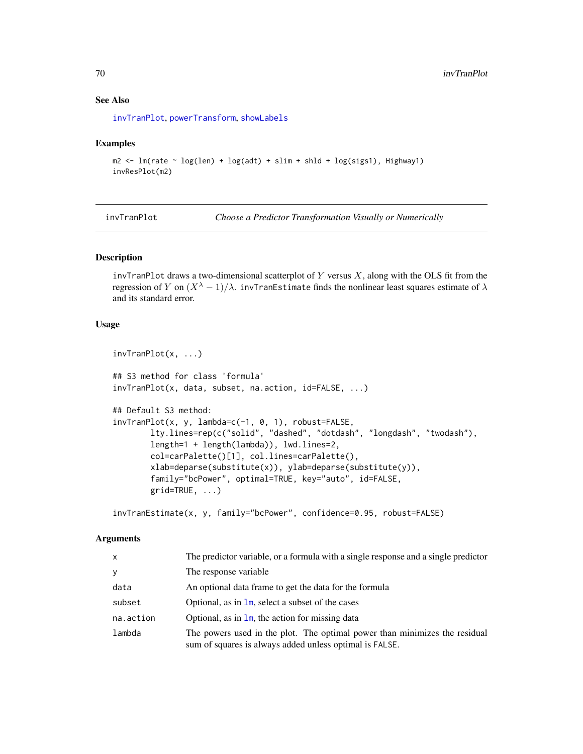# See Also

[invTranPlot](#page-69-0), [powerTransform](#page-93-0), [showLabels](#page-128-0)

# Examples

```
m2 < - \ln(\text{rate} \sim \log(\text{len}) + \log(\text{adt}) + \text{slim} + \text{shld} + \log(\text{sigsl})), Highway1)
invResPlot(m2)
```
<span id="page-69-0"></span>invTranPlot *Choose a Predictor Transformation Visually or Numerically*

# Description

invTranPlot draws a two-dimensional scatterplot of Y versus  $X$ , along with the OLS fit from the regression of Y on  $(X^{\lambda} - 1)/\lambda$ . invTranEstimate finds the nonlinear least squares estimate of  $\lambda$ and its standard error.

## Usage

```
invTranPlot(x, ...)
## S3 method for class 'formula'
invTranPlot(x, data, subset, na.action, id=FALSE, ...)
## Default S3 method:
invTranPlot(x, y, lambda=c(-1, 0, 1), robust=FALSE,
       lty.lines=rep(c("solid", "dashed", "dotdash", "longdash", "twodash"),
       length=1 + length(lambda)), lwd.lines=2,
       col=carPalette()[1], col.lines=carPalette(),
       xlab=deparse(substitute(x)), ylab=deparse(substitute(y)),
       family="bcPower", optimal=TRUE, key="auto", id=FALSE,
       grid=TRUE, ...)
```
invTranEstimate(x, y, family="bcPower", confidence=0.95, robust=FALSE)

| X         | The predictor variable, or a formula with a single response and a single predictor                                                    |
|-----------|---------------------------------------------------------------------------------------------------------------------------------------|
| V         | The response variable.                                                                                                                |
| data      | An optional data frame to get the data for the formula                                                                                |
| subset    | Optional, as in $\text{Im}$ , select a subset of the cases                                                                            |
| na.action | Optional, as in $\text{Im}$ , the action for missing data                                                                             |
| lambda    | The powers used in the plot. The optimal power than minimizes the residual<br>sum of squares is always added unless optimal is FALSE. |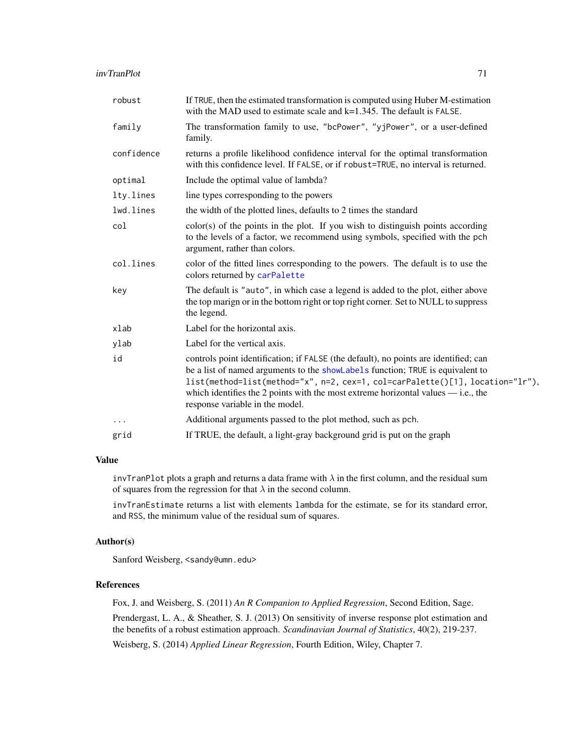| robust     | If TRUE, then the estimated transformation is computed using Huber M-estimation<br>with the MAD used to estimate scale and $k=1.345$ . The default is FALSE.                                                                                                                                                                                                                      |
|------------|-----------------------------------------------------------------------------------------------------------------------------------------------------------------------------------------------------------------------------------------------------------------------------------------------------------------------------------------------------------------------------------|
| family     | The transformation family to use, "bcPower", "yjPower", or a user-defined<br>family.                                                                                                                                                                                                                                                                                              |
| confidence | returns a profile likelihood confidence interval for the optimal transformation<br>with this confidence level. If FALSE, or if robust=TRUE, no interval is returned.                                                                                                                                                                                                              |
| optimal    | Include the optimal value of lambda?                                                                                                                                                                                                                                                                                                                                              |
| lty.lines  | line types corresponding to the powers                                                                                                                                                                                                                                                                                                                                            |
| lwd.lines  | the width of the plotted lines, defaults to 2 times the standard                                                                                                                                                                                                                                                                                                                  |
| col        | color(s) of the points in the plot. If you wish to distinguish points according<br>to the levels of a factor, we recommend using symbols, specified with the pch<br>argument, rather than colors.                                                                                                                                                                                 |
| col.lines  | color of the fitted lines corresponding to the powers. The default is to use the<br>colors returned by carPalette                                                                                                                                                                                                                                                                 |
| key        | The default is "auto", in which case a legend is added to the plot, either above<br>the top marign or in the bottom right or top right corner. Set to NULL to suppress<br>the legend.                                                                                                                                                                                             |
| xlab       | Label for the horizontal axis.                                                                                                                                                                                                                                                                                                                                                    |
| ylab       | Label for the vertical axis.                                                                                                                                                                                                                                                                                                                                                      |
| id         | controls point identification; if FALSE (the default), no points are identified; can<br>be a list of named arguments to the showLabels function; TRUE is equivalent to<br>list(method=list(method="x", n=2, cex=1, col=carPalette()[1], location="lr"),<br>which identifies the 2 points with the most extreme horizontal values $-$ i.e., the<br>response variable in the model. |
| $\cdots$   | Additional arguments passed to the plot method, such as pch.                                                                                                                                                                                                                                                                                                                      |
| grid       | If TRUE, the default, a light-gray background grid is put on the graph                                                                                                                                                                                                                                                                                                            |

# Value

invTranPlot plots a graph and returns a data frame with  $\lambda$  in the first column, and the residual sum of squares from the regression for that  $\lambda$  in the second column.

invTranEstimate returns a list with elements lambda for the estimate, se for its standard error, and RSS, the minimum value of the residual sum of squares.

### Author(s)

Sanford Weisberg, <sandy@umn.edu>

# References

Fox, J. and Weisberg, S. (2011) *An R Companion to Applied Regression*, Second Edition, Sage. Prendergast, L. A., & Sheather, S. J. (2013) On sensitivity of inverse response plot estimation and the benefits of a robust estimation approach. *Scandinavian Journal of Statistics*, 40(2), 219-237.

Weisberg, S. (2014) *Applied Linear Regression*, Fourth Edition, Wiley, Chapter 7.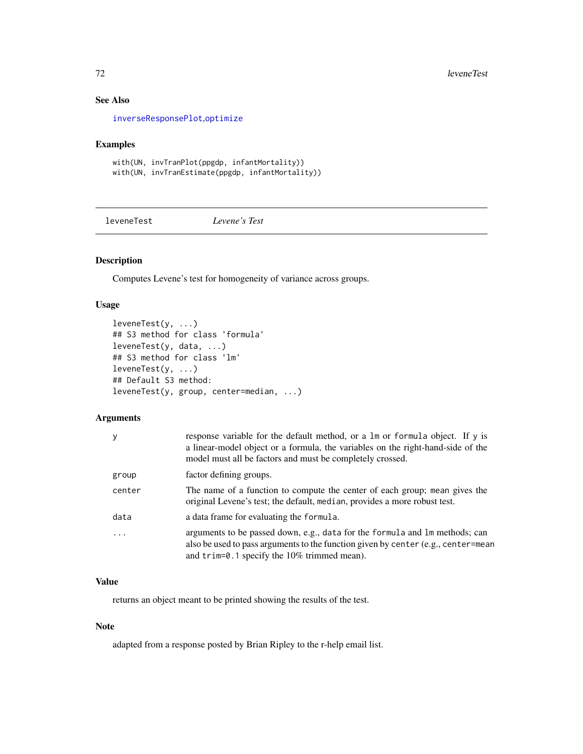# See Also

[inverseResponsePlot](#page-67-0),[optimize](#page-0-0)

# Examples

with(UN, invTranPlot(ppgdp, infantMortality)) with(UN, invTranEstimate(ppgdp, infantMortality))

leveneTest *Levene's Test*

# Description

Computes Levene's test for homogeneity of variance across groups.

# Usage

```
leveneTest(y, ...)
## S3 method for class 'formula'
leveneTest(y, data, ...)
## S3 method for class 'lm'
leveneTest(y, ...)
## Default S3 method:
leveneTest(y, group, center=median, ...)
```
# Arguments

| y        | response variable for the default method, or a 1m or formula object. If y is<br>a linear-model object or a formula, the variables on the right-hand-side of the<br>model must all be factors and must be completely crossed. |
|----------|------------------------------------------------------------------------------------------------------------------------------------------------------------------------------------------------------------------------------|
| group    | factor defining groups.                                                                                                                                                                                                      |
| center   | The name of a function to compute the center of each group; mean gives the<br>original Levene's test; the default, median, provides a more robust test.                                                                      |
| data     | a data frame for evaluating the formula.                                                                                                                                                                                     |
| $\cdots$ | arguments to be passed down, e.g., data for the formula and lm methods; can<br>also be used to pass arguments to the function given by center (e.g., center=mean<br>and trim=0.1 specify the 10% trimmed mean).              |

# Value

returns an object meant to be printed showing the results of the test.

# Note

adapted from a response posted by Brian Ripley to the r-help email list.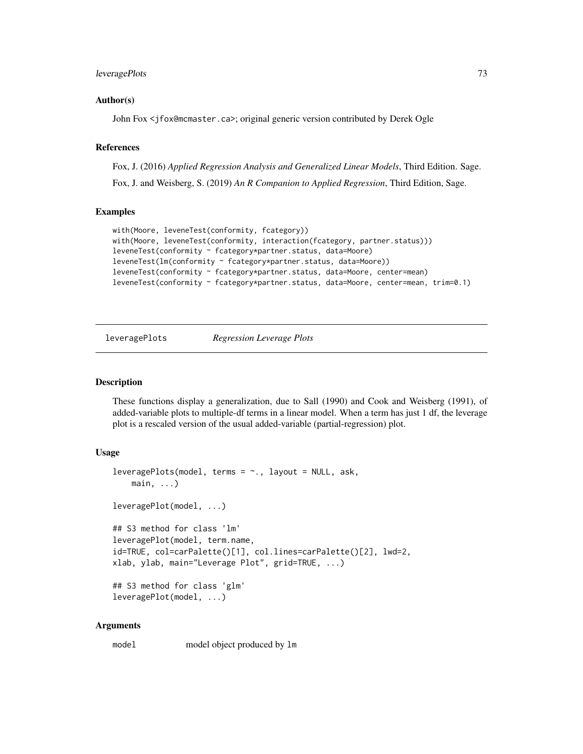## leveragePlots 73

#### Author(s)

John Fox <jfox@mcmaster.ca>; original generic version contributed by Derek Ogle

#### References

Fox, J. (2016) *Applied Regression Analysis and Generalized Linear Models*, Third Edition. Sage.

Fox, J. and Weisberg, S. (2019) *An R Companion to Applied Regression*, Third Edition, Sage.

#### Examples

```
with(Moore, leveneTest(conformity, fcategory))
with(Moore, leveneTest(conformity, interaction(fcategory, partner.status)))
leveneTest(conformity ~ fcategory*partner.status, data=Moore)
leveneTest(lm(conformity ~ fcategory*partner.status, data=Moore))
leveneTest(conformity ~ fcategory*partner.status, data=Moore, center=mean)
leveneTest(conformity ~ fcategory*partner.status, data=Moore, center=mean, trim=0.1)
```
leveragePlots *Regression Leverage Plots*

## **Description**

These functions display a generalization, due to Sall (1990) and Cook and Weisberg (1991), of added-variable plots to multiple-df terms in a linear model. When a term has just 1 df, the leverage plot is a rescaled version of the usual added-variable (partial-regression) plot.

#### Usage

```
leveragePlots(model, terms = ~., layout = NULL, ask,main, ...)
leveragePlot(model, ...)
## S3 method for class 'lm'
leveragePlot(model, term.name,
id=TRUE, col=carPalette()[1], col.lines=carPalette()[2], lwd=2,
xlab, ylab, main="Leverage Plot", grid=TRUE, ...)
## S3 method for class 'glm'
leveragePlot(model, ...)
```
#### Arguments

model model object produced by lm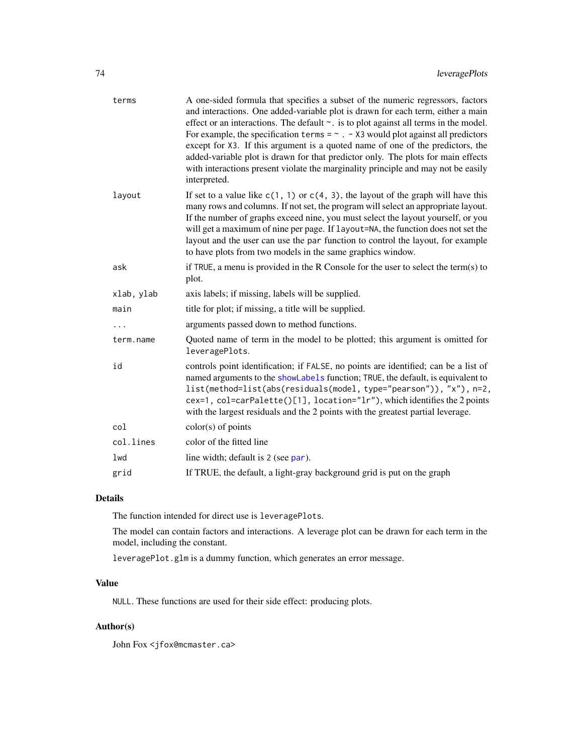| terms      | A one-sided formula that specifies a subset of the numeric regressors, factors<br>and interactions. One added-variable plot is drawn for each term, either a main<br>effect or an interactions. The default $\sim$ . is to plot against all terms in the model.<br>For example, the specification terms = $\sim$ . - X3 would plot against all predictors<br>except for X3. If this argument is a quoted name of one of the predictors, the<br>added-variable plot is drawn for that predictor only. The plots for main effects<br>with interactions present violate the marginality principle and may not be easily<br>interpreted. |
|------------|--------------------------------------------------------------------------------------------------------------------------------------------------------------------------------------------------------------------------------------------------------------------------------------------------------------------------------------------------------------------------------------------------------------------------------------------------------------------------------------------------------------------------------------------------------------------------------------------------------------------------------------|
| layout     | If set to a value like $c(1, 1)$ or $c(4, 3)$ , the layout of the graph will have this<br>many rows and columns. If not set, the program will select an appropriate layout.<br>If the number of graphs exceed nine, you must select the layout yourself, or you<br>will get a maximum of nine per page. If layout=NA, the function does not set the<br>layout and the user can use the par function to control the layout, for example<br>to have plots from two models in the same graphics window.                                                                                                                                 |
| ask        | if TRUE, a menu is provided in the R Console for the user to select the term(s) to<br>plot.                                                                                                                                                                                                                                                                                                                                                                                                                                                                                                                                          |
| xlab, ylab | axis labels; if missing, labels will be supplied.                                                                                                                                                                                                                                                                                                                                                                                                                                                                                                                                                                                    |
| main       | title for plot; if missing, a title will be supplied.                                                                                                                                                                                                                                                                                                                                                                                                                                                                                                                                                                                |
| .          | arguments passed down to method functions.                                                                                                                                                                                                                                                                                                                                                                                                                                                                                                                                                                                           |
| term.name  | Quoted name of term in the model to be plotted; this argument is omitted for<br>leveragePlots.                                                                                                                                                                                                                                                                                                                                                                                                                                                                                                                                       |
| id         | controls point identification; if FALSE, no points are identified; can be a list of<br>named arguments to the showLabels function; TRUE, the default, is equivalent to<br>list(method=list(abs(residuals(model, type="pearson")), "x"), n=2,<br>cex=1, col=carPalette()[1], location="lr"), which identifies the 2 points<br>with the largest residuals and the 2 points with the greatest partial leverage.                                                                                                                                                                                                                         |
| col        | $color(s)$ of points                                                                                                                                                                                                                                                                                                                                                                                                                                                                                                                                                                                                                 |
| col.lines  | color of the fitted line                                                                                                                                                                                                                                                                                                                                                                                                                                                                                                                                                                                                             |
| 1wd        | line width; default is 2 (see par).                                                                                                                                                                                                                                                                                                                                                                                                                                                                                                                                                                                                  |
| grid       | If TRUE, the default, a light-gray background grid is put on the graph                                                                                                                                                                                                                                                                                                                                                                                                                                                                                                                                                               |

## Details

The function intended for direct use is leveragePlots.

The model can contain factors and interactions. A leverage plot can be drawn for each term in the model, including the constant.

leveragePlot.glm is a dummy function, which generates an error message.

## Value

NULL. These functions are used for their side effect: producing plots.

## Author(s)

John Fox <jfox@mcmaster.ca>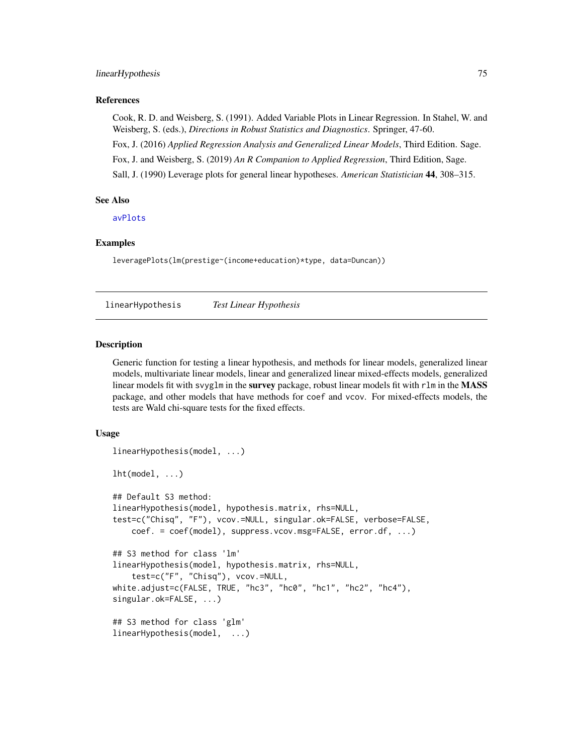#### linearHypothesis 75

#### References

Cook, R. D. and Weisberg, S. (1991). Added Variable Plots in Linear Regression. In Stahel, W. and Weisberg, S. (eds.), *Directions in Robust Statistics and Diagnostics*. Springer, 47-60.

Fox, J. (2016) *Applied Regression Analysis and Generalized Linear Models*, Third Edition. Sage.

Fox, J. and Weisberg, S. (2019) *An R Companion to Applied Regression*, Third Edition, Sage.

Sall, J. (1990) Leverage plots for general linear hypotheses. *American Statistician* 44, 308–315.

## See Also

[avPlots](#page-10-0)

#### Examples

leveragePlots(lm(prestige~(income+education)\*type, data=Duncan))

linearHypothesis *Test Linear Hypothesis*

## **Description**

Generic function for testing a linear hypothesis, and methods for linear models, generalized linear models, multivariate linear models, linear and generalized linear mixed-effects models, generalized linear models fit with svyglm in the survey package, robust linear models fit with rlm in the MASS package, and other models that have methods for coef and vcov. For mixed-effects models, the tests are Wald chi-square tests for the fixed effects.

#### Usage

```
linearHypothesis(model, ...)
lht(model, ...)## Default S3 method:
linearHypothesis(model, hypothesis.matrix, rhs=NULL,
test=c("Chisq", "F"), vcov.=NULL, singular.ok=FALSE, verbose=FALSE,
   coef. = coef(model), suppress.vcov.msg=FALSE, error.df, ...)
## S3 method for class 'lm'
linearHypothesis(model, hypothesis.matrix, rhs=NULL,
    test=c("F", "Chisq"), vcov.=NULL,
white.adjust=c(FALSE, TRUE, "hc3", "hc0", "hc1", "hc2", "hc4"),
singular.ok=FALSE, ...)
## S3 method for class 'glm'
linearHypothesis(model, ...)
```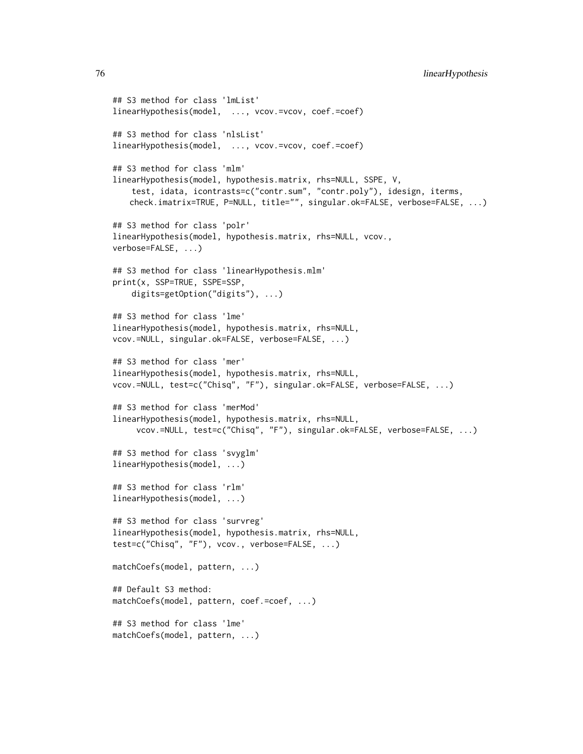```
## S3 method for class 'lmList'
linearHypothesis(model, ..., vcov.=vcov, coef.=coef)
## S3 method for class 'nlsList'
linearHypothesis(model, ..., vcov.=vcov, coef.=coef)
## S3 method for class 'mlm'
linearHypothesis(model, hypothesis.matrix, rhs=NULL, SSPE, V,
    test, idata, icontrasts=c("contr.sum", "contr.poly"), idesign, iterms,
   check.imatrix=TRUE, P=NULL, title="", singular.ok=FALSE, verbose=FALSE, ...)
## S3 method for class 'polr'
linearHypothesis(model, hypothesis.matrix, rhs=NULL, vcov.,
verbose=FALSE, ...)
## S3 method for class 'linearHypothesis.mlm'
print(x, SSP=TRUE, SSPE=SSP,
    digits=getOption("digits"), ...)
## S3 method for class 'lme'
linearHypothesis(model, hypothesis.matrix, rhs=NULL,
vcov.=NULL, singular.ok=FALSE, verbose=FALSE, ...)
## S3 method for class 'mer'
linearHypothesis(model, hypothesis.matrix, rhs=NULL,
vcov.=NULL, test=c("Chisq", "F"), singular.ok=FALSE, verbose=FALSE, ...)
## S3 method for class 'merMod'
linearHypothesis(model, hypothesis.matrix, rhs=NULL,
     vcov.=NULL, test=c("Chisq", "F"), singular.ok=FALSE, verbose=FALSE, ...)
## S3 method for class 'svyglm'
linearHypothesis(model, ...)
## S3 method for class 'rlm'
linearHypothesis(model, ...)
## S3 method for class 'survreg'
linearHypothesis(model, hypothesis.matrix, rhs=NULL,
test=c("Chisq", "F"), vcov., verbose=FALSE, ...)
matchCoefs(model, pattern, ...)
## Default S3 method:
matchCoefs(model, pattern, coef.=coef, ...)
## S3 method for class 'lme'
```

```
matchCoefs(model, pattern, ...)
```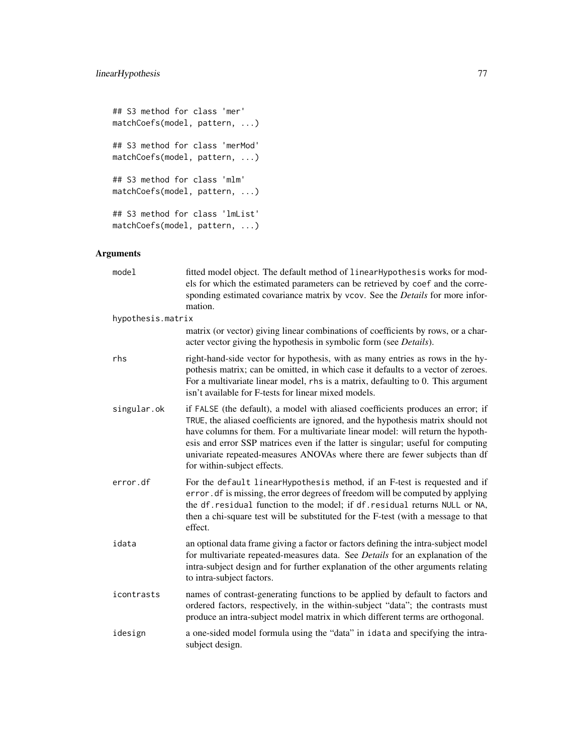```
## S3 method for class 'mer'
matchCoefs(model, pattern, ...)
## S3 method for class 'merMod'
matchCoefs(model, pattern, ...)
## S3 method for class 'mlm'
matchCoefs(model, pattern, ...)
## S3 method for class 'lmList'
matchCoefs(model, pattern, ...)
```

| model             | fitted model object. The default method of linearHypothesis works for mod-<br>els for which the estimated parameters can be retrieved by coef and the corre-<br>sponding estimated covariance matrix by vcov. See the <i>Details</i> for more infor-<br>mation.                                                                                                                                                                                         |
|-------------------|---------------------------------------------------------------------------------------------------------------------------------------------------------------------------------------------------------------------------------------------------------------------------------------------------------------------------------------------------------------------------------------------------------------------------------------------------------|
| hypothesis.matrix |                                                                                                                                                                                                                                                                                                                                                                                                                                                         |
|                   | matrix (or vector) giving linear combinations of coefficients by rows, or a char-<br>acter vector giving the hypothesis in symbolic form (see <i>Details</i> ).                                                                                                                                                                                                                                                                                         |
| rhs               | right-hand-side vector for hypothesis, with as many entries as rows in the hy-<br>pothesis matrix; can be omitted, in which case it defaults to a vector of zeroes.<br>For a multivariate linear model, rhs is a matrix, defaulting to 0. This argument<br>isn't available for F-tests for linear mixed models.                                                                                                                                         |
| singular.ok       | if FALSE (the default), a model with aliased coefficients produces an error; if<br>TRUE, the aliased coefficients are ignored, and the hypothesis matrix should not<br>have columns for them. For a multivariate linear model: will return the hypoth-<br>esis and error SSP matrices even if the latter is singular; useful for computing<br>univariate repeated-measures ANOVAs where there are fewer subjects than df<br>for within-subject effects. |
| error.df          | For the default linearHypothesis method, if an F-test is requested and if<br>error. df is missing, the error degrees of freedom will be computed by applying<br>the df. residual function to the model; if df. residual returns NULL or NA,<br>then a chi-square test will be substituted for the F-test (with a message to that<br>effect.                                                                                                             |
| idata             | an optional data frame giving a factor or factors defining the intra-subject model<br>for multivariate repeated-measures data. See Details for an explanation of the<br>intra-subject design and for further explanation of the other arguments relating<br>to intra-subject factors.                                                                                                                                                                   |
| icontrasts        | names of contrast-generating functions to be applied by default to factors and<br>ordered factors, respectively, in the within-subject "data"; the contrasts must<br>produce an intra-subject model matrix in which different terms are orthogonal.                                                                                                                                                                                                     |
| idesign           | a one-sided model formula using the "data" in idata and specifying the intra-<br>subject design.                                                                                                                                                                                                                                                                                                                                                        |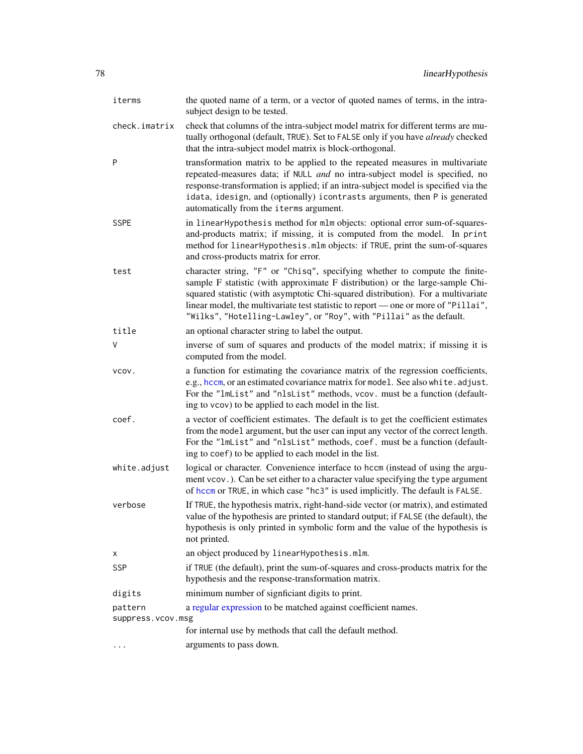| iterms                       | the quoted name of a term, or a vector of quoted names of terms, in the intra-<br>subject design to be tested.                                                                                                                                                                                                                                                                                                 |
|------------------------------|----------------------------------------------------------------------------------------------------------------------------------------------------------------------------------------------------------------------------------------------------------------------------------------------------------------------------------------------------------------------------------------------------------------|
| check.imatrix                | check that columns of the intra-subject model matrix for different terms are mu-<br>tually orthogonal (default, TRUE). Set to FALSE only if you have already checked<br>that the intra-subject model matrix is block-orthogonal.                                                                                                                                                                               |
| P                            | transformation matrix to be applied to the repeated measures in multivariate<br>repeated-measures data; if NULL and no intra-subject model is specified, no<br>response-transformation is applied; if an intra-subject model is specified via the<br>idata, idesign, and (optionally) icontrasts arguments, then P is generated<br>automatically from the iterms argument.                                     |
| <b>SSPE</b>                  | in linearHypothesis method for mlm objects: optional error sum-of-squares-<br>and-products matrix; if missing, it is computed from the model. In print<br>method for linearHypothesis.mlm objects: if TRUE, print the sum-of-squares<br>and cross-products matrix for error.                                                                                                                                   |
| test                         | character string, "F" or "Chisq", specifying whether to compute the finite-<br>sample F statistic (with approximate F distribution) or the large-sample Chi-<br>squared statistic (with asymptotic Chi-squared distribution). For a multivariate<br>linear model, the multivariate test statistic to report — one or more of "Pillai",<br>"Wilks", "Hotelling-Lawley", or "Roy", with "Pillai" as the default. |
| title                        | an optional character string to label the output.                                                                                                                                                                                                                                                                                                                                                              |
| V                            | inverse of sum of squares and products of the model matrix; if missing it is<br>computed from the model.                                                                                                                                                                                                                                                                                                       |
| VCOV.                        | a function for estimating the covariance matrix of the regression coefficients,<br>e.g., hccm, or an estimated covariance matrix for model. See also white. adjust.<br>For the "lmList" and "nlsList" methods, vcov. must be a function (default-<br>ing to vcov) to be applied to each model in the list.                                                                                                     |
| coef.                        | a vector of coefficient estimates. The default is to get the coefficient estimates<br>from the model argument, but the user can input any vector of the correct length.<br>For the "lmList" and "nlsList" methods, coef. must be a function (default-<br>ing to coef) to be applied to each model in the list.                                                                                                 |
| white.adjust                 | logical or character. Convenience interface to hccm (instead of using the argu-<br>ment vcov.). Can be set either to a character value specifying the type argument<br>of hccm or TRUE, in which case "hc3" is used implicitly. The default is FALSE.                                                                                                                                                          |
| verbose                      | If TRUE, the hypothesis matrix, right-hand-side vector (or matrix), and estimated<br>value of the hypothesis are printed to standard output; if FALSE (the default), the<br>hypothesis is only printed in symbolic form and the value of the hypothesis is<br>not printed.                                                                                                                                     |
| х                            | an object produced by linearHypothesis.mlm.                                                                                                                                                                                                                                                                                                                                                                    |
| <b>SSP</b>                   | if TRUE (the default), print the sum-of-squares and cross-products matrix for the<br>hypothesis and the response-transformation matrix.                                                                                                                                                                                                                                                                        |
| digits                       | minimum number of signficiant digits to print.                                                                                                                                                                                                                                                                                                                                                                 |
| pattern<br>suppress.vcov.msg | a regular expression to be matched against coefficient names.                                                                                                                                                                                                                                                                                                                                                  |
|                              | for internal use by methods that call the default method.                                                                                                                                                                                                                                                                                                                                                      |
| $\cdots$                     | arguments to pass down.                                                                                                                                                                                                                                                                                                                                                                                        |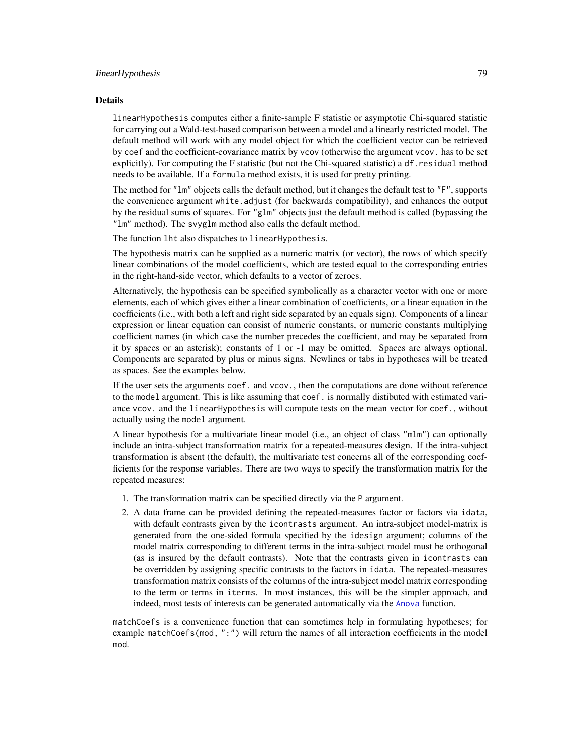## linearHypothesis 79

#### Details

linearHypothesis computes either a finite-sample F statistic or asymptotic Chi-squared statistic for carrying out a Wald-test-based comparison between a model and a linearly restricted model. The default method will work with any model object for which the coefficient vector can be retrieved by coef and the coefficient-covariance matrix by vcov (otherwise the argument vcov. has to be set explicitly). For computing the F statistic (but not the Chi-squared statistic) a df. residual method needs to be available. If a formula method exists, it is used for pretty printing.

The method for "lm" objects calls the default method, but it changes the default test to "F", supports the convenience argument white.adjust (for backwards compatibility), and enhances the output by the residual sums of squares. For "glm" objects just the default method is called (bypassing the "lm" method). The svyglm method also calls the default method.

The function lht also dispatches to linearHypothesis.

The hypothesis matrix can be supplied as a numeric matrix (or vector), the rows of which specify linear combinations of the model coefficients, which are tested equal to the corresponding entries in the right-hand-side vector, which defaults to a vector of zeroes.

Alternatively, the hypothesis can be specified symbolically as a character vector with one or more elements, each of which gives either a linear combination of coefficients, or a linear equation in the coefficients (i.e., with both a left and right side separated by an equals sign). Components of a linear expression or linear equation can consist of numeric constants, or numeric constants multiplying coefficient names (in which case the number precedes the coefficient, and may be separated from it by spaces or an asterisk); constants of 1 or -1 may be omitted. Spaces are always optional. Components are separated by plus or minus signs. Newlines or tabs in hypotheses will be treated as spaces. See the examples below.

If the user sets the arguments coef. and vcov., then the computations are done without reference to the model argument. This is like assuming that coef. is normally distibuted with estimated variance vcov. and the linearHypothesis will compute tests on the mean vector for coef., without actually using the model argument.

A linear hypothesis for a multivariate linear model (i.e., an object of class "mlm") can optionally include an intra-subject transformation matrix for a repeated-measures design. If the intra-subject transformation is absent (the default), the multivariate test concerns all of the corresponding coefficients for the response variables. There are two ways to specify the transformation matrix for the repeated measures:

- 1. The transformation matrix can be specified directly via the P argument.
- 2. A data frame can be provided defining the repeated-measures factor or factors via idata, with default contrasts given by the icontrasts argument. An intra-subject model-matrix is generated from the one-sided formula specified by the idesign argument; columns of the model matrix corresponding to different terms in the intra-subject model must be orthogonal (as is insured by the default contrasts). Note that the contrasts given in icontrasts can be overridden by assigning specific contrasts to the factors in idata. The repeated-measures transformation matrix consists of the columns of the intra-subject model matrix corresponding to the term or terms in iterms. In most instances, this will be the simpler approach, and indeed, most tests of interests can be generated automatically via the [Anova](#page-3-0) function.

matchCoefs is a convenience function that can sometimes help in formulating hypotheses; for example matchCoefs(mod, ":") will return the names of all interaction coefficients in the model mod.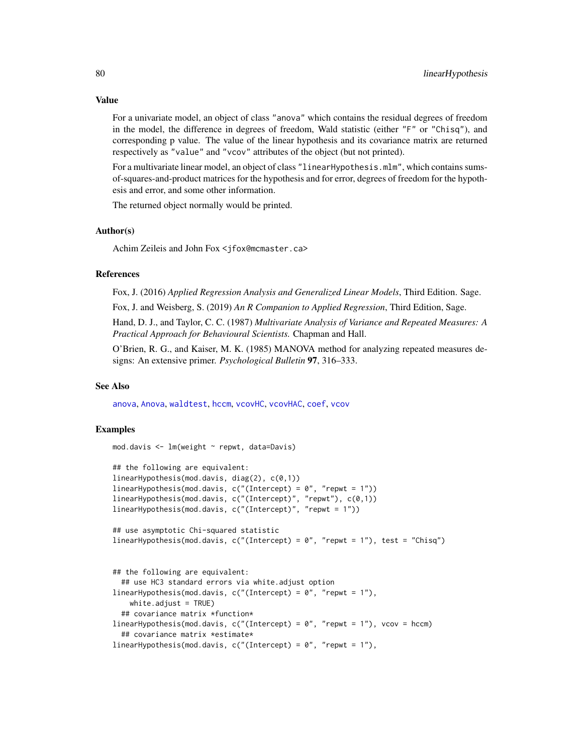For a univariate model, an object of class "anova" which contains the residual degrees of freedom in the model, the difference in degrees of freedom, Wald statistic (either "F" or "Chisq"), and corresponding p value. The value of the linear hypothesis and its covariance matrix are returned respectively as "value" and "vcov" attributes of the object (but not printed).

For a multivariate linear model, an object of class "linearHypothesis.mlm", which contains sumsof-squares-and-product matrices for the hypothesis and for error, degrees of freedom for the hypothesis and error, and some other information.

The returned object normally would be printed.

## Author(s)

Achim Zeileis and John Fox <jfox@mcmaster.ca>

## References

Fox, J. (2016) *Applied Regression Analysis and Generalized Linear Models*, Third Edition. Sage.

Fox, J. and Weisberg, S. (2019) *An R Companion to Applied Regression*, Third Edition, Sage.

Hand, D. J., and Taylor, C. C. (1987) *Multivariate Analysis of Variance and Repeated Measures: A Practical Approach for Behavioural Scientists.* Chapman and Hall.

O'Brien, R. G., and Kaiser, M. K. (1985) MANOVA method for analyzing repeated measures designs: An extensive primer. *Psychological Bulletin* 97, 316–333.

#### See Also

[anova](#page-0-0), [Anova](#page-3-0), [waldtest](#page-0-0), [hccm](#page-56-0), [vcovHC](#page-0-0), [vcovHAC](#page-0-0), [coef](#page-0-0), [vcov](#page-0-0)

## Examples

```
mod.davis <- lm(weight ~ repwt, data=Davis)
```

```
## the following are equivalent:
linearHypothesis(mod.davis, diag(2), c(0,1))
linearHypothesis(mod.davis, c("(Intercept) = 0", "repwt = 1"))
linearHypothesis(mod.davis, c("(Intercept)", "repwt"), c(0,1))
linearHypothesis(mod.davis, c("(Intercept)", "repwt = 1"))
```

```
## use asymptotic Chi-squared statistic
linearHypothesis(mod.davis, c("(Intercept) = 0", "repwt = 1"), test = "Chisq")
```

```
## the following are equivalent:
 ## use HC3 standard errors via white.adjust option
linearHypothesis(mod.davis, c("(Intercept) = 0", "repwt = 1"),
   white.addjust = TRUE)## covariance matrix *function*
linearHypothesis(mod.davis, c("(Intercept) = 0", "report = 1"), vcov = hccm)## covariance matrix *estimate*
linearHypothesis(mod.davis, c("(Intercept) = 0", "repwt = 1"),
```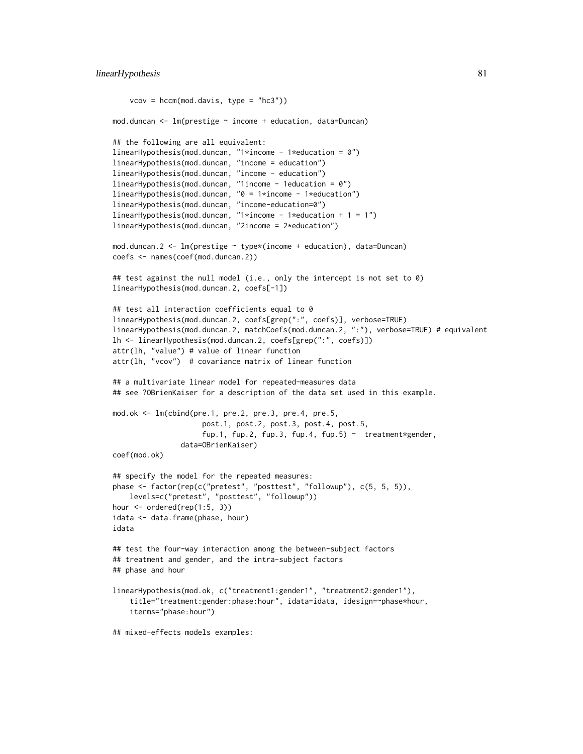```
vcov = hccm(mod.davis, type = "hc3"))
mod.duncan <- lm(prestige ~ income + education, data=Duncan)
## the following are all equivalent:
linearHypothesis(mod.duncan, "1*income - 1*education = 0")
linearHypothesis(mod.duncan, "income = education")
linearHypothesis(mod.duncan, "income - education")
linearHypothesis(mod.duncan, "lincome - 1education = 0")
linearHypothesis(mod.duncan, "0 = 1*income - 1*education")
linearHypothesis(mod.duncan, "income-education=0")
linearHypothesis(mod.duncan, "1*income - 1*education + 1 = 1")
linearHypothesis(mod.duncan, "2income = 2*education")
mod.duncan.2 <- lm(prestige ~ type*(income + education), data=Duncan)
coefs <- names(coef(mod.duncan.2))
## test against the null model (i.e., only the intercept is not set to 0)
linearHypothesis(mod.duncan.2, coefs[-1])
## test all interaction coefficients equal to 0
linearHypothesis(mod.duncan.2, coefs[grep(":", coefs)], verbose=TRUE)
linearHypothesis(mod.duncan.2, matchCoefs(mod.duncan.2, ":"), verbose=TRUE) # equivalent
lh <- linearHypothesis(mod.duncan.2, coefs[grep(":", coefs)])
attr(lh, "value") # value of linear function
attr(lh, "vcov") # covariance matrix of linear function
## a multivariate linear model for repeated-measures data
## see ?OBrienKaiser for a description of the data set used in this example.
mod.ok <- lm(cbind(pre.1, pre.2, pre.3, pre.4, pre.5,
                     post.1, post.2, post.3, post.4, post.5,
                     fup.1, fup.2, fup.3, fup.4, fup.5) \sim treatment*gender,
                data=OBrienKaiser)
coef(mod.ok)
## specify the model for the repeated measures:
phase <- factor(rep(c("pretest", "posttest", "followup"), c(5, 5, 5)),
    levels=c("pretest", "posttest", "followup"))
hour <- ordered(rep(1:5, 3))
idata <- data.frame(phase, hour)
idata
## test the four-way interaction among the between-subject factors
## treatment and gender, and the intra-subject factors
## phase and hour
linearHypothesis(mod.ok, c("treatment1:gender1", "treatment2:gender1"),
    title="treatment:gender:phase:hour", idata=idata, idesign=~phase*hour,
    iterms="phase:hour")
## mixed-effects models examples:
```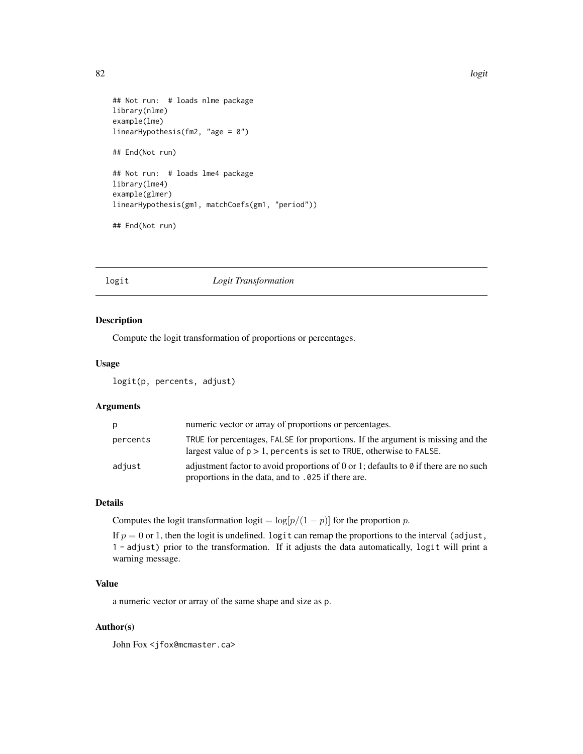82 logit

```
## Not run: # loads nlme package
library(nlme)
example(lme)
linearHypothesis(fm2, "age = 0")
## End(Not run)
## Not run: # loads lme4 package
library(lme4)
example(glmer)
linearHypothesis(gm1, matchCoefs(gm1, "period"))
## End(Not run)
```
## logit *Logit Transformation*

## Description

Compute the logit transformation of proportions or percentages.

#### Usage

logit(p, percents, adjust)

#### Arguments

| D        | numeric vector or array of proportions or percentages.                                                                                                     |
|----------|------------------------------------------------------------------------------------------------------------------------------------------------------------|
| percents | TRUE for percentages, FALSE for proportions. If the argument is missing and the<br>largest value of $p > 1$ , percents is set to TRUE, otherwise to FALSE. |
| adjust   | adjustment factor to avoid proportions of 0 or 1; defaults to 0 if there are no such<br>proportions in the data, and to .025 if there are.                 |

## Details

Computes the logit transformation logit =  $\log[p/(1-p)]$  for the proportion p.

If  $p = 0$  or 1, then the logit is undefined. logit can remap the proportions to the interval (adjust, 1 - adjust) prior to the transformation. If it adjusts the data automatically, logit will print a warning message.

## Value

a numeric vector or array of the same shape and size as p.

#### Author(s)

John Fox <jfox@mcmaster.ca>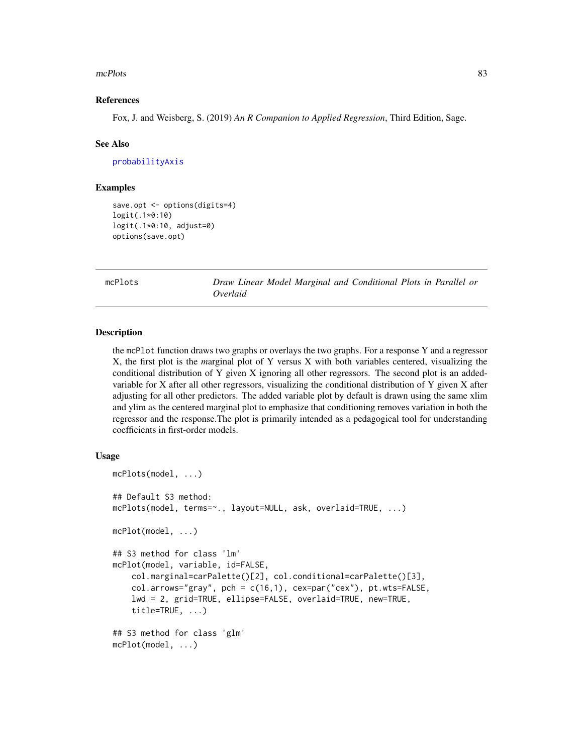#### mcPlots 83

#### References

Fox, J. and Weisberg, S. (2019) *An R Companion to Applied Regression*, Third Edition, Sage.

#### See Also

[probabilityAxis](#page-142-0)

#### Examples

```
save.opt <- options(digits=4)
logit(.1*0:10)
logit(.1*0:10, adjust=0)
options(save.opt)
```
mcPlots *Draw Linear Model Marginal and Conditional Plots in Parallel or Overlaid*

### Description

the mcPlot function draws two graphs or overlays the two graphs. For a response Y and a regressor X, the first plot is the *m*arginal plot of Y versus X with both variables centered, visualizing the conditional distribution of Y given X ignoring all other regressors. The second plot is an addedvariable for X after all other regressors, visualizing the *c*onditional distribution of Y given X after adjusting for all other predictors. The added variable plot by default is drawn using the same xlim and ylim as the centered marginal plot to emphasize that conditioning removes variation in both the regressor and the response.The plot is primarily intended as a pedagogical tool for understanding coefficients in first-order models.

### Usage

```
mcPlots(model, ...)
## Default S3 method:
mcPlots(model, terms=~., layout=NULL, ask, overlaid=TRUE, ...)
mcPlot(model, ...)
## S3 method for class 'lm'
mcPlot(model, variable, id=FALSE,
    col.marginal=carPalette()[2], col.conditional=carPalette()[3],
    col.arrows="gray", pch = c(16,1), cex=par("cex"), pt.wts=FALSE,
    lwd = 2, grid=TRUE, ellipse=FALSE, overlaid=TRUE, new=TRUE,
    title=TRUE, ...)
## S3 method for class 'glm'
mcPlot(model, ...)
```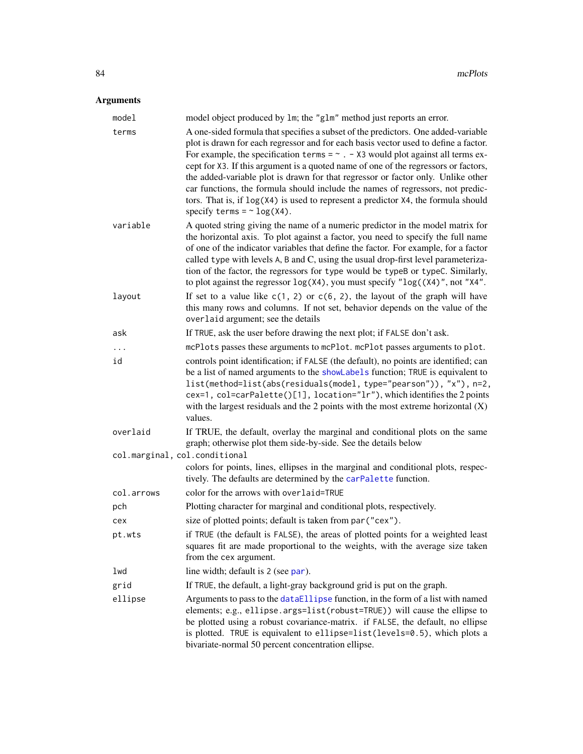| model                         | model object produced by 1m; the "g1m" method just reports an error.                                                                                                                                                                                                                                                                                                                                                                                                                                                                                                                                                                                        |
|-------------------------------|-------------------------------------------------------------------------------------------------------------------------------------------------------------------------------------------------------------------------------------------------------------------------------------------------------------------------------------------------------------------------------------------------------------------------------------------------------------------------------------------------------------------------------------------------------------------------------------------------------------------------------------------------------------|
| terms                         | A one-sided formula that specifies a subset of the predictors. One added-variable<br>plot is drawn for each regressor and for each basis vector used to define a factor.<br>For example, the specification terms = $\sim$ . - X3 would plot against all terms ex-<br>cept for X3. If this argument is a quoted name of one of the regressors or factors,<br>the added-variable plot is drawn for that regressor or factor only. Unlike other<br>car functions, the formula should include the names of regressors, not predic-<br>tors. That is, if $log(X4)$ is used to represent a predictor $X4$ , the formula should<br>specify terms = $\sim$ log(X4). |
| variable                      | A quoted string giving the name of a numeric predictor in the model matrix for<br>the horizontal axis. To plot against a factor, you need to specify the full name<br>of one of the indicator variables that define the factor. For example, for a factor<br>called type with levels A, B and C, using the usual drop-first level parameteriza-<br>tion of the factor, the regressors for type would be typeB or typeC. Similarly,<br>to plot against the regressor $log(X4)$ , you must specify " $log((X4)$ ", not "X4".                                                                                                                                  |
| layout                        | If set to a value like $c(1, 2)$ or $c(6, 2)$ , the layout of the graph will have<br>this many rows and columns. If not set, behavior depends on the value of the<br>overlaid argument; see the details                                                                                                                                                                                                                                                                                                                                                                                                                                                     |
| ask                           | If TRUE, ask the user before drawing the next plot; if FALSE don't ask.                                                                                                                                                                                                                                                                                                                                                                                                                                                                                                                                                                                     |
| .                             | mcPlots passes these arguments to mcPlot. mcPlot passes arguments to plot.                                                                                                                                                                                                                                                                                                                                                                                                                                                                                                                                                                                  |
| id                            | controls point identification; if FALSE (the default), no points are identified; can<br>be a list of named arguments to the showLabels function; TRUE is equivalent to<br>list(method=list(abs(residuals(model, type="pearson")), "x"), n=2,<br>cex=1, col=carPalette()[1], location="lr"), which identifies the 2 points<br>with the largest residuals and the 2 points with the most extreme horizontal $(X)$<br>values.                                                                                                                                                                                                                                  |
| overlaid                      | If TRUE, the default, overlay the marginal and conditional plots on the same<br>graph; otherwise plot them side-by-side. See the details below                                                                                                                                                                                                                                                                                                                                                                                                                                                                                                              |
| col.marginal, col.conditional | colors for points, lines, ellipses in the marginal and conditional plots, respec-                                                                                                                                                                                                                                                                                                                                                                                                                                                                                                                                                                           |
|                               | tively. The defaults are determined by the carPalette function.                                                                                                                                                                                                                                                                                                                                                                                                                                                                                                                                                                                             |
| col.arrows                    | color for the arrows with overlaid=TRUE                                                                                                                                                                                                                                                                                                                                                                                                                                                                                                                                                                                                                     |
| pch                           | Plotting character for marginal and conditional plots, respectively.                                                                                                                                                                                                                                                                                                                                                                                                                                                                                                                                                                                        |
| cex                           | size of plotted points; default is taken from par ("cex").                                                                                                                                                                                                                                                                                                                                                                                                                                                                                                                                                                                                  |
| pt.wts                        | if TRUE (the default is FALSE), the areas of plotted points for a weighted least<br>squares fit are made proportional to the weights, with the average size taken<br>from the cex argument.                                                                                                                                                                                                                                                                                                                                                                                                                                                                 |
| lwd                           | line width; default is 2 (see par).                                                                                                                                                                                                                                                                                                                                                                                                                                                                                                                                                                                                                         |
| grid                          | If TRUE, the default, a light-gray background grid is put on the graph.                                                                                                                                                                                                                                                                                                                                                                                                                                                                                                                                                                                     |
| ellipse                       | Arguments to pass to the dataEllipse function, in the form of a list with named<br>elements; e.g., ellipse.args=list(robust=TRUE)) will cause the ellipse to<br>be plotted using a robust covariance-matrix. if FALSE, the default, no ellipse<br>is plotted. TRUE is equivalent to ellipse=list(levels=0.5), which plots a<br>bivariate-normal 50 percent concentration ellipse.                                                                                                                                                                                                                                                                           |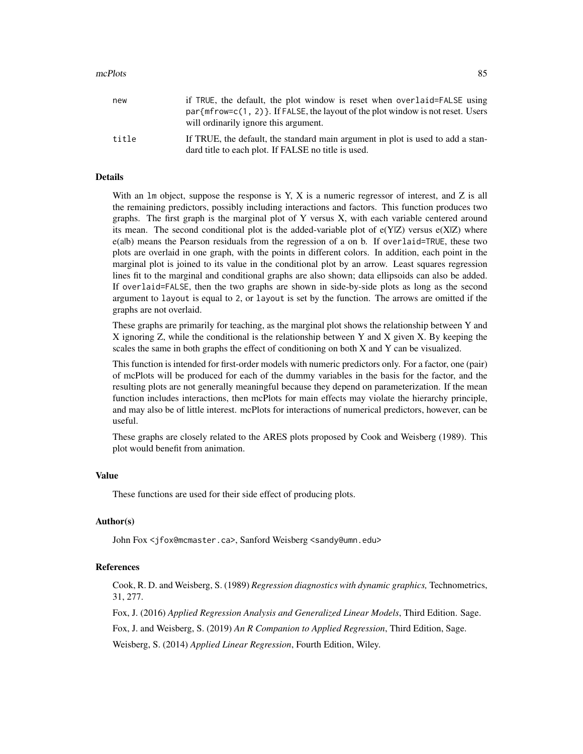#### mcPlots 85

| new   | if TRUE, the default, the plot window is reset when overlaid=FALSE using                                                               |
|-------|----------------------------------------------------------------------------------------------------------------------------------------|
|       | $par{m}$ frow=c(1, 2) }. If FALSE, the layout of the plot window is not reset. Users                                                   |
|       | will ordinarily ignore this argument.                                                                                                  |
| title | If TRUE, the default, the standard main argument in plot is used to add a stan-<br>dard title to each plot. If FALSE no title is used. |

## Details

With an  $\text{Im}$  object, suppose the response is Y, X is a numeric regressor of interest, and Z is all the remaining predictors, possibly including interactions and factors. This function produces two graphs. The first graph is the marginal plot of Y versus X, with each variable centered around its mean. The second conditional plot is the added-variable plot of  $e(Y|Z)$  versus  $e(X|Z)$  where e(a|b) means the Pearson residuals from the regression of a on b. If overlaid=TRUE, these two plots are overlaid in one graph, with the points in different colors. In addition, each point in the marginal plot is joined to its value in the conditional plot by an arrow. Least squares regression lines fit to the marginal and conditional graphs are also shown; data ellipsoids can also be added. If overlaid=FALSE, then the two graphs are shown in side-by-side plots as long as the second argument to layout is equal to 2, or layout is set by the function. The arrows are omitted if the graphs are not overlaid.

These graphs are primarily for teaching, as the marginal plot shows the relationship between Y and X ignoring Z, while the conditional is the relationship between Y and X given X. By keeping the scales the same in both graphs the effect of conditioning on both X and Y can be visualized.

This function is intended for first-order models with numeric predictors only. For a factor, one (pair) of mcPlots will be produced for each of the dummy variables in the basis for the factor, and the resulting plots are not generally meaningful because they depend on parameterization. If the mean function includes interactions, then mcPlots for main effects may violate the hierarchy principle, and may also be of little interest. mcPlots for interactions of numerical predictors, however, can be useful.

These graphs are closely related to the ARES plots proposed by Cook and Weisberg (1989). This plot would benefit from animation.

#### Value

These functions are used for their side effect of producing plots.

#### Author(s)

John Fox <jfox@mcmaster.ca>, Sanford Weisberg <sandy@umn.edu>

## References

Cook, R. D. and Weisberg, S. (1989) *Regression diagnostics with dynamic graphics,* Technometrics, 31, 277.

Fox, J. (2016) *Applied Regression Analysis and Generalized Linear Models*, Third Edition. Sage.

Fox, J. and Weisberg, S. (2019) *An R Companion to Applied Regression*, Third Edition, Sage.

Weisberg, S. (2014) *Applied Linear Regression*, Fourth Edition, Wiley.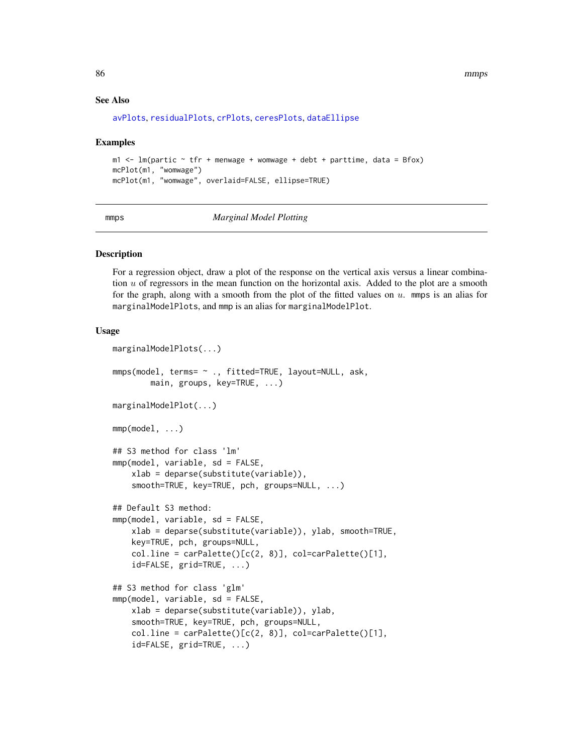86 mmps

#### See Also

```
avPlots, residualPlots, crPlots, ceresPlots, dataEllipse
```
#### Examples

```
m1 < -1m(partic \sim tfr + menwage + womwage + debt + parttime, data = Bfox)
mcPlot(m1, "womwage")
mcPlot(m1, "womwage", overlaid=FALSE, ellipse=TRUE)
```
mmps *Marginal Model Plotting*

#### **Description**

For a regression object, draw a plot of the response on the vertical axis versus a linear combination  $u$  of regressors in the mean function on the horizontal axis. Added to the plot are a smooth for the graph, along with a smooth from the plot of the fitted values on  $u$ . mmps is an alias for marginalModelPlots, and mmp is an alias for marginalModelPlot.

## Usage

```
marginalModelPlots(...)
mmps(model, terms= ~ ., fitted=TRUE, layout=NULL, ask,
        main, groups, key=TRUE, ...)
marginalModelPlot(...)
mmp(model, ...)
## S3 method for class 'lm'
mmp(model, variable, sd = FALSE,
    xlab = deparse(substitute(variable)),
    smooth=TRUE, key=TRUE, pch, groups=NULL, ...)
## Default S3 method:
mmp(model, variable, sd = FALSE,
    xlab = deparse(substitute(variable)), ylab, smooth=TRUE,
    key=TRUE, pch, groups=NULL,
    coluine = carPalette()[c(2, 8)], col=carPalette()[1],
    id=FALSE, grid=TRUE, ...)
## S3 method for class 'glm'
mmp(model, variable, sd = FALSE,
    xlab = deparse(substitute(variable)), ylab,
    smooth=TRUE, key=TRUE, pch, groups=NULL,
    col .line = carPalette()[<math>c(2, 8)], col=carPalette()[1],
    id=FALSE, grid=TRUE, ...)
```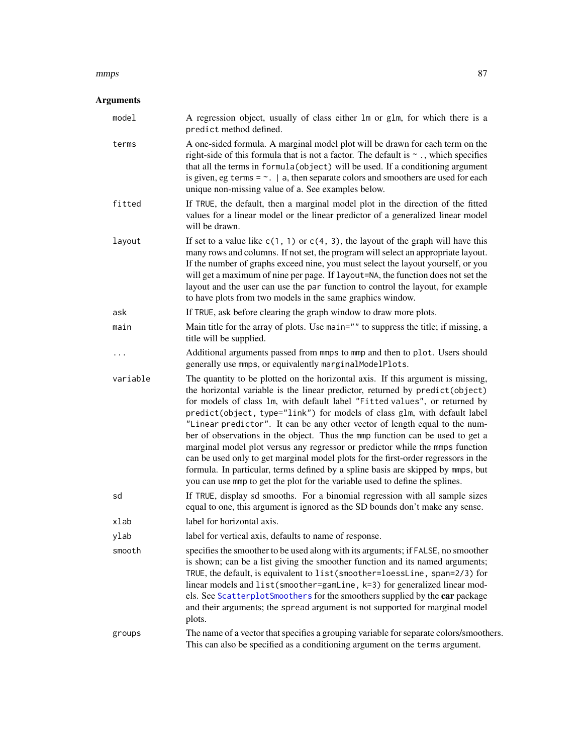#### mmps 87

| model    | A regression object, usually of class either 1m or g1m, for which there is a<br>predict method defined.                                                                                                                                                                                                                                                                                                                                                                                                                                                                                                                                                                                                                                                                                                                             |
|----------|-------------------------------------------------------------------------------------------------------------------------------------------------------------------------------------------------------------------------------------------------------------------------------------------------------------------------------------------------------------------------------------------------------------------------------------------------------------------------------------------------------------------------------------------------------------------------------------------------------------------------------------------------------------------------------------------------------------------------------------------------------------------------------------------------------------------------------------|
| terms    | A one-sided formula. A marginal model plot will be drawn for each term on the<br>right-side of this formula that is not a factor. The default is $\sim$ ., which specifies<br>that all the terms in formula (object) will be used. If a conditioning argument<br>is given, eg terms = $\sim$ .   a, then separate colors and smoothers are used for each<br>unique non-missing value of a. See examples below.                                                                                                                                                                                                                                                                                                                                                                                                                      |
| fitted   | If TRUE, the default, then a marginal model plot in the direction of the fitted<br>values for a linear model or the linear predictor of a generalized linear model<br>will be drawn.                                                                                                                                                                                                                                                                                                                                                                                                                                                                                                                                                                                                                                                |
| layout   | If set to a value like $c(1, 1)$ or $c(4, 3)$ , the layout of the graph will have this<br>many rows and columns. If not set, the program will select an appropriate layout.<br>If the number of graphs exceed nine, you must select the layout yourself, or you<br>will get a maximum of nine per page. If layout=NA, the function does not set the<br>layout and the user can use the par function to control the layout, for example<br>to have plots from two models in the same graphics window.                                                                                                                                                                                                                                                                                                                                |
| ask      | If TRUE, ask before clearing the graph window to draw more plots.                                                                                                                                                                                                                                                                                                                                                                                                                                                                                                                                                                                                                                                                                                                                                                   |
| main     | Main title for the array of plots. Use main="" to suppress the title; if missing, a<br>title will be supplied.                                                                                                                                                                                                                                                                                                                                                                                                                                                                                                                                                                                                                                                                                                                      |
|          | Additional arguments passed from mmps to mmp and then to plot. Users should<br>generally use mmps, or equivalently marginalModelPlots.                                                                                                                                                                                                                                                                                                                                                                                                                                                                                                                                                                                                                                                                                              |
| variable | The quantity to be plotted on the horizontal axis. If this argument is missing,<br>the horizontal variable is the linear predictor, returned by predict(object)<br>for models of class 1m, with default label "Fitted values", or returned by<br>predict(object, type="link") for models of class glm, with default label<br>"Linear predictor". It can be any other vector of length equal to the num-<br>ber of observations in the object. Thus the mmp function can be used to get a<br>marginal model plot versus any regressor or predictor while the mmps function<br>can be used only to get marginal model plots for the first-order regressors in the<br>formula. In particular, terms defined by a spline basis are skipped by mmps, but<br>you can use mmp to get the plot for the variable used to define the splines. |
| sd       | If TRUE, display sd smooths. For a binomial regression with all sample sizes<br>equal to one, this argument is ignored as the SD bounds don't make any sense.                                                                                                                                                                                                                                                                                                                                                                                                                                                                                                                                                                                                                                                                       |
| xlab     | label for horizontal axis.                                                                                                                                                                                                                                                                                                                                                                                                                                                                                                                                                                                                                                                                                                                                                                                                          |
| ylab     | label for vertical axis, defaults to name of response.                                                                                                                                                                                                                                                                                                                                                                                                                                                                                                                                                                                                                                                                                                                                                                              |
| smooth   | specifies the smoother to be used along with its arguments; if FALSE, no smoother<br>is shown; can be a list giving the smoother function and its named arguments;<br>TRUE, the default, is equivalent to list(smoother=loessLine, span=2/3) for<br>linear models and list(smoother=gamLine, k=3) for generalized linear mod-<br>els. See ScatterplotSmoothers for the smoothers supplied by the car package<br>and their arguments; the spread argument is not supported for marginal model<br>plots.                                                                                                                                                                                                                                                                                                                              |
| groups   | The name of a vector that specifies a grouping variable for separate colors/smoothers.<br>This can also be specified as a conditioning argument on the terms argument.                                                                                                                                                                                                                                                                                                                                                                                                                                                                                                                                                                                                                                                              |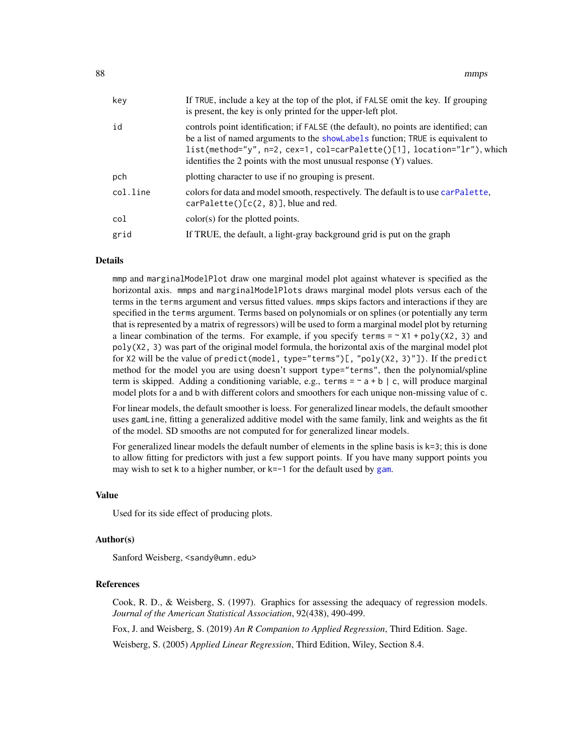| key      | If TRUE, include a key at the top of the plot, if FALSE omit the key. If grouping<br>is present, the key is only printed for the upper-left plot.                                                                                                                                                                         |
|----------|---------------------------------------------------------------------------------------------------------------------------------------------------------------------------------------------------------------------------------------------------------------------------------------------------------------------------|
| id       | controls point identification; if FALSE (the default), no points are identified; can<br>be a list of named arguments to the showlabels function; TRUE is equivalent to<br>list(method="y", n=2, cex=1, col=carPalette()[1], location="lr"), which<br>identifies the 2 points with the most unusual response $(Y)$ values. |
| pch      | plotting character to use if no grouping is present.                                                                                                                                                                                                                                                                      |
| col.line | colors for data and model smooth, respectively. The default is to use carPalette,<br>carPalette() [c(2, 8)], blue and red.                                                                                                                                                                                                |
| col      | $color(s)$ for the plotted points.                                                                                                                                                                                                                                                                                        |
| grid     | If TRUE, the default, a light-gray background grid is put on the graph                                                                                                                                                                                                                                                    |

#### Details

mmp and marginalModelPlot draw one marginal model plot against whatever is specified as the horizontal axis. mmps and marginalModelPlots draws marginal model plots versus each of the terms in the terms argument and versus fitted values. mmps skips factors and interactions if they are specified in the terms argument. Terms based on polynomials or on splines (or potentially any term that is represented by a matrix of regressors) will be used to form a marginal model plot by returning a linear combination of the terms. For example, if you specify terms =  $\sim$  X1 + poly(X2, 3) and poly(X2, 3) was part of the original model formula, the horizontal axis of the marginal model plot for X2 will be the value of predict(model, type="terms")[, "poly(X2, 3)"]). If the predict method for the model you are using doesn't support type="terms", then the polynomial/spline term is skipped. Adding a conditioning variable, e.g., terms =  $\sim$  a + b | c, will produce marginal model plots for a and b with different colors and smoothers for each unique non-missing value of c.

For linear models, the default smoother is loess. For generalized linear models, the default smoother uses gamLine, fitting a generalized additive model with the same family, link and weights as the fit of the model. SD smooths are not computed for for generalized linear models.

For generalized linear models the default number of elements in the spline basis is  $k=3$ ; this is done to allow fitting for predictors with just a few support points. If you have many support points you may wish to set k to a higher number, or k=-1 for the default used by [gam](#page-0-0).

#### Value

Used for its side effect of producing plots.

#### Author(s)

Sanford Weisberg, <sandy@umn.edu>

#### **References**

Cook, R. D., & Weisberg, S. (1997). Graphics for assessing the adequacy of regression models. *Journal of the American Statistical Association*, 92(438), 490-499.

Fox, J. and Weisberg, S. (2019) *An R Companion to Applied Regression*, Third Edition. Sage.

Weisberg, S. (2005) *Applied Linear Regression*, Third Edition, Wiley, Section 8.4.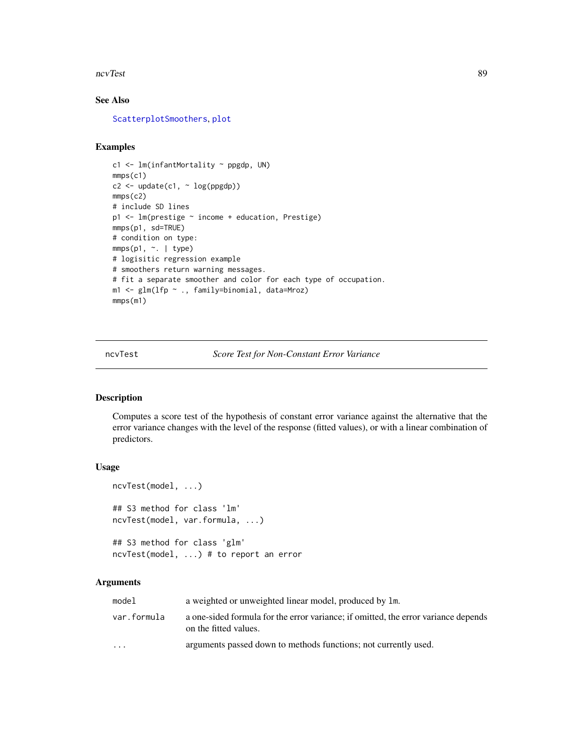#### ncvTest 89

## See Also

[ScatterplotSmoothers](#page-125-0), [plot](#page-0-0)

## Examples

```
c1 <- lm(infantMortality ~ ppgdp, UN)
mmps(c1)
c2 \leq update(c1, \sim log(ppgdp))
mmps(c2)
# include SD lines
p1 <- lm(prestige ~ income + education, Prestige)
mmps(p1, sd=TRUE)
# condition on type:
mmps(p1, ~\sim. ~\mid type)
# logisitic regression example
# smoothers return warning messages.
# fit a separate smoother and color for each type of occupation.
m1 <- glm(lfp ~ ., family=binomial, data=Mroz)
mmps(m1)
```
ncvTest *Score Test for Non-Constant Error Variance*

## Description

Computes a score test of the hypothesis of constant error variance against the alternative that the error variance changes with the level of the response (fitted values), or with a linear combination of predictors.

## Usage

```
ncvTest(model, ...)
## S3 method for class 'lm'
ncvTest(model, var.formula, ...)
## S3 method for class 'glm'
ncvTest(model, ...) # to report an error
```

| model                   | a weighted or unweighted linear model, produced by 1m.                                                      |
|-------------------------|-------------------------------------------------------------------------------------------------------------|
| var.formula             | a one-sided formula for the error variance; if omitted, the error variance depends<br>on the fitted values. |
| $\cdot$ $\cdot$ $\cdot$ | arguments passed down to methods functions; not currently used.                                             |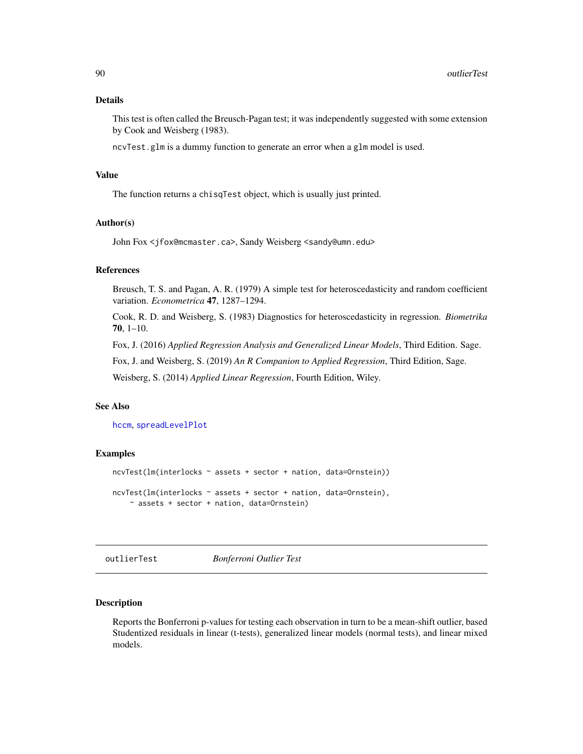## Details

This test is often called the Breusch-Pagan test; it was independently suggested with some extension by Cook and Weisberg (1983).

ncvTest.glm is a dummy function to generate an error when a glm model is used.

#### Value

The function returns a chisqTest object, which is usually just printed.

#### Author(s)

John Fox <jfox@mcmaster.ca>, Sandy Weisberg <sandy@umn.edu>

## References

Breusch, T. S. and Pagan, A. R. (1979) A simple test for heteroscedasticity and random coefficient variation. *Econometrica* 47, 1287–1294.

Cook, R. D. and Weisberg, S. (1983) Diagnostics for heteroscedasticity in regression. *Biometrika* 70, 1–10.

Fox, J. (2016) *Applied Regression Analysis and Generalized Linear Models*, Third Edition. Sage.

Fox, J. and Weisberg, S. (2019) *An R Companion to Applied Regression*, Third Edition, Sage.

Weisberg, S. (2014) *Applied Linear Regression*, Fourth Edition, Wiley.

#### See Also

[hccm](#page-56-0), [spreadLevelPlot](#page-132-0)

#### Examples

```
ncvTest(lm(interlocks ~ assets + sector + nation, data=Ornstein))
ncvTest(lm(interlocks ~ assets + sector + nation, data=Ornstein),
   ~ assets + sector + nation, data=Ornstein)
```
outlierTest *Bonferroni Outlier Test*

#### Description

Reports the Bonferroni p-values for testing each observation in turn to be a mean-shift outlier, based Studentized residuals in linear (t-tests), generalized linear models (normal tests), and linear mixed models.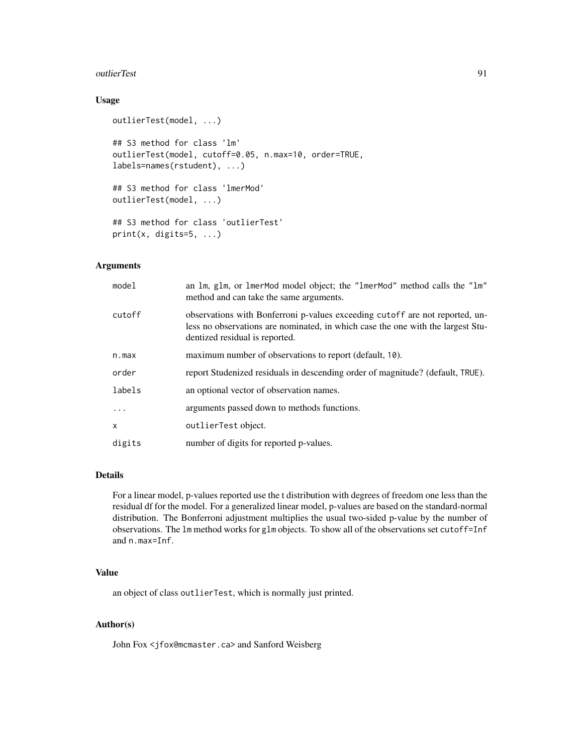#### outlierTest 91

## Usage

```
outlierTest(model, ...)
## S3 method for class 'lm'
outlierTest(model, cutoff=0.05, n.max=10, order=TRUE,
labels=names(rstudent), ...)
## S3 method for class 'lmerMod'
outlierTest(model, ...)
## S3 method for class 'outlierTest'
print(x, digits=5, ...)
```
#### Arguments

| model    | an 1m, g1m, or 1merMod model object; the "1merMod" method calls the "1m"<br>method and can take the same arguments.                                                                               |
|----------|---------------------------------------------------------------------------------------------------------------------------------------------------------------------------------------------------|
| cutoff   | observations with Bonferroni p-values exceeding cutoff are not reported, un-<br>less no observations are nominated, in which case the one with the largest Stu-<br>dentized residual is reported. |
| n.max    | maximum number of observations to report (default, 10).                                                                                                                                           |
| order    | report Studenized residuals in descending order of magnitude? (default, TRUE).                                                                                                                    |
| labels   | an optional vector of observation names.                                                                                                                                                          |
| $\ddots$ | arguments passed down to methods functions.                                                                                                                                                       |
| x        | outlierTest object.                                                                                                                                                                               |
| digits   | number of digits for reported p-values.                                                                                                                                                           |

#### Details

For a linear model, p-values reported use the t distribution with degrees of freedom one less than the residual df for the model. For a generalized linear model, p-values are based on the standard-normal distribution. The Bonferroni adjustment multiplies the usual two-sided p-value by the number of observations. The lm method works for glm objects. To show all of the observations set cutoff=Inf and n.max=Inf.

## Value

an object of class outlierTest, which is normally just printed.

## Author(s)

John Fox <jfox@mcmaster.ca> and Sanford Weisberg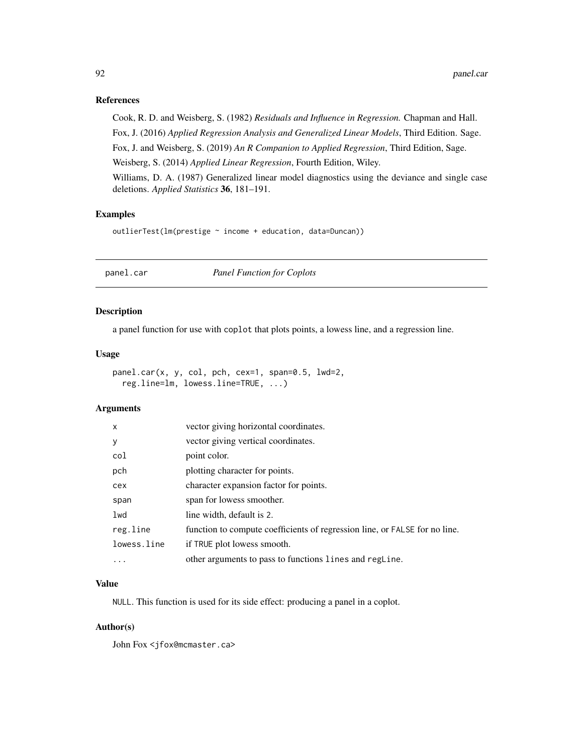#### References

Cook, R. D. and Weisberg, S. (1982) *Residuals and Influence in Regression.* Chapman and Hall. Fox, J. (2016) *Applied Regression Analysis and Generalized Linear Models*, Third Edition. Sage. Fox, J. and Weisberg, S. (2019) *An R Companion to Applied Regression*, Third Edition, Sage. Weisberg, S. (2014) *Applied Linear Regression*, Fourth Edition, Wiley.

Williams, D. A. (1987) Generalized linear model diagnostics using the deviance and single case deletions. *Applied Statistics* 36, 181–191.

## Examples

outlierTest(lm(prestige ~ income + education, data=Duncan))

panel.car *Panel Function for Coplots*

#### Description

a panel function for use with coplot that plots points, a lowess line, and a regression line.

#### Usage

```
panel.car(x, y, col, pch, cex=1, span=0.5, lwd=2,
  reg.line=lm, lowess.line=TRUE, ...)
```
## Arguments

| $\times$    | vector giving horizontal coordinates.                                      |
|-------------|----------------------------------------------------------------------------|
| У           | vector giving vertical coordinates.                                        |
| col         | point color.                                                               |
| pch         | plotting character for points.                                             |
| cex         | character expansion factor for points.                                     |
| span        | span for lowess smoother.                                                  |
| lwd         | line width, default is 2.                                                  |
| reg.line    | function to compute coefficients of regression line, or FALSE for no line. |
| lowess.line | if TRUE plot lowess smooth.                                                |
| $\ddots$ .  | other arguments to pass to functions lines and regline.                    |

## Value

NULL. This function is used for its side effect: producing a panel in a coplot.

#### Author(s)

John Fox <jfox@mcmaster.ca>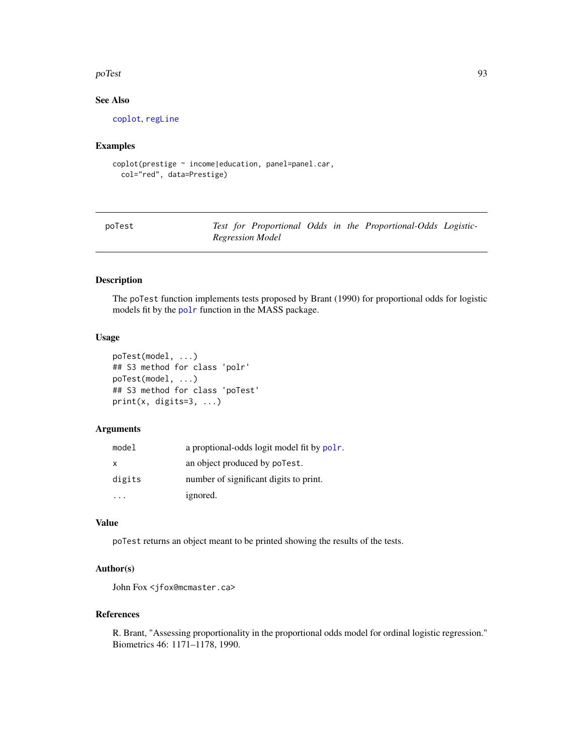#### poTest 93

## See Also

[coplot](#page-0-0), [regLine](#page-104-0)

## Examples

```
coplot(prestige ~ income|education, panel=panel.car,
  col="red", data=Prestige)
```
poTest *Test for Proportional Odds in the Proportional-Odds Logistic-Regression Model*

#### Description

The poTest function implements tests proposed by Brant (1990) for proportional odds for logistic models fit by the [polr](#page-0-0) function in the MASS package.

#### Usage

```
poTest(model, ...)
## S3 method for class 'polr'
poTest(model, ...)
## S3 method for class 'poTest'
print(x, digits=3, ...)
```
## Arguments

| model  | a proptional-odds logit model fit by polr. |
|--------|--------------------------------------------|
| x      | an object produced by poTest.              |
| digits | number of significant digits to print.     |
|        | ignored.                                   |

#### Value

poTest returns an object meant to be printed showing the results of the tests.

## Author(s)

John Fox <jfox@mcmaster.ca>

## References

R. Brant, "Assessing proportionality in the proportional odds model for ordinal logistic regression." Biometrics 46: 1171–1178, 1990.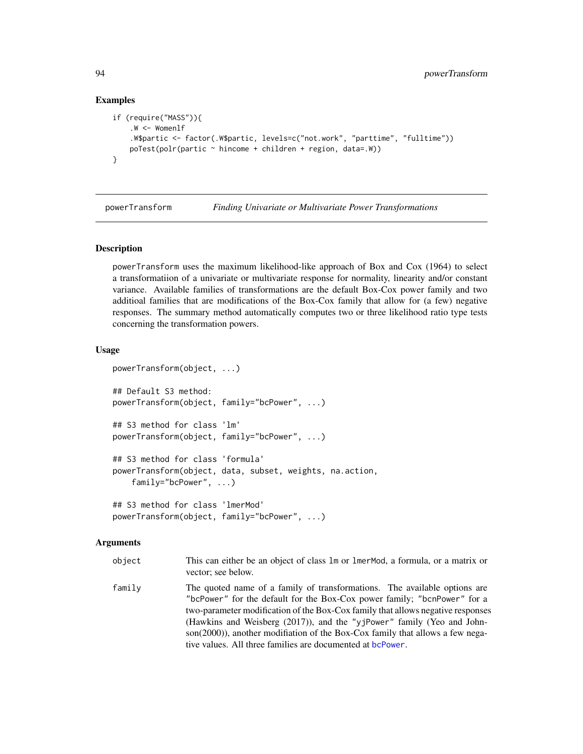## Examples

```
if (require("MASS")){
    W < - Womenlf
    .W$partic <- factor(.W$partic, levels=c("not.work", "parttime", "fulltime"))
   poTest(polr(partic ~* hincome + children + region, data=.W))}
```
powerTransform *Finding Univariate or Multivariate Power Transformations*

#### Description

powerTransform uses the maximum likelihood-like approach of Box and Cox (1964) to select a transformatiion of a univariate or multivariate response for normality, linearity and/or constant variance. Available families of transformations are the default Box-Cox power family and two additioal families that are modifications of the Box-Cox family that allow for (a few) negative responses. The summary method automatically computes two or three likelihood ratio type tests concerning the transformation powers.

## Usage

```
powerTransform(object, ...)
## Default S3 method:
powerTransform(object, family="bcPower", ...)
## S3 method for class 'lm'
powerTransform(object, family="bcPower", ...)
## S3 method for class 'formula'
powerTransform(object, data, subset, weights, na.action,
    family="bcPower", ...)
## S3 method for class 'lmerMod'
powerTransform(object, family="bcPower", ...)
```
#### Arguments

| object | This can either be an object of class 1m or 1 merMod, a formula, or a matrix or |
|--------|---------------------------------------------------------------------------------|
|        | vector: see below.                                                              |

family The quoted name of a family of transformations. The available options are "bcPower" for the default for the Box-Cox power family; "bcnPower" for a two-parameter modification of the Box-Cox family that allows negative responses (Hawkins and Weisberg (2017)), and the "yjPower" family (Yeo and Johnson(2000)), another modifiation of the Box-Cox family that allows a few negative values. All three families are documented at [bcPower](#page-13-0).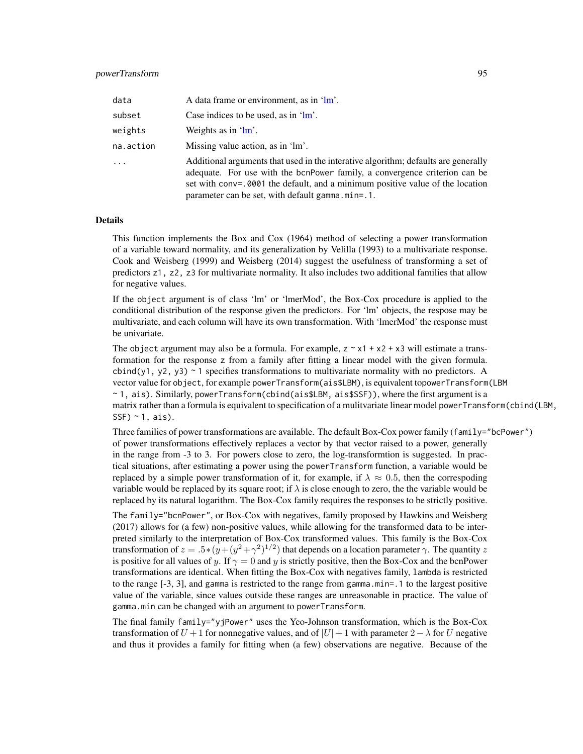| data      | A data frame or environment, as in 'lm'.                                                                                                                                                                                                                                                                  |
|-----------|-----------------------------------------------------------------------------------------------------------------------------------------------------------------------------------------------------------------------------------------------------------------------------------------------------------|
| subset    | Case indices to be used, as in $2m^2$ .                                                                                                                                                                                                                                                                   |
| weights   | Weights as in $'lm'$ .                                                                                                                                                                                                                                                                                    |
| na.action | Missing value action, as in 'lm'.                                                                                                                                                                                                                                                                         |
| $\cdots$  | Additional arguments that used in the interative algorithm; defaults are generally<br>adequate. For use with the bonPower family, a convergence criterion can be<br>set with conv=.0001 the default, and a minimum positive value of the location<br>$parameter can be set. with default gamma.min = .1.$ |

#### Details

This function implements the Box and Cox (1964) method of selecting a power transformation of a variable toward normality, and its generalization by Velilla (1993) to a multivariate response. Cook and Weisberg (1999) and Weisberg (2014) suggest the usefulness of transforming a set of predictors z1, z2, z3 for multivariate normality. It also includes two additional families that allow for negative values.

If the object argument is of class 'lm' or 'lmerMod', the Box-Cox procedure is applied to the conditional distribution of the response given the predictors. For 'lm' objects, the respose may be multivariate, and each column will have its own transformation. With 'lmerMod' the response must be univariate.

The object argument may also be a formula. For example,  $z \sim x1 + x2 + x3$  will estimate a transformation for the response z from a family after fitting a linear model with the given formula. cbind(y1, y2, y3)  $\sim$  1 specifies transformations to multivariate normality with no predictors. A vector value for object, for example powerTransform(ais\$LBM), is equivalent topowerTransform(LBM ~ 1, ais). Similarly, powerTransform(cbind(ais\$LBM, ais\$SSF)), where the first argument is a matrix rather than a formula is equivalent to specification of a mulitvariate linear model powerTransform(cbind(LBM,  $SSF$ ) ~ 1, ais).

Three families of power transformations are available. The default Box-Cox power family (family="bcPower") of power transformations effectively replaces a vector by that vector raised to a power, generally in the range from -3 to 3. For powers close to zero, the log-transformtion is suggested. In practical situations, after estimating a power using the powerTransform function, a variable would be replaced by a simple power transformation of it, for example, if  $\lambda \approx 0.5$ , then the correspoding variable would be replaced by its square root; if  $\lambda$  is close enough to zero, the the variable would be replaced by its natural logarithm. The Box-Cox family requires the responses to be strictly positive.

The family="bcnPower", or Box-Cox with negatives, family proposed by Hawkins and Weisberg (2017) allows for (a few) non-positive values, while allowing for the transformed data to be interpreted similarly to the interpretation of Box-Cox transformed values. This family is the Box-Cox transformation of  $z = .5*(y + (y^2 + \gamma^2)^{1/2})$  that depends on a location parameter  $\gamma$ . The quantity  $z$ is positive for all values of y. If  $\gamma = 0$  and y is strictly positive, then the Box-Cox and the bcnPower transformations are identical. When fitting the Box-Cox with negatives family, lambda is restricted to the range [-3, 3], and gamma is restricted to the range from gamma.min=.1 to the largest positive value of the variable, since values outside these ranges are unreasonable in practice. The value of gamma.min can be changed with an argument to powerTransform.

The final family family="yjPower" uses the Yeo-Johnson transformation, which is the Box-Cox transformation of  $U + 1$  for nonnegative values, and of  $|U| + 1$  with parameter  $2 - \lambda$  for U negative and thus it provides a family for fitting when (a few) observations are negative. Because of the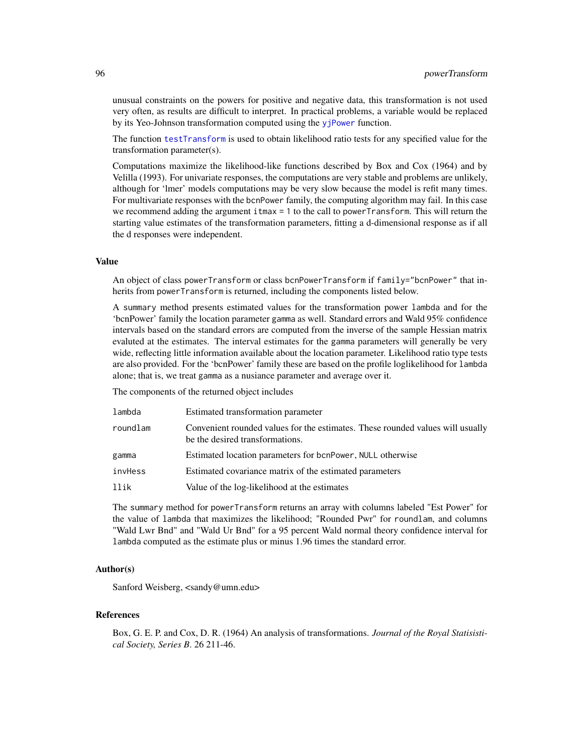unusual constraints on the powers for positive and negative data, this transformation is not used very often, as results are difficult to interpret. In practical problems, a variable would be replaced by its Yeo-Johnson transformation computed using the y<sub>j</sub>Power function.

The function [testTransform](#page-140-0) is used to obtain likelihood ratio tests for any specified value for the transformation parameter(s).

Computations maximize the likelihood-like functions described by Box and Cox (1964) and by Velilla (1993). For univariate responses, the computations are very stable and problems are unlikely, although for 'lmer' models computations may be very slow because the model is refit many times. For multivariate responses with the bcnPower family, the computing algorithm may fail. In this case we recommend adding the argument itmax = 1 to the call to powerTransform. This will return the starting value estimates of the transformation parameters, fitting a d-dimensional response as if all the d responses were independent.

## Value

An object of class powerTransform or class bcnPowerTransform if family="bcnPower" that inherits from powerTransform is returned, including the components listed below.

A summary method presents estimated values for the transformation power lambda and for the 'bcnPower' family the location parameter gamma as well. Standard errors and Wald 95% confidence intervals based on the standard errors are computed from the inverse of the sample Hessian matrix evaluted at the estimates. The interval estimates for the gamma parameters will generally be very wide, reflecting little information available about the location parameter. Likelihood ratio type tests are also provided. For the 'bcnPower' family these are based on the profile loglikelihood for lambda alone; that is, we treat gamma as a nusiance parameter and average over it.

The components of the returned object includes

| lambda   | Estimated transformation parameter                                                                                |
|----------|-------------------------------------------------------------------------------------------------------------------|
| roundlam | Convenient rounded values for the estimates. These rounded values will usually<br>be the desired transformations. |
| gamma    | Estimated location parameters for bonPower, NULL otherwise                                                        |
| invHess  | Estimated covariance matrix of the estimated parameters                                                           |
| llik     | Value of the log-likelihood at the estimates                                                                      |
|          |                                                                                                                   |

The summary method for powerTransform returns an array with columns labeled "Est Power" for the value of lambda that maximizes the likelihood; "Rounded Pwr" for roundlam, and columns "Wald Lwr Bnd" and "Wald Ur Bnd" for a 95 percent Wald normal theory confidence interval for lambda computed as the estimate plus or minus 1.96 times the standard error.

## Author(s)

Sanford Weisberg, <sandy@umn.edu>

#### References

Box, G. E. P. and Cox, D. R. (1964) An analysis of transformations. *Journal of the Royal Statisistical Society, Series B*. 26 211-46.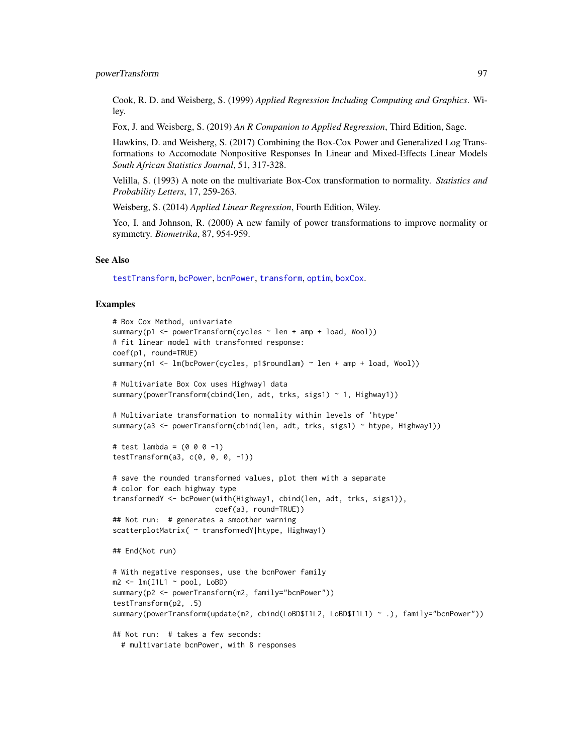Cook, R. D. and Weisberg, S. (1999) *Applied Regression Including Computing and Graphics*. Wiley.

Fox, J. and Weisberg, S. (2019) *An R Companion to Applied Regression*, Third Edition, Sage.

Hawkins, D. and Weisberg, S. (2017) Combining the Box-Cox Power and Generalized Log Transformations to Accomodate Nonpositive Responses In Linear and Mixed-Effects Linear Models *South African Statistics Journal*, 51, 317-328.

Velilla, S. (1993) A note on the multivariate Box-Cox transformation to normality. *Statistics and Probability Letters*, 17, 259-263.

Weisberg, S. (2014) *Applied Linear Regression*, Fourth Edition, Wiley.

Yeo, I. and Johnson, R. (2000) A new family of power transformations to improve normality or symmetry. *Biometrika*, 87, 954-959.

#### See Also

[testTransform](#page-140-0), [bcPower](#page-13-0), [bcnPower](#page-13-1), [transform](#page-0-0), [optim](#page-0-0), [boxCox](#page-18-0).

## Examples

```
# Box Cox Method, univariate
summary(p1 <- powerTransform(cycles ~ len + amp + load, Wool))
# fit linear model with transformed response:
coef(p1, round=TRUE)
summary(m1 <- lm(bcPower(cycles, p1$roundlam) ~ len + amp + load, Wool))
# Multivariate Box Cox uses Highway1 data
summary(powerTransform(cbind(len, adt, trks, sigs1) ~ 1, Highway1))
# Multivariate transformation to normality within levels of 'htype'
summary(a3 <- powerTransform(cbind(len, adt, trks, sigs1) ~ htype, Highway1))
# test lambda = (0 0 0 -1)testTransform(a3, c(0, 0, 0, -1))
# save the rounded transformed values, plot them with a separate
# color for each highway type
transformedY <- bcPower(with(Highway1, cbind(len, adt, trks, sigs1)),
                       coef(a3, round=TRUE))
## Not run: # generates a smoother warning
scatterplotMatrix( ~ transformedY|htype, Highway1)
## End(Not run)
# With negative responses, use the bcnPower family
m2 \leq Im(11L1 \sim pool, LoBD)summary(p2 <- powerTransform(m2, family="bcnPower"))
testTransform(p2, .5)
summary(powerTransform(update(m2, cbind(LoBD$I1L2, LoBD$I1L1) ~ .), family="bcnPower"))
## Not run: # takes a few seconds:
 # multivariate bcnPower, with 8 responses
```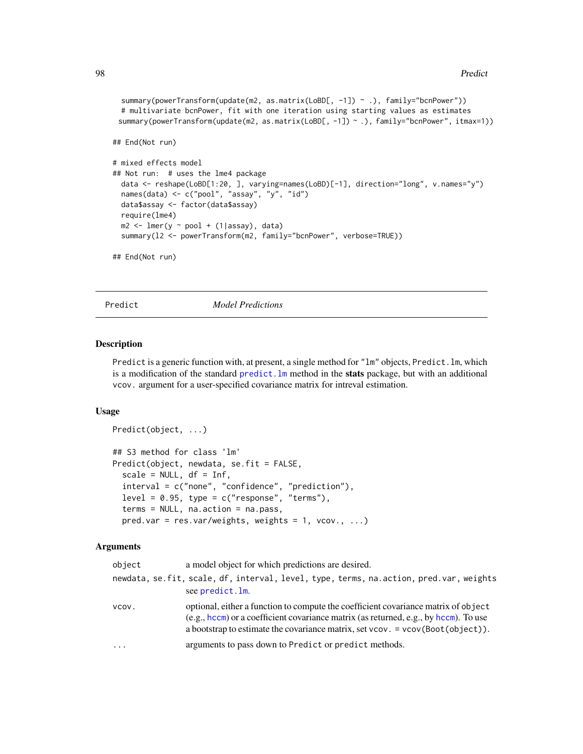```
summary(powerTransform(update(m2, as.matrix(LoBD[, -1]) ~ .), family="bcnPower"))
 # multivariate bcnPower, fit with one iteration using starting values as estimates
 summary(powerTransform(update(m2, as.matrix(LoBD[, -1]) ~ .), family="bcnPower", itmax=1))
## End(Not run)
# mixed effects model
## Not run: # uses the lme4 package
 data <- reshape(LoBD[1:20, ], varying=names(LoBD)[-1], direction="long", v.names="y")
 names(data) <- c("pool", "assay", "y", "id")
 data$assay <- factor(data$assay)
 require(lme4)
 m2 \leq 1mer(y ~ pool + (1|assay), data)
 summary(l2 <- powerTransform(m2, family="bcnPower", verbose=TRUE))
## End(Not run)
```
Predict *Model Predictions*

#### Description

Predict is a generic function with, at present, a single method for "1m" objects, Predict.1m, which is a modification of the standard [predict.lm](#page-0-0) method in the stats package, but with an additional vcov. argument for a user-specified covariance matrix for intreval estimation.

## Usage

```
Predict(object, ...)
## S3 method for class 'lm'
Predict(object, newdata, se.fit = FALSE,
  scale = NULL, df = Inf,
  interval = c("none", "confidence", "prediction"),
 level = 0.95, type = c("response", "terms"),terms = NULL, na.action = na.pass,
```
 $pred.var = res.var/weights, weights = 1, vcov., ...$ 

| object   | a model object for which predictions are desired.                                                                                                                                                                                                              |
|----------|----------------------------------------------------------------------------------------------------------------------------------------------------------------------------------------------------------------------------------------------------------------|
|          | newdata, se.fit, scale, df, interval, level, type, terms, na.action, pred.var, weights<br>see predict. Im.                                                                                                                                                     |
| VCOV.    | optional, either a function to compute the coefficient covariance matrix of object<br>(e.g., hccm) or a coefficient covariance matrix (as returned, e.g., by hccm). To use<br>a bootstrap to estimate the covariance matrix, set $vcov = vcov(Boot(object))$ . |
| $\ddots$ | arguments to pass down to Predict or predict methods.                                                                                                                                                                                                          |
|          |                                                                                                                                                                                                                                                                |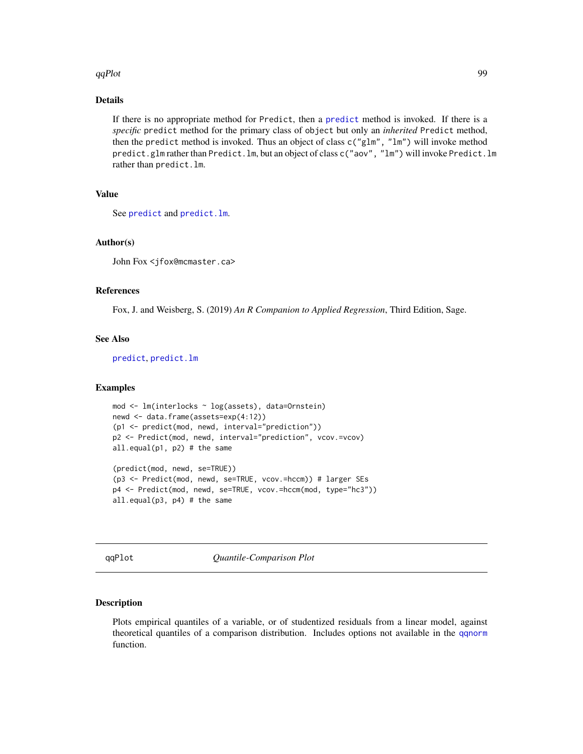#### qqPlot 99

## Details

If there is no appropriate method for Predict, then a [predict](#page-0-0) method is invoked. If there is a *specific* predict method for the primary class of object but only an *inherited* Predict method, then the predict method is invoked. Thus an object of class  $c("glm", "lm")$  will invoke method predict.glm rather than Predict.lm, but an object of class c("aov", "lm") will invoke Predict.lm rather than predict.lm.

## Value

See [predict](#page-0-0) and [predict.lm](#page-0-0).

#### Author(s)

John Fox <jfox@mcmaster.ca>

### References

Fox, J. and Weisberg, S. (2019) *An R Companion to Applied Regression*, Third Edition, Sage.

#### See Also

[predict](#page-0-0), [predict.lm](#page-0-0)

## Examples

```
mod <- lm(interlocks ~ log(assets), data=Ornstein)
newd <- data.frame(assets=exp(4:12))
(p1 <- predict(mod, newd, interval="prediction"))
p2 <- Predict(mod, newd, interval="prediction", vcov.=vcov)
all.equal(p1, p2) # the same
(predict(mod, newd, se=TRUE))
(p3 <- Predict(mod, newd, se=TRUE, vcov.=hccm)) # larger SEs
p4 <- Predict(mod, newd, se=TRUE, vcov.=hccm(mod, type="hc3"))
all.equal(p3, p4) # the same
```
qqPlot *Quantile-Comparison Plot*

#### Description

Plots empirical quantiles of a variable, or of studentized residuals from a linear model, against theoretical quantiles of a comparison distribution. Includes options not available in the [qqnorm](#page-0-0) function.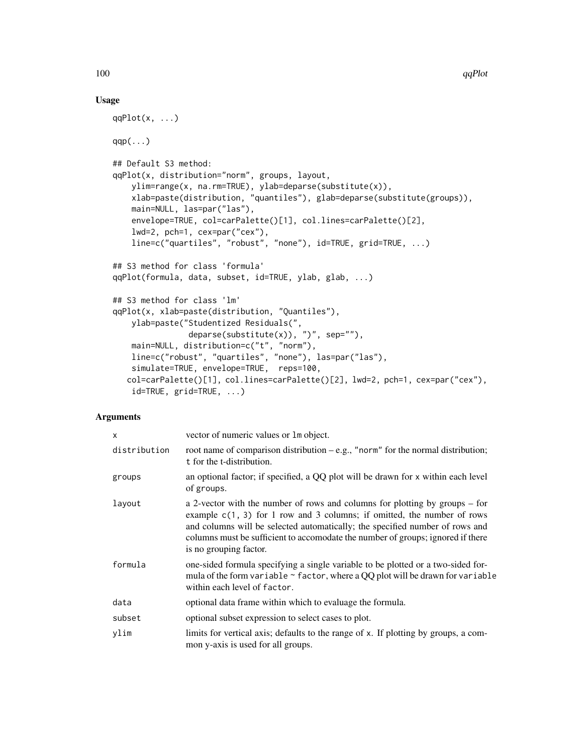## Usage

```
qqPlot(x, \ldots)qqp(\ldots)## Default S3 method:
qqPlot(x, distribution="norm", groups, layout,
    ylim=range(x, na.rm=TRUE), ylab=deparse(substitute(x)),
    xlab=paste(distribution, "quantiles"), glab=deparse(substitute(groups)),
   main=NULL, las=par("las"),
    envelope=TRUE, col=carPalette()[1], col.lines=carPalette()[2],
    lwd=2, pch=1, cex=par("cex"),
    line=c("quartiles", "robust", "none"), id=TRUE, grid=TRUE, ...)
## S3 method for class 'formula'
qqPlot(formula, data, subset, id=TRUE, ylab, glab, ...)
## S3 method for class 'lm'
qqPlot(x, xlab=paste(distribution, "Quantiles"),
    ylab=paste("Studentized Residuals(",
                deparse(substitute(x)), ")", sep="").
    main=NULL, distribution=c("t", "norm"),
   line=c("robust", "quartiles", "none"), las=par("las"),
    simulate=TRUE, envelope=TRUE, reps=100,
   col=carPalette()[1], col.lines=carPalette()[2], lwd=2, pch=1, cex=par("cex"),
    id=TRUE, grid=TRUE, ...)
```

| x            | vector of numeric values or 1 m object.                                                                                                                                                                                                                                                                                                               |
|--------------|-------------------------------------------------------------------------------------------------------------------------------------------------------------------------------------------------------------------------------------------------------------------------------------------------------------------------------------------------------|
| distribution | root name of comparison distribution $-e.g.,$ "norm" for the normal distribution;<br>t for the t-distribution.                                                                                                                                                                                                                                        |
| groups       | an optional factor; if specified, a QQ plot will be drawn for x within each level<br>of groups.                                                                                                                                                                                                                                                       |
| layout       | a 2-vector with the number of rows and columns for plotting by groups – for<br>example $c(1, 3)$ for 1 row and 3 columns; if omitted, the number of rows<br>and columns will be selected automatically; the specified number of rows and<br>columns must be sufficient to accomodate the number of groups; ignored if there<br>is no grouping factor. |
| formula      | one-sided formula specifying a single variable to be plotted or a two-sided for-<br>mula of the form variable ~ factor, where a QQ plot will be drawn for variable<br>within each level of factor.                                                                                                                                                    |
| data         | optional data frame within which to evaluage the formula.                                                                                                                                                                                                                                                                                             |
| subset       | optional subset expression to select cases to plot.                                                                                                                                                                                                                                                                                                   |
| ylim         | limits for vertical axis; defaults to the range of x. If plotting by groups, a com-<br>mon y-axis is used for all groups.                                                                                                                                                                                                                             |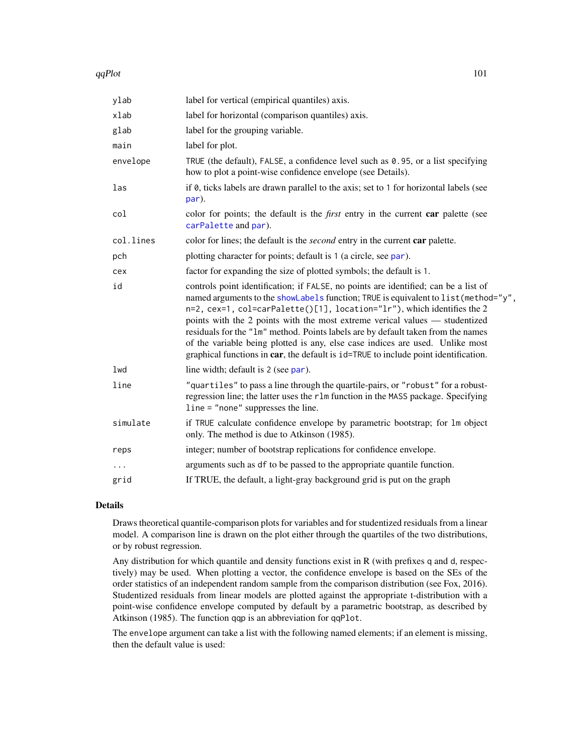#### $qqPlot$  101

| ylab      | label for vertical (empirical quantiles) axis.                                                                                                                                                                                                                                                                                                                                                                                                                                                                                                                                                   |
|-----------|--------------------------------------------------------------------------------------------------------------------------------------------------------------------------------------------------------------------------------------------------------------------------------------------------------------------------------------------------------------------------------------------------------------------------------------------------------------------------------------------------------------------------------------------------------------------------------------------------|
| xlab      | label for horizontal (comparison quantiles) axis.                                                                                                                                                                                                                                                                                                                                                                                                                                                                                                                                                |
| glab      | label for the grouping variable.                                                                                                                                                                                                                                                                                                                                                                                                                                                                                                                                                                 |
| main      | label for plot.                                                                                                                                                                                                                                                                                                                                                                                                                                                                                                                                                                                  |
| envelope  | TRUE (the default), FALSE, a confidence level such as 0.95, or a list specifying<br>how to plot a point-wise confidence envelope (see Details).                                                                                                                                                                                                                                                                                                                                                                                                                                                  |
| las       | if 0, ticks labels are drawn parallel to the axis; set to 1 for horizontal labels (see<br>par).                                                                                                                                                                                                                                                                                                                                                                                                                                                                                                  |
| col       | color for points; the default is the <i>first</i> entry in the current <b>car</b> palette (see<br>carPalette and par).                                                                                                                                                                                                                                                                                                                                                                                                                                                                           |
| col.lines | color for lines; the default is the <i>second</i> entry in the current car palette.                                                                                                                                                                                                                                                                                                                                                                                                                                                                                                              |
| pch       | plotting character for points; default is 1 (a circle, see par).                                                                                                                                                                                                                                                                                                                                                                                                                                                                                                                                 |
| cex       | factor for expanding the size of plotted symbols; the default is 1.                                                                                                                                                                                                                                                                                                                                                                                                                                                                                                                              |
| id        | controls point identification; if FALSE, no points are identified; can be a list of<br>named arguments to the showLabels function; TRUE is equivalent to list (method="y",<br>n=2, cex=1, col=carPalette()[1], location="lr"), which identifies the 2<br>points with the 2 points with the most extreme verical values — studentized<br>residuals for the "1m" method. Points labels are by default taken from the names<br>of the variable being plotted is any, else case indices are used. Unlike most<br>graphical functions in car, the default is id=TRUE to include point identification. |
| lwd       | line width; default is 2 (see par).                                                                                                                                                                                                                                                                                                                                                                                                                                                                                                                                                              |
| line      | "quartiles" to pass a line through the quartile-pairs, or "robust" for a robust-<br>regression line; the latter uses the r1m function in the MASS package. Specifying<br>$line = "none" suppresses the line.$                                                                                                                                                                                                                                                                                                                                                                                    |
| simulate  | if TRUE calculate confidence envelope by parametric bootstrap; for 1m object<br>only. The method is due to Atkinson (1985).                                                                                                                                                                                                                                                                                                                                                                                                                                                                      |
| reps      | integer; number of bootstrap replications for confidence envelope.                                                                                                                                                                                                                                                                                                                                                                                                                                                                                                                               |
|           | arguments such as df to be passed to the appropriate quantile function.                                                                                                                                                                                                                                                                                                                                                                                                                                                                                                                          |
| grid      | If TRUE, the default, a light-gray background grid is put on the graph                                                                                                                                                                                                                                                                                                                                                                                                                                                                                                                           |
|           |                                                                                                                                                                                                                                                                                                                                                                                                                                                                                                                                                                                                  |

#### Details

Draws theoretical quantile-comparison plots for variables and for studentized residuals from a linear model. A comparison line is drawn on the plot either through the quartiles of the two distributions, or by robust regression.

Any distribution for which quantile and density functions exist in R (with prefixes q and d, respectively) may be used. When plotting a vector, the confidence envelope is based on the SEs of the order statistics of an independent random sample from the comparison distribution (see Fox, 2016). Studentized residuals from linear models are plotted against the appropriate t-distribution with a point-wise confidence envelope computed by default by a parametric bootstrap, as described by Atkinson (1985). The function qqp is an abbreviation for qqPlot.

The envelope argument can take a list with the following named elements; if an element is missing, then the default value is used: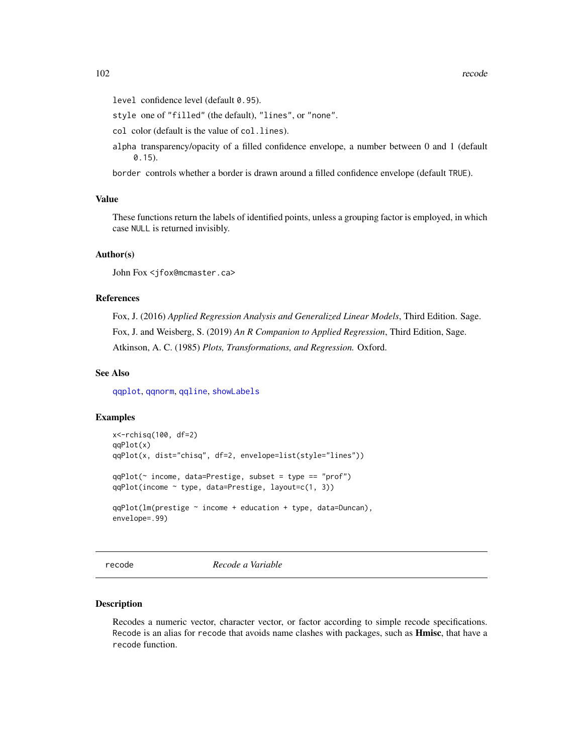level confidence level (default 0.95).

style one of "filled" (the default), "lines", or "none".

col color (default is the value of col.lines).

alpha transparency/opacity of a filled confidence envelope, a number between 0 and 1 (default 0.15).

border controls whether a border is drawn around a filled confidence envelope (default TRUE).

## Value

These functions return the labels of identified points, unless a grouping factor is employed, in which case NULL is returned invisibly.

## Author(s)

John Fox <jfox@mcmaster.ca>

#### References

Fox, J. (2016) *Applied Regression Analysis and Generalized Linear Models*, Third Edition. Sage. Fox, J. and Weisberg, S. (2019) *An R Companion to Applied Regression*, Third Edition, Sage. Atkinson, A. C. (1985) *Plots, Transformations, and Regression.* Oxford.

### See Also

[qqplot](#page-0-0), [qqnorm](#page-0-0), [qqline](#page-0-0), [showLabels](#page-128-0)

#### Examples

```
x<-rchisq(100, df=2)
qqPlot(x)
qqPlot(x, dist="chisq", df=2, envelope=list(style="lines"))
qqPlot(~ income, data=Prestige, subset = type == "prof")
qqPlot(income ~ type, data=Prestige, layout=c(1, 3))
qqPlot(lm(prestige ~ income + education + type, data=Duncan),
envelope=.99)
```
recode *Recode a Variable*

#### Description

Recodes a numeric vector, character vector, or factor according to simple recode specifications. Recode is an alias for recode that avoids name clashes with packages, such as **Hmisc**, that have a recode function.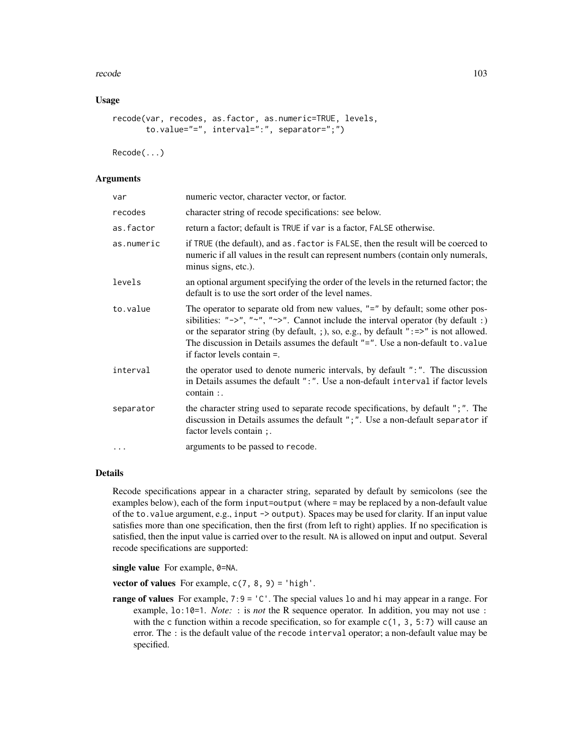#### recode that is a set of the set of the set of the set of the set of the set of the set of the set of the set of the set of the set of the set of the set of the set of the set of the set of the set of the set of the set of

## Usage

```
recode(var, recodes, as.factor, as.numeric=TRUE, levels,
       to.value="=", interval=":", separator=";")
```
Recode(...)

## **Arguments**

| var        | numeric vector, character vector, or factor.                                                                                                                                                                                                                                                                                                                                                                              |
|------------|---------------------------------------------------------------------------------------------------------------------------------------------------------------------------------------------------------------------------------------------------------------------------------------------------------------------------------------------------------------------------------------------------------------------------|
| recodes    | character string of recode specifications: see below.                                                                                                                                                                                                                                                                                                                                                                     |
| as.factor  | return a factor; default is TRUE if var is a factor, FALSE otherwise.                                                                                                                                                                                                                                                                                                                                                     |
| as.numeric | if TRUE (the default), and as . factor is FALSE, then the result will be coerced to<br>numeric if all values in the result can represent numbers (contain only numerals,<br>minus signs, etc.).                                                                                                                                                                                                                           |
| levels     | an optional argument specifying the order of the levels in the returned factor; the<br>default is to use the sort order of the level names.                                                                                                                                                                                                                                                                               |
| to.value   | The operator to separate old from new values, "=" by default; some other pos-<br>sibilities: " $\rightarrow$ ", " $\rightarrow$ ", " $\rightarrow$ ". Cannot include the interval operator (by default :)<br>or the separator string (by default, ; ), so, e.g., by default " $:=$ >" is not allowed.<br>The discussion in Details assumes the default "=". Use a non-default to. value<br>if factor levels contain $=$ . |
| interval   | the operator used to denote numeric intervals, by default ":". The discussion<br>in Details assumes the default ":". Use a non-default interval if factor levels<br>contain :.                                                                                                                                                                                                                                            |
| separator  | the character string used to separate recode specifications, by default "; ". The<br>discussion in Details assumes the default ";". Use a non-default separator if<br>factor levels contain;                                                                                                                                                                                                                              |
| $\cdots$   | arguments to be passed to recode.                                                                                                                                                                                                                                                                                                                                                                                         |

## Details

Recode specifications appear in a character string, separated by default by semicolons (see the examples below), each of the form input=output (where = may be replaced by a non-default value of the to.value argument, e.g., input -> output). Spaces may be used for clarity. If an input value satisfies more than one specification, then the first (from left to right) applies. If no specification is satisfied, then the input value is carried over to the result. NA is allowed on input and output. Several recode specifications are supported:

single value For example, 0=NA.

vector of values For example,  $c(7, 8, 9) = 'high'.$ 

**range of values** For example,  $7:9 = 'C'$ . The special values 10 and hi may appear in a range. For example, lo:10=1. *Note:* : is *not* the R sequence operator. In addition, you may not use : with the c function within a recode specification, so for example  $c(1, 3, 5:7)$  will cause an error. The : is the default value of the recode interval operator; a non-default value may be specified.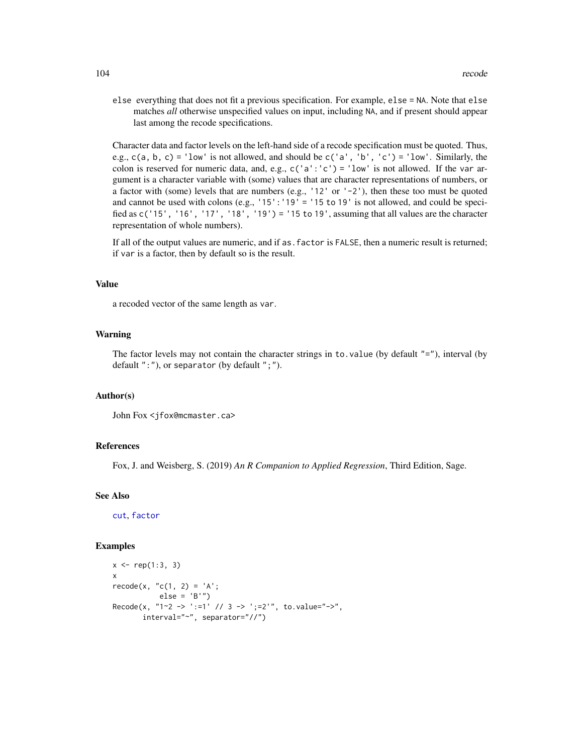else everything that does not fit a previous specification. For example, else = NA. Note that else matches *all* otherwise unspecified values on input, including NA, and if present should appear last among the recode specifications.

Character data and factor levels on the left-hand side of a recode specification must be quoted. Thus, e.g.,  $c(a, b, c) = 'low'$  is not allowed, and should be  $c('a', 'b', 'c') = 'low'.$  Similarly, the colon is reserved for numeric data, and, e.g.,  $c('a':'c') = 'low'$  is not allowed. If the var argument is a character variable with (some) values that are character representations of numbers, or a factor with (some) levels that are numbers (e.g., '12' or '-2'), then these too must be quoted and cannot be used with colons (e.g., '15': '19' = '15 to 19' is not allowed, and could be specified as c('15', '16', '17', '18', '19') = '15 to 19', assuming that all values are the character representation of whole numbers).

If all of the output values are numeric, and if as . factor is FALSE, then a numeric result is returned; if var is a factor, then by default so is the result.

#### Value

a recoded vector of the same length as var.

#### Warning

The factor levels may not contain the character strings in to value (by default  $"=$ "), interval (by default ":"), or separator (by default ";").

#### Author(s)

John Fox <jfox@mcmaster.ca>

## References

Fox, J. and Weisberg, S. (2019) *An R Companion to Applied Regression*, Third Edition, Sage.

#### See Also

[cut](#page-0-0), [factor](#page-0-0)

#### Examples

```
x \leq -rep(1:3, 3)x
recode(x, "c(1, 2) = 'A';else = 'B'')
Recode(x, "1~2 -> ':=1' // 3 -> ';=2'", to.value="->",
       interval="~", separator="//")
```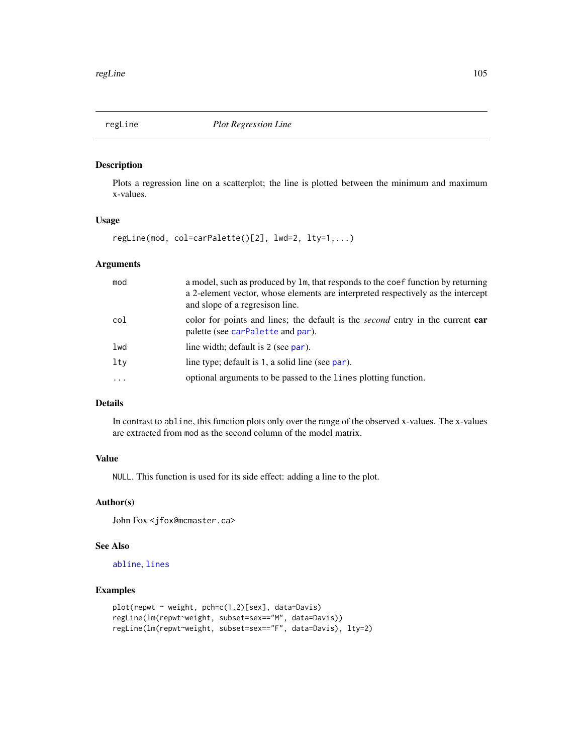<span id="page-104-0"></span>

## Description

Plots a regression line on a scatterplot; the line is plotted between the minimum and maximum x-values.

## Usage

regLine(mod, col=carPalette()[2], lwd=2, lty=1,...)

#### Arguments

| mod       | a model, such as produced by 1m, that responds to the coef function by returning<br>a 2-element vector, whose elements are interpreted respectively as the intercept<br>and slope of a regression line. |
|-----------|---------------------------------------------------------------------------------------------------------------------------------------------------------------------------------------------------------|
| col       | color for points and lines; the default is the <i>second</i> entry in the current <b>car</b><br>palette (see carPalette and par).                                                                       |
| lwd       | line width; default is 2 (see par).                                                                                                                                                                     |
| lty       | line type; default is 1, a solid line (see par).                                                                                                                                                        |
| $\ddotsc$ | optional arguments to be passed to the lines plotting function.                                                                                                                                         |

# Details

In contrast to abline, this function plots only over the range of the observed x-values. The x-values are extracted from mod as the second column of the model matrix.

## Value

NULL. This function is used for its side effect: adding a line to the plot.

## Author(s)

John Fox <jfox@mcmaster.ca>

## See Also

[abline](#page-0-0), [lines](#page-0-0)

#### Examples

```
plot(repwt ~ weight, pch=c(1,2)[sex], data=Davis)
regLine(lm(repwt~weight, subset=sex=="M", data=Davis))
regLine(lm(repwt~weight, subset=sex=="F", data=Davis), lty=2)
```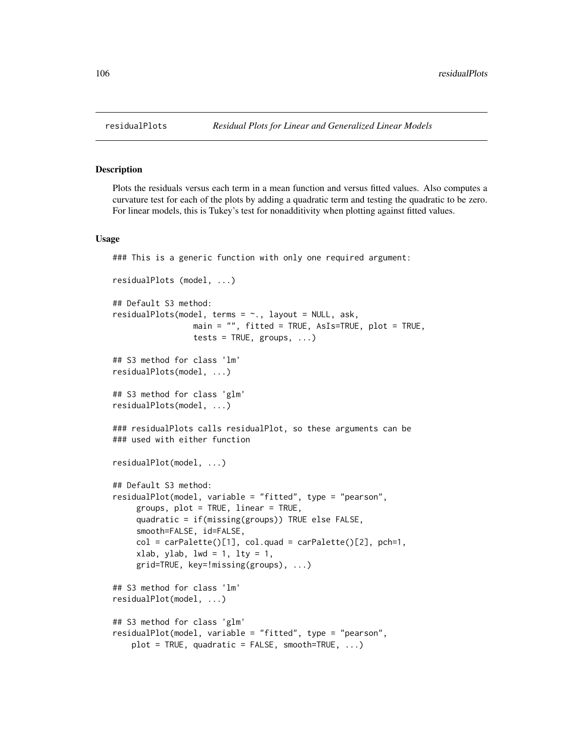#### <span id="page-105-0"></span>Description

Plots the residuals versus each term in a mean function and versus fitted values. Also computes a curvature test for each of the plots by adding a quadratic term and testing the quadratic to be zero. For linear models, this is Tukey's test for nonadditivity when plotting against fitted values.

#### Usage

```
### This is a generic function with only one required argument:
residualPlots (model, ...)
## Default S3 method:
residualPlots(model, terms = ~., layout = NULL, ask,
                 main = ", fitted = TRUE, AsIs=TRUE, plot = TRUE,
                 tests = TRUE, groups, ...)## S3 method for class 'lm'
residualPlots(model, ...)
## S3 method for class 'glm'
residualPlots(model, ...)
### residualPlots calls residualPlot, so these arguments can be
### used with either function
residualPlot(model, ...)
## Default S3 method:
residualPlot(model, variable = "fitted", type = "pearson",
     groups, plot = TRUE, linear = TRUE,
     quadratic = if(missing(groups)) TRUE else FALSE,
     smooth=FALSE, id=FALSE,
     col = carPalette()[1], col.quad = carPalette()[2], pch=1,xlab, ylab, lwd = 1, lty = 1,
     grid=TRUE, key=!missing(groups), ...)
## S3 method for class 'lm'
residualPlot(model, ...)
## S3 method for class 'glm'
residualPlot(model, variable = "fitted", type = "pearson",
   plot = TRUE, quadratic = FALSE, smooth=TRUE, ...)
```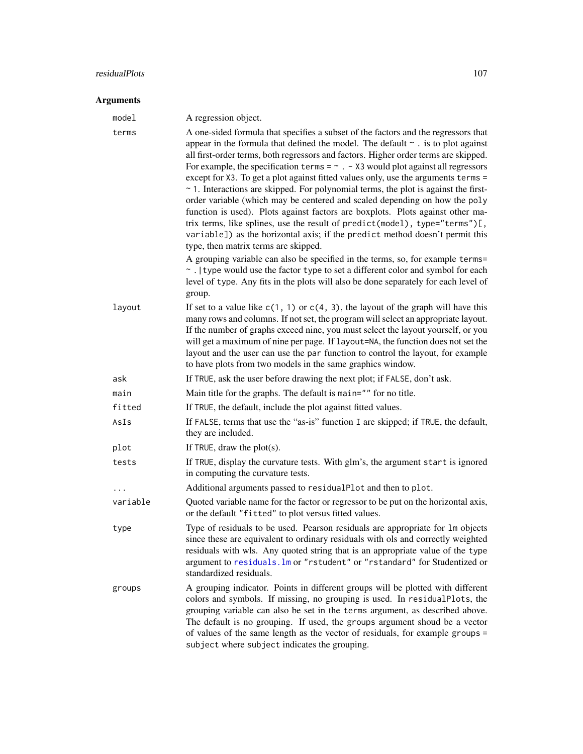# residualPlots 107

| model    | A regression object.                                                                                                                                                                                                                                                                                                                                                                                                                                                                                                                                                                                                                                                                                                                                                                                                                                                                                                                                                                                                                                                                                                                                                              |
|----------|-----------------------------------------------------------------------------------------------------------------------------------------------------------------------------------------------------------------------------------------------------------------------------------------------------------------------------------------------------------------------------------------------------------------------------------------------------------------------------------------------------------------------------------------------------------------------------------------------------------------------------------------------------------------------------------------------------------------------------------------------------------------------------------------------------------------------------------------------------------------------------------------------------------------------------------------------------------------------------------------------------------------------------------------------------------------------------------------------------------------------------------------------------------------------------------|
| terms    | A one-sided formula that specifies a subset of the factors and the regressors that<br>appear in the formula that defined the model. The default $\sim$ is to plot against<br>all first-order terms, both regressors and factors. Higher order terms are skipped.<br>For example, the specification terms = $\sim$ . - X3 would plot against all regressors<br>except for X3. To get a plot against fitted values only, use the arguments terms =<br>$\sim$ 1. Interactions are skipped. For polynomial terms, the plot is against the first-<br>order variable (which may be centered and scaled depending on how the poly<br>function is used). Plots against factors are boxplots. Plots against other ma-<br>trix terms, like splines, use the result of predict(model), type="terms")[,<br>variable]) as the horizontal axis; if the predict method doesn't permit this<br>type, then matrix terms are skipped.<br>A grouping variable can also be specified in the terms, so, for example terms=<br>~ .   type would use the factor type to set a different color and symbol for each<br>level of type. Any fits in the plots will also be done separately for each level of |
|          | group.                                                                                                                                                                                                                                                                                                                                                                                                                                                                                                                                                                                                                                                                                                                                                                                                                                                                                                                                                                                                                                                                                                                                                                            |
| layout   | If set to a value like $c(1, 1)$ or $c(4, 3)$ , the layout of the graph will have this<br>many rows and columns. If not set, the program will select an appropriate layout.<br>If the number of graphs exceed nine, you must select the layout yourself, or you<br>will get a maximum of nine per page. If layout=NA, the function does not set the<br>layout and the user can use the par function to control the layout, for example<br>to have plots from two models in the same graphics window.                                                                                                                                                                                                                                                                                                                                                                                                                                                                                                                                                                                                                                                                              |
| ask      | If TRUE, ask the user before drawing the next plot; if FALSE, don't ask.                                                                                                                                                                                                                                                                                                                                                                                                                                                                                                                                                                                                                                                                                                                                                                                                                                                                                                                                                                                                                                                                                                          |
| main     | Main title for the graphs. The default is main="" for no title.                                                                                                                                                                                                                                                                                                                                                                                                                                                                                                                                                                                                                                                                                                                                                                                                                                                                                                                                                                                                                                                                                                                   |
| fitted   | If TRUE, the default, include the plot against fitted values.                                                                                                                                                                                                                                                                                                                                                                                                                                                                                                                                                                                                                                                                                                                                                                                                                                                                                                                                                                                                                                                                                                                     |
| AsIs     | If FALSE, terms that use the "as-is" function I are skipped; if TRUE, the default,<br>they are included.                                                                                                                                                                                                                                                                                                                                                                                                                                                                                                                                                                                                                                                                                                                                                                                                                                                                                                                                                                                                                                                                          |
| plot     | If TRUE, draw the $plot(s)$ .                                                                                                                                                                                                                                                                                                                                                                                                                                                                                                                                                                                                                                                                                                                                                                                                                                                                                                                                                                                                                                                                                                                                                     |
| tests    | If TRUE, display the curvature tests. With glm's, the argument start is ignored<br>in computing the curvature tests.                                                                                                                                                                                                                                                                                                                                                                                                                                                                                                                                                                                                                                                                                                                                                                                                                                                                                                                                                                                                                                                              |
|          | Additional arguments passed to residualPlot and then to plot.                                                                                                                                                                                                                                                                                                                                                                                                                                                                                                                                                                                                                                                                                                                                                                                                                                                                                                                                                                                                                                                                                                                     |
| variable | Quoted variable name for the factor or regressor to be put on the horizontal axis,<br>or the default "fitted" to plot versus fitted values.                                                                                                                                                                                                                                                                                                                                                                                                                                                                                                                                                                                                                                                                                                                                                                                                                                                                                                                                                                                                                                       |
| type     | Type of residuals to be used. Pearson residuals are appropriate for 1m objects<br>since these are equivalent to ordinary residuals with ols and correctly weighted<br>residuals with wls. Any quoted string that is an appropriate value of the type<br>argument to residuals. Im or "rstudent" or "rstandard" for Studentized or<br>standardized residuals.                                                                                                                                                                                                                                                                                                                                                                                                                                                                                                                                                                                                                                                                                                                                                                                                                      |
| groups   | A grouping indicator. Points in different groups will be plotted with different<br>colors and symbols. If missing, no grouping is used. In residualPlots, the<br>grouping variable can also be set in the terms argument, as described above.<br>The default is no grouping. If used, the groups argument shoud be a vector<br>of values of the same length as the vector of residuals, for example groups =<br>subject where subject indicates the grouping.                                                                                                                                                                                                                                                                                                                                                                                                                                                                                                                                                                                                                                                                                                                     |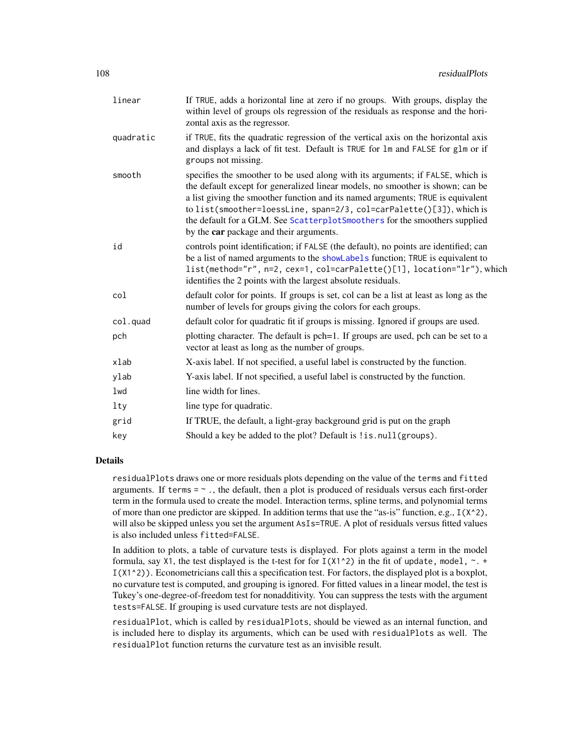| linear    | If TRUE, adds a horizontal line at zero if no groups. With groups, display the<br>within level of groups ols regression of the residuals as response and the hori-<br>zontal axis as the regressor.                                                                                                                                                                                                                                                  |
|-----------|------------------------------------------------------------------------------------------------------------------------------------------------------------------------------------------------------------------------------------------------------------------------------------------------------------------------------------------------------------------------------------------------------------------------------------------------------|
| quadratic | if TRUE, fits the quadratic regression of the vertical axis on the horizontal axis<br>and displays a lack of fit test. Default is TRUE for 1m and FALSE for g1m or if<br>groups not missing.                                                                                                                                                                                                                                                         |
| smooth    | specifies the smoother to be used along with its arguments; if FALSE, which is<br>the default except for generalized linear models, no smoother is shown; can be<br>a list giving the smoother function and its named arguments; TRUE is equivalent<br>to list(smoother=loessLine, span=2/3, col=carPalette()[3]), which is<br>the default for a GLM. See ScatterplotSmoothers for the smoothers supplied<br>by the car package and their arguments. |
| id        | controls point identification; if FALSE (the default), no points are identified; can<br>be a list of named arguments to the showLabels function; TRUE is equivalent to<br>list(method="r", n=2, cex=1, col=carPalette()[1], location="lr"), which<br>identifies the 2 points with the largest absolute residuals.                                                                                                                                    |
| col       | default color for points. If groups is set, col can be a list at least as long as the<br>number of levels for groups giving the colors for each groups.                                                                                                                                                                                                                                                                                              |
| col.quad  | default color for quadratic fit if groups is missing. Ignored if groups are used.                                                                                                                                                                                                                                                                                                                                                                    |
| pch       | plotting character. The default is pch=1. If groups are used, pch can be set to a<br>vector at least as long as the number of groups.                                                                                                                                                                                                                                                                                                                |
| xlab      | X-axis label. If not specified, a useful label is constructed by the function.                                                                                                                                                                                                                                                                                                                                                                       |
| ylab      | Y-axis label. If not specified, a useful label is constructed by the function.                                                                                                                                                                                                                                                                                                                                                                       |
| lwd       | line width for lines.                                                                                                                                                                                                                                                                                                                                                                                                                                |
| lty       | line type for quadratic.                                                                                                                                                                                                                                                                                                                                                                                                                             |
| grid      | If TRUE, the default, a light-gray background grid is put on the graph                                                                                                                                                                                                                                                                                                                                                                               |
| key       | Should a key be added to the plot? Default is ! is. null (groups).                                                                                                                                                                                                                                                                                                                                                                                   |

## Details

residualPlots draws one or more residuals plots depending on the value of the terms and fitted arguments. If terms  $= \infty$ , the default, then a plot is produced of residuals versus each first-order term in the formula used to create the model. Interaction terms, spline terms, and polynomial terms of more than one predictor are skipped. In addition terms that use the "as-is" function, e.g.,  $I(X^2)$ , will also be skipped unless you set the argument AsIs=TRUE. A plot of residuals versus fitted values is also included unless fitted=FALSE.

In addition to plots, a table of curvature tests is displayed. For plots against a term in the model formula, say X1, the test displayed is the t-test for for  $I(X1^2)$  in the fit of update, model,  $\sim$ . +  $I(X1^2)$ ). Econometricians call this a specification test. For factors, the displayed plot is a boxplot, no curvature test is computed, and grouping is ignored. For fitted values in a linear model, the test is Tukey's one-degree-of-freedom test for nonadditivity. You can suppress the tests with the argument tests=FALSE. If grouping is used curvature tests are not displayed.

residualPlot, which is called by residualPlots, should be viewed as an internal function, and is included here to display its arguments, which can be used with residualPlots as well. The residualPlot function returns the curvature test as an invisible result.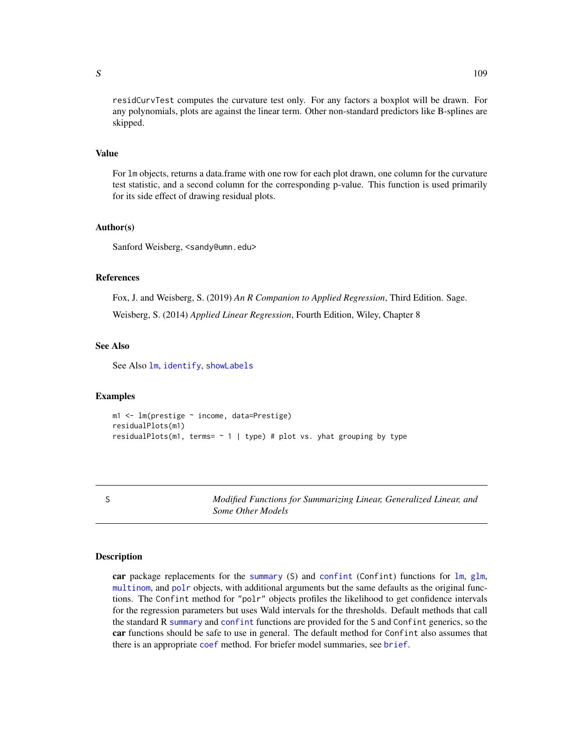residCurvTest computes the curvature test only. For any factors a boxplot will be drawn. For any polynomials, plots are against the linear term. Other non-standard predictors like B-splines are skipped.

#### Value

For lm objects, returns a data.frame with one row for each plot drawn, one column for the curvature test statistic, and a second column for the corresponding p-value. This function is used primarily for its side effect of drawing residual plots.

## Author(s)

Sanford Weisberg, <sandy@umn.edu>

# References

Fox, J. and Weisberg, S. (2019) *An R Companion to Applied Regression*, Third Edition. Sage. Weisberg, S. (2014) *Applied Linear Regression*, Fourth Edition, Wiley, Chapter 8

## See Also

See Also [lm](#page-0-0), [identify](#page-0-0), [showLabels](#page-128-0)

#### Examples

```
m1 <- lm(prestige ~ income, data=Prestige)
residualPlots(m1)
residualPlots(m1, terms= \sim 1 | type) # plot vs. yhat grouping by type
```
S *Modified Functions for Summarizing Linear, Generalized Linear, and Some Other Models*

#### **Description**

car package replacements for the [summary](#page-0-0) (S) and [confint](#page-0-0) (Confint) functions for [lm](#page-0-0), [glm](#page-0-0), [multinom](#page-0-0), and [polr](#page-0-0) objects, with additional arguments but the same defaults as the original functions. The Confint method for "polr" objects profiles the likelihood to get confidence intervals for the regression parameters but uses Wald intervals for the thresholds. Default methods that call the standard R [summary](#page-0-0) and [confint](#page-0-0) functions are provided for the S and Confint generics, so the car functions should be safe to use in general. The default method for Confint also assumes that there is an appropriate [coef](#page-0-0) method. For briefer model summaries, see [brief](#page-25-0).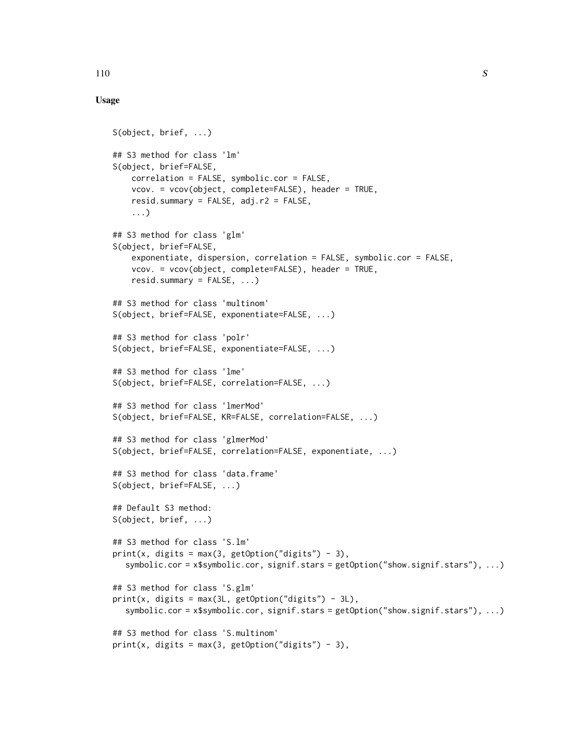# Usage

```
S(object, brief, ...)
## S3 method for class 'lm'
S(object, brief=FALSE,
    correlation = FALSE, symbolic.cor = FALSE,
    vcov. = vcov(object, complete=FALSE), header = TRUE,
    resid.summary = FALSE, adj.r2 = FALSE,
    ...)
## S3 method for class 'glm'
S(object, brief=FALSE,
    exponentiate, dispersion, correlation = FALSE, symbolic.cor = FALSE,
    vcov. = vcov(object, complete=FALSE), header = TRUE,
    resid.summary = FALSE, ...)## S3 method for class 'multinom'
S(object, brief=FALSE, exponentiate=FALSE, ...)
## S3 method for class 'polr'
S(object, brief=FALSE, exponentiate=FALSE, ...)
## S3 method for class 'lme'
S(object, brief=FALSE, correlation=FALSE, ...)
## S3 method for class 'lmerMod'
S(object, brief=FALSE, KR=FALSE, correlation=FALSE, ...)
## S3 method for class 'glmerMod'
S(object, brief=FALSE, correlation=FALSE, exponentiate, ...)
## S3 method for class 'data.frame'
S(object, brief=FALSE, ...)
## Default S3 method:
S(object, brief, ...)
## S3 method for class 'S.lm'
print(x, digits = max(3, getOption("digits") - 3),symbolic.cor = x$symbolic.cor, signif.stars = getOption("show.signif.stars"), ...)
## S3 method for class 'S.glm'
print(x, \text{ digits} = max(3L, \text{ getOption("digits")} - 3L),symbolic.cor = x$symbolic.cor, signif.stars = getOption("show.signif.stars"), ...)
## S3 method for class 'S.multinom'
print(x, digits = max(3, getOption("digits") - 3),
```
 $110$  S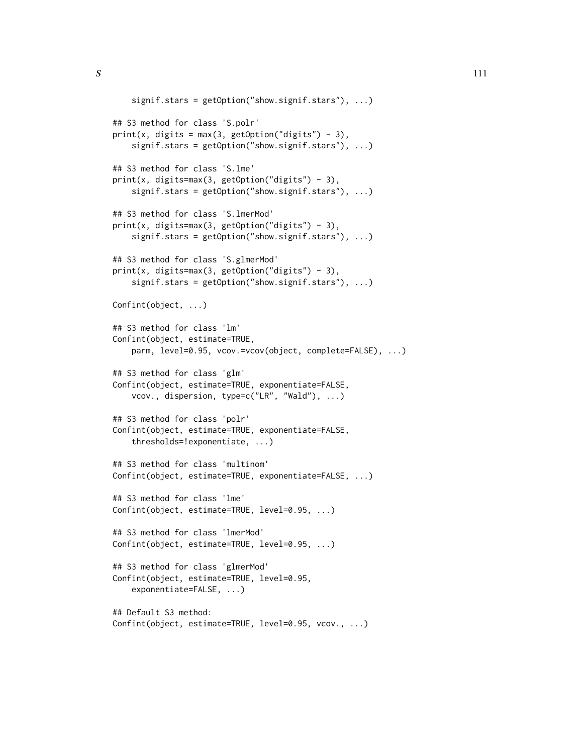```
signif.stars = getOption("show.signif.stars"), ...)
## S3 method for class 'S.polr'
print(x, digits = max(3, getOption("digits") - 3),signif.stars = getOption("show.signif.stars"), ...)
## S3 method for class 'S.lme'
print(x, digits=max(3, getOption("digits") - 3),signif.stars = getOption("show.signif.stars"), ...)
## S3 method for class 'S.lmerMod'
print(x, digits=max(3, getOption("digits") - 3),signif.stars = getOption("show.signif.stars"), ...)
## S3 method for class 'S.glmerMod'
print(x, digits=max(3, getOption("digits") - 3),
    signif.stars = getOption("show.signif.stars"), ...)
Confint(object, ...)
## S3 method for class 'lm'
Confint(object, estimate=TRUE,
    parm, level=0.95, vcov.=vcov(object, complete=FALSE), ...)
## S3 method for class 'glm'
Confint(object, estimate=TRUE, exponentiate=FALSE,
    vcov., dispersion, type=c("LR", "Wald"), ...)
## S3 method for class 'polr'
Confint(object, estimate=TRUE, exponentiate=FALSE,
    thresholds=!exponentiate, ...)
## S3 method for class 'multinom'
Confint(object, estimate=TRUE, exponentiate=FALSE, ...)
## S3 method for class 'lme'
Confint(object, estimate=TRUE, level=0.95, ...)
## S3 method for class 'lmerMod'
Confint(object, estimate=TRUE, level=0.95, ...)
## S3 method for class 'glmerMod'
Confint(object, estimate=TRUE, level=0.95,
    exponentiate=FALSE, ...)
## Default S3 method:
Confint(object, estimate=TRUE, level=0.95, vcov., ...)
```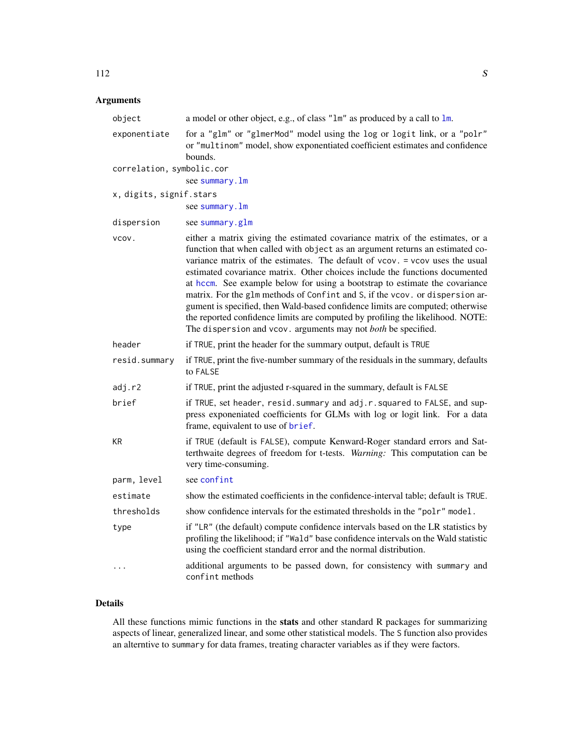# Arguments

| object                    | a model or other object, e.g., of class "1m" as produced by a call to 1m.                                                                                                                                                                                                                                                                                                                                                                                                                                                                                                                                                                                                                                                         |
|---------------------------|-----------------------------------------------------------------------------------------------------------------------------------------------------------------------------------------------------------------------------------------------------------------------------------------------------------------------------------------------------------------------------------------------------------------------------------------------------------------------------------------------------------------------------------------------------------------------------------------------------------------------------------------------------------------------------------------------------------------------------------|
| exponentiate              | for a "glm" or "glmerMod" model using the log or logit link, or a "polr"<br>or "multinom" model, show exponentiated coefficient estimates and confidence<br>bounds.                                                                                                                                                                                                                                                                                                                                                                                                                                                                                                                                                               |
| correlation, symbolic.cor |                                                                                                                                                                                                                                                                                                                                                                                                                                                                                                                                                                                                                                                                                                                                   |
|                           | see summary.lm                                                                                                                                                                                                                                                                                                                                                                                                                                                                                                                                                                                                                                                                                                                    |
| x, digits, signif.stars   |                                                                                                                                                                                                                                                                                                                                                                                                                                                                                                                                                                                                                                                                                                                                   |
|                           | see summary. 1m                                                                                                                                                                                                                                                                                                                                                                                                                                                                                                                                                                                                                                                                                                                   |
| dispersion                | see summary.glm                                                                                                                                                                                                                                                                                                                                                                                                                                                                                                                                                                                                                                                                                                                   |
| vcov.                     | either a matrix giving the estimated covariance matrix of the estimates, or a<br>function that when called with object as an argument returns an estimated co-<br>variance matrix of the estimates. The default of vcov. = vcov uses the usual<br>estimated covariance matrix. Other choices include the functions documented<br>at hccm. See example below for using a bootstrap to estimate the covariance<br>matrix. For the glm methods of Confint and S, if the vcov. or dispersion ar-<br>gument is specified, then Wald-based confidence limits are computed; otherwise<br>the reported confidence limits are computed by profiling the likelihood. NOTE:<br>The dispersion and vcov. arguments may not both be specified. |
| header                    | if TRUE, print the header for the summary output, default is TRUE                                                                                                                                                                                                                                                                                                                                                                                                                                                                                                                                                                                                                                                                 |
| resid.summary             | if TRUE, print the five-number summary of the residuals in the summary, defaults<br>to FALSE                                                                                                                                                                                                                                                                                                                                                                                                                                                                                                                                                                                                                                      |
| adj.r2                    | if TRUE, print the adjusted r-squared in the summary, default is FALSE                                                                                                                                                                                                                                                                                                                                                                                                                                                                                                                                                                                                                                                            |
| brief                     | if TRUE, set header, resid. summary and adj.r. squared to FALSE, and sup-<br>press exponeniated coefficients for GLMs with log or logit link. For a data<br>frame, equivalent to use of brief.                                                                                                                                                                                                                                                                                                                                                                                                                                                                                                                                    |
| ΚR                        | if TRUE (default is FALSE), compute Kenward-Roger standard errors and Sat-<br>terthwaite degrees of freedom for t-tests. Warning: This computation can be<br>very time-consuming.                                                                                                                                                                                                                                                                                                                                                                                                                                                                                                                                                 |
| parm, level               | see confint                                                                                                                                                                                                                                                                                                                                                                                                                                                                                                                                                                                                                                                                                                                       |
| estimate                  | show the estimated coefficients in the confidence-interval table; default is TRUE.                                                                                                                                                                                                                                                                                                                                                                                                                                                                                                                                                                                                                                                |
| thresholds                | show confidence intervals for the estimated thresholds in the "polr" model.                                                                                                                                                                                                                                                                                                                                                                                                                                                                                                                                                                                                                                                       |
| type                      | if "LR" (the default) compute confidence intervals based on the LR statistics by<br>profiling the likelihood; if "Wald" base confidence intervals on the Wald statistic<br>using the coefficient standard error and the normal distribution.                                                                                                                                                                                                                                                                                                                                                                                                                                                                                      |
| $\cdots$                  | additional arguments to be passed down, for consistency with summary and<br>confint methods                                                                                                                                                                                                                                                                                                                                                                                                                                                                                                                                                                                                                                       |

# Details

All these functions mimic functions in the stats and other standard R packages for summarizing aspects of linear, generalized linear, and some other statistical models. The S function also provides an alterntive to summary for data frames, treating character variables as if they were factors.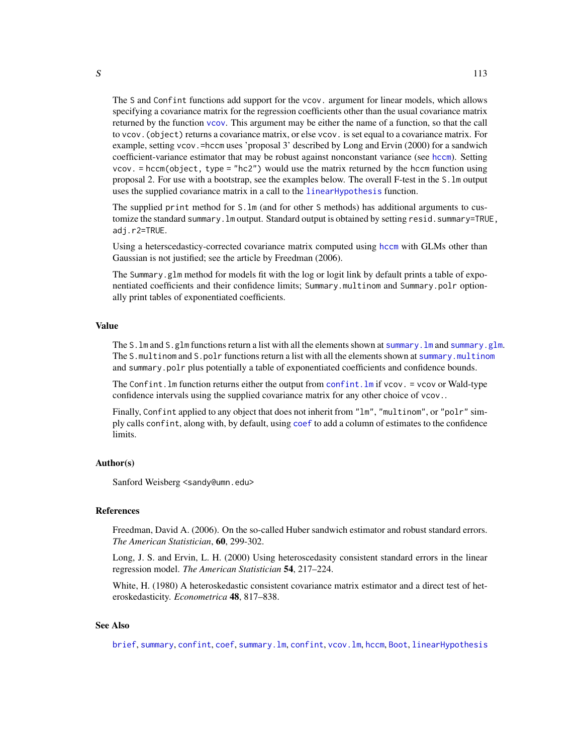The S and Confint functions add support for the vcov. argument for linear models, which allows specifying a covariance matrix for the regression coefficients other than the usual covariance matrix returned by the function [vcov](#page-0-0). This argument may be either the name of a function, so that the call to vcov.(object) returns a covariance matrix, or else vcov. is set equal to a covariance matrix. For example, setting vcov.=hccm uses 'proposal 3' described by Long and Ervin (2000) for a sandwich coefficient-variance estimator that may be robust against nonconstant variance (see [hccm](#page-56-0)). Setting vcov. = hccm(object, type = "hc2") would use the matrix returned by the hccm function using proposal 2. For use with a bootstrap, see the examples below. The overall F-test in the S.lm output uses the supplied covariance matrix in a call to the [linearHypothesis](#page-74-0) function.

The supplied print method for S.lm (and for other S methods) has additional arguments to customize the standard summary.  $lm$  output. Standard output is obtained by setting resid. summary=TRUE, adj.r2=TRUE.

Using a heterscedasticy-corrected covariance matrix computed using [hccm](#page-56-0) with GLMs other than Gaussian is not justified; see the article by Freedman (2006).

The Summary.glm method for models fit with the log or logit link by default prints a table of exponentiated coefficients and their confidence limits; Summary.multinom and Summary.polr optionally print tables of exponentiated coefficients.

#### Value

The S. 1m and S.g1m functions return a list with all the elements shown at summary. 1m and summary.g1m. The S.multinom and S.polr functions return a list with all the elements shown at [summary.multinom](#page-0-0) and summary.polr plus potentially a table of exponentiated coefficients and confidence bounds.

The Confint. Im function returns either the output from confint. Im if vcov. = vcov or Wald-type confidence intervals using the supplied covariance matrix for any other choice of vcov..

Finally, Confint applied to any object that does not inherit from "1m", "multinom", or "polr" simply calls confint, along with, by default, using [coef](#page-0-0) to add a column of estimates to the confidence limits.

#### Author(s)

Sanford Weisberg <sandy@umn.edu>

## References

Freedman, David A. (2006). On the so-called Huber sandwich estimator and robust standard errors. *The American Statistician*, 60, 299-302.

Long, J. S. and Ervin, L. H. (2000) Using heteroscedasity consistent standard errors in the linear regression model. *The American Statistician* 54, 217–224.

White, H. (1980) A heteroskedastic consistent covariance matrix estimator and a direct test of heteroskedasticity. *Econometrica* 48, 817–838.

## See Also

[brief](#page-25-0), [summary](#page-0-0), [confint](#page-0-0), [coef](#page-0-0), [summary.lm](#page-0-0), [confint](#page-0-0), [vcov.lm](#page-0-0), [hccm](#page-56-0), [Boot](#page-15-0), [linearHypothesis](#page-74-0)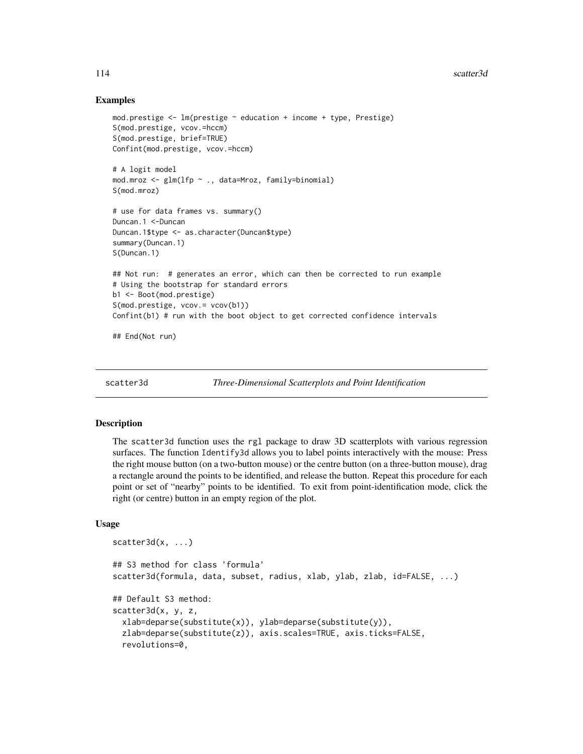## Examples

```
mod.prestige <- lm(prestige ~ education + income + type, Prestige)
S(mod.prestige, vcov.=hccm)
S(mod.prestige, brief=TRUE)
Confint(mod.prestige, vcov.=hccm)
# A logit model
mod.mroz <- glm(lfp ~ ., data=Mroz, family=binomial)
S(mod.mroz)
# use for data frames vs. summary()
Duncan.1 <-Duncan
Duncan.1$type <- as.character(Duncan$type)
summary(Duncan.1)
S(Duncan.1)
## Not run: # generates an error, which can then be corrected to run example
# Using the bootstrap for standard errors
b1 <- Boot(mod.prestige)
S(mod.prestige, vcov.= vcov(b1))
Confint(b1) # run with the boot object to get corrected confidence intervals
## End(Not run)
```
scatter3d *Three-Dimensional Scatterplots and Point Identification*

# Description

The scatter3d function uses the rgl package to draw 3D scatterplots with various regression surfaces. The function Identify3d allows you to label points interactively with the mouse: Press the right mouse button (on a two-button mouse) or the centre button (on a three-button mouse), drag a rectangle around the points to be identified, and release the button. Repeat this procedure for each point or set of "nearby" points to be identified. To exit from point-identification mode, click the right (or centre) button in an empty region of the plot.

## Usage

```
scatter3d(x, ...)## S3 method for class 'formula'
scatter3d(formula, data, subset, radius, xlab, ylab, zlab, id=FALSE, ...)
## Default S3 method:
scatter3d(x, y, z,
  xlab=deparse(substitute(x)), ylab=deparse(substitute(y)),
  zlab=deparse(substitute(z)), axis.scales=TRUE, axis.ticks=FALSE,
  revolutions=0,
```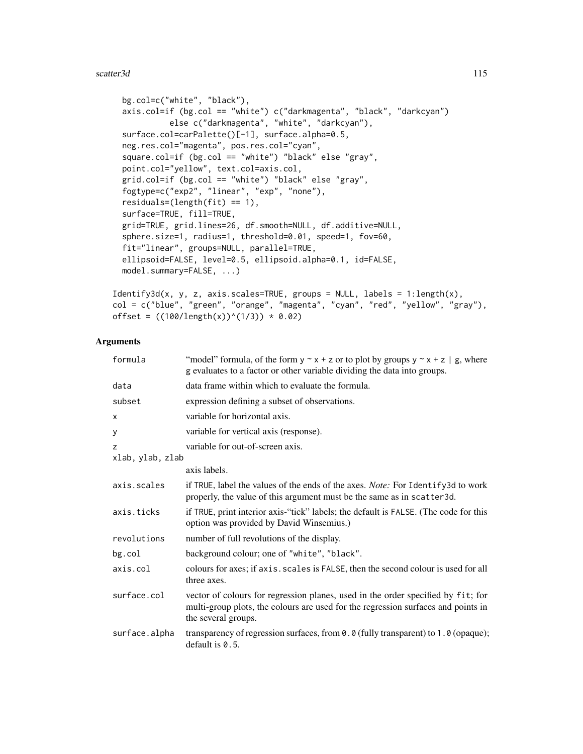```
bg.col=c("white", "black"),
axis.col=if (bg.col == "white") c("darkmagenta", "black", "darkcyan")
          else c("darkmagenta", "white", "darkcyan"),
surface.col=carPalette()[-1], surface.alpha=0.5,
neg.res.col="magenta", pos.res.col="cyan",
square.col=if (bg.col == "white") "black" else "gray",
point.col="yellow", text.col=axis.col,
grid.col=if (bg.col == "white") "black" else "gray",
fogtype=c("exp2", "linear", "exp", "none"),
residuals=(length(fit) == 1),
surface=TRUE, fill=TRUE,
grid=TRUE, grid.lines=26, df.smooth=NULL, df.additive=NULL,
sphere.size=1, radius=1, threshold=0.01, speed=1, fov=60,
fit="linear", groups=NULL, parallel=TRUE,
ellipsoid=FALSE, level=0.5, ellipsoid.alpha=0.1, id=FALSE,
model.summary=FALSE, ...)
```

```
Identity3d(x, y, z, axis.scales=TRUE, groups = NULL, labels = 1:length(x),col = c("blue", "green", "orange", "magenta", "cyan", "red", "yellow", "gray"),
offset = ((100/length(x))^(1/3)) * 0.02)
```

| formula          | "model" formula, of the form $y \sim x + z$ or to plot by groups $y \sim x + z$   g, where<br>g evaluates to a factor or other variable dividing the data into groups.                       |
|------------------|----------------------------------------------------------------------------------------------------------------------------------------------------------------------------------------------|
| data             | data frame within which to evaluate the formula.                                                                                                                                             |
| subset           | expression defining a subset of observations.                                                                                                                                                |
| X                | variable for horizontal axis.                                                                                                                                                                |
| у                | variable for vertical axis (response).                                                                                                                                                       |
| z                | variable for out-of-screen axis.                                                                                                                                                             |
| xlab, ylab, zlab |                                                                                                                                                                                              |
|                  | axis labels.                                                                                                                                                                                 |
| axis.scales      | if TRUE, label the values of the ends of the axes. <i>Note:</i> For Identify3d to work<br>properly, the value of this argument must be the same as in scatter 3d.                            |
| axis.ticks       | if TRUE, print interior axis-"tick" labels; the default is FALSE. (The code for this<br>option was provided by David Winsemius.)                                                             |
| revolutions      | number of full revolutions of the display.                                                                                                                                                   |
| $bg$ .col        | background colour; one of "white", "black".                                                                                                                                                  |
| axis.col         | colours for axes; if axis. scales is FALSE, then the second colour is used for all<br>three axes.                                                                                            |
| surface.col      | vector of colours for regression planes, used in the order specified by fit; for<br>multi-group plots, the colours are used for the regression surfaces and points in<br>the several groups. |
| surface.alpha    | transparency of regression surfaces, from 0.0 (fully transparent) to 1.0 (opaque);<br>default is $0.5$ .                                                                                     |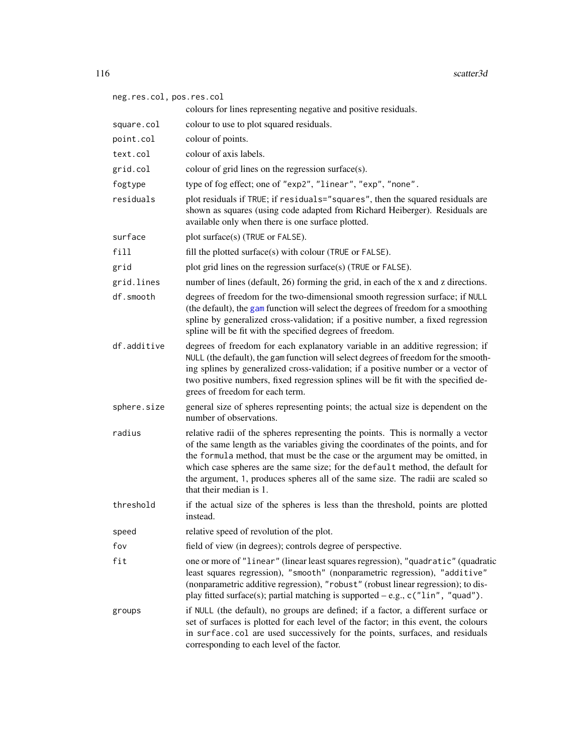| neg.res.col, pos.res.col | colours for lines representing negative and positive residuals.                                                                                                                                                                                                                                                                                                                                                                                      |
|--------------------------|------------------------------------------------------------------------------------------------------------------------------------------------------------------------------------------------------------------------------------------------------------------------------------------------------------------------------------------------------------------------------------------------------------------------------------------------------|
| square.col               | colour to use to plot squared residuals.                                                                                                                                                                                                                                                                                                                                                                                                             |
| point.col                | colour of points.                                                                                                                                                                                                                                                                                                                                                                                                                                    |
| text.col                 | colour of axis labels.                                                                                                                                                                                                                                                                                                                                                                                                                               |
| grid.col                 | colour of grid lines on the regression surface(s).                                                                                                                                                                                                                                                                                                                                                                                                   |
| fogtype                  | type of fog effect; one of "exp2", "linear", "exp", "none".                                                                                                                                                                                                                                                                                                                                                                                          |
| residuals                | plot residuals if TRUE; if residuals="squares", then the squared residuals are<br>shown as squares (using code adapted from Richard Heiberger). Residuals are<br>available only when there is one surface plotted.                                                                                                                                                                                                                                   |
| surface                  | plot surface(s) (TRUE or FALSE).                                                                                                                                                                                                                                                                                                                                                                                                                     |
| fill                     | fill the plotted surface(s) with colour (TRUE or FALSE).                                                                                                                                                                                                                                                                                                                                                                                             |
| grid                     | plot grid lines on the regression surface(s) (TRUE or FALSE).                                                                                                                                                                                                                                                                                                                                                                                        |
| grid.lines               | number of lines (default, 26) forming the grid, in each of the x and z directions.                                                                                                                                                                                                                                                                                                                                                                   |
| df.smooth                | degrees of freedom for the two-dimensional smooth regression surface; if NULL<br>(the default), the gam function will select the degrees of freedom for a smoothing<br>spline by generalized cross-validation; if a positive number, a fixed regression<br>spline will be fit with the specified degrees of freedom.                                                                                                                                 |
| df.additive              | degrees of freedom for each explanatory variable in an additive regression; if<br>NULL (the default), the gam function will select degrees of freedom for the smooth-<br>ing splines by generalized cross-validation; if a positive number or a vector of<br>two positive numbers, fixed regression splines will be fit with the specified de-<br>grees of freedom for each term.                                                                    |
| sphere.size              | general size of spheres representing points; the actual size is dependent on the<br>number of observations.                                                                                                                                                                                                                                                                                                                                          |
| radius                   | relative radii of the spheres representing the points. This is normally a vector<br>of the same length as the variables giving the coordinates of the points, and for<br>the formula method, that must be the case or the argument may be omitted, in<br>which case spheres are the same size; for the default method, the default for<br>the argument, 1, produces spheres all of the same size. The radii are scaled so<br>that their median is 1. |
| threshold                | if the actual size of the spheres is less than the threshold, points are plotted<br>instead.                                                                                                                                                                                                                                                                                                                                                         |
| speed                    | relative speed of revolution of the plot.                                                                                                                                                                                                                                                                                                                                                                                                            |
| fov                      | field of view (in degrees); controls degree of perspective.                                                                                                                                                                                                                                                                                                                                                                                          |
| fit                      | one or more of "linear" (linear least squares regression), "quadratic" (quadratic<br>least squares regression), "smooth" (nonparametric regression), "additive"<br>(nonparametric additive regression), "robust" (robust linear regression); to dis-<br>play fitted surface(s); partial matching is supported $-e.g., c("lin", "quad").$                                                                                                             |
| groups                   | if NULL (the default), no groups are defined; if a factor, a different surface or<br>set of surfaces is plotted for each level of the factor; in this event, the colours<br>in surface.col are used successively for the points, surfaces, and residuals<br>corresponding to each level of the factor.                                                                                                                                               |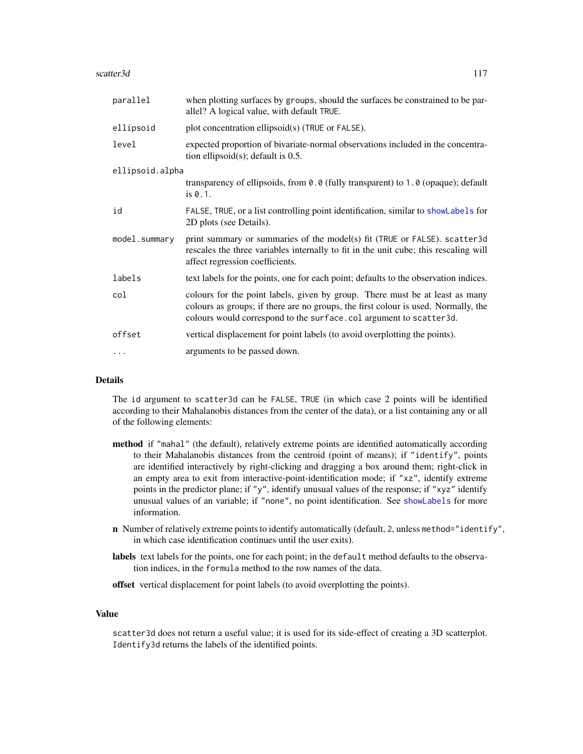#### scatter3d 117

| parallel        | when plotting surfaces by groups, should the surfaces be constrained to be par-<br>allel? A logical value, with default TRUE.                                                                                                            |
|-----------------|------------------------------------------------------------------------------------------------------------------------------------------------------------------------------------------------------------------------------------------|
| ellipsoid       | plot concentration ellipsoid(s) (TRUE or FALSE).                                                                                                                                                                                         |
| level           | expected proportion of bivariate-normal observations included in the concentra-<br>tion ellipsoid $(s)$ ; default is 0.5.                                                                                                                |
| ellipsoid.alpha |                                                                                                                                                                                                                                          |
|                 | transparency of ellipsoids, from $\theta$ . $\theta$ (fully transparent) to 1.0 (opaque); default<br>is 0.1.                                                                                                                             |
| id              | FALSE, TRUE, or a list controlling point identification, similar to showLabels for<br>2D plots (see Details).                                                                                                                            |
| model.summary   | print summary or summaries of the model(s) fit (TRUE or FALSE). scatter3d<br>rescales the three variables internally to fit in the unit cube; this rescaling will<br>affect regression coefficients.                                     |
| labels          | text labels for the points, one for each point; defaults to the observation indices.                                                                                                                                                     |
| col             | colours for the point labels, given by group. There must be at least as many<br>colours as groups; if there are no groups, the first colour is used. Normally, the<br>colours would correspond to the surface.col argument to scatter3d. |
| offset          | vertical displacement for point labels (to avoid overplotting the points).                                                                                                                                                               |
| $\cdots$        | arguments to be passed down.                                                                                                                                                                                                             |

# Details

The id argument to scatter3d can be FALSE, TRUE (in which case 2 points will be identified according to their Mahalanobis distances from the center of the data), or a list containing any or all of the following elements:

- method if "mahal" (the default), relatively extreme points are identified automatically according to their Mahalanobis distances from the centroid (point of means); if "identify", points are identified interactively by right-clicking and dragging a box around them; right-click in an empty area to exit from interactive-point-identification mode; if "xz", identify extreme points in the predictor plane; if "y", identify unusual values of the response; if " $xyz$ " identify unusual values of an variable; if "none", no point identification. See [showLabels](#page-128-0) for more information.
- n Number of relatively extreme points to identify automatically (default, 2, unless method="identify", in which case identification continues until the user exits).
- labels text labels for the points, one for each point; in the default method defaults to the observation indices, in the formula method to the row names of the data.
- offset vertical displacement for point labels (to avoid overplotting the points).

# Value

scatter3d does not return a useful value; it is used for its side-effect of creating a 3D scatterplot. Identify3d returns the labels of the identified points.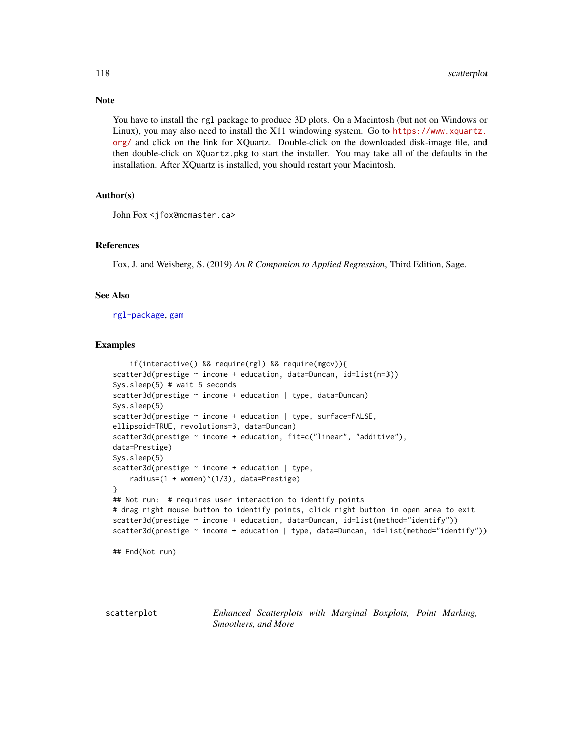## Note

You have to install the rgl package to produce 3D plots. On a Macintosh (but not on Windows or Linux), you may also need to install the X11 windowing system. Go to [https://www.xquartz.](https://www.xquartz.org/) [org/](https://www.xquartz.org/) and click on the link for XQuartz. Double-click on the downloaded disk-image file, and then double-click on XQuartz.pkg to start the installer. You may take all of the defaults in the installation. After XQuartz is installed, you should restart your Macintosh.

## Author(s)

John Fox <jfox@mcmaster.ca>

#### References

Fox, J. and Weisberg, S. (2019) *An R Companion to Applied Regression*, Third Edition, Sage.

#### See Also

[rgl-package](#page-0-0), [gam](#page-0-0)

## Examples

```
if(interactive() && require(rgl) && require(mgcv)){
scatter3d(prestige \sim income + education, data=Duncan, id=list(n=3))
Sys.sleep(5) # wait 5 seconds
scatter3d(prestige \sim income + education | type, data=Duncan)
Sys.sleep(5)
scatter3d(prestige ~ income + education | type, surface=FALSE,
ellipsoid=TRUE, revolutions=3, data=Duncan)
scatter3d(prestige ~ income + education, fit=c("linear", "additive"),
data=Prestige)
Sys.sleep(5)
scatter3d(prestige ~ income + education | type,
    radius=(1 + women)^(1/3), data=Prestige)
}
## Not run: # requires user interaction to identify points
# drag right mouse button to identify points, click right button in open area to exit
scatter3d(prestige ~ income + education, data=Duncan, id=list(method="identify"))
scatter3d(prestige ~ income + education | type, data=Duncan, id=list(method="identify"))
```
## End(Not run)

<span id="page-117-0"></span>scatterplot *Enhanced Scatterplots with Marginal Boxplots, Point Marking, Smoothers, and More*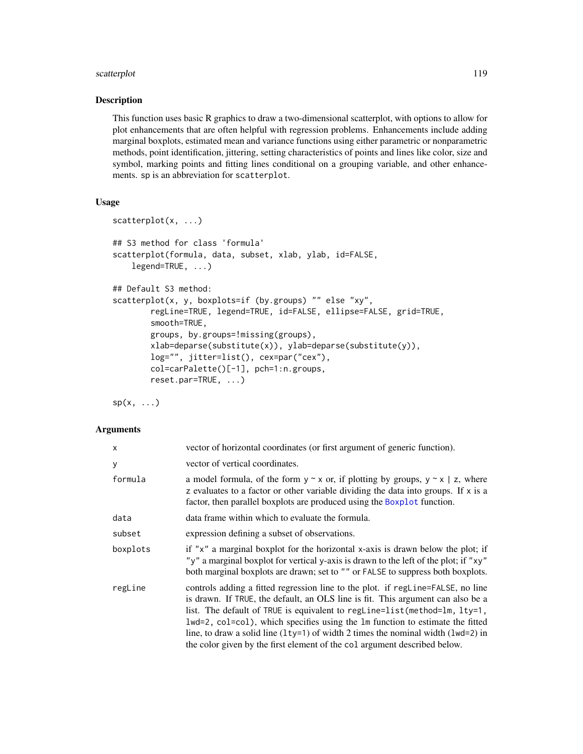# scatterplot 119

#### Description

This function uses basic R graphics to draw a two-dimensional scatterplot, with options to allow for plot enhancements that are often helpful with regression problems. Enhancements include adding marginal boxplots, estimated mean and variance functions using either parametric or nonparametric methods, point identification, jittering, setting characteristics of points and lines like color, size and symbol, marking points and fitting lines conditional on a grouping variable, and other enhancements. sp is an abbreviation for scatterplot.

### Usage

```
scatterplot(x, ...)
## S3 method for class 'formula'
scatterplot(formula, data, subset, xlab, ylab, id=FALSE,
    legend=TRUE, ...)
## Default S3 method:
scatterplot(x, y, boxplots=if (by.groups) "" else "xy",
       regLine=TRUE, legend=TRUE, id=FALSE, ellipse=FALSE, grid=TRUE,
       smooth=TRUE,
       groups, by.groups=!missing(groups),
       xlab=deparse(substitute(x)), ylab=deparse(substitute(y)),
       log="", jitter=list(), cex=par("cex"),
       col=carPalette()[-1], pch=1:n.groups,
       reset.par=TRUE, ...)
```
 $sp(x, \ldots)$ 

| X        | vector of horizontal coordinates (or first argument of generic function).                                                                                                                                                                                                                                                                                                                                                                                                                             |
|----------|-------------------------------------------------------------------------------------------------------------------------------------------------------------------------------------------------------------------------------------------------------------------------------------------------------------------------------------------------------------------------------------------------------------------------------------------------------------------------------------------------------|
| У        | vector of vertical coordinates.                                                                                                                                                                                                                                                                                                                                                                                                                                                                       |
| formula  | a model formula, of the form $y \sim x$ or, if plotting by groups, $y \sim x \mid z$ , where<br>z evaluates to a factor or other variable dividing the data into groups. If x is a<br>factor, then parallel boxplots are produced using the Boxplot function.                                                                                                                                                                                                                                         |
| data     | data frame within which to evaluate the formula.                                                                                                                                                                                                                                                                                                                                                                                                                                                      |
| subset   | expression defining a subset of observations.                                                                                                                                                                                                                                                                                                                                                                                                                                                         |
| boxplots | if " $x$ " a marginal boxplot for the horizontal x-axis is drawn below the plot; if<br>"y" a marginal boxplot for vertical y-axis is drawn to the left of the plot; if "xy"<br>both marginal boxplots are drawn; set to "" or FALSE to suppress both boxplots.                                                                                                                                                                                                                                        |
| regLine  | controls adding a fitted regression line to the plot. if regline=FALSE, no line<br>is drawn. If TRUE, the default, an OLS line is fit. This argument can also be a<br>list. The default of TRUE is equivalent to regline=list(method=lm, lty=1,<br>lwd=2, col=col), which specifies using the lm function to estimate the fitted<br>line, to draw a solid line $(1ty=1)$ of width 2 times the nominal width $(1wd=2)$ in<br>the color given by the first element of the col argument described below. |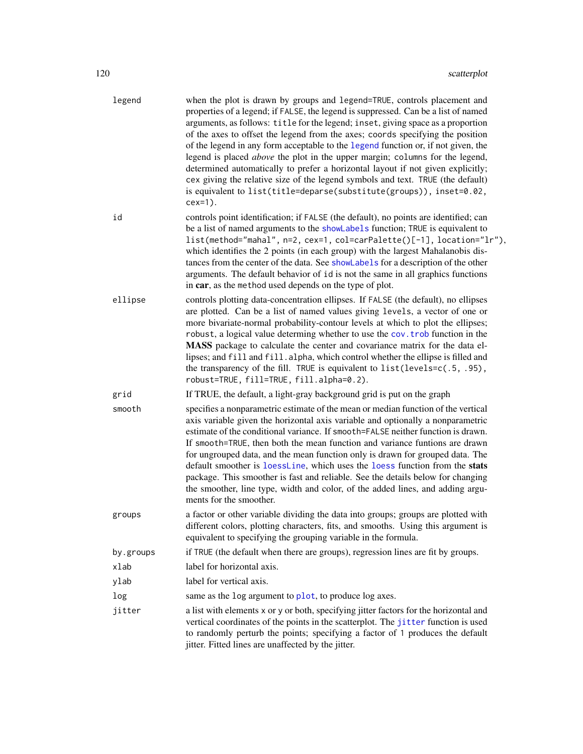| legend    | when the plot is drawn by groups and legend=TRUE, controls placement and<br>properties of a legend; if FALSE, the legend is suppressed. Can be a list of named<br>arguments, as follows: title for the legend; inset, giving space as a proportion<br>of the axes to offset the legend from the axes; coords specifying the position<br>of the legend in any form acceptable to the legend function or, if not given, the<br>legend is placed above the plot in the upper margin; columns for the legend,<br>determined automatically to prefer a horizontal layout if not given explicitly;<br>cex giving the relative size of the legend symbols and text. TRUE (the default)<br>is equivalent to list(title=deparse(substitute(groups)), inset=0.02,<br>$cex=1$ ). |
|-----------|-----------------------------------------------------------------------------------------------------------------------------------------------------------------------------------------------------------------------------------------------------------------------------------------------------------------------------------------------------------------------------------------------------------------------------------------------------------------------------------------------------------------------------------------------------------------------------------------------------------------------------------------------------------------------------------------------------------------------------------------------------------------------|
| id        | controls point identification; if FALSE (the default), no points are identified; can<br>be a list of named arguments to the showLabels function; TRUE is equivalent to<br>list(method="mahal", n=2, cex=1, col=carPalette()[-1], location="lr"),<br>which identifies the 2 points (in each group) with the largest Mahalanobis dis-<br>tances from the center of the data. See showLabels for a description of the other<br>arguments. The default behavior of id is not the same in all graphics functions<br>in car, as the method used depends on the type of plot.                                                                                                                                                                                                |
| ellipse   | controls plotting data-concentration ellipses. If FALSE (the default), no ellipses<br>are plotted. Can be a list of named values giving levels, a vector of one or<br>more bivariate-normal probability-contour levels at which to plot the ellipses;<br>robust, a logical value determing whether to use the cov. trob function in the<br>MASS package to calculate the center and covariance matrix for the data el-<br>lipses; and fill and fill. alpha, which control whether the ellipse is filled and<br>the transparency of the fill. TRUE is equivalent to list(levels=c(.5, .95),<br>robust=TRUE, fill=TRUE, fill.alpha=0.2).                                                                                                                                |
| grid      | If TRUE, the default, a light-gray background grid is put on the graph                                                                                                                                                                                                                                                                                                                                                                                                                                                                                                                                                                                                                                                                                                |
| smooth    | specifies a nonparametric estimate of the mean or median function of the vertical<br>axis variable given the horizontal axis variable and optionally a nonparametric<br>estimate of the conditional variance. If smooth=FALSE neither function is drawn.<br>If smooth=TRUE, then both the mean function and variance funtions are drawn<br>for ungrouped data, and the mean function only is drawn for grouped data. The<br>default smoother is loessLine, which uses the loess function from the stats<br>package. This smoother is fast and reliable. See the details below for changing<br>the smoother, line type, width and color, of the added lines, and adding argu-<br>ments for the smoother.                                                               |
| groups    | a factor or other variable dividing the data into groups; groups are plotted with<br>different colors, plotting characters, fits, and smooths. Using this argument is<br>equivalent to specifying the grouping variable in the formula.                                                                                                                                                                                                                                                                                                                                                                                                                                                                                                                               |
| by.groups | if TRUE (the default when there are groups), regression lines are fit by groups.                                                                                                                                                                                                                                                                                                                                                                                                                                                                                                                                                                                                                                                                                      |
| xlab      | label for horizontal axis.                                                                                                                                                                                                                                                                                                                                                                                                                                                                                                                                                                                                                                                                                                                                            |
| ylab      | label for vertical axis.                                                                                                                                                                                                                                                                                                                                                                                                                                                                                                                                                                                                                                                                                                                                              |
| log       | same as the log argument to plot, to produce log axes.                                                                                                                                                                                                                                                                                                                                                                                                                                                                                                                                                                                                                                                                                                                |
| jitter    | a list with elements x or y or both, specifying jitter factors for the horizontal and<br>vertical coordinates of the points in the scatterplot. The jitter function is used<br>to randomly perturb the points; specifying a factor of 1 produces the default<br>jitter. Fitted lines are unaffected by the jitter.                                                                                                                                                                                                                                                                                                                                                                                                                                                    |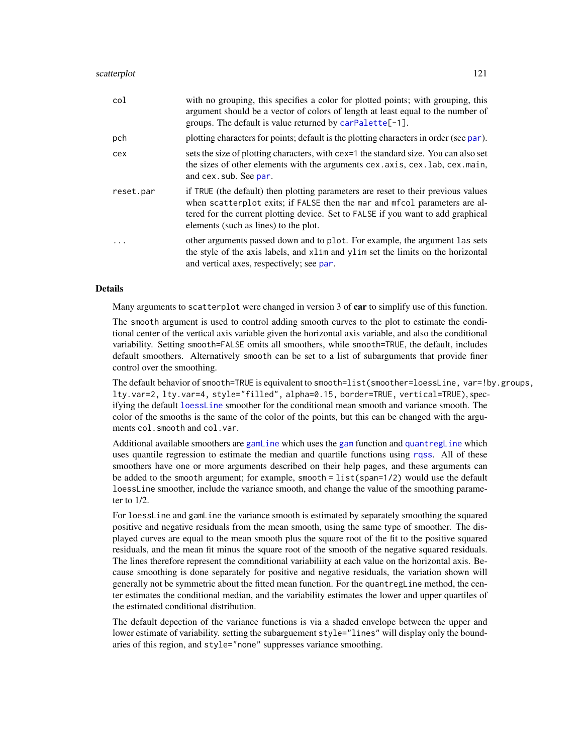| col       | with no grouping, this specifies a color for plotted points; with grouping, this<br>argument should be a vector of colors of length at least equal to the number of<br>groups. The default is value returned by $carPalette[-1]$ .                                                           |
|-----------|----------------------------------------------------------------------------------------------------------------------------------------------------------------------------------------------------------------------------------------------------------------------------------------------|
| pch       | plotting characters for points; default is the plotting characters in order (see par).                                                                                                                                                                                                       |
| cex       | sets the size of plotting characters, with cex=1 the standard size. You can also set<br>the sizes of other elements with the arguments cex. axis, cex. lab, cex. main,<br>and cex. sub. See par.                                                                                             |
| reset.par | if TRUE (the default) then plotting parameters are reset to their previous values<br>when scatterplot exits; if FALSE then the mar and mfcol parameters are al-<br>tered for the current plotting device. Set to FALSE if you want to add graphical<br>elements (such as lines) to the plot. |
| .         | other arguments passed down and to plot. For example, the argument las sets<br>the style of the axis labels, and xlim and ylim set the limits on the horizontal<br>and vertical axes, respectively; see par.                                                                                 |

# Details

Many arguments to scatterplot were changed in version 3 of car to simplify use of this function.

The smooth argument is used to control adding smooth curves to the plot to estimate the conditional center of the vertical axis variable given the horizontal axis variable, and also the conditional variability. Setting smooth=FALSE omits all smoothers, while smooth=TRUE, the default, includes default smoothers. Alternatively smooth can be set to a list of subarguments that provide finer control over the smoothing.

The default behavior of smooth=TRUE is equivalent to smooth=list(smoother=loessLine, var=!by.groups, lty.var=2, lty.var=4, style="filled", alpha=0.15, border=TRUE, vertical=TRUE), specifying the default [loessLine](#page-125-0) smoother for the conditional mean smooth and variance smooth. The color of the smooths is the same of the color of the points, but this can be changed with the arguments col.smooth and col.var.

Additional available smoothers are [gamLine](#page-125-0) which uses the [gam](#page-0-0) function and [quantregLine](#page-125-0) which uses quantile regression to estimate the median and quartile functions using [rqss](#page-0-0). All of these smoothers have one or more arguments described on their help pages, and these arguments can be added to the smooth argument; for example, smooth = list(span=1/2) would use the default loessLine smoother, include the variance smooth, and change the value of the smoothing parameter to 1/2.

For loessLine and gamLine the variance smooth is estimated by separately smoothing the squared positive and negative residuals from the mean smooth, using the same type of smoother. The displayed curves are equal to the mean smooth plus the square root of the fit to the positive squared residuals, and the mean fit minus the square root of the smooth of the negative squared residuals. The lines therefore represent the comnditional variabiliity at each value on the horizontal axis. Because smoothing is done separately for positive and negative residuals, the variation shown will generally not be symmetric about the fitted mean function. For the quantregLine method, the center estimates the conditional median, and the variability estimates the lower and upper quartiles of the estimated conditional distribution.

The default depection of the variance functions is via a shaded envelope between the upper and lower estimate of variability. setting the subarguement style="lines" will display only the boundaries of this region, and style="none" suppresses variance smoothing.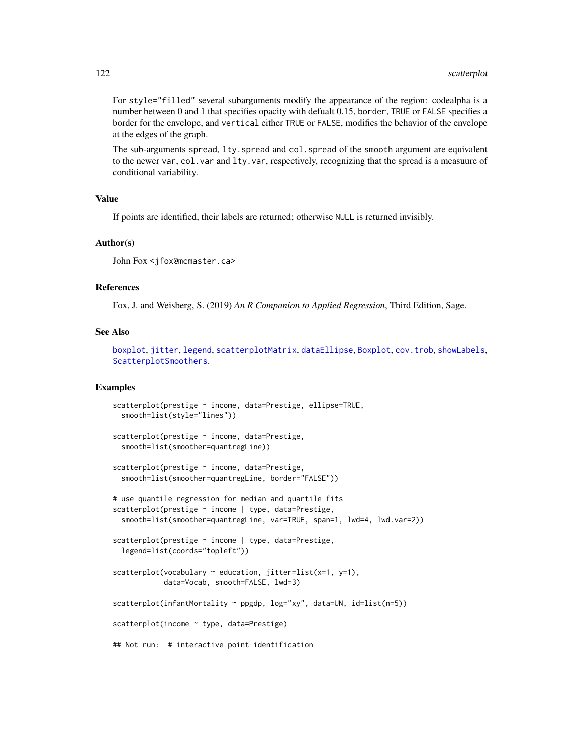For style="filled" several subarguments modify the appearance of the region: codealpha is a number between 0 and 1 that specifies opacity with defualt 0.15, border, TRUE or FALSE specifies a border for the envelope, and vertical either TRUE or FALSE, modifies the behavior of the envelope at the edges of the graph.

The sub-arguments spread, lty.spread and col.spread of the smooth argument are equivalent to the newer var, col.var and lty.var, respectively, recognizing that the spread is a measuure of conditional variability.

## Value

If points are identified, their labels are returned; otherwise NULL is returned invisibly.

#### Author(s)

John Fox <jfox@mcmaster.ca>

## References

Fox, J. and Weisberg, S. (2019) *An R Companion to Applied Regression*, Third Edition, Sage.

#### See Also

[boxplot](#page-0-0), [jitter](#page-0-0), [legend](#page-0-0), [scatterplotMatrix](#page-122-0), [dataEllipse](#page-51-0), [Boxplot](#page-22-0), [cov.trob](#page-0-0), [showLabels](#page-128-0), [ScatterplotSmoothers](#page-125-1).

# Examples

```
scatterplot(prestige ~ income, data=Prestige, ellipse=TRUE,
 smooth=list(style="lines"))
scatterplot(prestige ~ income, data=Prestige,
 smooth=list(smoother=quantregLine))
scatterplot(prestige ~ income, data=Prestige,
  smooth=list(smoother=quantregLine, border="FALSE"))
# use quantile regression for median and quartile fits
scatterplot(prestige ~ income | type, data=Prestige,
 smooth=list(smoother=quantregLine, var=TRUE, span=1, lwd=4, lwd.var=2))
scatterplot(prestige ~ income | type, data=Prestige,
 legend=list(coords="topleft"))
scatterplot(vocabulary \sim education, jitter=list(x=1, y=1),
            data=Vocab, smooth=FALSE, lwd=3)
scatterplot(infantMortality ~ ppgdp, log="xy", data=UN, id=list(n=5))
scatterplot(income ~ type, data=Prestige)
## Not run: # interactive point identification
```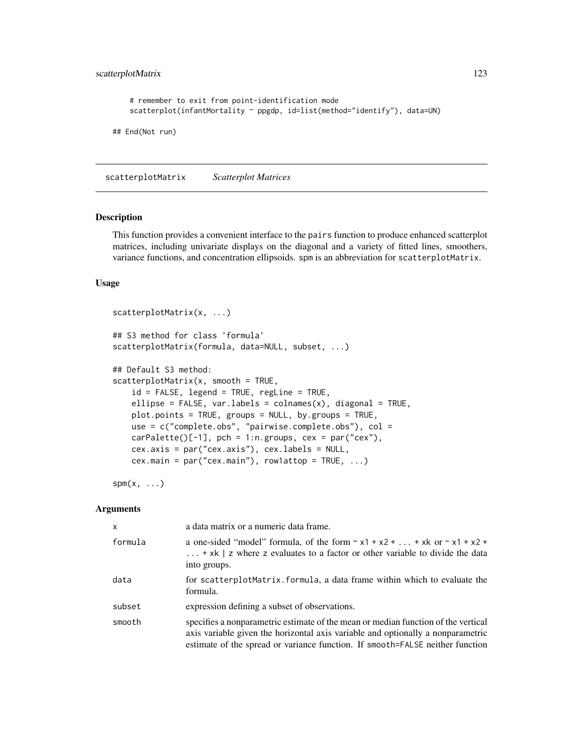```
# remember to exit from point-identification mode
    scatterplot(infantMortality ~ ppgdp, id=list(method="identify"), data=UN)
## End(Not run)
```
<span id="page-122-0"></span>scatterplotMatrix *Scatterplot Matrices*

#### Description

This function provides a convenient interface to the pairs function to produce enhanced scatterplot matrices, including univariate displays on the diagonal and a variety of fitted lines, smoothers, variance functions, and concentration ellipsoids. spm is an abbreviation for scatterplotMatrix.

## Usage

```
scatterplotMatrix(x, ...)
## S3 method for class 'formula'
scatterplotMatrix(formula, data=NULL, subset, ...)
## Default S3 method:
scatteringlotMatrix(x, smooth = TRUE,id = FALSE, legend = TRUE, regLine = TRUE,
   ellipse = FALSE, var.labels = collames(x), diagonal = TRUE,
   plot.points = TRUE, groups = NULL, by.groups = TRUE,
   use = c("complete.obs", "pairwise.complete.obs"), col =
   carPalette()[-1], pch = 1:n.groups, cex = par("cex"),
   cex.axis = par("cex.axis"), cex.labels = NULL,
   cex.main = par("cex.main"), row1attop = TRUE, ...)
```
 $spm(x, \ldots)$ 

| X       | a data matrix or a numeric data frame.                                                                                                                                                                                                                |
|---------|-------------------------------------------------------------------------------------------------------------------------------------------------------------------------------------------------------------------------------------------------------|
| formula | a one-sided "model" formula, of the form $\sim x1 + x2 +  + xk$ or $\sim x1 + x2 + $<br>$\ldots$ + xk   z where z evaluates to a factor or other variable to divide the data<br>into groups.                                                          |
| data    | for scatterplotMatrix. formula, a data frame within which to evaluate the<br>formula.                                                                                                                                                                 |
| subset  | expression defining a subset of observations.                                                                                                                                                                                                         |
| smooth  | specifies a nonparametric estimate of the mean or median function of the vertical<br>axis variable given the horizontal axis variable and optionally a nonparametric<br>estimate of the spread or variance function. If smooth=FALSE neither function |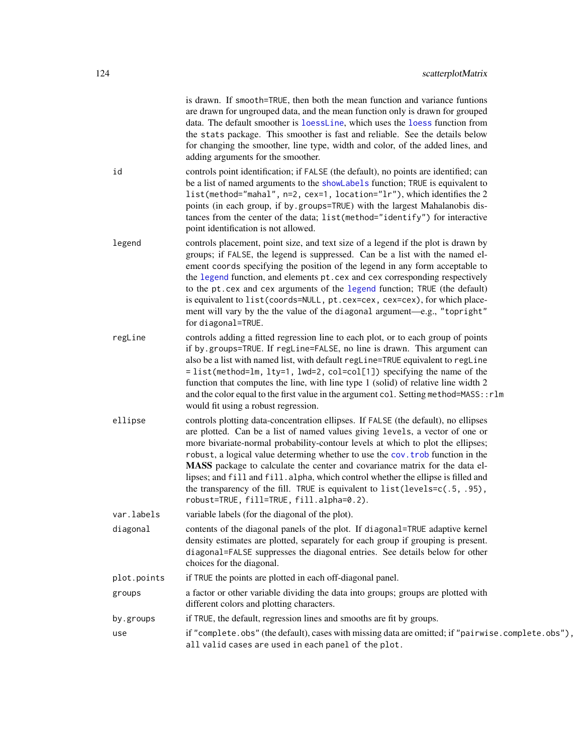is drawn. If smooth=TRUE, then both the mean function and variance funtions are drawn for ungrouped data, and the mean function only is drawn for grouped data. The default smoother is [loessLine](#page-125-0), which uses the [loess](#page-0-0) function from the stats package. This smoother is fast and reliable. See the details below for changing the smoother, line type, width and color, of the added lines, and adding arguments for the smoother.

- id controls point identification; if FALSE (the default), no points are identified; can be a list of named arguments to the [showLabels](#page-128-0) function; TRUE is equivalent to list(method="mahal", n=2, cex=1, location="lr"), which identifies the 2 points (in each group, if by.groups=TRUE) with the largest Mahalanobis distances from the center of the data; list(method="identify") for interactive point identification is not allowed.
- legend controls placement, point size, and text size of a legend if the plot is drawn by groups; if FALSE, the legend is suppressed. Can be a list with the named element coords specifying the position of the legend in any form acceptable to the [legend](#page-0-0) function, and elements pt.cex and cex corresponding respectively to the pt.cex and cex arguments of the [legend](#page-0-0) function; TRUE (the default) is equivalent to list(coords=NULL, pt.cex=cex, cex=cex), for which placement will vary by the the value of the diagonal argument—e.g., "topright" for diagonal=TRUE.
- regLine controls adding a fitted regression line to each plot, or to each group of points if by.groups=TRUE. If regLine=FALSE, no line is drawn. This argument can also be a list with named list, with default regLine=TRUE equivalent to regLine = list(method=lm, lty=1, lwd=2, col=col[1]) specifying the name of the function that computes the line, with line type 1 (solid) of relative line width 2 and the color equal to the first value in the argument col. Setting method=MASS:: rlm would fit using a robust regression.
- ellipse controls plotting data-concentration ellipses. If FALSE (the default), no ellipses are plotted. Can be a list of named values giving levels, a vector of one or more bivariate-normal probability-contour levels at which to plot the ellipses; robust, a logical value determing whether to use the [cov.trob](#page-0-0) function in the MASS package to calculate the center and covariance matrix for the data ellipses; and fill and fill.alpha, which control whether the ellipse is filled and the transparency of the fill. TRUE is equivalent to list(levels=c(.5, .95), robust=TRUE, fill=TRUE, fill.alpha=0.2).

var.labels variable labels (for the diagonal of the plot).

- diagonal contents of the diagonal panels of the plot. If diagonal=TRUE adaptive kernel density estimates are plotted, separately for each group if grouping is present. diagonal=FALSE suppresses the diagonal entries. See details below for other choices for the diagonal.
- plot.points if TRUE the points are plotted in each off-diagonal panel.
- groups a factor or other variable dividing the data into groups; groups are plotted with different colors and plotting characters.
- by.groups if TRUE, the default, regression lines and smooths are fit by groups.
- use if "complete.obs" (the default), cases with missing data are omitted; if "pairwise.complete.obs"), all valid cases are used in each panel of the plot.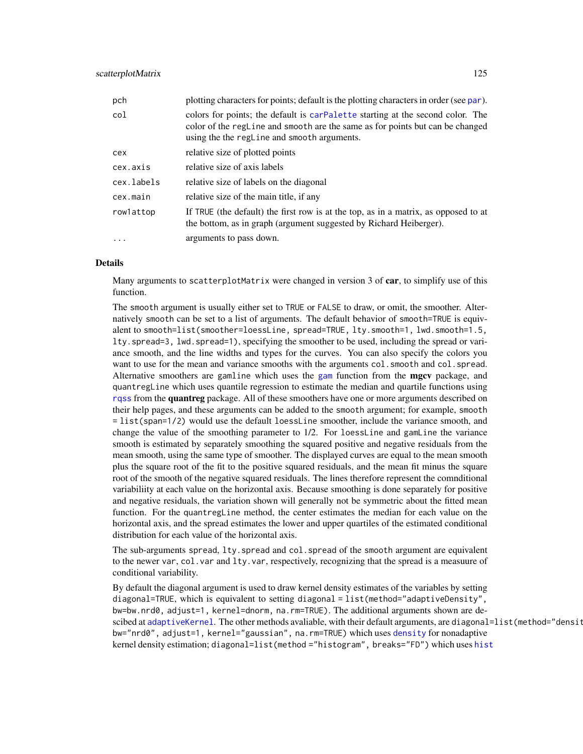| pch        | plotting characters for points; default is the plotting characters in order (see par).                                                                                                                         |  |
|------------|----------------------------------------------------------------------------------------------------------------------------------------------------------------------------------------------------------------|--|
| col        | colors for points; the default is carpalette starting at the second color. The<br>color of the regline and smooth are the same as for points but can be changed<br>using the the regline and smooth arguments. |  |
| cex        | relative size of plotted points                                                                                                                                                                                |  |
| cex.axis   | relative size of axis labels                                                                                                                                                                                   |  |
| cex.labels | relative size of labels on the diagonal                                                                                                                                                                        |  |
| cex.main   | relative size of the main title, if any                                                                                                                                                                        |  |
| rowlattop  | If TRUE (the default) the first row is at the top, as in a matrix, as opposed to at<br>the bottom, as in graph (argument suggested by Richard Heiberger).                                                      |  |
| $\ddotsc$  | arguments to pass down.                                                                                                                                                                                        |  |

#### Details

Many arguments to scatterplotMatrix were changed in version 3 of car, to simplify use of this function.

The smooth argument is usually either set to TRUE or FALSE to draw, or omit, the smoother. Alternatively smooth can be set to a list of arguments. The default behavior of smooth=TRUE is equivalent to smooth=list(smoother=loessLine, spread=TRUE, lty.smooth=1, lwd.smooth=1.5, lty.spread=3, lwd.spread=1), specifying the smoother to be used, including the spread or variance smooth, and the line widths and types for the curves. You can also specify the colors you want to use for the mean and variance smooths with the arguments col. smooth and col. spread. Alternative smoothers are [gam](#page-0-0)line which uses the gam function from the **mgcv** package, and quantregLine which uses quantile regression to estimate the median and quartile functions using [rqss](#page-0-0) from the quantreg package. All of these smoothers have one or more arguments described on their help pages, and these arguments can be added to the smooth argument; for example, smooth = list(span=1/2) would use the default loessLine smoother, include the variance smooth, and change the value of the smoothing parameter to 1/2. For loessLine and gamLine the variance smooth is estimated by separately smoothing the squared positive and negative residuals from the mean smooth, using the same type of smoother. The displayed curves are equal to the mean smooth plus the square root of the fit to the positive squared residuals, and the mean fit minus the square root of the smooth of the negative squared residuals. The lines therefore represent the comnditional variabiliity at each value on the horizontal axis. Because smoothing is done separately for positive and negative residuals, the variation shown will generally not be symmetric about the fitted mean function. For the quantregLine method, the center estimates the median for each value on the horizontal axis, and the spread estimates the lower and upper quartiles of the estimated conditional distribution for each value of the horizontal axis.

The sub-arguments spread, lty.spread and col.spread of the smooth argument are equivalent to the newer var, col.var and lty.var, respectively, recognizing that the spread is a measuure of conditional variability.

By default the diagonal argument is used to draw kernel density estimates of the variables by setting diagonal=TRUE, which is equivalent to setting diagonal = list(method="adaptiveDensity", bw=bw.nrd0, adjust=1, kernel=dnorm, na.rm=TRUE). The additional arguments shown are descibed at [adaptiveKernel](#page-45-0). The other methods avaliable, with their default arguments, are diagonal=list(method="densit bw="nrd0", adjust=1, kernel="gaussian", na.rm=TRUE) which uses [density](#page-0-0) for nonadaptive kernel density estimation; diagonal=list(method ="[hist](#page-0-0)ogram", breaks="FD") which uses hist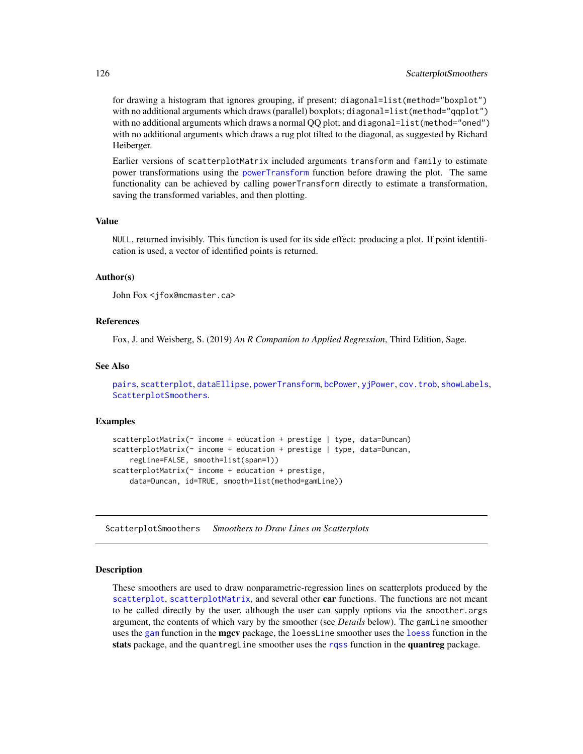for drawing a histogram that ignores grouping, if present; diagonal=list(method="boxplot") with no additional arguments which draws (parallel) boxplots; diagonal=list(method="qqplot") with no additional arguments which draws a normal OO plot; and diagonal=list (method="oned") with no additional arguments which draws a rug plot tilted to the diagonal, as suggested by Richard Heiberger.

Earlier versions of scatterplotMatrix included arguments transform and family to estimate power transformations using the [powerTransform](#page-93-0) function before drawing the plot. The same functionality can be achieved by calling powerTransform directly to estimate a transformation, saving the transformed variables, and then plotting.

#### Value

NULL, returned invisibly. This function is used for its side effect: producing a plot. If point identification is used, a vector of identified points is returned.

## Author(s)

```
John Fox <jfox@mcmaster.ca>
```
## References

Fox, J. and Weisberg, S. (2019) *An R Companion to Applied Regression*, Third Edition, Sage.

# See Also

```
pairs, scatterplot, dataEllipse, powerTransform, bcPower, yjPower, cov.trob, showLabels,
ScatterplotSmoothers.
```
#### Examples

```
scatterplotMatrix(~ income + education + prestige | type, data=Duncan)
scatterplotMatrix(~ income + education + prestige | type, data=Duncan,
   regLine=FALSE, smooth=list(span=1))
scatterplotMatrix(~ income + education + prestige,
   data=Duncan, id=TRUE, smooth=list(method=gamLine))
```
<span id="page-125-1"></span>ScatterplotSmoothers *Smoothers to Draw Lines on Scatterplots*

#### <span id="page-125-0"></span>Description

These smoothers are used to draw nonparametric-regression lines on scatterplots produced by the [scatterplot](#page-117-0), [scatterplotMatrix](#page-122-0), and several other car functions. The functions are not meant to be called directly by the user, although the user can supply options via the smoother.args argument, the contents of which vary by the smoother (see *Details* below). The gamLine smoother uses the [gam](#page-0-0) function in the **mgcv** package, the [loess](#page-0-0)Line smoother uses the loess function in the stats package, and the quantregLine smoother uses the [rqss](#page-0-0) function in the quantreg package.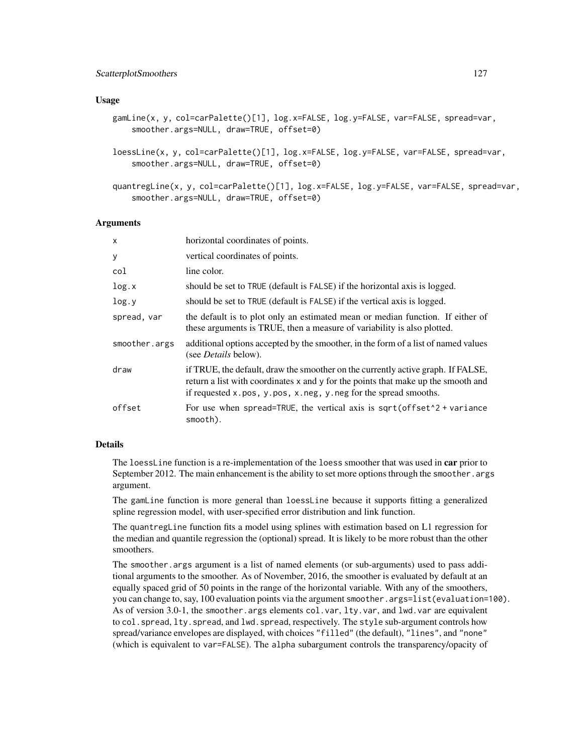#### Usage

```
gamLine(x, y, col=carPalette()[1], log.x=FALSE, log.y=FALSE, var=FALSE, spread=var,
    smoother.args=NULL, draw=TRUE, offset=0)
```
- loessLine(x, y, col=carPalette()[1], log.x=FALSE, log.y=FALSE, var=FALSE, spread=var, smoother.args=NULL, draw=TRUE, offset=0)
- quantregLine(x, y, col=carPalette()[1], log.x=FALSE, log.y=FALSE, var=FALSE, spread=var, smoother.args=NULL, draw=TRUE, offset=0)

#### Arguments

| X             | horizontal coordinates of points.                                                                                                                                                                                                        |
|---------------|------------------------------------------------------------------------------------------------------------------------------------------------------------------------------------------------------------------------------------------|
| У             | vertical coordinates of points.                                                                                                                                                                                                          |
| col           | line color.                                                                                                                                                                                                                              |
| log.x         | should be set to TRUE (default is FALSE) if the horizontal axis is logged.                                                                                                                                                               |
| log.y         | should be set to TRUE (default is FALSE) if the vertical axis is logged.                                                                                                                                                                 |
| spread, var   | the default is to plot only an estimated mean or median function. If either of<br>these arguments is TRUE, then a measure of variability is also plotted.                                                                                |
| smoother.args | additional options accepted by the smoother, in the form of a list of named values<br>(see <i>Details</i> below).                                                                                                                        |
| draw          | if TRUE, the default, draw the smoother on the currently active graph. If FALSE,<br>return a list with coordinates x and y for the points that make up the smooth and<br>if requested x.pos, y.pos, x.neg, y.neg for the spread smooths. |
| offset        | For use when spread=TRUE, the vertical axis is $sqrt($ offset <sup><math>2</math></sup> + variance<br>smooth).                                                                                                                           |

## Details

The loess Line function is a re-implementation of the loess smoother that was used in car prior to September 2012. The main enhancement is the ability to set more options through the smoother. args argument.

The gamLine function is more general than loessLine because it supports fitting a generalized spline regression model, with user-specified error distribution and link function.

The quantregLine function fits a model using splines with estimation based on L1 regression for the median and quantile regression the (optional) spread. It is likely to be more robust than the other smoothers.

The smoother.args argument is a list of named elements (or sub-arguments) used to pass additional arguments to the smoother. As of November, 2016, the smoother is evaluated by default at an equally spaced grid of 50 points in the range of the horizontal variable. With any of the smoothers, you can change to, say, 100 evaluation points via the argument smoother.args=list(evaluation=100). As of version 3.0-1, the smoother.args elements col.var, lty.var, and lwd.var are equivalent to col. spread, lty. spread, and lwd. spread, respectively. The style sub-argument controls how spread/variance envelopes are displayed, with choices "filled" (the default), "lines", and "none" (which is equivalent to var=FALSE). The alpha subargument controls the transparency/opacity of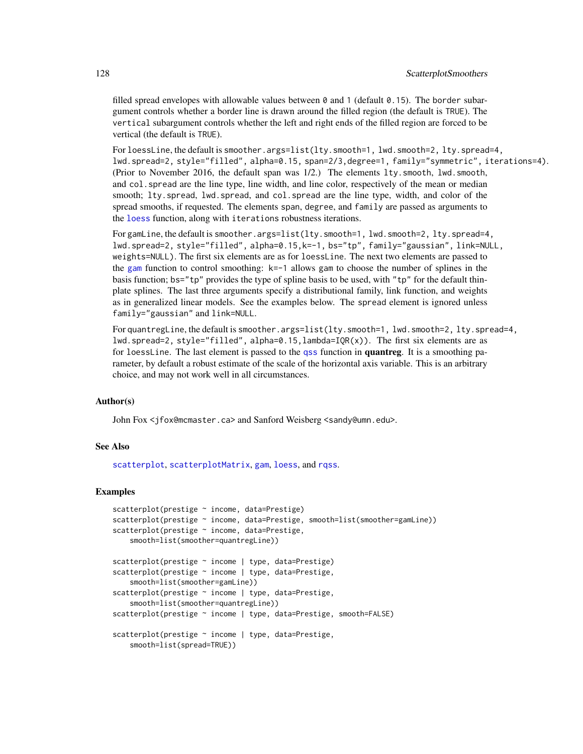filled spread envelopes with allowable values between  $\theta$  and 1 (default  $\theta$ .15). The border subargument controls whether a border line is drawn around the filled region (the default is TRUE). The vertical subargument controls whether the left and right ends of the filled region are forced to be vertical (the default is TRUE).

For loessLine, the default is smoother.args=list(lty.smooth=1, lwd.smooth=2, lty.spread=4, lwd.spread=2, style="filled", alpha=0.15, span=2/3,degree=1, family="symmetric", iterations=4). (Prior to November 2016, the default span was 1/2.) The elements lty.smooth, lwd.smooth, and col.spread are the line type, line width, and line color, respectively of the mean or median smooth; lty.spread, lwd.spread, and col.spread are the line type, width, and color of the spread smooths, if requested. The elements span, degree, and family are passed as arguments to the [loess](#page-0-0) function, along with iterations robustness iterations.

For gamLine, the default is smoother.args=list(lty.smooth=1, lwd.smooth=2, lty.spread=4, lwd.spread=2, style="filled", alpha=0.15,k=-1, bs="tp", family="gaussian", link=NULL, weights=NULL). The first six elements are as for loessLine. The next two elements are passed to the [gam](#page-0-0) function to control smoothing: k=-1 allows gam to choose the number of splines in the basis function; bs="tp" provides the type of spline basis to be used, with "tp" for the default thinplate splines. The last three arguments specify a distributional family, link function, and weights as in generalized linear models. See the examples below. The spread element is ignored unless family="gaussian" and link=NULL.

For quantregLine, the default is smoother.args=list(lty.smooth=1, lwd.smooth=2, lty.spread=4, lwd.spread=2, style="filled", alpha=0.15, lambda=IQR(x)). The first six elements are as for loessLine. The last element is passed to the [qss](#page-0-0) function in **quantreg**. It is a smoothing parameter, by default a robust estimate of the scale of the horizontal axis variable. This is an arbitrary choice, and may not work well in all circumstances.

#### Author(s)

John Fox <jfox@mcmaster.ca> and Sanford Weisberg <sandy@umn.edu>.

#### See Also

[scatterplot](#page-117-0), [scatterplotMatrix](#page-122-0), [gam](#page-0-0), [loess](#page-0-0), and [rqss](#page-0-0).

## Examples

```
scatterplot(prestige ~ income, data=Prestige)
scatterplot(prestige \sim income, data=Prestige, smooth=list(smoother=gamLine))
scatterplot(prestige ~ income, data=Prestige,
   smooth=list(smoother=quantregLine))
scatterplot(prestige ~ income | type, data=Prestige)
scatterplot(prestige ~ income | type, data=Prestige,
   smooth=list(smoother=gamLine))
scatterplot(prestige ~ income | type, data=Prestige,
    smooth=list(smoother=quantregLine))
scatterplot(prestige ~ income | type, data=Prestige, smooth=FALSE)
scatterplot(prestige ~ income | type, data=Prestige,
   smooth=list(spread=TRUE))
```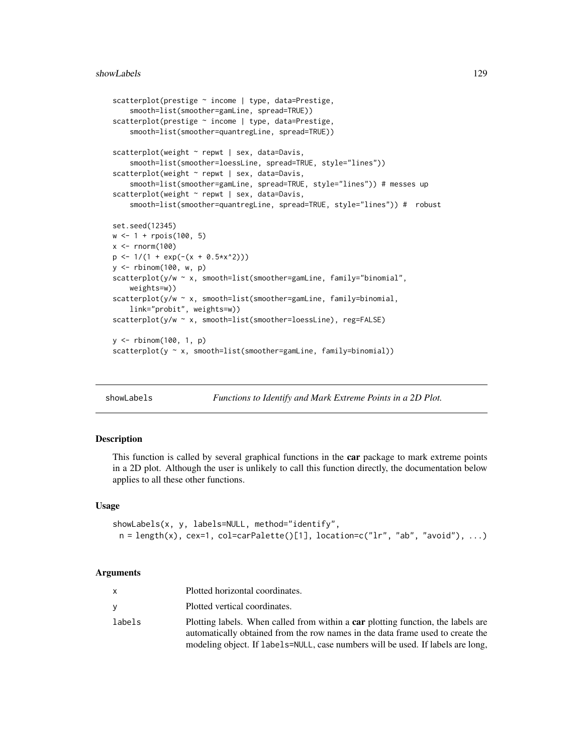```
scatterplot(prestige ~ income | type, data=Prestige,
    smooth=list(smoother=gamLine, spread=TRUE))
scatterplot(prestige ~ income | type, data=Prestige,
    smooth=list(smoother=quantregLine, spread=TRUE))
scatterplot(weight ~ repwt | sex, data=Davis,
    smooth=list(smoother=loessLine, spread=TRUE, style="lines"))
scatterplot(weight ~ repwt | sex, data=Davis,
    smooth=list(smoother=gamLine, spread=TRUE, style="lines")) # messes up
scatterplot(weight ~ repwt | sex, data=Davis,
    smooth=list(smoother=quantregLine, spread=TRUE, style="lines")) # robust
set.seed(12345)
w <- 1 + rpois(100, 5)
x \le rnorm(100)
p \leftarrow 1/(1 + \exp(-(x + 0.5*x^2)))y <- rbinom(100, w, p)
scatterplot(y/w ~ x, smooth=list(smoother=gamLine, family="binomial",
    weights=w))
scatterplot(y/w ~ x, smooth=list(smoother=gamLine, family=binomial,
    link="probit", weights=w))
scatterplot(y/w ~ x, smooth=list(smoother=loessLine), reg=FALSE)
y <- rbinom(100, 1, p)
scatterplot(y ~ x, smooth=list(smoother=gamLine, family=binomial))
```
<span id="page-128-0"></span>

| showLabels | Functions to Identify and Mark Extreme Points in a 2D Plot. |
|------------|-------------------------------------------------------------|
|------------|-------------------------------------------------------------|

# **Description**

This function is called by several graphical functions in the **car** package to mark extreme points in a 2D plot. Although the user is unlikely to call this function directly, the documentation below applies to all these other functions.

## Usage

```
showLabels(x, y, labels=NULL, method="identify",
 n = length(x), cex=1, col=carPalette()[1], location=c("lr", "ab", "avoid"), ...)
```

| X        | Plotted horizontal coordinates.                                                                                                                                    |
|----------|--------------------------------------------------------------------------------------------------------------------------------------------------------------------|
| <b>V</b> | Plotted vertical coordinates.                                                                                                                                      |
| labels   | Plotting labels. When called from within a car plotting function, the labels are<br>automatically obtained from the row names in the data frame used to create the |
|          | modeling object. If labels=NULL, case numbers will be used. If labels are long,                                                                                    |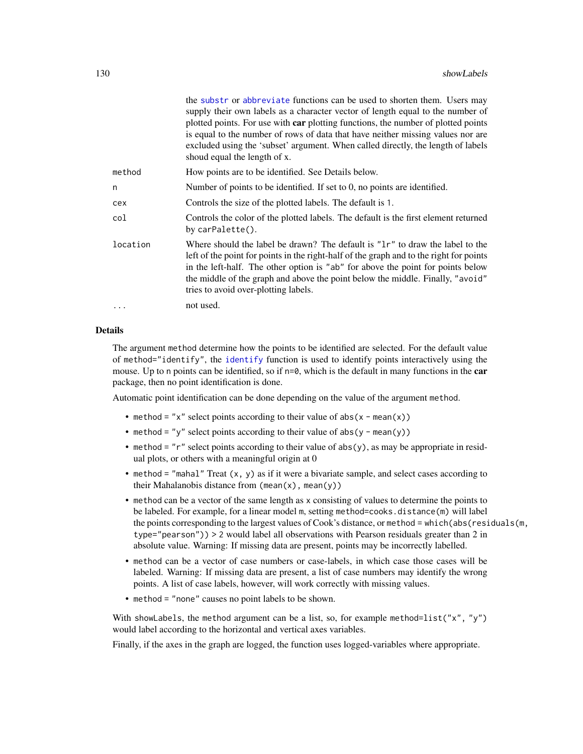|          | the substr or abbreviate functions can be used to shorten them. Users may<br>supply their own labels as a character vector of length equal to the number of<br>plotted points. For use with car plotting functions, the number of plotted points<br>is equal to the number of rows of data that have neither missing values nor are<br>excluded using the 'subset' argument. When called directly, the length of labels<br>shoud equal the length of x. |
|----------|---------------------------------------------------------------------------------------------------------------------------------------------------------------------------------------------------------------------------------------------------------------------------------------------------------------------------------------------------------------------------------------------------------------------------------------------------------|
| method   | How points are to be identified. See Details below.                                                                                                                                                                                                                                                                                                                                                                                                     |
| n        | Number of points to be identified. If set to 0, no points are identified.                                                                                                                                                                                                                                                                                                                                                                               |
| cex      | Controls the size of the plotted labels. The default is 1.                                                                                                                                                                                                                                                                                                                                                                                              |
| col      | Controls the color of the plotted labels. The default is the first element returned<br>by carPalette().                                                                                                                                                                                                                                                                                                                                                 |
| location | Where should the label be drawn? The default is "1r" to draw the label to the<br>left of the point for points in the right-half of the graph and to the right for points<br>in the left-half. The other option is "ab" for above the point for points below<br>the middle of the graph and above the point below the middle. Finally, "avoid"<br>tries to avoid over-plotting labels.                                                                   |
| $\cdots$ | not used.                                                                                                                                                                                                                                                                                                                                                                                                                                               |

## Details

The argument method determine how the points to be identified are selected. For the default value of method="identify", the [identify](#page-0-0) function is used to identify points interactively using the mouse. Up to n points can be identified, so if  $n=0$ , which is the default in many functions in the car package, then no point identification is done.

Automatic point identification can be done depending on the value of the argument method.

- method = "x" select points according to their value of  $abs(x mean(x))$
- method = "y" select points according to their value of  $abs(y mean(y))$
- method = "r" select points according to their value of abs(y), as may be appropriate in residual plots, or others with a meaningful origin at 0
- method = "mahal" Treat (x, y) as if it were a bivariate sample, and select cases according to their Mahalanobis distance from  $(\text{mean}(x), \text{mean}(y))$
- method can be a vector of the same length as x consisting of values to determine the points to be labeled. For example, for a linear model m, setting method=cooks.distance(m) will label the points corresponding to the largest values of Cook's distance, or method = which(abs(residuals(m, type="pearson")) > 2 would label all observations with Pearson residuals greater than 2 in absolute value. Warning: If missing data are present, points may be incorrectly labelled.
- method can be a vector of case numbers or case-labels, in which case those cases will be labeled. Warning: If missing data are present, a list of case numbers may identify the wrong points. A list of case labels, however, will work correctly with missing values.
- method = "none" causes no point labels to be shown.

With showLabels, the method argument can be a list, so, for example method=list("x", "y") would label according to the horizontal and vertical axes variables.

Finally, if the axes in the graph are logged, the function uses logged-variables where appropriate.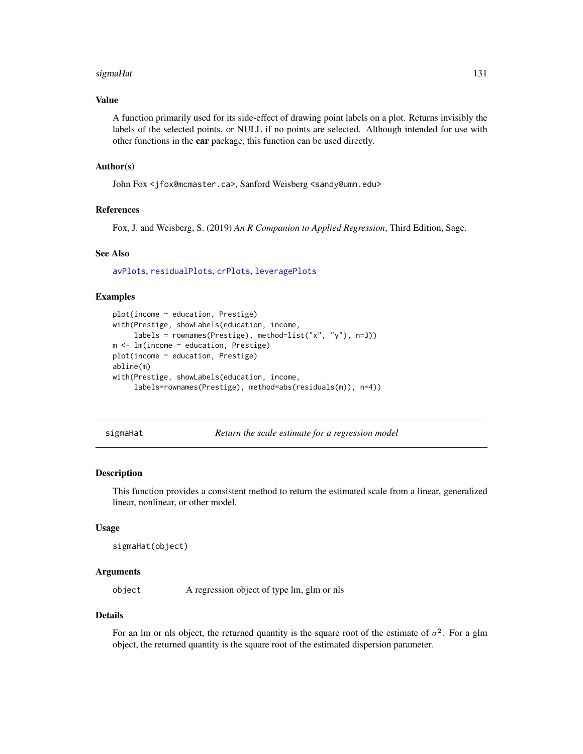#### sigmaHat 131

## Value

A function primarily used for its side-effect of drawing point labels on a plot. Returns invisibly the labels of the selected points, or NULL if no points are selected. Although intended for use with other functions in the car package, this function can be used directly.

## Author(s)

John Fox <jfox@mcmaster.ca>, Sanford Weisberg <sandy@umn.edu>

# References

Fox, J. and Weisberg, S. (2019) *An R Companion to Applied Regression*, Third Edition, Sage.

#### See Also

[avPlots](#page-10-0), [residualPlots](#page-105-0), [crPlots](#page-38-0), [leveragePlots](#page-72-0)

## Examples

```
plot(income ~ education, Prestige)
with(Prestige, showLabels(education, income,
     labels = rownames(Prestige), method=list("x", "y"), n=3))
m <- lm(income ~ education, Prestige)
plot(income ~ education, Prestige)
abline(m)
with(Prestige, showLabels(education, income,
     labels=rownames(Prestige), method=abs(residuals(m)), n=4))
```
sigmaHat *Return the scale estimate for a regression model*

#### Description

This function provides a consistent method to return the estimated scale from a linear, generalized linear, nonlinear, or other model.

#### Usage

sigmaHat(object)

## Arguments

object A regression object of type lm, glm or nls

#### Details

For an lm or nls object, the returned quantity is the square root of the estimate of  $\sigma^2$ . For a glm object, the returned quantity is the square root of the estimated dispersion parameter.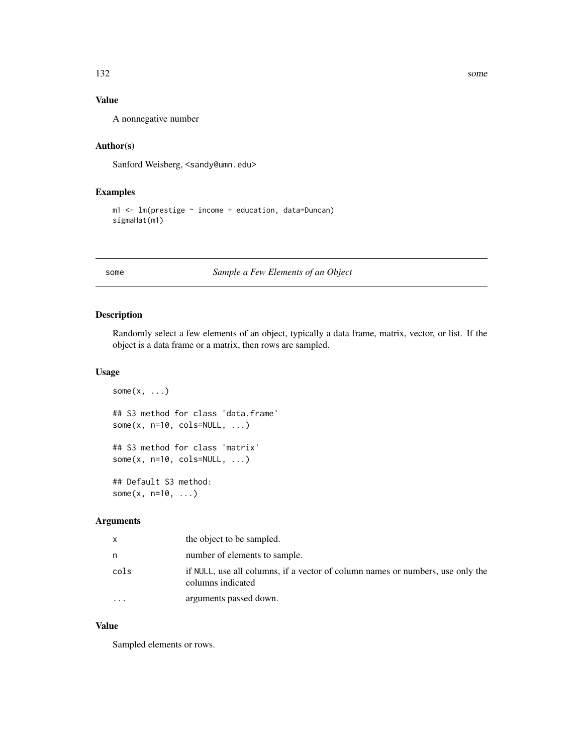# Value

A nonnegative number

# Author(s)

Sanford Weisberg, <sandy@umn.edu>

# Examples

```
m1 <- lm(prestige ~ income + education, data=Duncan)
sigmaHat(m1)
```
some *Sample a Few Elements of an Object*

# Description

Randomly select a few elements of an object, typically a data frame, matrix, vector, or list. If the object is a data frame or a matrix, then rows are sampled.

# Usage

```
some(x, \ldots)## S3 method for class 'data.frame'
some(x, n=10, cols=NULL, ...)## S3 method for class 'matrix'
some(x, n=10, cols=NULL, ...)## Default S3 method:
some(x, n=10, \ldots)
```
# Arguments

| x         | the object to be sampled.                                                                           |
|-----------|-----------------------------------------------------------------------------------------------------|
| n         | number of elements to sample.                                                                       |
| cols      | if NULL, use all columns, if a vector of column names or numbers, use only the<br>columns indicated |
| $\ddotsc$ | arguments passed down.                                                                              |

#### Value

Sampled elements or rows.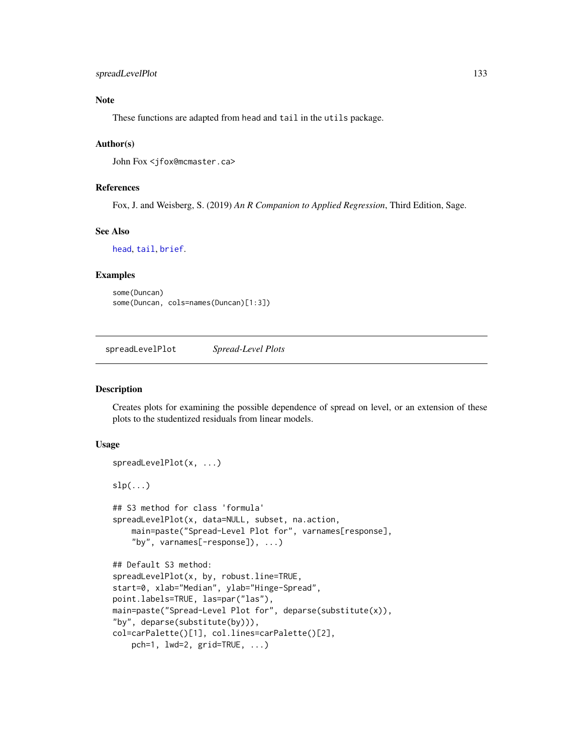# Note

These functions are adapted from head and tail in the utils package.

## Author(s)

John Fox <jfox@mcmaster.ca>

# References

Fox, J. and Weisberg, S. (2019) *An R Companion to Applied Regression*, Third Edition, Sage.

## See Also

[head](#page-0-0), [tail](#page-0-0), [brief](#page-25-0).

#### Examples

```
some(Duncan)
some(Duncan, cols=names(Duncan)[1:3])
```
spreadLevelPlot *Spread-Level Plots*

#### Description

Creates plots for examining the possible dependence of spread on level, or an extension of these plots to the studentized residuals from linear models.

## Usage

```
spreadLevelPlot(x, ...)
slp(...)## S3 method for class 'formula'
spreadLevelPlot(x, data=NULL, subset, na.action,
   main=paste("Spread-Level Plot for", varnames[response],
    "by", varnames[-response]), ...)
## Default S3 method:
spreadLevelPlot(x, by, robust.line=TRUE,
start=0, xlab="Median", ylab="Hinge-Spread",
point.labels=TRUE, las=par("las"),
main=paste("Spread-Level Plot for", deparse(substitute(x)),
"by", deparse(substitute(by))),
col=carPalette()[1], col.lines=carPalette()[2],
   pch=1, lwd=2, grid=TRUE, ...)
```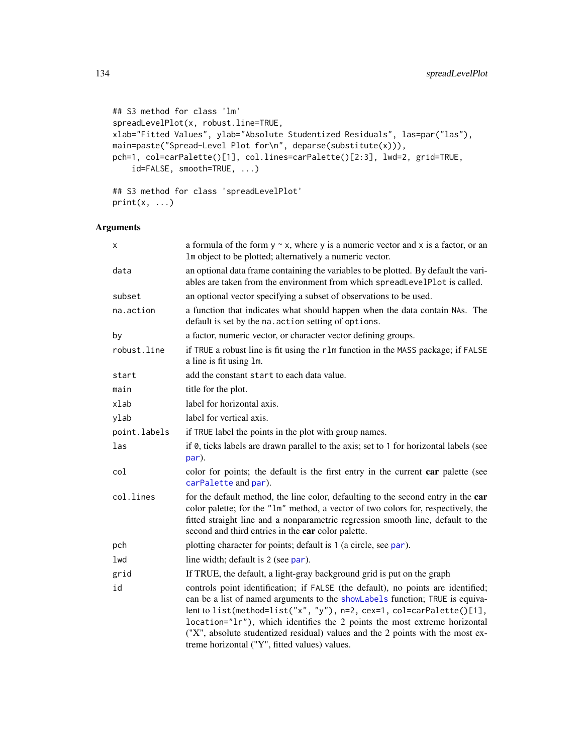```
## S3 method for class 'lm'
spreadLevelPlot(x, robust.line=TRUE,
xlab="Fitted Values", ylab="Absolute Studentized Residuals", las=par("las"),
main=paste("Spread-Level Plot for\n", deparse(substitute(x))),
pch=1, col=carPalette()[1], col.lines=carPalette()[2:3], lwd=2, grid=TRUE,
   id=FALSE, smooth=TRUE, ...)
```

```
## S3 method for class 'spreadLevelPlot'
print(x, \ldots)
```

| x            | a formula of the form $y \sim x$ , where y is a numeric vector and x is a factor, or an<br>Im object to be plotted; alternatively a numeric vector.                                                                                                                                                                                                                                                                                                      |  |
|--------------|----------------------------------------------------------------------------------------------------------------------------------------------------------------------------------------------------------------------------------------------------------------------------------------------------------------------------------------------------------------------------------------------------------------------------------------------------------|--|
| data         | an optional data frame containing the variables to be plotted. By default the vari-<br>ables are taken from the environment from which spreadLevelPlot is called.                                                                                                                                                                                                                                                                                        |  |
| subset       | an optional vector specifying a subset of observations to be used.                                                                                                                                                                                                                                                                                                                                                                                       |  |
| na.action    | a function that indicates what should happen when the data contain NAs. The<br>default is set by the na. action setting of options.                                                                                                                                                                                                                                                                                                                      |  |
| by           | a factor, numeric vector, or character vector defining groups.                                                                                                                                                                                                                                                                                                                                                                                           |  |
| robust.line  | if TRUE a robust line is fit using the r1m function in the MASS package; if FALSE<br>a line is fit using 1m.                                                                                                                                                                                                                                                                                                                                             |  |
| start        | add the constant start to each data value.                                                                                                                                                                                                                                                                                                                                                                                                               |  |
| main         | title for the plot.                                                                                                                                                                                                                                                                                                                                                                                                                                      |  |
| xlab         | label for horizontal axis.                                                                                                                                                                                                                                                                                                                                                                                                                               |  |
| ylab         | label for vertical axis.                                                                                                                                                                                                                                                                                                                                                                                                                                 |  |
| point.labels | if TRUE label the points in the plot with group names.                                                                                                                                                                                                                                                                                                                                                                                                   |  |
| las          | if 0, ticks labels are drawn parallel to the axis; set to 1 for horizontal labels (see<br>par).                                                                                                                                                                                                                                                                                                                                                          |  |
| col          | color for points; the default is the first entry in the current car palette (see<br>carPalette and par).                                                                                                                                                                                                                                                                                                                                                 |  |
| col.lines    | for the default method, the line color, defaulting to the second entry in the car<br>color palette; for the "1m" method, a vector of two colors for, respectively, the<br>fitted straight line and a nonparametric regression smooth line, default to the<br>second and third entries in the car color palette.                                                                                                                                          |  |
| pch          | plotting character for points; default is 1 (a circle, see par).                                                                                                                                                                                                                                                                                                                                                                                         |  |
| lwd          | line width; default is 2 (see par).                                                                                                                                                                                                                                                                                                                                                                                                                      |  |
| grid         | If TRUE, the default, a light-gray background grid is put on the graph                                                                                                                                                                                                                                                                                                                                                                                   |  |
| id           | controls point identification; if FALSE (the default), no points are identified;<br>can be a list of named arguments to the showLabels function; TRUE is equiva-<br>lent to list(method=list("x", "y"), n=2, cex=1, col=carPalette()[1],<br>location="lr"), which identifies the 2 points the most extreme horizontal<br>("X", absolute studentized residual) values and the 2 points with the most ex-<br>treme horizontal ("Y", fitted values) values. |  |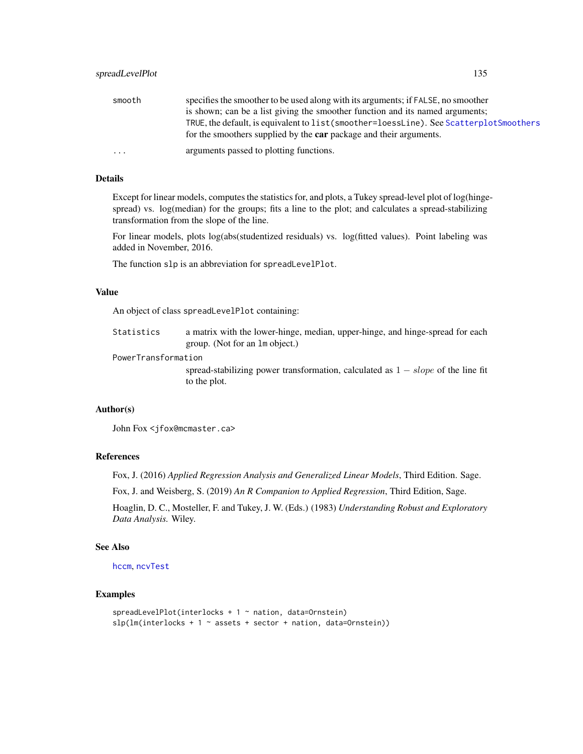| smooth  | specifies the smoother to be used along with its arguments; if FALSE, no smoother       |
|---------|-----------------------------------------------------------------------------------------|
|         | is shown; can be a list giving the smoother function and its named arguments;           |
|         | TRUE, the default, is equivalent to list (smoother=loessLine). See ScatterplotSmoothers |
|         | for the smoothers supplied by the car package and their arguments.                      |
| $\cdot$ | arguments passed to plotting functions.                                                 |

# Details

Except for linear models, computes the statistics for, and plots, a Tukey spread-level plot of log(hingespread) vs. log(median) for the groups; fits a line to the plot; and calculates a spread-stabilizing transformation from the slope of the line.

For linear models, plots log(abs(studentized residuals) vs. log(fitted values). Point labeling was added in November, 2016.

The function slp is an abbreviation for spreadLevelPlot.

#### Value

An object of class spreadLevelPlot containing:

Statistics a matrix with the lower-hinge, median, upper-hinge, and hinge-spread for each group. (Not for an lm object.)

PowerTransformation

spread-stabilizing power transformation, calculated as  $1 - slope$  of the line fit to the plot.

#### Author(s)

John Fox <jfox@mcmaster.ca>

## References

Fox, J. (2016) *Applied Regression Analysis and Generalized Linear Models*, Third Edition. Sage.

Fox, J. and Weisberg, S. (2019) *An R Companion to Applied Regression*, Third Edition, Sage.

Hoaglin, D. C., Mosteller, F. and Tukey, J. W. (Eds.) (1983) *Understanding Robust and Exploratory Data Analysis.* Wiley.

## See Also

[hccm](#page-56-0), [ncvTest](#page-88-0)

## Examples

```
spreadLevelPlot(interlocks + 1 \sim nation, data=Ornstein)
slp(Im(interlocks + 1 ~* assets + sector + nation, data=Ornstein))
```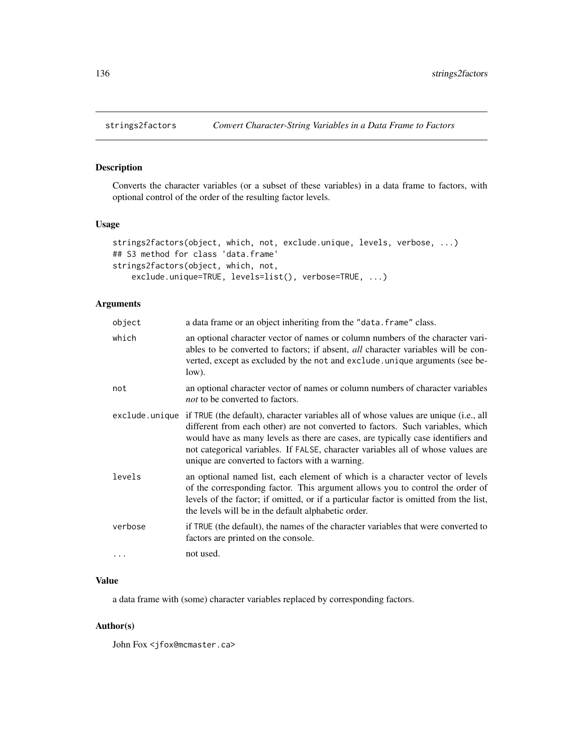# Description

Converts the character variables (or a subset of these variables) in a data frame to factors, with optional control of the order of the resulting factor levels.

## Usage

```
strings2factors(object, which, not, exclude.unique, levels, verbose, ...)
## S3 method for class 'data.frame'
strings2factors(object, which, not,
   exclude.unique=TRUE, levels=list(), verbose=TRUE, ...)
```
# Arguments

| object  | a data frame or an object inheriting from the "data. frame" class.                                                                                                                                                                                                                                                                                                                                               |
|---------|------------------------------------------------------------------------------------------------------------------------------------------------------------------------------------------------------------------------------------------------------------------------------------------------------------------------------------------------------------------------------------------------------------------|
| which   | an optional character vector of names or column numbers of the character vari-<br>ables to be converted to factors; if absent, <i>all</i> character variables will be con-<br>verted, except as excluded by the not and exclude . unique arguments (see be-<br>low).                                                                                                                                             |
| not     | an optional character vector of names or column numbers of character variables<br><i>not</i> to be converted to factors.                                                                                                                                                                                                                                                                                         |
|         | exclude unique if TRUE (the default), character variables all of whose values are unique (i.e., all<br>different from each other) are not converted to factors. Such variables, which<br>would have as many levels as there are cases, are typically case identifiers and<br>not categorical variables. If FALSE, character variables all of whose values are<br>unique are converted to factors with a warning. |
| levels  | an optional named list, each element of which is a character vector of levels<br>of the corresponding factor. This argument allows you to control the order of<br>levels of the factor; if omitted, or if a particular factor is omitted from the list,<br>the levels will be in the default alphabetic order.                                                                                                   |
| verbose | if TRUE (the default), the names of the character variables that were converted to<br>factors are printed on the console.                                                                                                                                                                                                                                                                                        |
| .       | not used.                                                                                                                                                                                                                                                                                                                                                                                                        |

## Value

a data frame with (some) character variables replaced by corresponding factors.

### Author(s)

John Fox <jfox@mcmaster.ca>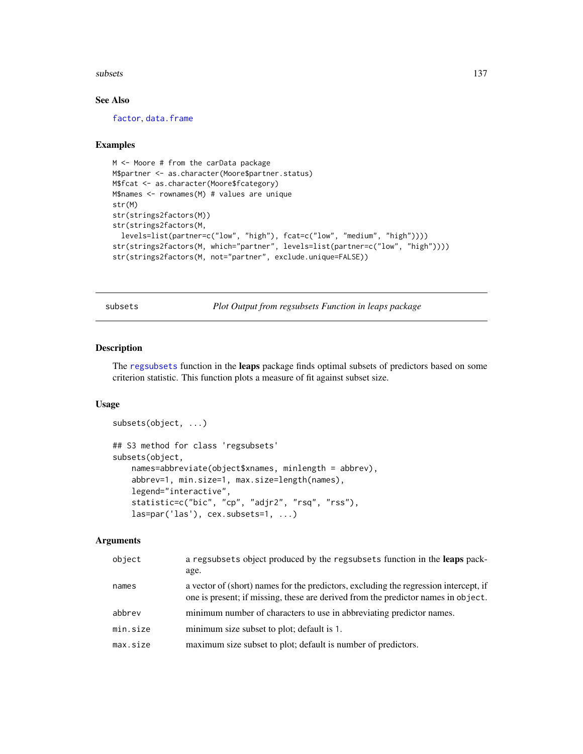#### subsets 137

# See Also

[factor](#page-0-0), [data.frame](#page-0-0)

## Examples

```
M <- Moore # from the carData package
M$partner <- as.character(Moore$partner.status)
M$fcat <- as.character(Moore$fcategory)
M$names <- rownames(M) # values are unique
str(M)
str(strings2factors(M))
str(strings2factors(M,
  levels=list(partner=c("low", "high"), fcat=c("low", "medium", "high"))))
str(strings2factors(M, which="partner", levels=list(partner=c("low", "high"))))
str(strings2factors(M, not="partner", exclude.unique=FALSE))
```
subsets *Plot Output from regsubsets Function in leaps package*

# Description

The [regsubsets](#page-0-0) function in the leaps package finds optimal subsets of predictors based on some criterion statistic. This function plots a measure of fit against subset size.

#### Usage

```
subsets(object, ...)
## S3 method for class 'regsubsets'
subsets(object,
    names=abbreviate(object$xnames, minlength = abbrev),
    abbrev=1, min.size=1, max.size=length(names),
    legend="interactive",
    statistic=c("bic", "cp", "adjr2", "rsq", "rss"),
    las=par('las'), cex.subsets=1, ...)
```

| object   | a regsubsets object produced by the regsubsets function in the leaps pack-<br>age.                                                                                        |
|----------|---------------------------------------------------------------------------------------------------------------------------------------------------------------------------|
| names    | a vector of (short) names for the predictors, excluding the regression intercept, if<br>one is present; if missing, these are derived from the predictor names in object. |
| abbrev   | minimum number of characters to use in abbreviating predictor names.                                                                                                      |
| min.size | minimum size subset to plot; default is 1.                                                                                                                                |
| max.size | maximum size subset to plot; default is number of predictors.                                                                                                             |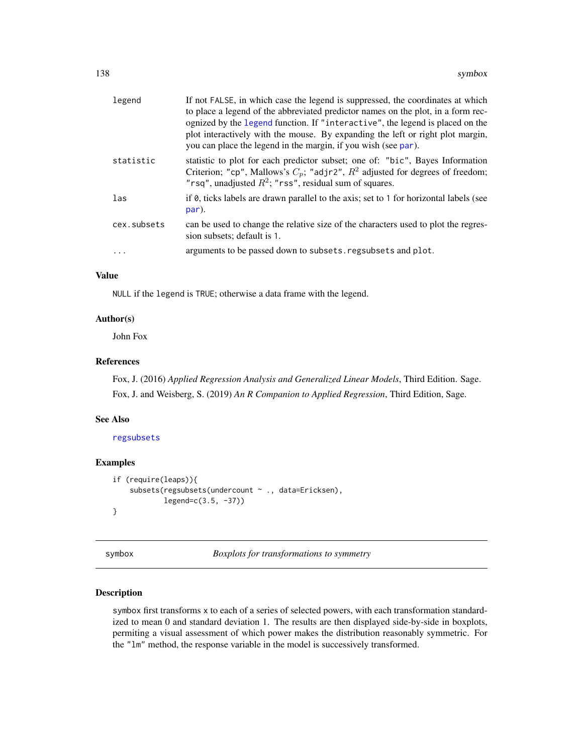| legend      | If not FALSE, in which case the legend is suppressed, the coordinates at which<br>to place a legend of the abbreviated predictor names on the plot, in a form rec-<br>ognized by the legend function. If "interactive", the legend is placed on the<br>plot interactively with the mouse. By expanding the left or right plot margin,<br>you can place the legend in the margin, if you wish (see par). |
|-------------|---------------------------------------------------------------------------------------------------------------------------------------------------------------------------------------------------------------------------------------------------------------------------------------------------------------------------------------------------------------------------------------------------------|
| statistic   | statistic to plot for each predictor subset; one of: "bic", Bayes Information<br>Criterion; "cp", Mallows's $C_p$ ; "adjr2", $R^2$ adjusted for degrees of freedom;<br>"rsq", unadjusted $R^2$ ; "rss", residual sum of squares.                                                                                                                                                                        |
| las         | if 0, ticks labels are drawn parallel to the axis; set to 1 for horizontal labels (see<br>par).                                                                                                                                                                                                                                                                                                         |
| cex.subsets | can be used to change the relative size of the characters used to plot the regres-<br>sion subsets; default is 1.                                                                                                                                                                                                                                                                                       |
|             | arguments to be passed down to subsets. regsubsets and plot.                                                                                                                                                                                                                                                                                                                                            |

#### Value

NULL if the legend is TRUE; otherwise a data frame with the legend.

# Author(s)

John Fox

# References

Fox, J. (2016) *Applied Regression Analysis and Generalized Linear Models*, Third Edition. Sage. Fox, J. and Weisberg, S. (2019) *An R Companion to Applied Regression*, Third Edition, Sage.

# See Also

[regsubsets](#page-0-0)

# Examples

```
if (require(leaps)){
    subsets(regsubsets(undercount \sim ., data=Ericksen),
            legend=c(3.5, -37))
}
```
symbox *Boxplots for transformations to symmetry*

## Description

symbox first transforms x to each of a series of selected powers, with each transformation standardized to mean 0 and standard deviation 1. The results are then displayed side-by-side in boxplots, permiting a visual assessment of which power makes the distribution reasonably symmetric. For the "lm" method, the response variable in the model is successively transformed.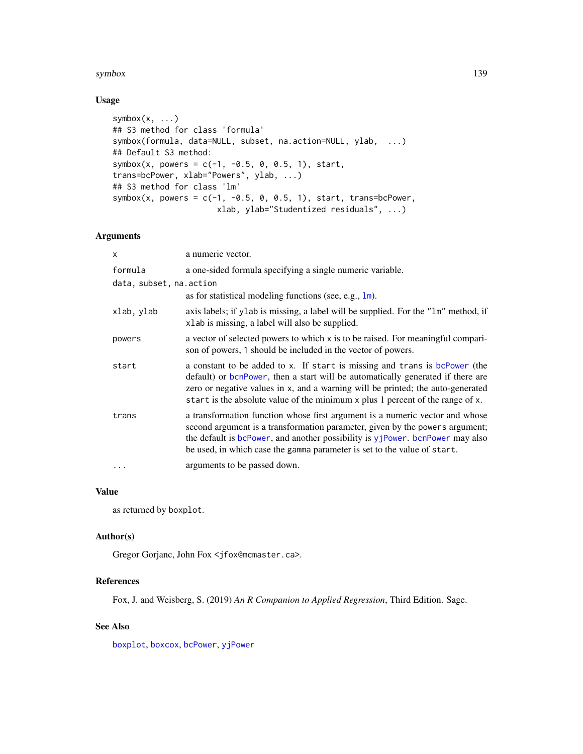#### symbox and the symbol symbol symbol symbol symbol symbol symbol symbol symbol symbol symbol symbol symbol symbol symbol symbol symbol symbol symbol symbol symbol symbol symbol symbol symbol symbol symbol symbol symbol symb

# Usage

```
symbox(x, ...)
## S3 method for class 'formula'
symbox(formula, data=NULL, subset, na.action=NULL, ylab, ...)
## Default S3 method:
symbox(x, powers = c(-1, -0.5, 0, 0.5, 1), start,
trans=bcPower, xlab="Powers", ylab, ...)
## S3 method for class 'lm'
symbox(x, powers = c(-1, -0.5, 0, 0.5, 1), start, trans=bcPower,
                      xlab, ylab="Studentized residuals", ...)
```
# Arguments

| x                       | a numeric vector.                                                                                                                                                                                                                                                                                                                  |
|-------------------------|------------------------------------------------------------------------------------------------------------------------------------------------------------------------------------------------------------------------------------------------------------------------------------------------------------------------------------|
| formula                 | a one-sided formula specifying a single numeric variable.                                                                                                                                                                                                                                                                          |
| data, subset, na.action |                                                                                                                                                                                                                                                                                                                                    |
|                         | as for statistical modeling functions (see, e.g., $lm$ ).                                                                                                                                                                                                                                                                          |
| xlab, ylab              | axis labels; if y lab is missing, a label will be supplied. For the "lm" method, if<br>xlab is missing, a label will also be supplied.                                                                                                                                                                                             |
| powers                  | a vector of selected powers to which x is to be raised. For meaningful compari-<br>son of powers, 1 should be included in the vector of powers.                                                                                                                                                                                    |
| start                   | a constant to be added to x. If start is missing and trans is bcPower (the<br>default) or bonPower, then a start will be automatically generated if there are<br>zero or negative values in x, and a warning will be printed; the auto-generated<br>start is the absolute value of the minimum x plus 1 percent of the range of x. |
| trans                   | a transformation function whose first argument is a numeric vector and whose<br>second argument is a transformation parameter, given by the powers argument;<br>the default is bcPower, and another possibility is yjPower. bcnPower may also<br>be used, in which case the gamma parameter is set to the value of start.          |
| $\cdots$                | arguments to be passed down.                                                                                                                                                                                                                                                                                                       |

## Value

as returned by boxplot.

#### Author(s)

Gregor Gorjanc, John Fox <jfox@mcmaster.ca>.

# References

Fox, J. and Weisberg, S. (2019) *An R Companion to Applied Regression*, Third Edition. Sage.

# See Also

[boxplot](#page-0-0), [boxcox](#page-0-0), [bcPower](#page-13-0), [yjPower](#page-13-1)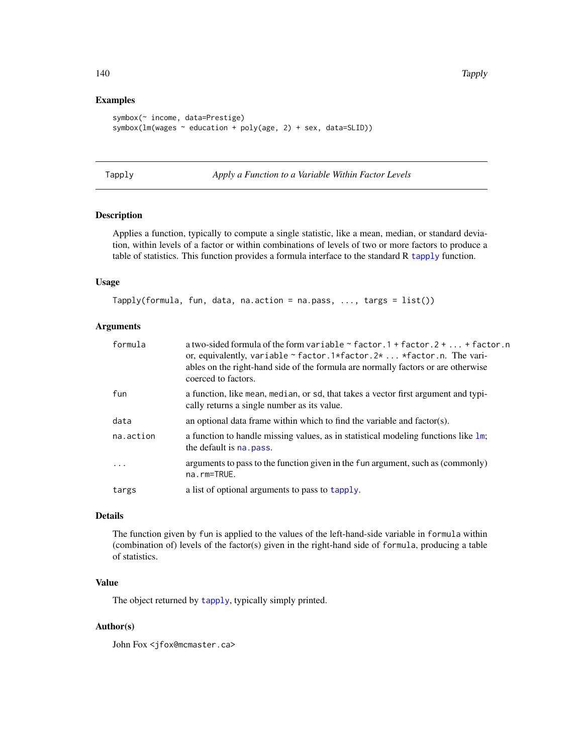# Examples

```
symbox(~ income, data=Prestige)
symbox(lm(wages ~ education + poly(age, 2) + sex, data=SLID))
```
Tapply *Apply a Function to a Variable Within Factor Levels*

# Description

Applies a function, typically to compute a single statistic, like a mean, median, or standard deviation, within levels of a factor or within combinations of levels of two or more factors to produce a table of statistics. This function provides a formula interface to the standard R [tapply](#page-0-0) function.

# Usage

```
Tapply(formula, fun, data, na.action = na.pass, ..., targs = list())
```
## Arguments

| formula    | a two-sided formula of the form variable $\sim$ factor. 1 + factor. 2 +  + factor. n<br>or, equivalently, variable $\sim$ factor.1*factor.2*  *factor.n. The vari-<br>ables on the right-hand side of the formula are normally factors or are otherwise<br>coerced to factors. |
|------------|--------------------------------------------------------------------------------------------------------------------------------------------------------------------------------------------------------------------------------------------------------------------------------|
| fun        | a function, like mean, median, or sd, that takes a vector first argument and typi-<br>cally returns a single number as its value.                                                                                                                                              |
| data       | an optional data frame within which to find the variable and factor(s).                                                                                                                                                                                                        |
| na.action  | a function to handle missing values, as in statistical modeling functions like $1m$ ;<br>the default is na. pass.                                                                                                                                                              |
| $\ddots$ . | arguments to pass to the function given in the fun argument, such as (commonly)<br>na.rm=TRUE.                                                                                                                                                                                 |
| targs      | a list of optional arguments to pass to tapply.                                                                                                                                                                                                                                |

# Details

The function given by fun is applied to the values of the left-hand-side variable in formula within (combination of) levels of the factor(s) given in the right-hand side of formula, producing a table of statistics.

# Value

The object returned by [tapply](#page-0-0), typically simply printed.

## Author(s)

John Fox <jfox@mcmaster.ca>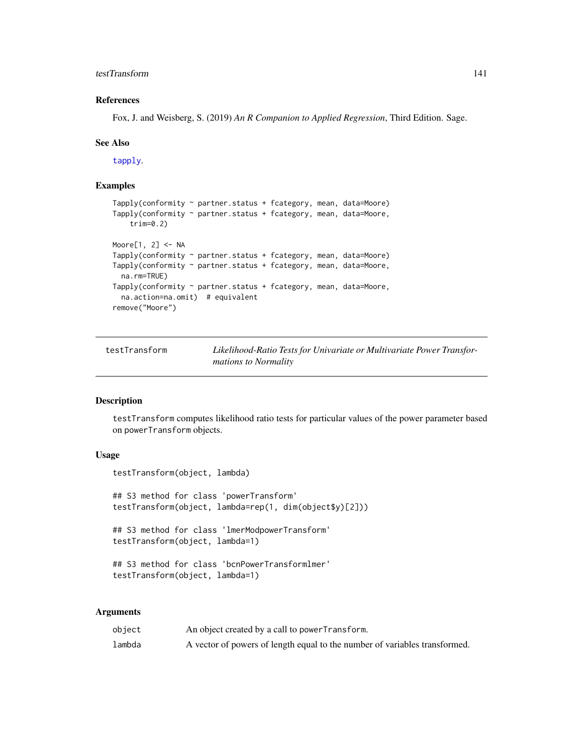# testTransform 141

# References

Fox, J. and Weisberg, S. (2019) *An R Companion to Applied Regression*, Third Edition. Sage.

#### See Also

[tapply](#page-0-0).

# Examples

```
Tapply(conformity \sim partner.status + fcategory, mean, data=Moore)
Tapply(conformity ~ partner.status + fcategory, mean, data=Moore,
   trim=0.2)
Moore[1, 2] <- NA
Tapply(conformity ~ partner.status + fcategory, mean, data=Moore)
Tapply(conformity ~ partner.status + fcategory, mean, data=Moore,
  na.rm=TRUE)
Tapply(conformity ~ partner.status + fcategory, mean, data=Moore,
  na.action=na.omit) # equivalent
remove("Moore")
```

| testTransform | Likelihood-Ratio Tests for Univariate or Multivariate Power Transfor- |
|---------------|-----------------------------------------------------------------------|
|               | <i>mations to Normality</i>                                           |

## Description

testTransform computes likelihood ratio tests for particular values of the power parameter based on powerTransform objects.

# Usage

```
testTransform(object, lambda)
## S3 method for class 'powerTransform'
testTransform(object, lambda=rep(1, dim(object$y)[2]))
## S3 method for class 'lmerModpowerTransform'
testTransform(object, lambda=1)
## S3 method for class 'bcnPowerTransformlmer'
testTransform(object, lambda=1)
```

| object | An object created by a call to power Transform.                            |
|--------|----------------------------------------------------------------------------|
| lambda | A vector of powers of length equal to the number of variables transformed. |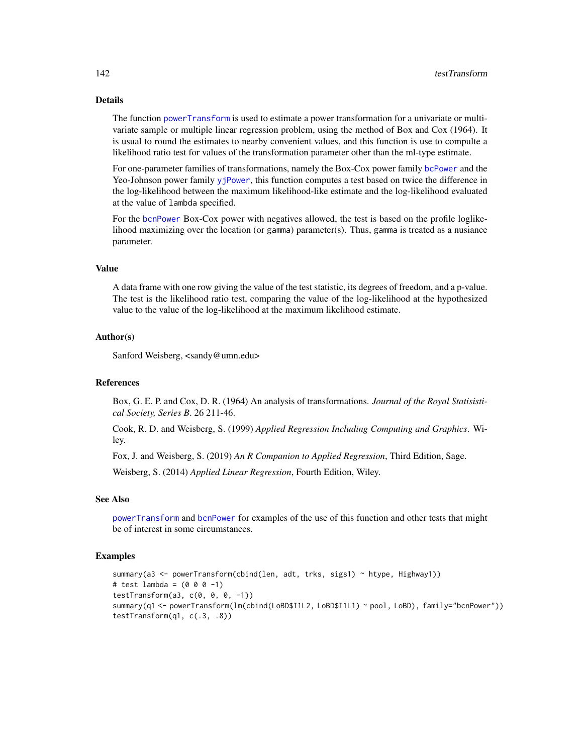# Details

The function [powerTransform](#page-93-0) is used to estimate a power transformation for a univariate or multivariate sample or multiple linear regression problem, using the method of Box and Cox (1964). It is usual to round the estimates to nearby convenient values, and this function is use to compulte a likelihood ratio test for values of the transformation parameter other than the ml-type estimate.

For one-parameter families of transformations, namely the Box-Cox power family [bcPower](#page-13-0) and the Yeo-Johnson power family [yjPower](#page-13-1), this function computes a test based on twice the difference in the log-likelihood between the maximum likelihood-like estimate and the log-likelihood evaluated at the value of lambda specified.

For the [bcnPower](#page-13-1) Box-Cox power with negatives allowed, the test is based on the profile loglikelihood maximizing over the location (or gamma) parameter(s). Thus, gamma is treated as a nusiance parameter.

#### Value

A data frame with one row giving the value of the test statistic, its degrees of freedom, and a p-value. The test is the likelihood ratio test, comparing the value of the log-likelihood at the hypothesized value to the value of the log-likelihood at the maximum likelihood estimate.

## Author(s)

Sanford Weisberg, <sandy@umn.edu>

# References

Box, G. E. P. and Cox, D. R. (1964) An analysis of transformations. *Journal of the Royal Statisistical Society, Series B*. 26 211-46.

Cook, R. D. and Weisberg, S. (1999) *Applied Regression Including Computing and Graphics*. Wiley.

Fox, J. and Weisberg, S. (2019) *An R Companion to Applied Regression*, Third Edition, Sage.

Weisberg, S. (2014) *Applied Linear Regression*, Fourth Edition, Wiley.

## See Also

[powerTransform](#page-93-0) and [bcnPower](#page-13-1) for examples of the use of this function and other tests that might be of interest in some circumstances.

## Examples

```
summary(a3 <- powerTransform(cbind(len, adt, trks, sigs1) ~ htype, Highway1))
# test lambda = (0 0 0 -1)testTransform(a3, c(\emptyset, \emptyset, \emptyset, -1))
summary(q1 <- powerTransform(lm(cbind(LoBD$I1L2, LoBD$I1L1) ~ pool, LoBD), family="bcnPower"))
testTransform(q1, c(.3, .8))
```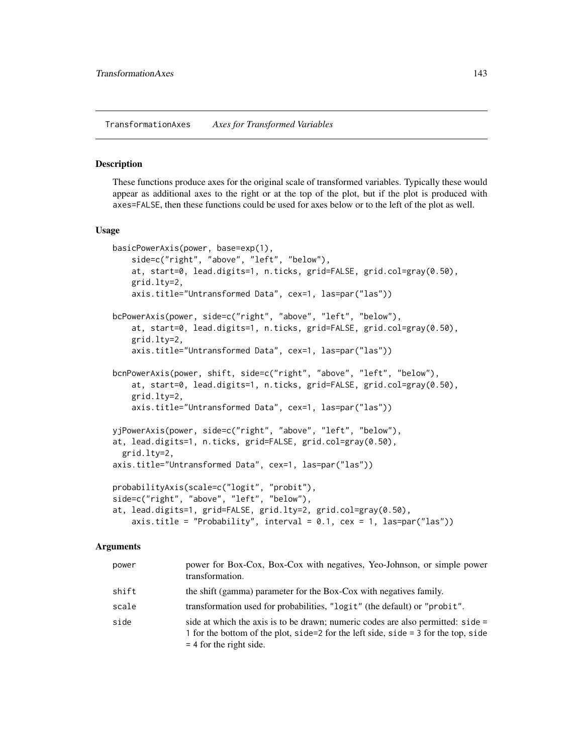#### Description

These functions produce axes for the original scale of transformed variables. Typically these would appear as additional axes to the right or at the top of the plot, but if the plot is produced with axes=FALSE, then these functions could be used for axes below or to the left of the plot as well.

#### Usage

```
basicPowerAxis(power, base=exp(1),
   side=c("right", "above", "left", "below"),
   at, start=0, lead.digits=1, n.ticks, grid=FALSE, grid.col=gray(0.50),
   grid.lty=2,
   axis.title="Untransformed Data", cex=1, las=par("las"))
bcPowerAxis(power, side=c("right", "above", "left", "below"),
   at, start=0, lead.digits=1, n.ticks, grid=FALSE, grid.col=gray(0.50),
   grid.lty=2,
   axis.title="Untransformed Data", cex=1, las=par("las"))
bcnPowerAxis(power, shift, side=c("right", "above", "left", "below"),
   at, start=0, lead.digits=1, n.ticks, grid=FALSE, grid.col=gray(0.50),
   grid.lty=2,
   axis.title="Untransformed Data", cex=1, las=par("las"))
yjPowerAxis(power, side=c("right", "above", "left", "below"),
at, lead.digits=1, n.ticks, grid=FALSE, grid.col=gray(0.50),
 grid.lty=2,
axis.title="Untransformed Data", cex=1, las=par("las"))
probabilityAxis(scale=c("logit", "probit"),
side=c("right", "above", "left", "below"),
at, lead.digits=1, grid=FALSE, grid.lty=2, grid.col=gray(0.50),
   axis.title = "Probability", interval = 0.1, cex = 1, las=par("las"))
```

| power | power for Box-Cox, Box-Cox with negatives, Yeo-Johnson, or simple power<br>transformation.                                                                                                           |
|-------|------------------------------------------------------------------------------------------------------------------------------------------------------------------------------------------------------|
| shift | the shift (gamma) parameter for the Box-Cox with negatives family.                                                                                                                                   |
| scale | transformation used for probabilities, "logit" (the default) or "probit".                                                                                                                            |
| side  | side at which the axis is to be drawn; numeric codes are also permitted: $side =$<br>1 for the bottom of the plot, side=2 for the left side, side = 3 for the top, side<br>$=$ 4 for the right side. |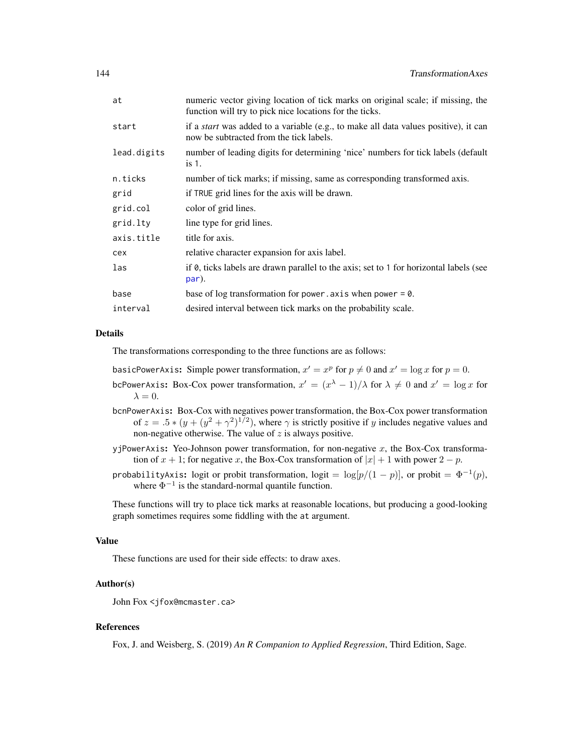| at          | numeric vector giving location of tick marks on original scale; if missing, the<br>function will try to pick nice locations for the ticks. |
|-------------|--------------------------------------------------------------------------------------------------------------------------------------------|
| start       | if a <i>start</i> was added to a variable (e.g., to make all data values positive), it can<br>now be subtracted from the tick labels.      |
| lead.digits | number of leading digits for determining 'nice' numbers for tick labels (default<br>$is1$ .                                                |
| n.ticks     | number of tick marks; if missing, same as corresponding transformed axis.                                                                  |
| grid        | if TRUE grid lines for the axis will be drawn.                                                                                             |
| grid.col    | color of grid lines.                                                                                                                       |
| grid.lty    | line type for grid lines.                                                                                                                  |
| axis.title  | title for axis.                                                                                                                            |
| cex         | relative character expansion for axis label.                                                                                               |
| las         | if 0, ticks labels are drawn parallel to the axis; set to 1 for horizontal labels (see<br>par).                                            |
| base        | base of log transformation for power. axis when power = $0$ .                                                                              |
| interval    | desired interval between tick marks on the probability scale.                                                                              |
|             |                                                                                                                                            |

## Details

The transformations corresponding to the three functions are as follows:

basicPowerAxis: Simple power transformation,  $x' = x^p$  for  $p \neq 0$  and  $x' = \log x$  for  $p = 0$ .

- bcPowerAxis: Box-Cox power transformation,  $x' = (x^{\lambda} 1)/\lambda$  for  $\lambda \neq 0$  and  $x' = \log x$  for  $\lambda = 0.$
- bcnPowerAxis: Box-Cox with negatives power transformation, the Box-Cox power transformation of  $z = 0.5 * (y + (y^2 + \gamma^2)^{1/2})$ , where  $\gamma$  is strictly positive if y includes negative values and non-negative otherwise. The value of  $z$  is always positive.
- yjPowerAxis: Yeo-Johnson power transformation, for non-negative  $x$ , the Box-Cox transformation of  $x + 1$ ; for negative x, the Box-Cox transformation of  $|x| + 1$  with power  $2 - p$ .
- probabilityAxis: logit or probit transformation, logit =  $\log[p/(1-p)]$ , or probit =  $\Phi^{-1}(p)$ , where  $\Phi^{-1}$  is the standard-normal quantile function.

These functions will try to place tick marks at reasonable locations, but producing a good-looking graph sometimes requires some fiddling with the at argument.

## Value

These functions are used for their side effects: to draw axes.

## Author(s)

John Fox <jfox@mcmaster.ca>

## References

Fox, J. and Weisberg, S. (2019) *An R Companion to Applied Regression*, Third Edition, Sage.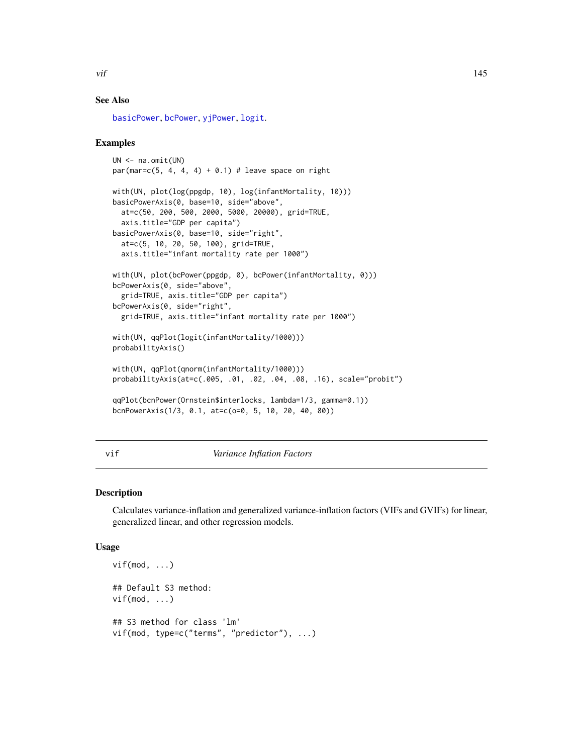<span id="page-144-0"></span>

# See Also

[basicPower](#page-13-0), [bcPower](#page-13-1), [yjPower](#page-13-0), [logit](#page-81-0).

# Examples

```
UN <- na.omit(UN)
par(mar=c(5, 4, 4, 4) + 0.1) # leave space on right
with(UN, plot(log(ppgdp, 10), log(infantMortality, 10)))
basicPowerAxis(0, base=10, side="above",
  at=c(50, 200, 500, 2000, 5000, 20000), grid=TRUE,
  axis.title="GDP per capita")
basicPowerAxis(0, base=10, side="right",
  at=c(5, 10, 20, 50, 100), grid=TRUE,
  axis.title="infant mortality rate per 1000")
with(UN, plot(bcPower(ppgdp, 0), bcPower(infantMortality, 0)))
bcPowerAxis(0, side="above",
  grid=TRUE, axis.title="GDP per capita")
bcPowerAxis(0, side="right",
  grid=TRUE, axis.title="infant mortality rate per 1000")
with(UN, qqPlot(logit(infantMortality/1000)))
probabilityAxis()
with(UN, qqPlot(qnorm(infantMortality/1000)))
probabilityAxis(at=c(.005, .01, .02, .04, .08, .16), scale="probit")
qqPlot(bcnPower(Ornstein$interlocks, lambda=1/3, gamma=0.1))
bcnPowerAxis(1/3, 0.1, at=c(o=0, 5, 10, 20, 40, 80))
```
## vif *Variance Inflation Factors*

# Description

Calculates variance-inflation and generalized variance-inflation factors (VIFs and GVIFs) for linear, generalized linear, and other regression models.

#### Usage

```
vif(mod, ...)## Default S3 method:
vif(mod, ...)## S3 method for class 'lm'
vif(mod, type=c("terms", "predictor"), ...)
```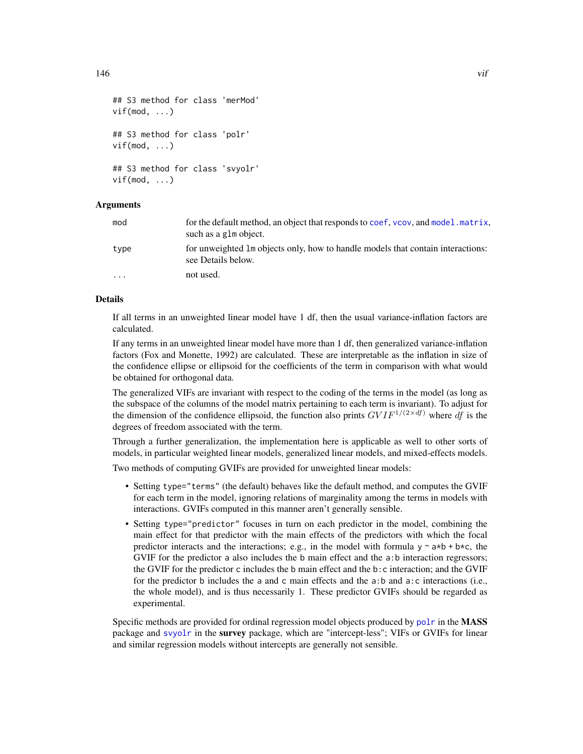```
## S3 method for class 'merMod'
vif(mod, ...)
## S3 method for class 'polr'
vif(mod, \ldots)## S3 method for class 'svyolr'
vif(mod, \ldots)
```
# Arguments

| mod     | for the default method, an object that responds to coef, vcov, and model matrix,<br>such as a glm object. |
|---------|-----------------------------------------------------------------------------------------------------------|
| type    | for unweighted 1m objects only, how to handle models that contain interactions:<br>see Details below.     |
| $\cdot$ | not used.                                                                                                 |

# Details

If all terms in an unweighted linear model have 1 df, then the usual variance-inflation factors are calculated.

If any terms in an unweighted linear model have more than 1 df, then generalized variance-inflation factors (Fox and Monette, 1992) are calculated. These are interpretable as the inflation in size of the confidence ellipse or ellipsoid for the coefficients of the term in comparison with what would be obtained for orthogonal data.

The generalized VIFs are invariant with respect to the coding of the terms in the model (as long as the subspace of the columns of the model matrix pertaining to each term is invariant). To adjust for the dimension of the confidence ellipsoid, the function also prints  $GVIF^{1/(2\times df)}$  where df is the degrees of freedom associated with the term.

Through a further generalization, the implementation here is applicable as well to other sorts of models, in particular weighted linear models, generalized linear models, and mixed-effects models.

Two methods of computing GVIFs are provided for unweighted linear models:

- Setting type="terms" (the default) behaves like the default method, and computes the GVIF for each term in the model, ignoring relations of marginality among the terms in models with interactions. GVIFs computed in this manner aren't generally sensible.
- Setting type="predictor" focuses in turn on each predictor in the model, combining the main effect for that predictor with the main effects of the predictors with which the focal predictor interacts and the interactions; e.g., in the model with formula  $y \sim a*b + b*c$ , the GVIF for the predictor a also includes the b main effect and the a:b interaction regressors; the GVIF for the predictor c includes the b main effect and the b:c interaction; and the GVIF for the predictor b includes the a and c main effects and the a:b and a:c interactions (i.e., the whole model), and is thus necessarily 1. These predictor GVIFs should be regarded as experimental.

Specific methods are provided for ordinal regression model objects produced by [polr](#page-0-0) in the MASS package and [svyolr](#page-0-0) in the survey package, which are "intercept-less"; VIFs or GVIFs for linear and similar regression models without intercepts are generally not sensible.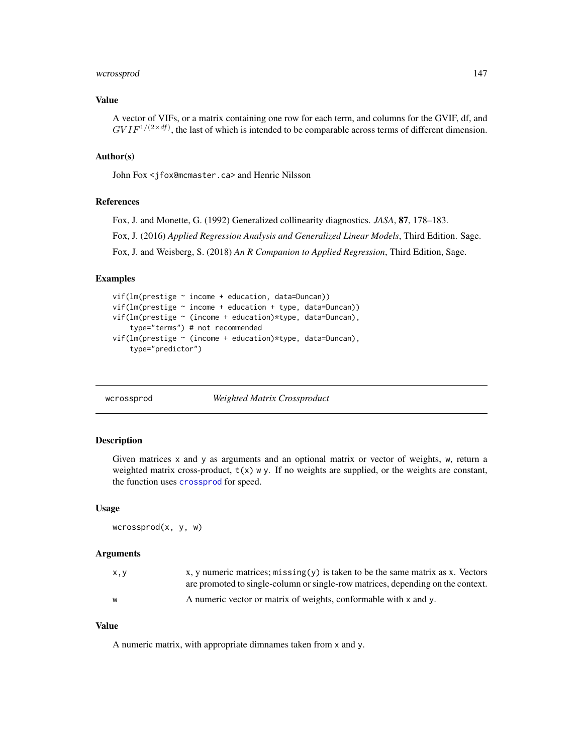# <span id="page-146-0"></span>wcrossprod the contract of the contract of the contract of the contract of the contract of the contract of the contract of the contract of the contract of the contract of the contract of the contract of the contract of the

# Value

A vector of VIFs, or a matrix containing one row for each term, and columns for the GVIF, df, and  $GVIF^{1/(2 \times df)}$ , the last of which is intended to be comparable across terms of different dimension.

# Author(s)

John Fox <jfox@mcmaster.ca> and Henric Nilsson

#### References

Fox, J. and Monette, G. (1992) Generalized collinearity diagnostics. *JASA*, 87, 178–183.

Fox, J. (2016) *Applied Regression Analysis and Generalized Linear Models*, Third Edition. Sage.

Fox, J. and Weisberg, S. (2018) *An R Companion to Applied Regression*, Third Edition, Sage.

# Examples

```
vif(lm(prestige ~ income + education, data=Duncan))
vif(lm(prestige ~ income + education + type, data=Duncan))
vif(lm(prestige ~ (income + education)*type, data=Duncan),
    type="terms") # not recommended
vif(lm(prestige ~ (income + education)*type, data=Duncan),
    type="predictor")
```
wcrossprod *Weighted Matrix Crossproduct*

# **Description**

Given matrices x and y as arguments and an optional matrix or vector of weights, w, return a weighted matrix cross-product,  $t(x)$  w y. If no weights are supplied, or the weights are constant, the function uses [crossprod](#page-0-0) for speed.

#### Usage

```
wcrossprod(x, y, w)
```
# Arguments

| x, y | x, y numeric matrices; $m$ issing $(y)$ is taken to be the same matrix as x. Vectors |
|------|--------------------------------------------------------------------------------------|
|      | are promoted to single-column or single-row matrices, depending on the context.      |
| W    | A numeric vector or matrix of weights, conformable with x and y.                     |

#### Value

A numeric matrix, with appropriate dimnames taken from x and y.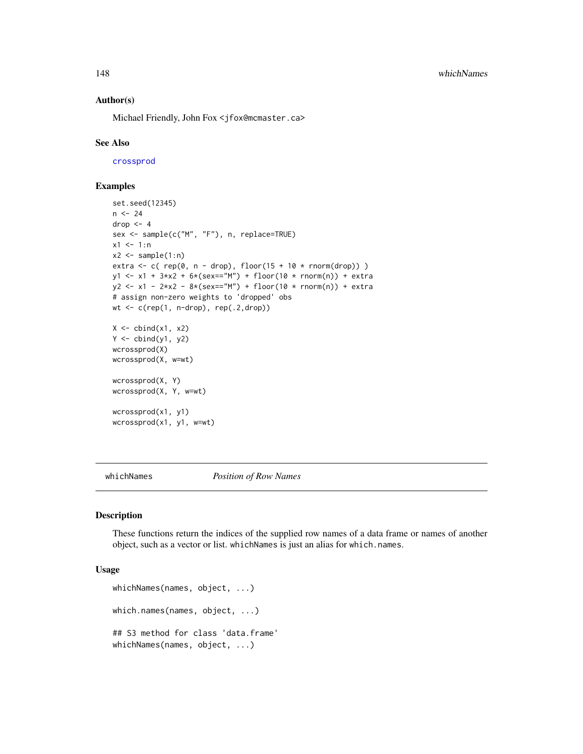<span id="page-147-0"></span>148 whichNames

#### Author(s)

Michael Friendly, John Fox <jfox@mcmaster.ca>

#### See Also

[crossprod](#page-0-0)

# Examples

```
set.seed(12345)
n < - 24drop <-4sex <- sample(c("M", "F"), n, replace=TRUE)
x1 \le -1:nx2 \leq - sample(1:n)
extra \leq c( rep(0, n - drop), floor(15 + 10 \star rnorm(drop)))
y1 \le -x1 + 3*x2 + 6*(sex=="M") + floor(10 * rnorm(n)) + extray2 \le -x1 - 2*x2 - 8*(sex=="M") + floor(10 * norm(n)) + extra# assign non-zero weights to 'dropped' obs
wt <- c(rep(1, n-drop), rep(.2,drop))
X \leftarrow \text{cbind}(x1, x2)Y \leftarrow \text{cbind}(y1, y2)wcrossprod(X)
wcrossprod(X, w=wt)
wcrossprod(X, Y)
wcrossprod(X, Y, w=wt)
wcrossprod(x1, y1)
wcrossprod(x1, y1, w=wt)
```
whichNames *Position of Row Names*

#### Description

These functions return the indices of the supplied row names of a data frame or names of another object, such as a vector or list. whichNames is just an alias for which.names.

### Usage

```
whichNames(names, object, ...)
which.names(names, object, ...)
## S3 method for class 'data.frame'
whichNames(names, object, ...)
```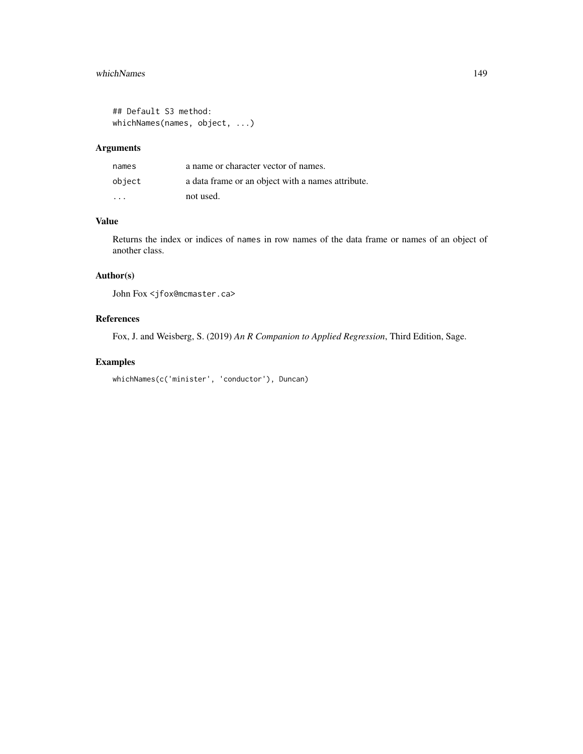# whichNames 149

```
## Default S3 method:
whichNames(names, object, ...)
```
# Arguments

| names                   | a name or character vector of names.              |
|-------------------------|---------------------------------------------------|
| object                  | a data frame or an object with a names attribute. |
| $\cdot$ $\cdot$ $\cdot$ | not used.                                         |

# Value

Returns the index or indices of names in row names of the data frame or names of an object of another class.

# Author(s)

John Fox <jfox@mcmaster.ca>

# References

Fox, J. and Weisberg, S. (2019) *An R Companion to Applied Regression*, Third Edition, Sage.

# Examples

```
whichNames(c('minister', 'conductor'), Duncan)
```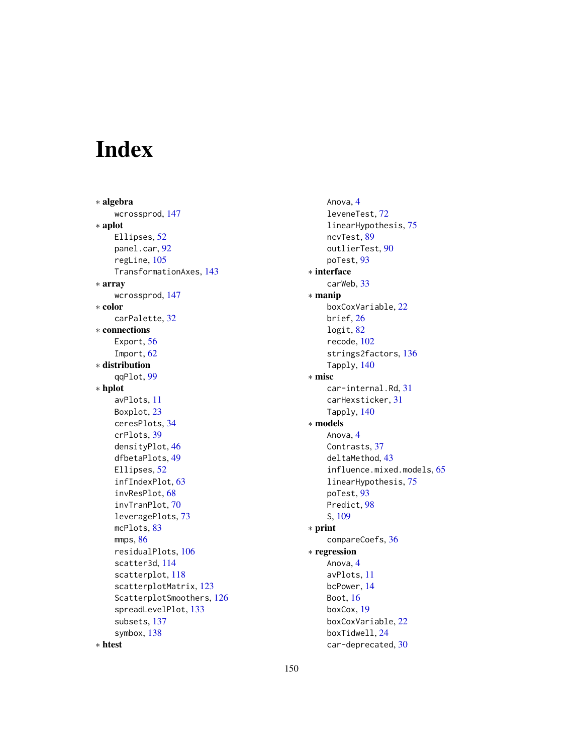# Index

∗ algebra wcrossprod, [147](#page-146-0) ∗ aplot Ellipses, [52](#page-51-0) panel.car, [92](#page-91-0) regLine, [105](#page-104-0) TransformationAxes, [143](#page-142-0) ∗ array wcrossprod, [147](#page-146-0) ∗ color carPalette, [32](#page-31-0) ∗ connections Export, [56](#page-55-0) Import, [62](#page-61-0) ∗ distribution qqPlot, [99](#page-98-0) ∗ hplot avPlots, [11](#page-10-0) Boxplot, [23](#page-22-0) ceresPlots, [34](#page-33-0) crPlots, [39](#page-38-0) densityPlot, [46](#page-45-0) dfbetaPlots, [49](#page-48-0) Ellipses, [52](#page-51-0) infIndexPlot, [63](#page-62-0) invResPlot, [68](#page-67-0) invTranPlot, [70](#page-69-0) leveragePlots, [73](#page-72-0) mcPlots, [83](#page-82-0) mmps, [86](#page-85-0) residualPlots, [106](#page-105-0) scatter3d, [114](#page-113-0) scatterplot, [118](#page-117-0) scatterplotMatrix, [123](#page-122-0) ScatterplotSmoothers, [126](#page-125-0) spreadLevelPlot, [133](#page-132-0) subsets, [137](#page-136-0) symbox, [138](#page-137-0)

Anova, [4](#page-3-0) leveneTest, [72](#page-71-0) linearHypothesis, [75](#page-74-0) ncvTest, [89](#page-88-0) outlierTest, [90](#page-89-0) poTest, [93](#page-92-0) ∗ interface carWeb, [33](#page-32-0) ∗ manip boxCoxVariable, [22](#page-21-0) brief, [26](#page-25-0) logit, [82](#page-81-1) recode, [102](#page-101-0) strings2factors, [136](#page-135-0) Tapply, [140](#page-139-0) ∗ misc car-internal.Rd, [31](#page-30-0) carHexsticker, [31](#page-30-0) Tapply, [140](#page-139-0) ∗ models Anova, [4](#page-3-0) Contrasts, [37](#page-36-0) deltaMethod, [43](#page-42-0) influence.mixed.models, [65](#page-64-0) linearHypothesis, [75](#page-74-0) poTest, [93](#page-92-0) Predict, [98](#page-97-0) S, [109](#page-108-0) ∗ print compareCoefs, [36](#page-35-0) ∗ regression Anova, [4](#page-3-0) avPlots, [11](#page-10-0) bcPower, [14](#page-13-2) Boot, [16](#page-15-0) boxCox, [19](#page-18-0) boxCoxVariable, [22](#page-21-0) boxTidwell, [24](#page-23-0)

car-deprecated, [30](#page-29-0)

∗ htest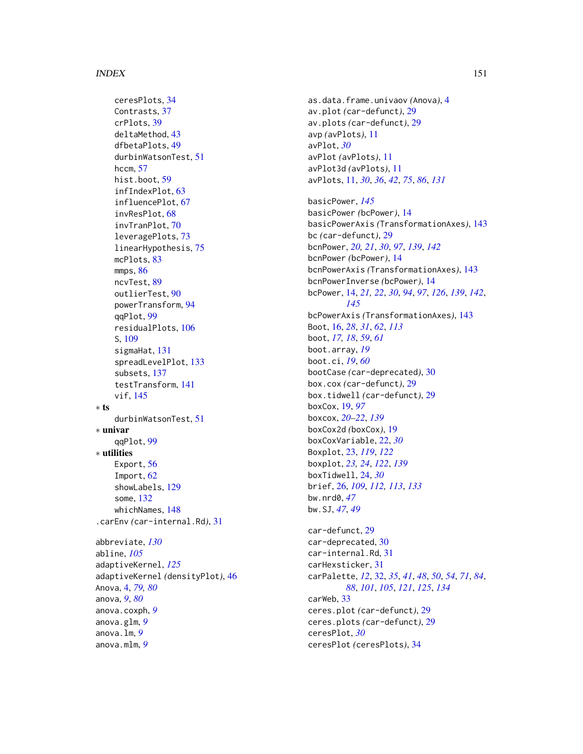ceresPlots, [34](#page-33-0) Contrasts, [37](#page-36-0) crPlots, [39](#page-38-0) deltaMethod, [43](#page-42-0) dfbetaPlots, [49](#page-48-0) durbinWatsonTest, [51](#page-50-0) hccm, [57](#page-56-0) hist.boot, [59](#page-58-0) infIndexPlot, [63](#page-62-0) influencePlot, [67](#page-66-0) invResPlot, [68](#page-67-0) invTranPlot, [70](#page-69-0) leveragePlots, [73](#page-72-0) linearHypothesis, [75](#page-74-0) mcPlots, [83](#page-82-0) mmps, [86](#page-85-0) ncvTest, [89](#page-88-0) outlierTest, [90](#page-89-0) powerTransform, [94](#page-93-0) qqPlot, [99](#page-98-0) residualPlots, [106](#page-105-0) S, [109](#page-108-0) sigmaHat, [131](#page-130-0) spreadLevelPlot, [133](#page-132-0) subsets, [137](#page-136-0) testTransform, [141](#page-140-0) vif, [145](#page-144-0) ∗ ts durbinWatsonTest, [51](#page-50-0) ∗ univar qqPlot, [99](#page-98-0) ∗ utilities Export, [56](#page-55-0) Import, [62](#page-61-0) showLabels, [129](#page-128-0) some, [132](#page-131-0) whichNames, [148](#page-147-0) .carEnv *(*car-internal.Rd*)*, [31](#page-30-0) abbreviate, *[130](#page-129-0)* abline, *[105](#page-104-0)* adaptiveKernel, *[125](#page-124-0)* adaptiveKernel *(*densityPlot*)*, [46](#page-45-0) Anova, [4,](#page-3-0) *[79,](#page-78-0) [80](#page-79-0)* anova, *[9](#page-8-0)*, *[80](#page-79-0)* anova.coxph, *[9](#page-8-0)* anova.glm, *[9](#page-8-0)* anova.lm, *[9](#page-8-0)* anova.mlm, *[9](#page-8-0)*

as.data.frame.univaov *(*Anova*)*, [4](#page-3-0) av.plot *(*car-defunct*)*, [29](#page-28-0) av.plots *(*car-defunct*)*, [29](#page-28-0) avp *(*avPlots*)*, [11](#page-10-0) avPlot, *[30](#page-29-0)* avPlot *(*avPlots*)*, [11](#page-10-0) avPlot3d *(*avPlots*)*, [11](#page-10-0) avPlots, [11,](#page-10-0) *[30](#page-29-0)*, *[36](#page-35-0)*, *[42](#page-41-0)*, *[75](#page-74-0)*, *[86](#page-85-0)*, *[131](#page-130-0)* basicPower, *[145](#page-144-0)* basicPower *(*bcPower*)*, [14](#page-13-2) basicPowerAxis *(*TransformationAxes*)*, [143](#page-142-0) bc *(*car-defunct*)*, [29](#page-28-0) bcnPower, *[20,](#page-19-0) [21](#page-20-0)*, *[30](#page-29-0)*, *[97](#page-96-0)*, *[139](#page-138-0)*, *[142](#page-141-0)* bcnPower *(*bcPower*)*, [14](#page-13-2) bcnPowerAxis *(*TransformationAxes*)*, [143](#page-142-0) bcnPowerInverse *(*bcPower*)*, [14](#page-13-2) bcPower, [14,](#page-13-2) *[21,](#page-20-0) [22](#page-21-0)*, *[30](#page-29-0)*, *[94](#page-93-0)*, *[97](#page-96-0)*, *[126](#page-125-0)*, *[139](#page-138-0)*, *[142](#page-141-0)*, *[145](#page-144-0)* bcPowerAxis *(*TransformationAxes*)*, [143](#page-142-0) Boot, [16,](#page-15-0) *[28](#page-27-0)*, *[31](#page-30-0)*, *[62](#page-61-0)*, *[113](#page-112-0)* boot, *[17,](#page-16-0) [18](#page-17-0)*, *[59](#page-58-0)*, *[61](#page-60-0)* boot.array, *[19](#page-18-0)* boot.ci, *[19](#page-18-0)*, *[60](#page-59-0)* bootCase *(*car-deprecated*)*, [30](#page-29-0) box.cox *(*car-defunct*)*, [29](#page-28-0) box.tidwell *(*car-defunct*)*, [29](#page-28-0) boxCox, [19,](#page-18-0) *[97](#page-96-0)* boxcox, *[20](#page-19-0)[–22](#page-21-0)*, *[139](#page-138-0)* boxCox2d *(*boxCox*)*, [19](#page-18-0) boxCoxVariable, [22,](#page-21-0) *[30](#page-29-0)* Boxplot, [23,](#page-22-0) *[119](#page-118-0)*, *[122](#page-121-0)* boxplot, *[23,](#page-22-0) [24](#page-23-0)*, *[122](#page-121-0)*, *[139](#page-138-0)* boxTidwell, [24,](#page-23-0) *[30](#page-29-0)* brief, [26,](#page-25-0) *[109](#page-108-0)*, *[112,](#page-111-0) [113](#page-112-0)*, *[133](#page-132-0)* bw.nrd0, *[47](#page-46-0)* bw.SJ, *[47](#page-46-0)*, *[49](#page-48-0)* car-defunct, [29](#page-28-0) car-deprecated, [30](#page-29-0) car-internal.Rd, [31](#page-30-0) carHexsticker, [31](#page-30-0) carPalette, *[12](#page-11-0)*, [32,](#page-31-0) *[35](#page-34-0)*, *[41](#page-40-0)*, *[48](#page-47-0)*, *[50](#page-49-0)*, *[54](#page-53-0)*, *[71](#page-70-0)*, *[84](#page-83-0)*, *[88](#page-87-0)*, *[101](#page-100-0)*, *[105](#page-104-0)*, *[121](#page-120-0)*, *[125](#page-124-0)*, *[134](#page-133-0)* carWeb, [33](#page-32-0) ceres.plot *(*car-defunct*)*, [29](#page-28-0) ceres.plots *(*car-defunct*)*, [29](#page-28-0)

ceresPlot, *[30](#page-29-0)* ceresPlot *(*ceresPlots*)*, [34](#page-33-0)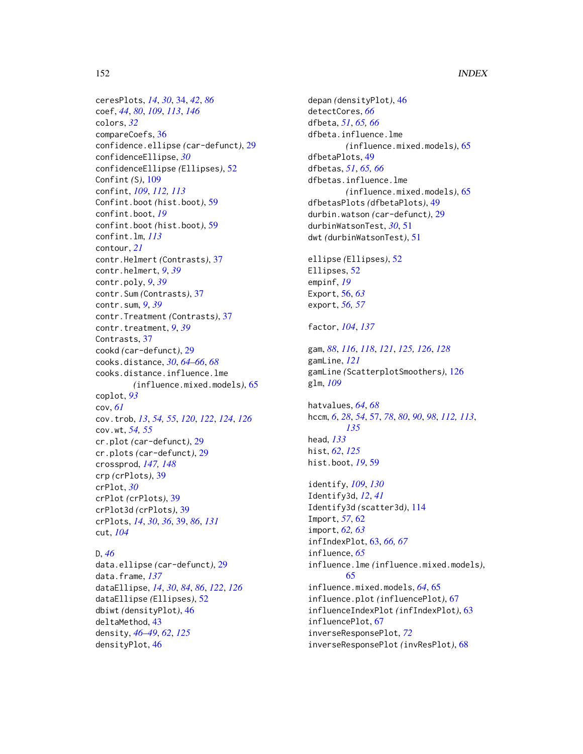ceresPlots, *[14](#page-13-2)*, *[30](#page-29-0)*, [34,](#page-33-0) *[42](#page-41-0)*, *[86](#page-85-0)* coef, *[44](#page-43-0)*, *[80](#page-79-0)*, *[109](#page-108-0)*, *[113](#page-112-0)*, *[146](#page-145-0)* colors, *[32](#page-31-0)* compareCoefs, [36](#page-35-0) confidence.ellipse *(*car-defunct*)*, [29](#page-28-0) confidenceEllipse, *[30](#page-29-0)* confidenceEllipse *(*Ellipses*)*, [52](#page-51-0) Confint *(*S*)*, [109](#page-108-0) confint, *[109](#page-108-0)*, *[112,](#page-111-0) [113](#page-112-0)* Confint.boot *(*hist.boot*)*, [59](#page-58-0) confint.boot, *[19](#page-18-0)* confint.boot *(*hist.boot*)*, [59](#page-58-0) confint.lm, *[113](#page-112-0)* contour, *[21](#page-20-0)* contr.Helmert *(*Contrasts*)*, [37](#page-36-0) contr.helmert, *[9](#page-8-0)*, *[39](#page-38-0)* contr.poly, *[9](#page-8-0)*, *[39](#page-38-0)* contr.Sum *(*Contrasts*)*, [37](#page-36-0) contr.sum, *[9](#page-8-0)*, *[39](#page-38-0)* contr.Treatment *(*Contrasts*)*, [37](#page-36-0) contr.treatment, *[9](#page-8-0)*, *[39](#page-38-0)* Contrasts, [37](#page-36-0) cookd *(*car-defunct*)*, [29](#page-28-0) cooks.distance, *[30](#page-29-0)*, *[64–](#page-63-0)[66](#page-65-0)*, *[68](#page-67-0)* cooks.distance.influence.lme *(*influence.mixed.models*)*, [65](#page-64-0) coplot, *[93](#page-92-0)* cov, *[61](#page-60-0)* cov.trob, *[13](#page-12-0)*, *[54,](#page-53-0) [55](#page-54-0)*, *[120](#page-119-0)*, *[122](#page-121-0)*, *[124](#page-123-0)*, *[126](#page-125-0)* cov.wt, *[54,](#page-53-0) [55](#page-54-0)* cr.plot *(*car-defunct*)*, [29](#page-28-0) cr.plots *(*car-defunct*)*, [29](#page-28-0) crossprod, *[147,](#page-146-0) [148](#page-147-0)* crp *(*crPlots*)*, [39](#page-38-0) crPlot, *[30](#page-29-0)* crPlot *(*crPlots*)*, [39](#page-38-0) crPlot3d *(*crPlots*)*, [39](#page-38-0) crPlots, *[14](#page-13-2)*, *[30](#page-29-0)*, *[36](#page-35-0)*, [39,](#page-38-0) *[86](#page-85-0)*, *[131](#page-130-0)* cut, *[104](#page-103-0)*

D, *[46](#page-45-0)* data.ellipse *(*car-defunct*)*, [29](#page-28-0) data.frame, *[137](#page-136-0)* dataEllipse, *[14](#page-13-2)*, *[30](#page-29-0)*, *[84](#page-83-0)*, *[86](#page-85-0)*, *[122](#page-121-0)*, *[126](#page-125-0)* dataEllipse *(*Ellipses*)*, [52](#page-51-0) dbiwt *(*densityPlot*)*, [46](#page-45-0) deltaMethod, [43](#page-42-0) density, *[46](#page-45-0)[–49](#page-48-0)*, *[62](#page-61-0)*, *[125](#page-124-0)* densityPlot, [46](#page-45-0)

depan *(*densityPlot*)*, [46](#page-45-0) detectCores, *[66](#page-65-0)* dfbeta, *[51](#page-50-0)*, *[65,](#page-64-0) [66](#page-65-0)* dfbeta.influence.lme *(*influence.mixed.models*)*, [65](#page-64-0) dfbetaPlots, [49](#page-48-0) dfbetas, *[51](#page-50-0)*, *[65,](#page-64-0) [66](#page-65-0)* dfbetas.influence.lme *(*influence.mixed.models*)*, [65](#page-64-0) dfbetasPlots *(*dfbetaPlots*)*, [49](#page-48-0) durbin.watson *(*car-defunct*)*, [29](#page-28-0) durbinWatsonTest, *[30](#page-29-0)*, [51](#page-50-0) dwt *(*durbinWatsonTest*)*, [51](#page-50-0)

ellipse *(*Ellipses*)*, [52](#page-51-0) Ellipses, [52](#page-51-0) empinf, *[19](#page-18-0)* Export, [56,](#page-55-0) *[63](#page-62-0)* export, *[56,](#page-55-0) [57](#page-56-0)*

# factor, *[104](#page-103-0)*, *[137](#page-136-0)*

gam, *[88](#page-87-0)*, *[116](#page-115-0)*, *[118](#page-117-0)*, *[121](#page-120-0)*, *[125,](#page-124-0) [126](#page-125-0)*, *[128](#page-127-0)* gamLine, *[121](#page-120-0)* gamLine *(*ScatterplotSmoothers*)*, [126](#page-125-0) glm, *[109](#page-108-0)*

hatvalues, *[64](#page-63-0)*, *[68](#page-67-0)* hccm, *[6](#page-5-0)*, *[28](#page-27-0)*, *[54](#page-53-0)*, [57,](#page-56-0) *[78](#page-77-0)*, *[80](#page-79-0)*, *[90](#page-89-0)*, *[98](#page-97-0)*, *[112,](#page-111-0) [113](#page-112-0)*, *[135](#page-134-0)* head, *[133](#page-132-0)* hist, *[62](#page-61-0)*, *[125](#page-124-0)* hist.boot, *[19](#page-18-0)*, [59](#page-58-0)

identify, *[109](#page-108-0)*, *[130](#page-129-0)* Identify3d, *[12](#page-11-0)*, *[41](#page-40-0)* Identify3d *(*scatter3d*)*, [114](#page-113-0) Import, *[57](#page-56-0)*, [62](#page-61-0) import, *[62,](#page-61-0) [63](#page-62-0)* infIndexPlot, [63,](#page-62-0) *[66,](#page-65-0) [67](#page-66-0)* influence, *[65](#page-64-0)* influence.lme *(*influence.mixed.models*)*, [65](#page-64-0) influence.mixed.models, *[64](#page-63-0)*, [65](#page-64-0) influence.plot *(*influencePlot*)*, [67](#page-66-0) influenceIndexPlot *(*infIndexPlot*)*, [63](#page-62-0) influencePlot, [67](#page-66-0) inverseResponsePlot, *[72](#page-71-0)* inverseResponsePlot *(*invResPlot*)*, [68](#page-67-0)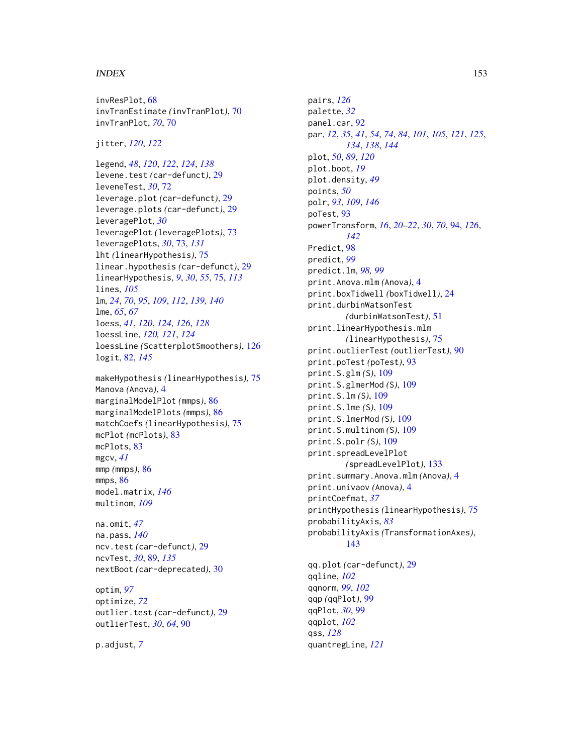invResPlot, [68](#page-67-0) invTranEstimate *(*invTranPlot*)*, [70](#page-69-0) invTranPlot, *[70](#page-69-0)*, [70](#page-69-0)

jitter, *[120](#page-119-0)*, *[122](#page-121-0)*

legend, *[48](#page-47-0)*, *[120](#page-119-0)*, *[122](#page-121-0)*, *[124](#page-123-0)*, *[138](#page-137-0)* levene.test *(*car-defunct*)*, [29](#page-28-0) leveneTest, *[30](#page-29-0)*, [72](#page-71-0) leverage.plot *(*car-defunct*)*, [29](#page-28-0) leverage.plots *(*car-defunct*)*, [29](#page-28-0) leveragePlot, *[30](#page-29-0)* leveragePlot *(*leveragePlots*)*, [73](#page-72-0) leveragePlots, *[30](#page-29-0)*, [73,](#page-72-0) *[131](#page-130-0)* lht *(*linearHypothesis*)*, [75](#page-74-0) linear.hypothesis *(*car-defunct*)*, [29](#page-28-0) linearHypothesis, *[9](#page-8-0)*, *[30](#page-29-0)*, *[55](#page-54-0)*, [75,](#page-74-0) *[113](#page-112-0)* lines, *[105](#page-104-0)* lm, *[24](#page-23-0)*, *[70](#page-69-0)*, *[95](#page-94-0)*, *[109](#page-108-0)*, *[112](#page-111-0)*, *[139,](#page-138-0) [140](#page-139-0)* lme, *[65](#page-64-0)*, *[67](#page-66-0)* loess, *[41](#page-40-0)*, *[120](#page-119-0)*, *[124](#page-123-0)*, *[126](#page-125-0)*, *[128](#page-127-0)* loessLine, *[120,](#page-119-0) [121](#page-120-0)*, *[124](#page-123-0)* loessLine *(*ScatterplotSmoothers*)*, [126](#page-125-0) logit, [82,](#page-81-1) *[145](#page-144-0)*

makeHypothesis *(*linearHypothesis*)*, [75](#page-74-0) Manova *(*Anova*)*, [4](#page-3-0) marginalModelPlot *(*mmps*)*, [86](#page-85-0) marginalModelPlots *(*mmps*)*, [86](#page-85-0) matchCoefs *(*linearHypothesis*)*, [75](#page-74-0) mcPlot *(*mcPlots*)*, [83](#page-82-0) mcPlots, [83](#page-82-0) mgcv, *[41](#page-40-0)* mmp *(*mmps*)*, [86](#page-85-0) mmps, [86](#page-85-0) model.matrix, *[146](#page-145-0)* multinom, *[109](#page-108-0)*

na.omit, *[47](#page-46-0)* na.pass, *[140](#page-139-0)* ncv.test *(*car-defunct*)*, [29](#page-28-0) ncvTest, *[30](#page-29-0)*, [89,](#page-88-0) *[135](#page-134-0)* nextBoot *(*car-deprecated*)*, [30](#page-29-0)

optim, *[97](#page-96-0)* optimize, *[72](#page-71-0)* outlier.test *(*car-defunct*)*, [29](#page-28-0) outlierTest, *[30](#page-29-0)*, *[64](#page-63-0)*, [90](#page-89-0)

p.adjust, *[7](#page-6-0)*

pairs, *[126](#page-125-0)* palette, *[32](#page-31-0)* panel.car, [92](#page-91-0) par, *[12](#page-11-0)*, *[35](#page-34-0)*, *[41](#page-40-0)*, *[54](#page-53-0)*, *[74](#page-73-0)*, *[84](#page-83-0)*, *[101](#page-100-0)*, *[105](#page-104-0)*, *[121](#page-120-0)*, *[125](#page-124-0)*, *[134](#page-133-0)*, *[138](#page-137-0)*, *[144](#page-143-0)* plot, *[50](#page-49-0)*, *[89](#page-88-0)*, *[120](#page-119-0)* plot.boot, *[19](#page-18-0)* plot.density, *[49](#page-48-0)* points, *[50](#page-49-0)* polr, *[93](#page-92-0)*, *[109](#page-108-0)*, *[146](#page-145-0)* poTest, [93](#page-92-0) powerTransform, *[16](#page-15-0)*, *[20](#page-19-0)[–22](#page-21-0)*, *[30](#page-29-0)*, *[70](#page-69-0)*, [94,](#page-93-0) *[126](#page-125-0)*, *[142](#page-141-0)* Predict, [98](#page-97-0) predict, *[99](#page-98-0)* predict.lm, *[98,](#page-97-0) [99](#page-98-0)* print.Anova.mlm *(*Anova*)*, [4](#page-3-0) print.boxTidwell *(*boxTidwell*)*, [24](#page-23-0) print.durbinWatsonTest *(*durbinWatsonTest*)*, [51](#page-50-0) print.linearHypothesis.mlm *(*linearHypothesis*)*, [75](#page-74-0) print.outlierTest *(*outlierTest*)*, [90](#page-89-0) print.poTest *(*poTest*)*, [93](#page-92-0) print.S.glm *(*S*)*, [109](#page-108-0) print.S.glmerMod *(*S*)*, [109](#page-108-0) print.S.lm *(*S*)*, [109](#page-108-0) print.S.lme *(*S*)*, [109](#page-108-0) print.S.lmerMod *(*S*)*, [109](#page-108-0) print.S.multinom *(*S*)*, [109](#page-108-0) print.S.polr *(*S*)*, [109](#page-108-0) print.spreadLevelPlot *(*spreadLevelPlot*)*, [133](#page-132-0) print.summary.Anova.mlm *(*Anova*)*, [4](#page-3-0) print.univaov *(*Anova*)*, [4](#page-3-0) printCoefmat, *[37](#page-36-0)* printHypothesis *(*linearHypothesis*)*, [75](#page-74-0) probabilityAxis, *[83](#page-82-0)* probabilityAxis *(*TransformationAxes*)*, [143](#page-142-0) qq.plot *(*car-defunct*)*, [29](#page-28-0) qqline, *[102](#page-101-0)* qqnorm, *[99](#page-98-0)*, *[102](#page-101-0)* qqp *(*qqPlot*)*, [99](#page-98-0) qqPlot, *[30](#page-29-0)*, [99](#page-98-0) qqplot, *[102](#page-101-0)* qss, *[128](#page-127-0)*

quantregLine, *[121](#page-120-0)*